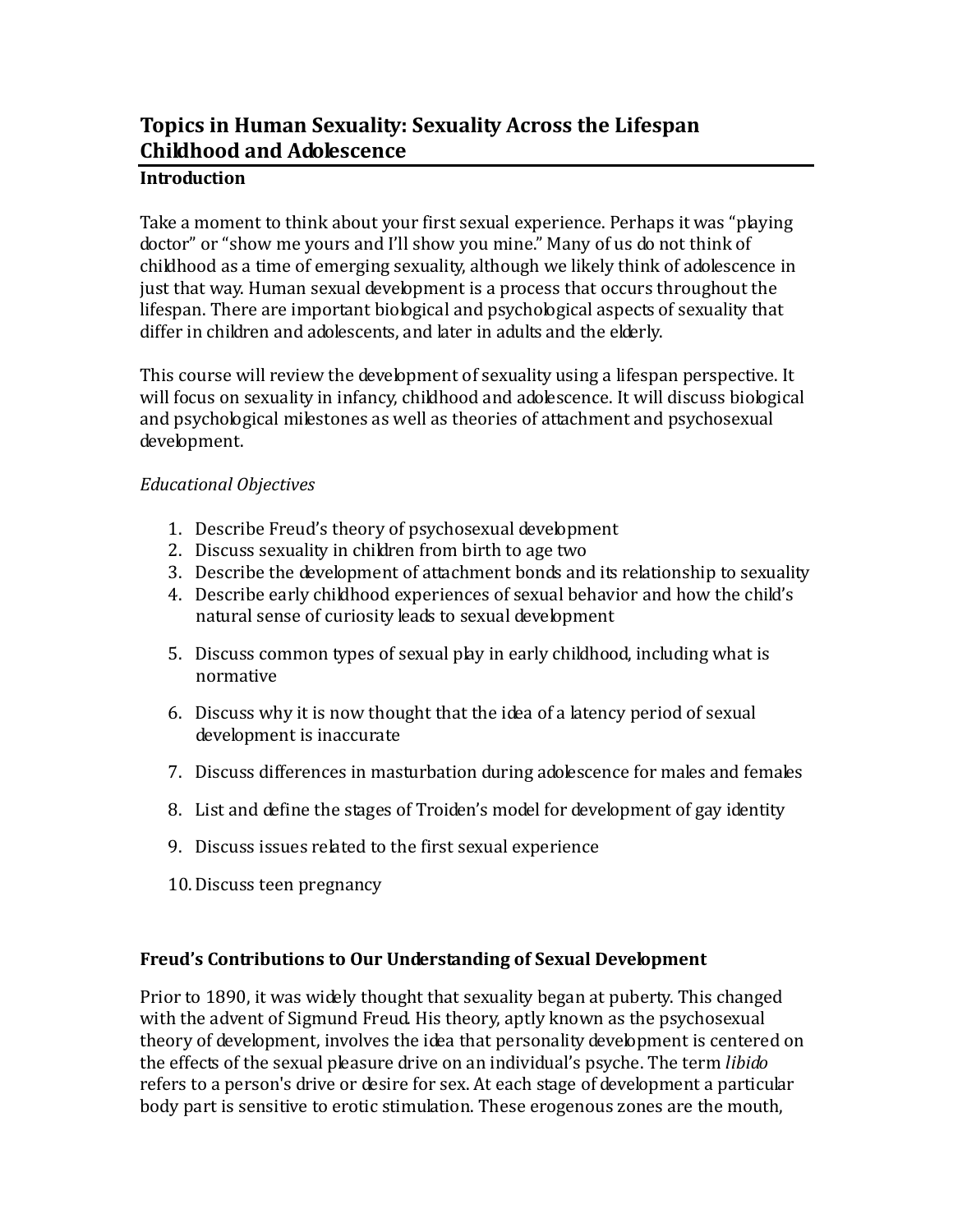# **Topics in Human Sexuality: Sexuality Across the Lifespan Childhood and Adolescence**

### **Introduction**

Take a moment to think about your first sexual experience. Perhaps it was "playing doctor" or "show me yours and I'll show you mine." Many of us do not think of childhood as a time of emerging sexuality, although we likely think of adolescence in just that way. Human sexual development is a process that occurs throughout the lifespan. There are important biological and psychological aspects of sexuality that differ in children and adolescents, and later in adults and the elderly.

This course will review the development of sexuality using a lifespan perspective. It will focus on sexuality in infancy, childhood and adolescence. It will discuss biological and psychological milestones as well as theories of attachment and psychosexual development.

### *Educational Objectives*

- 1. Describe Freud's theory of psychosexual development
- 2. Discuss sexuality in children from birth to age two
- 3. Describe the development of attachment bonds and its relationship to sexuality
- 4. Describe early childhood experiences of sexual behavior and how the child's natural sense of curiosity leads to sexual development
- 5. Discuss common types of sexual play in early childhood, including what is normative
- 6. Discuss why it is now thought that the idea of a latency period of sexual development is inaccurate
- 7. Discuss differences in masturbation during adolescence for males and females
- 8. List and define the stages of Troiden's model for development of gay identity
- 9. Discuss issues related to the first sexual experience
- 10.Discuss teen pregnancy

### **Freud's Contributions to Our Understanding of Sexual Development**

Prior to 1890, it was widely thought that sexuality began at puberty. This changed with the advent of Sigmund Freud. His theory, aptly known as the psychosexual theory of development, involves the idea that personality development is centered on the effects of the sexual pleasure drive on an individual's psyche. The term *libido* refers to a person's drive or desire for sex. At each stage of development a particular body part is sensitive to erotic stimulation. These erogenous zones are the mouth,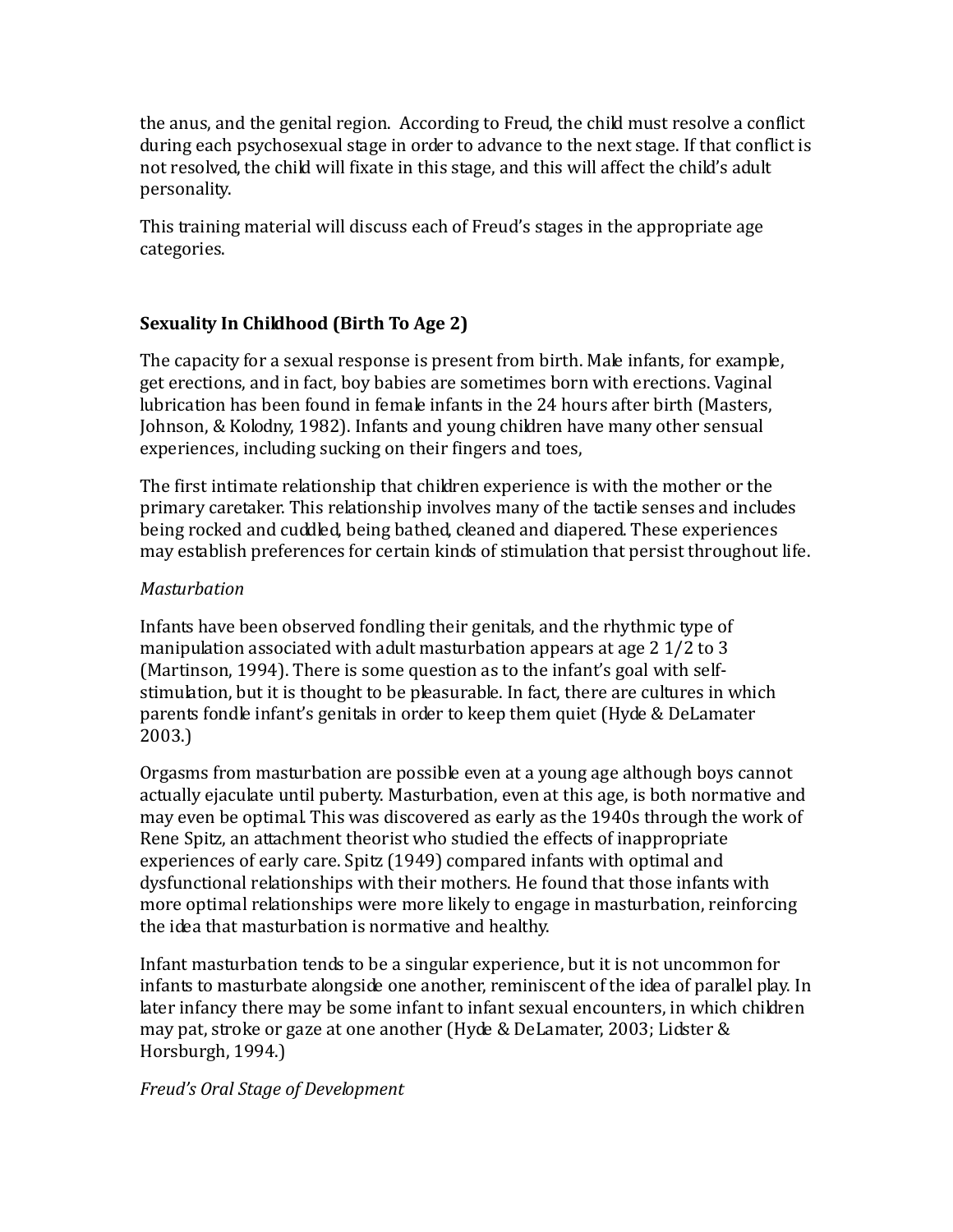the anus, and the genital region. According to Freud, the child must resolve a conflict during each psychosexual stage in order to advance to the next stage. If that conflict is not resolved, the child will fixate in this stage, and this will affect the child's adult personality.

This training material will discuss each of Freud's stages in the appropriate age categories.

### **Sexuality In Childhood (Birth To Age 2)**

The capacity for a sexual response is present from birth. Male infants, for example, get erections, and in fact, boy babies are sometimes born with erections. Vaginal lubrication has been found in female infants in the 24 hours after birth (Masters, Johnson, & Kolodny, 1982). Infants and young children have many other sensual experiences, including sucking on their fingers and toes,

The first intimate relationship that children experience is with the mother or the primary caretaker. This relationship involves many of the tactile senses and includes being rocked and cuddled, being bathed, cleaned and diapered. These experiences may establish preferences for certain kinds of stimulation that persist throughout life.

### *Masturbation*

Infants have been observed fondling their genitals, and the rhythmic type of manipulation associated with adult masturbation appears at age 2 1/2 to 3 (Martinson, 1994). There is some question as to the infant's goal with selfstimulation, but it is thought to be pleasurable. In fact, there are cultures in which parents fondle infant's genitals in order to keep them quiet (Hyde & DeLamater 2003.)

Orgasms from masturbation are possible even at a young age although boys cannot actually ejaculate until puberty. Masturbation, even at this age, is both normative and may even be optimal. This was discovered as early as the 1940s through the work of Rene Spitz, an attachment theorist who studied the effects of inappropriate experiences of early care. Spitz (1949) compared infants with optimal and dysfunctional relationships with their mothers. He found that those infants with more optimal relationships were more likely to engage in masturbation, reinforcing the idea that masturbation is normative and healthy.

Infant masturbation tends to be a singular experience, but it is not uncommon for infants to masturbate alongside one another, reminiscent of the idea of parallel play. In later infancy there may be some infant to infant sexual encounters, in which children may pat, stroke or gaze at one another (Hyde & DeLamater, 2003; Lidster & Horsburgh, 1994.)

### *Freud's Oral Stage of Development*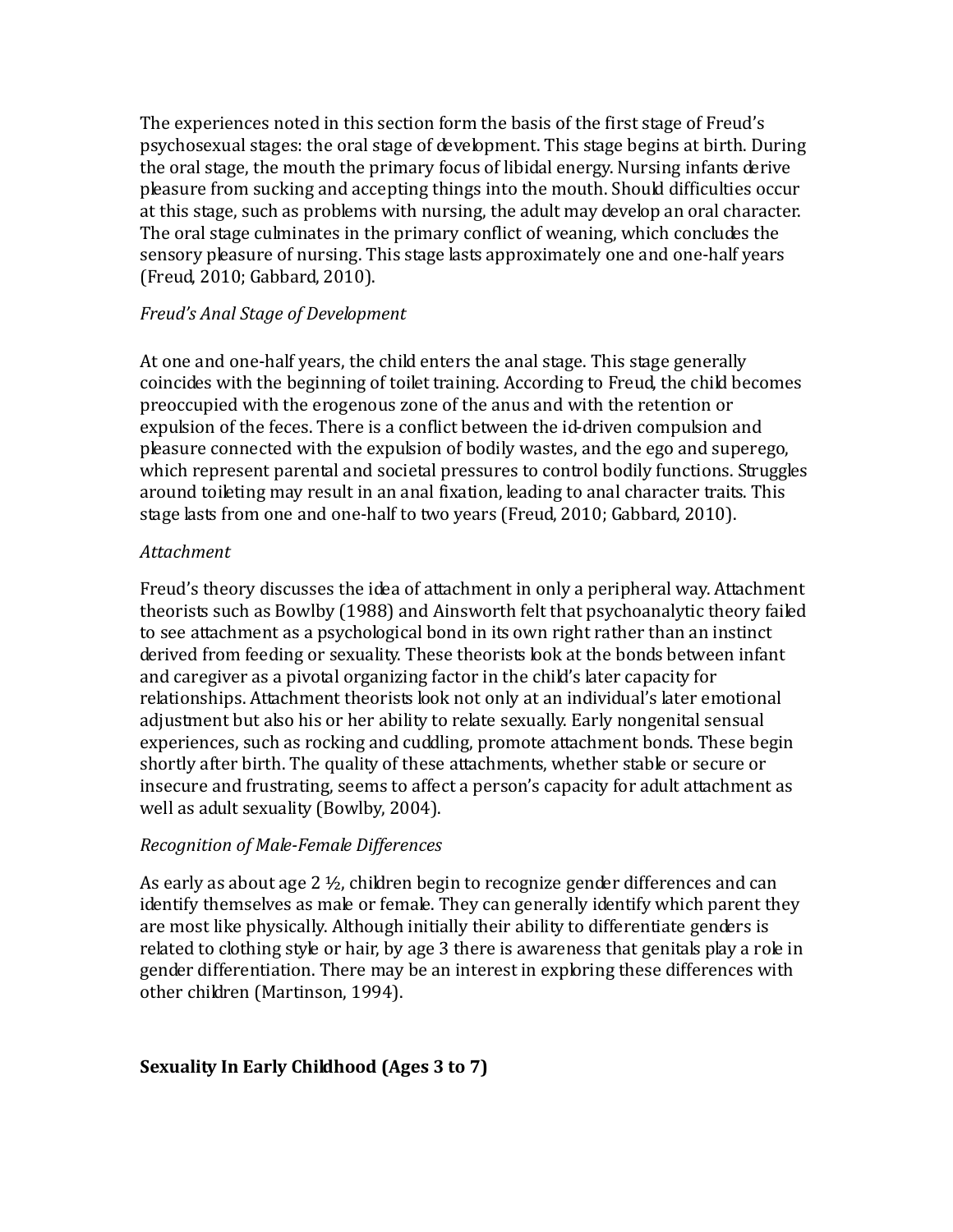The experiences noted in this section form the basis of the first stage of Freud's psychosexual stages: the oral stage of development. This stage begins at birth. During the oral stage, the mouth the primary focus of libidal energy. Nursing infants derive pleasure from sucking and accepting things into the mouth. Should difficulties occur at this stage, such as problems with nursing, the adult may develop an oral character. The oral stage culminates in the primary conflict of weaning, which concludes the sensory pleasure of nursing. This stage lasts approximately one and one-half years (Freud, 2010; Gabbard, 2010).

### *Freud's Anal Stage of Development*

At one and one-half years, the child enters the anal stage. This stage generally coincides with the beginning of toilet training. According to Freud, the child becomes preoccupied with the erogenous zone of the anus and with the retention or expulsion of the feces. There is a conflict between the id-driven compulsion and pleasure connected with the expulsion of bodily wastes, and the ego and superego, which represent parental and societal pressures to control bodily functions. Struggles around toileting may result in an anal fixation, leading to anal character traits. This stage lasts from one and one-half to two years (Freud, 2010; Gabbard, 2010).

### *Attachment*

Freud's theory discusses the idea of attachment in only a peripheral way. Attachment theorists such as Bowlby (1988) and Ainsworth felt that psychoanalytic theory failed to see attachment as a psychological bond in its own right rather than an instinct derived from feeding or sexuality. These theorists look at the bonds between infant and caregiver as a pivotal organizing factor in the child's later capacity for relationships. Attachment theorists look not only at an individual's later emotional adjustment but also his or her ability to relate sexually. Early nongenital sensual experiences, such as rocking and cuddling, promote attachment bonds. These begin shortly after birth. The quality of these attachments, whether stable or secure or insecure and frustrating, seems to affect a person's capacity for adult attachment as well as adult sexuality (Bowlby, 2004).

### *Recognition of Male-Female Differences*

As early as about age  $2\frac{1}{2}$ , children begin to recognize gender differences and can identify themselves as male or female. They can generally identify which parent they are most like physically. Although initially their ability to differentiate genders is related to clothing style or hair, by age 3 there is awareness that genitals play a role in gender differentiation. There may be an interest in exploring these differences with other children (Martinson, 1994).

### **Sexuality In Early Childhood (Ages 3 to 7)**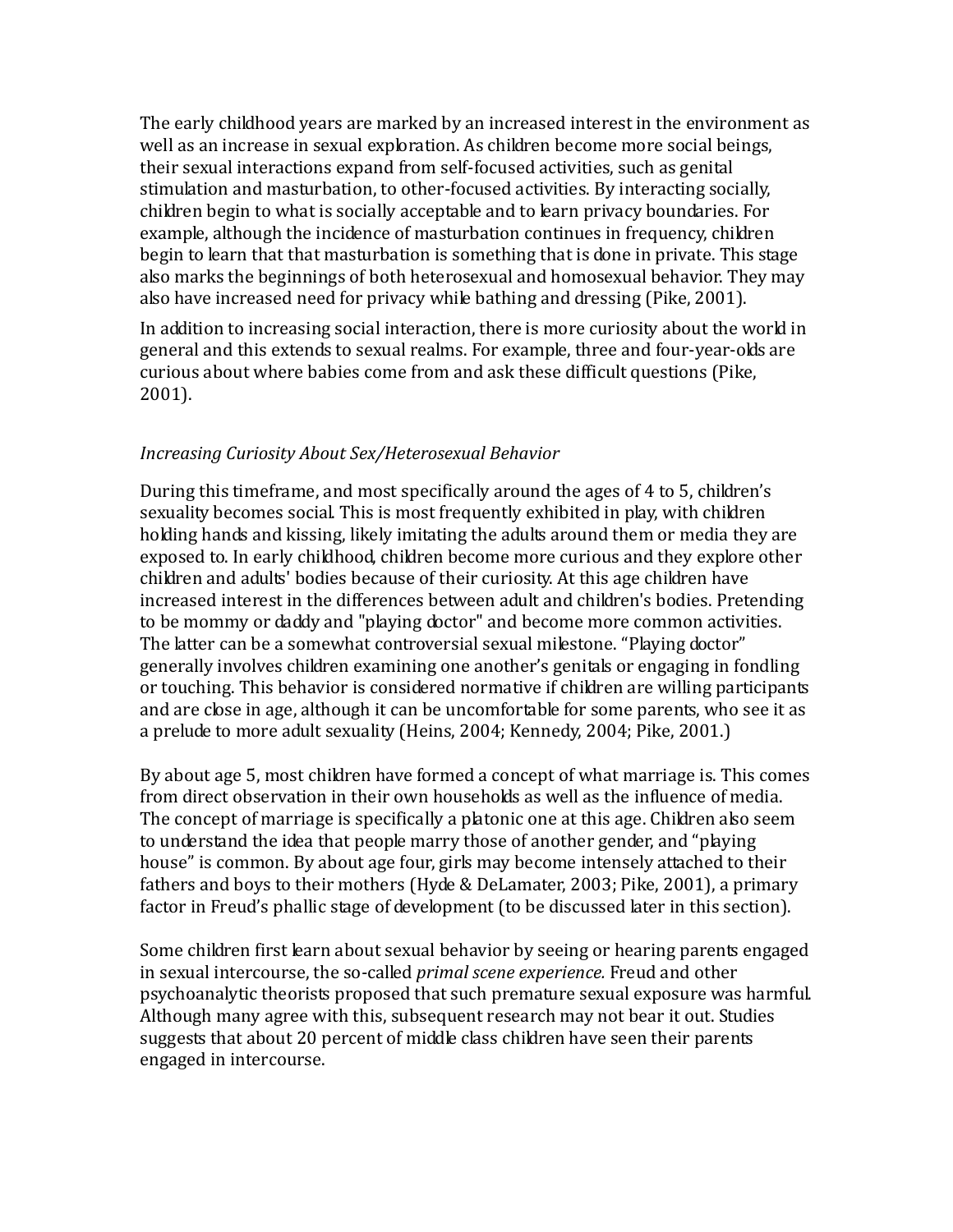The early childhood years are marked by an increased interest in the environment as well as an increase in sexual exploration. As children become more social beings, their sexual interactions expand from self-focused activities, such as genital stimulation and masturbation, to other-focused activities. By interacting socially, children begin to what is socially acceptable and to learn privacy boundaries. For example, although the incidence of masturbation continues in frequency, children begin to learn that that masturbation is something that is done in private. This stage also marks the beginnings of both heterosexual and homosexual behavior. They may also have increased need for privacy while bathing and dressing (Pike, 2001).

In addition to increasing social interaction, there is more curiosity about the world in general and this extends to sexual realms. For example, three and four-year-olds are curious about where babies come from and ask these difficult questions (Pike, 2001).

### *Increasing Curiosity About Sex/Heterosexual Behavior*

During this timeframe, and most specifically around the ages of 4 to 5, children's sexuality becomes social. This is most frequently exhibited in play, with children holding hands and kissing, likely imitating the adults around them or media they are exposed to. In early childhood, children become more curious and they explore other children and adults' bodies because of their curiosity. At this age children have increased interest in the differences between adult and children's bodies. Pretending to be mommy or daddy and "playing doctor" and become more common activities. The latter can be a somewhat controversial sexual milestone. "Playing doctor" generally involves children examining one another's genitals or engaging in fondling or touching. This behavior is considered normative if children are willing participants and are close in age, although it can be uncomfortable for some parents, who see it as a prelude to more adult sexuality (Heins, 2004; Kennedy, 2004; Pike, 2001.)

By about age 5, most children have formed a concept of what marriage is. This comes from direct observation in their own households as well as the influence of media. The concept of marriage is specifically a platonic one at this age. Children also seem to understand the idea that people marry those of another gender, and "playing house" is common. By about age four, girls may become intensely attached to their fathers and boys to their mothers (Hyde & DeLamater, 2003; Pike, 2001), a primary factor in Freud's phallic stage of development (to be discussed later in this section).

Some children first learn about sexual behavior by seeing or hearing parents engaged in sexual intercourse, the so-called *primal scene experience.* Freud and other psychoanalytic theorists proposed that such premature sexual exposure was harmful. Although many agree with this, subsequent research may not bear it out. Studies suggests that about 20 percent of middle class children have seen their parents engaged in intercourse.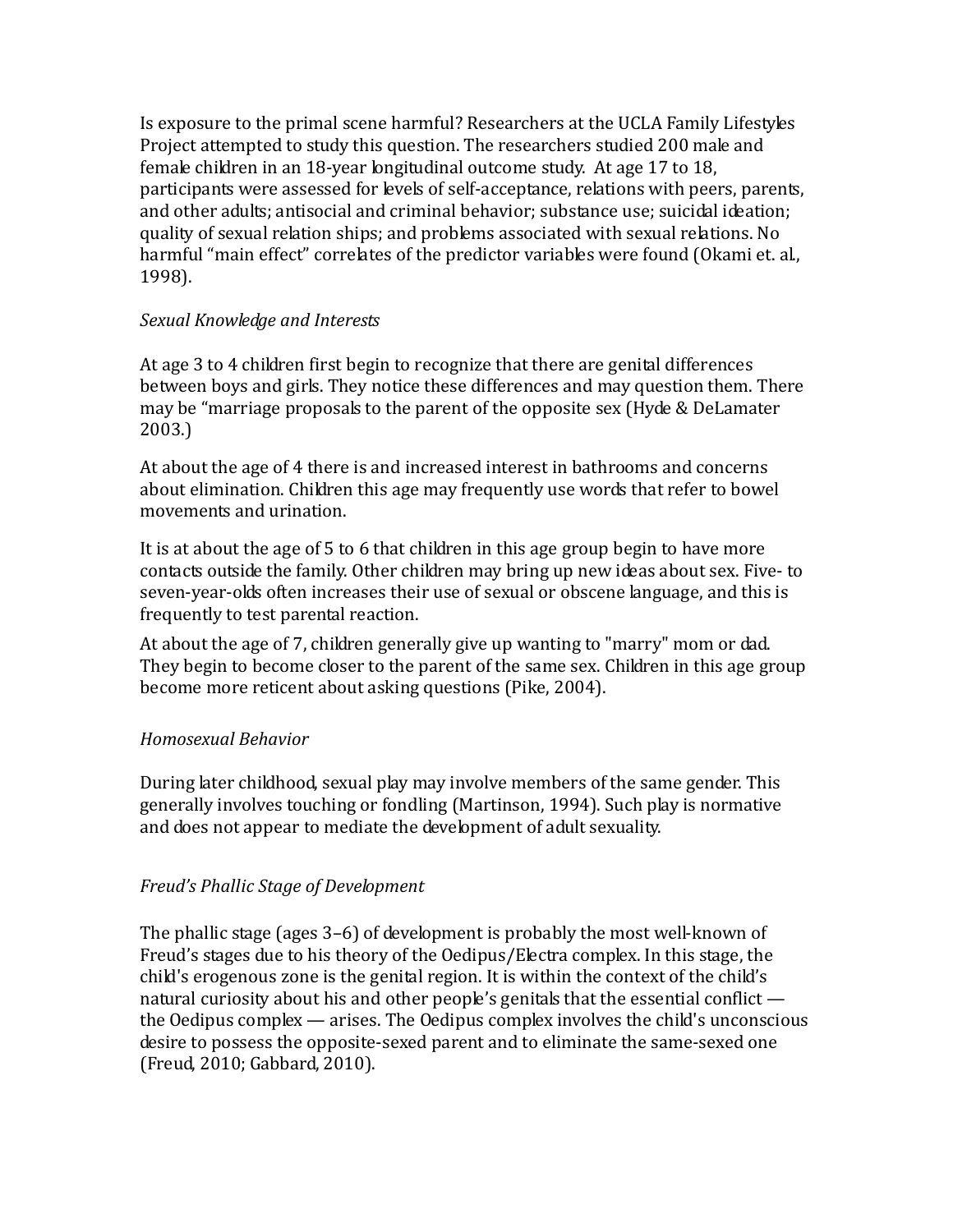Is exposure to the primal scene harmful? Researchers at the UCLA Family Lifestyles Project attempted to study this question. The researchers studied 200 male and female children in an 18-year longitudinal outcome study. At age 17 to 18, participants were assessed for levels of self-acceptance, relations with peers, parents, and other adults; antisocial and criminal behavior; substance use; suicidal ideation; quality of sexual relation ships; and problems associated with sexual relations. No harmful "main effect" correlates of the predictor variables were found (Okami et. al., 1998).

### *Sexual Knowledge and Interests*

At age 3 to 4 children first begin to recognize that there are genital differences between boys and girls. They notice these differences and may question them. There may be "marriage proposals to the parent of the opposite sex (Hyde & DeLamater 2003.)

At about the age of 4 there is and increased interest in bathrooms and concerns about elimination. Children this age may frequently use words that refer to bowel movements and urination.

It is at about the age of 5 to 6 that children in this age group begin to have more contacts outside the family. Other children may bring up new ideas about sex. Five- to seven-year-olds often increases their use of sexual or obscene language, and this is frequently to test parental reaction.

At about the age of 7, children generally give up wanting to "marry" mom or dad. They begin to become closer to the parent of the same sex. Children in this age group become more reticent about asking questions (Pike, 2004).

### *Homosexual Behavior*

During later childhood, sexual play may involve members of the same gender. This generally involves touching or fondling (Martinson, 1994). Such play is normative and does not appear to mediate the development of adult sexuality.

### *Freud's Phallic Stage of Development*

The phallic stage (ages 3–6) of development is probably the most well-known of Freud's stages due to his theory of the Oedipus/Electra complex. In this stage, the child's erogenous zone is the genital region. It is within the context of the child's natural curiosity about his and other people's genitals that the essential conflict the Oedipus complex — arises. The Oedipus complex involves the child's unconscious desire to possess the opposite-sexed parent and to eliminate the same-sexed one (Freud, 2010; Gabbard, 2010).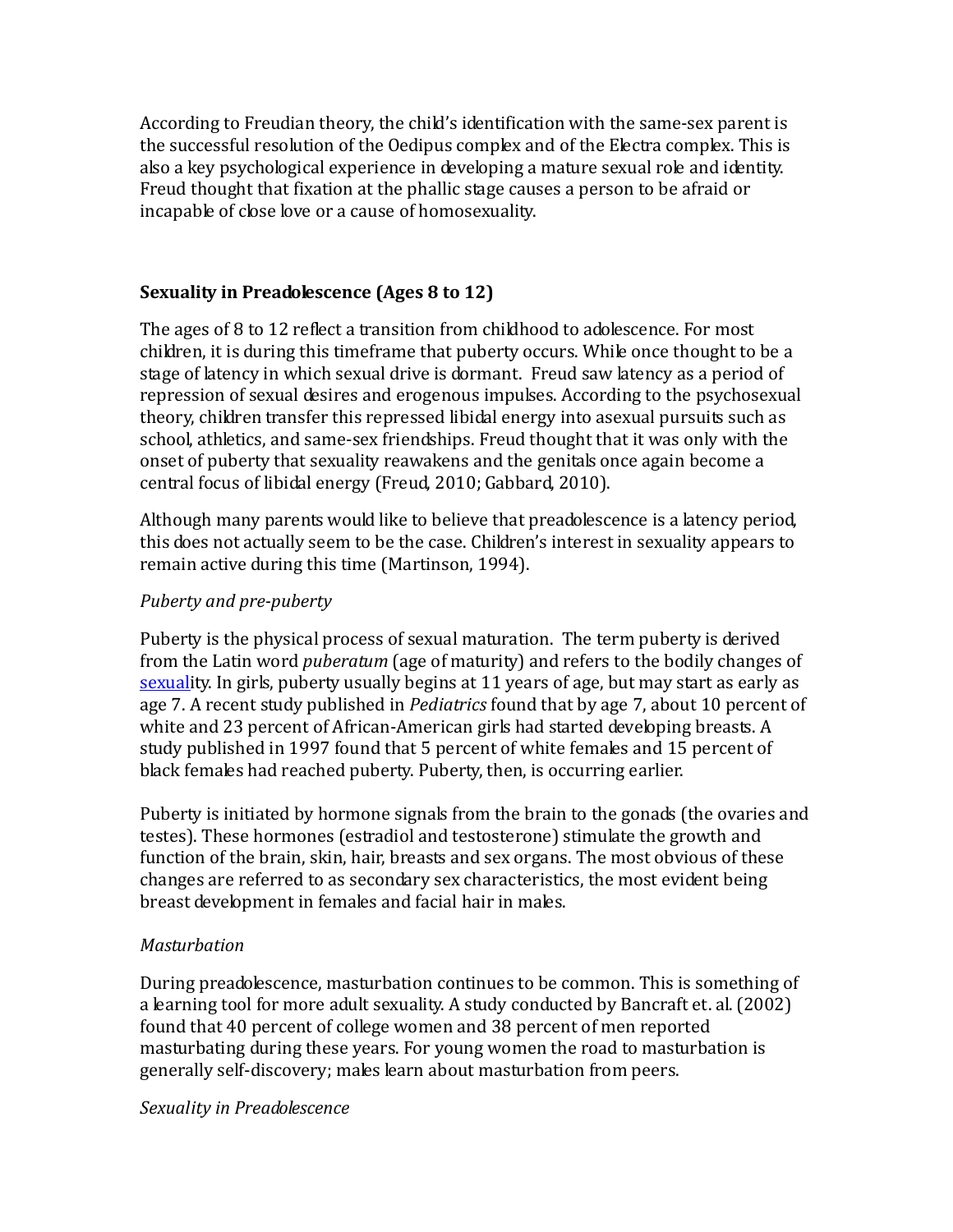According to Freudian theory, the child's identification with the same-sex parent is the successful resolution of the Oedipus complex and of the Electra complex. This is also a key psychological experience in developing a mature sexual role and identity. Freud thought that fixation at the phallic stage causes a person to be afraid or incapable of close love or a cause of homosexuality.

### **Sexuality in Preadolescence (Ages 8 to 12)**

The ages of 8 to 12 reflect a transition from childhood to adolescence. For most children, it is during this timeframe that puberty occurs. While once thought to be a stage of latency in which sexual drive is dormant. Freud saw latency as a period of repression of sexual desires and erogenous impulses. According to the psychosexual theory, children transfer this repressed libidal energy into asexual pursuits such as school, athletics, and same-sex friendships. Freud thought that it was only with the onset of puberty that sexuality reawakens and the genitals once again become a central focus of libidal energy (Freud, 2010; Gabbard, 2010).

Although many parents would like to believe that preadolescence is a latency period, this does not actually seem to be the case. Children's interest in sexuality appears to remain active during this time (Martinson, 1994).

### *Puberty and pre-puberty*

Puberty is the physical process of sexual maturation. The term puberty is derived from the Latin word *puberatum* (age of maturity) and refers to the bodily changes of [sexuali](http://en.wikipedia.org/wiki/Sex)ty. In girls, puberty usually begins at 11 years of age, but may start as early as age 7. A recent study published in *Pediatrics* found that by age 7, about 10 percent of white and 23 percent of African-American girls had started developing breasts. A study published in 1997 found that 5 percent of white females and 15 percent of black females had reached puberty. Puberty, then, is occurring earlier.

Puberty is initiated by hormone signals from the brain to the gonads (the ovaries and testes). These hormones (estradiol and testosterone) stimulate the growth and function of the brain, skin, hair, breasts and sex organs. The most obvious of these changes are referred to as secondary sex characteristics, the most evident being breast development in females and facial hair in males.

### *Masturbation*

During preadolescence, masturbation continues to be common. This is something of a learning tool for more adult sexuality. A study conducted by Bancraft et. al. (2002) found that 40 percent of college women and 38 percent of men reported masturbating during these years. For young women the road to masturbation is generally self-discovery; males learn about masturbation from peers.

*Sexuality in Preadolescence*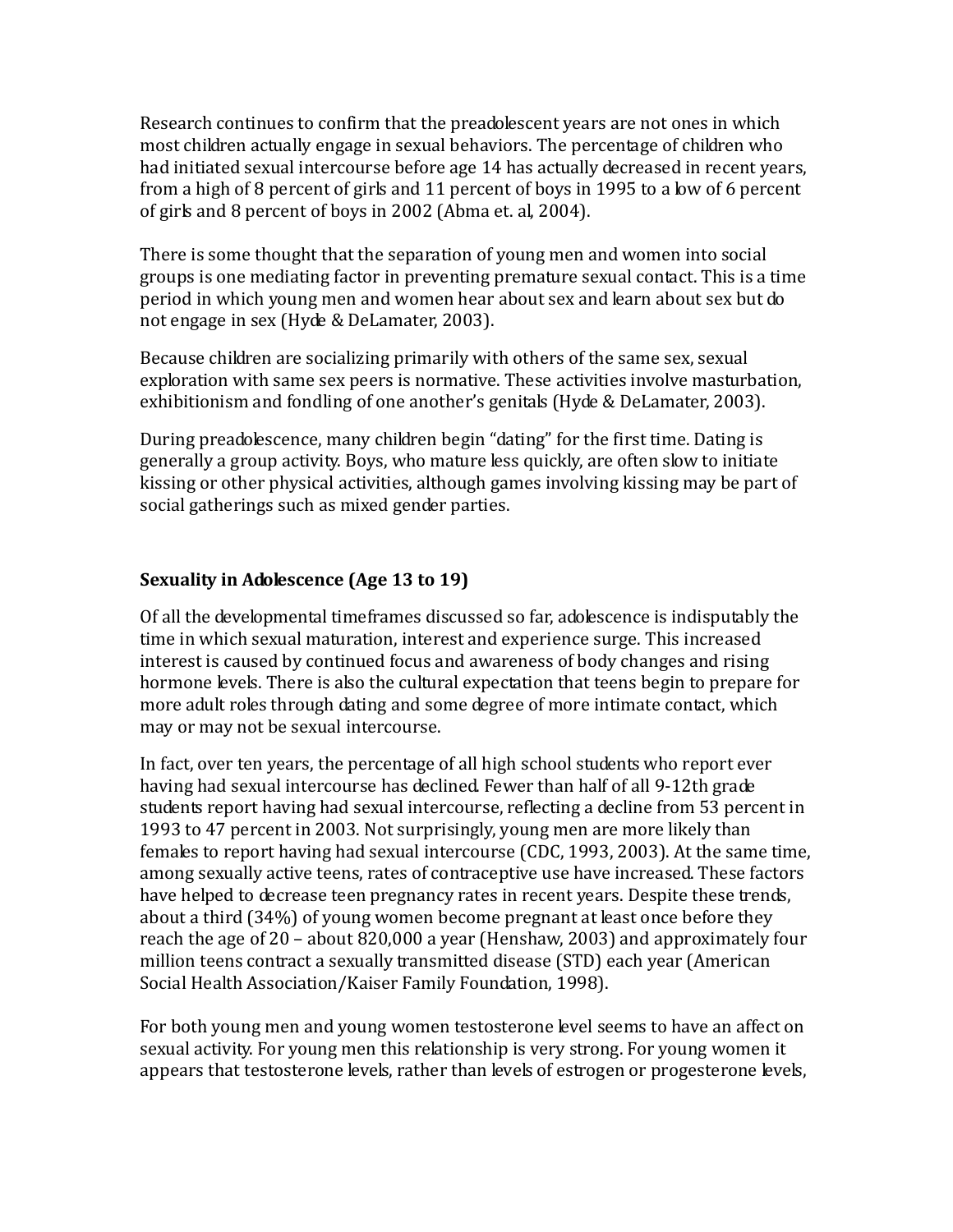Research continues to confirm that the preadolescent years are not ones in which most children actually engage in sexual behaviors. The percentage of children who had initiated sexual intercourse before age 14 has actually decreased in recent years, from a high of 8 percent of girls and 11 percent of boys in 1995 to a low of 6 percent of girls and 8 percent of boys in 2002 (Abma et. al, 2004).

There is some thought that the separation of young men and women into social groups is one mediating factor in preventing premature sexual contact. This is a time period in which young men and women hear about sex and learn about sex but do not engage in sex (Hyde & DeLamater, 2003).

Because children are socializing primarily with others of the same sex, sexual exploration with same sex peers is normative. These activities involve masturbation, exhibitionism and fondling of one another's genitals (Hyde & DeLamater, 2003).

During preadolescence, many children begin "dating" for the first time. Dating is generally a group activity. Boys, who mature less quickly, are often slow to initiate kissing or other physical activities, although games involving kissing may be part of social gatherings such as mixed gender parties.

### **Sexuality in Adolescence (Age 13 to 19)**

Of all the developmental timeframes discussed so far, adolescence is indisputably the time in which sexual maturation, interest and experience surge. This increased interest is caused by continued focus and awareness of body changes and rising hormone levels. There is also the cultural expectation that teens begin to prepare for more adult roles through dating and some degree of more intimate contact, which may or may not be sexual intercourse.

In fact, over ten years, the percentage of all high school students who report ever having had sexual intercourse has declined. Fewer than half of all 9-12th grade students report having had sexual intercourse, reflecting a decline from 53 percent in 1993 to 47 percent in 2003. Not surprisingly, young men are more likely than females to report having had sexual intercourse (CDC, 1993, 2003). At the same time, among sexually active teens, rates of contraceptive use have increased. These factors have helped to decrease teen pregnancy rates in recent years. Despite these trends, about a third (34%) of young women become pregnant at least once before they reach the age of 20 – about 820,000 a year (Henshaw, 2003) and approximately four million teens contract a sexually transmitted disease (STD) each year (American Social Health Association/Kaiser Family Foundation, 1998).

For both young men and young women testosterone level seems to have an affect on sexual activity. For young men this relationship is very strong. For young women it appears that testosterone levels, rather than levels of estrogen or progesterone levels,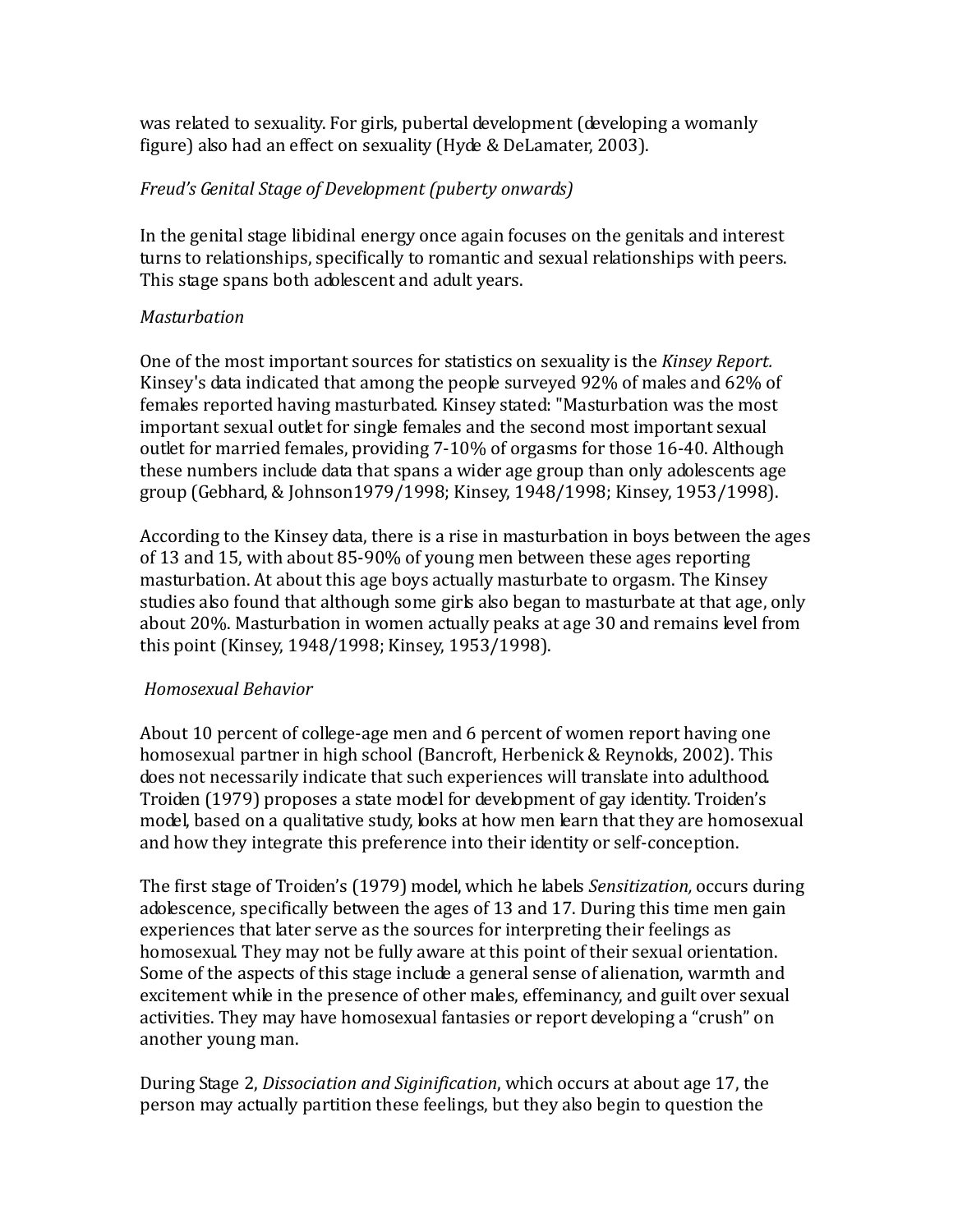was related to sexuality. For girls, pubertal development (developing a womanly figure) also had an effect on sexuality (Hyde & DeLamater, 2003).

### *Freud's Genital Stage of Development (puberty onwards)*

In the genital stage libidinal energy once again focuses on the genitals and interest turns to relationships, specifically to romantic and sexual relationships with peers. This stage spans both adolescent and adult years.

### *Masturbation*

One of the most important sources for statistics on sexuality is the *Kinsey Report.*  Kinsey's data indicated that among the people surveyed 92% of males and 62% of females reported having masturbated. Kinsey stated: "Masturbation was the most important sexual outlet for single females and the second most important sexual outlet for married females, providing 7-10% of orgasms for those 16-40. Although these numbers include data that spans a wider age group than only adolescents age group (Gebhard, & Johnson1979/1998; Kinsey, 1948/1998; Kinsey, 1953/1998).

According to the Kinsey data, there is a rise in masturbation in boys between the ages of 13 and 15, with about 85-90% of young men between these ages reporting masturbation. At about this age boys actually masturbate to orgasm. The Kinsey studies also found that although some girls also began to masturbate at that age, only about 20%. Masturbation in women actually peaks at age 30 and remains level from this point (Kinsey, 1948/1998; Kinsey, 1953/1998).

### *Homosexual Behavior*

About 10 percent of college-age men and 6 percent of women report having one homosexual partner in high school (Bancroft, Herbenick & Reynolds, 2002). This does not necessarily indicate that such experiences will translate into adulthood. Troiden (1979) proposes a state model for development of gay identity. Troiden's model, based on a qualitative study, looks at how men learn that they are homosexual and how they integrate this preference into their identity or self-conception.

The first stage of Troiden's (1979) model, which he labels *Sensitization,* occurs during adolescence, specifically between the ages of 13 and 17. During this time men gain experiences that later serve as the sources for interpreting their feelings as homosexual. They may not be fully aware at this point of their sexual orientation. Some of the aspects of this stage include a general sense of alienation, warmth and excitement while in the presence of other males, effeminancy, and guilt over sexual activities. They may have homosexual fantasies or report developing a "crush" on another young man.

During Stage 2, *Dissociation and Siginification*, which occurs at about age 17, the person may actually partition these feelings, but they also begin to question the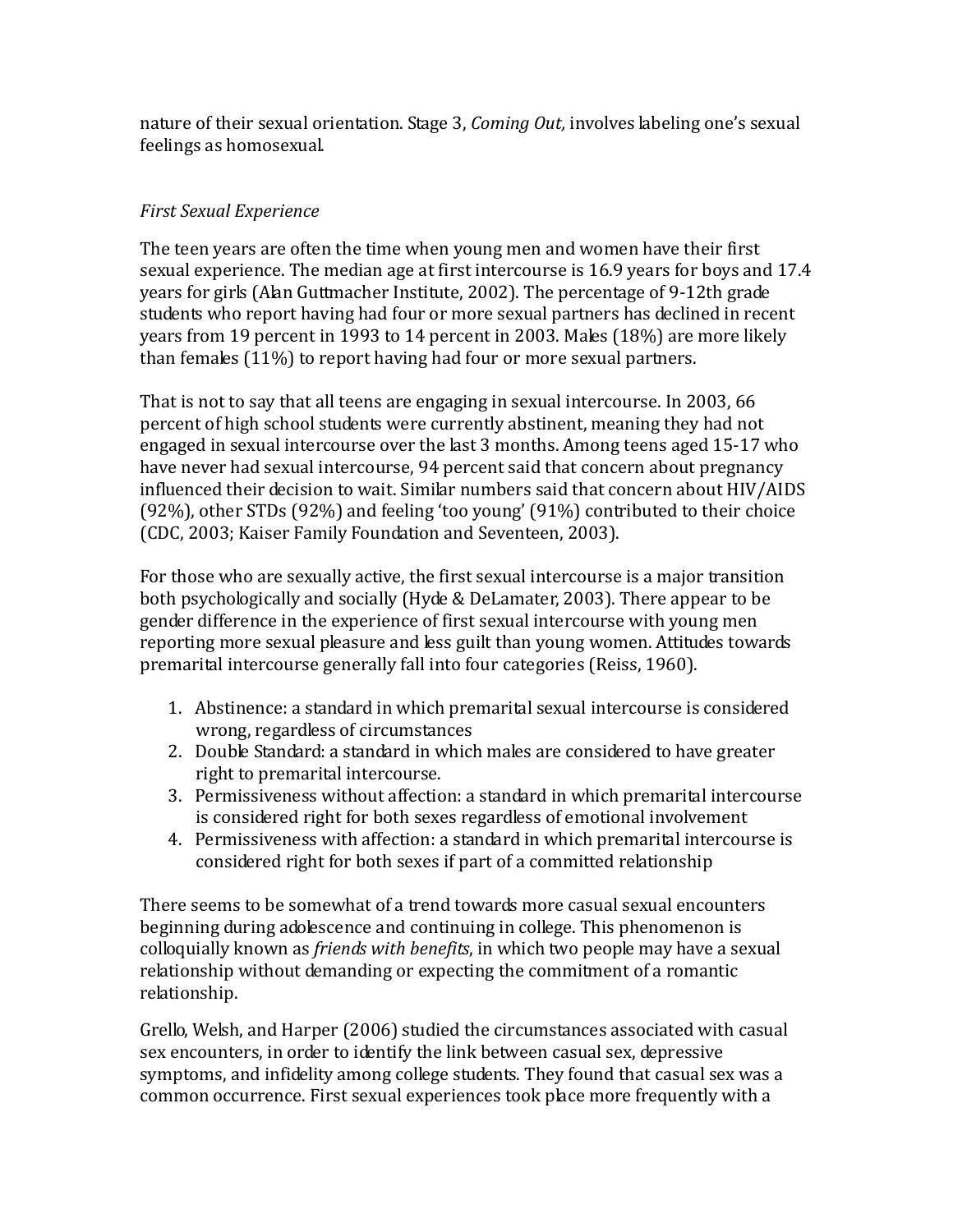nature of their sexual orientation. Stage 3, *Coming Out,* involves labeling one's sexual feelings as homosexual.

### *First Sexual Experience*

The teen years are often the time when young men and women have their first sexual experience. The median age at first intercourse is 16.9 years for boys and 17.4 years for girls (Alan Guttmacher Institute, 2002). The percentage of 9-12th grade students who report having had four or more sexual partners has declined in recent years from 19 percent in 1993 to 14 percent in 2003. Males (18%) are more likely than females (11%) to report having had four or more sexual partners.

That is not to say that all teens are engaging in sexual intercourse. In 2003, 66 percent of high school students were currently abstinent, meaning they had not engaged in sexual intercourse over the last 3 months. Among teens aged 15-17 who have never had sexual intercourse, 94 percent said that concern about pregnancy influenced their decision to wait. Similar numbers said that concern about HIV/AIDS (92%), other STDs (92%) and feeling 'too young' (91%) contributed to their choice (CDC, 2003; Kaiser Family Foundation and Seventeen, 2003).

For those who are sexually active, the first sexual intercourse is a major transition both psychologically and socially (Hyde & DeLamater, 2003). There appear to be gender difference in the experience of first sexual intercourse with young men reporting more sexual pleasure and less guilt than young women. Attitudes towards premarital intercourse generally fall into four categories (Reiss, 1960).

- 1. Abstinence: a standard in which premarital sexual intercourse is considered wrong, regardless of circumstances
- 2. Double Standard: a standard in which males are considered to have greater right to premarital intercourse.
- 3. Permissiveness without affection: a standard in which premarital intercourse is considered right for both sexes regardless of emotional involvement
- 4. Permissiveness with affection: a standard in which premarital intercourse is considered right for both sexes if part of a committed relationship

There seems to be somewhat of a trend towards more casual sexual encounters beginning during adolescence and continuing in college. This phenomenon is colloquially known as *friends with benefits*, in which two people may have a sexual relationship without demanding or expecting the commitment of a romantic relationship.

Grello, Welsh, and Harper (2006) studied the circumstances associated with casual sex encounters, in order to identify the link between casual sex, depressive symptoms, and infidelity among college students. They found that casual sex was a common occurrence. First sexual experiences took place more frequently with a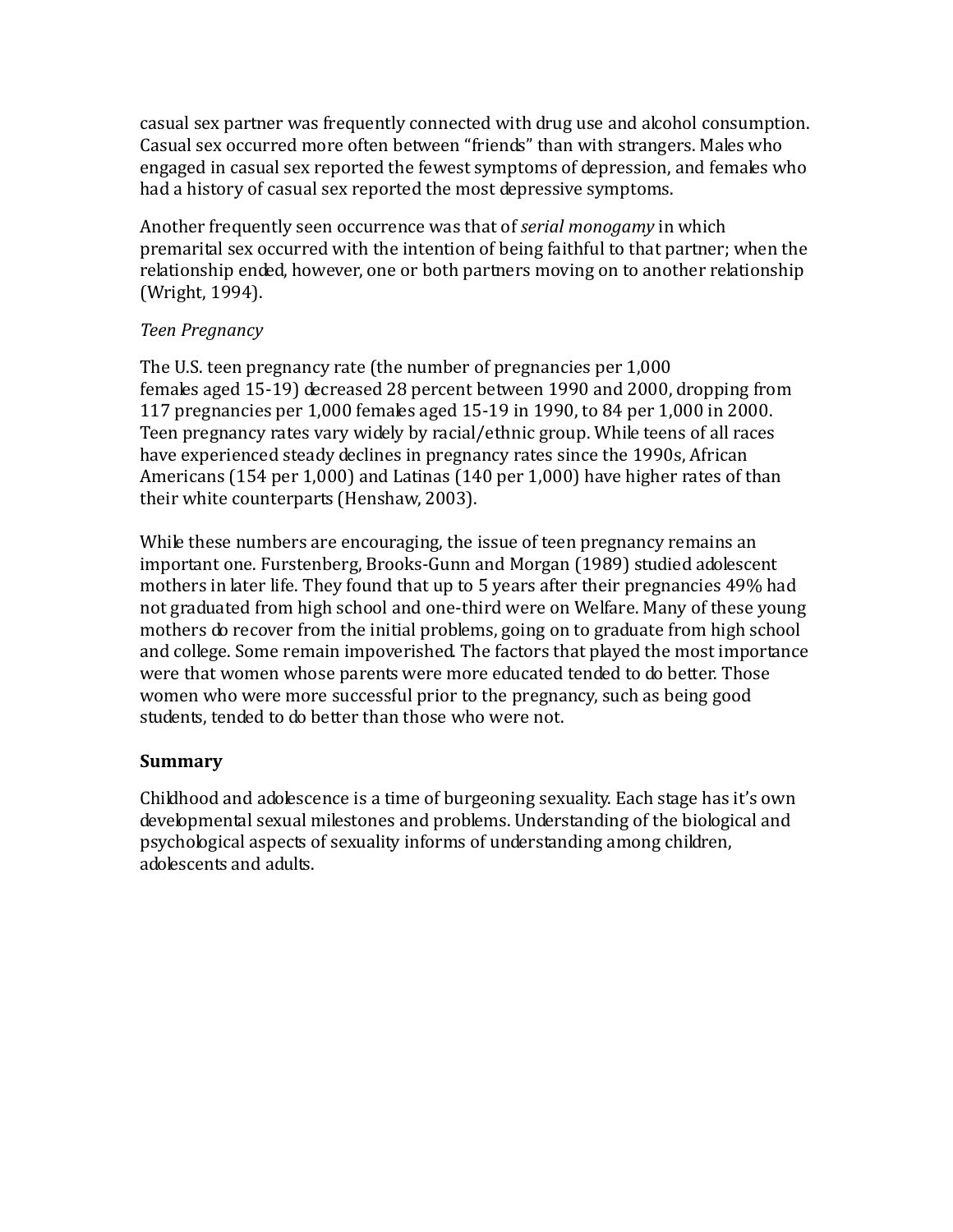casual sex partner was frequently connected with drug use and alcohol consumption. Casual sex occurred more often between "friends" than with strangers. Males who engaged in casual sex reported the fewest symptoms of depression, and females who had a history of casual sex reported the most depressive symptoms.

Another frequently seen occurrence was that of *serial monogamy* in which premarital sex occurred with the intention of being faithful to that partner; when the relationship ended, however, one or both partners moving on to another relationship (Wright, 1994).

### *Teen Pregnancy*

The U.S. teen pregnancy rate (the number of pregnancies per 1,000 females aged 15-19) decreased 28 percent between 1990 and 2000, dropping from 117 pregnancies per 1,000 females aged 15-19 in 1990, to 84 per 1,000 in 2000. Teen pregnancy rates vary widely by racial/ethnic group. While teens of all races have experienced steady declines in pregnancy rates since the 1990s, African Americans (154 per 1,000) and Latinas (140 per 1,000) have higher rates of than their white counterparts (Henshaw, 2003).

While these numbers are encouraging, the issue of teen pregnancy remains an important one. Furstenberg, Brooks-Gunn and Morgan (1989) studied adolescent mothers in later life. They found that up to 5 years after their pregnancies 49% had not graduated from high school and one-third were on Welfare. Many of these young mothers do recover from the initial problems, going on to graduate from high school and college. Some remain impoverished. The factors that played the most importance were that women whose parents were more educated tended to do better. Those women who were more successful prior to the pregnancy, such as being good students, tended to do better than those who were not.

### **Summary**

Childhood and adolescence is a time of burgeoning sexuality. Each stage has it's own developmental sexual milestones and problems. Understanding of the biological and psychological aspects of sexuality informs of understanding among children, adolescents and adults.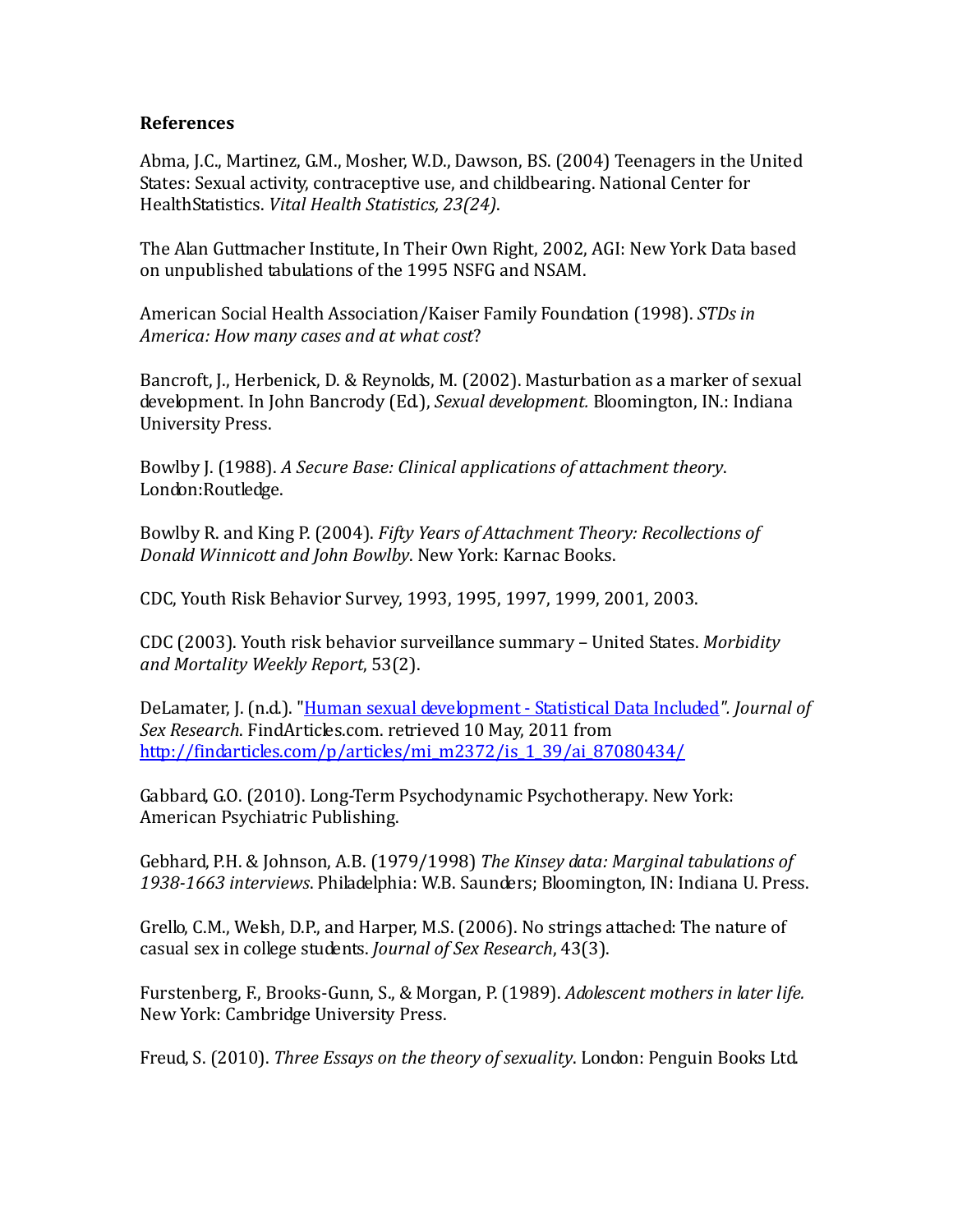#### **References**

Abma, J.C., Martinez, G.M., Mosher, W.D., Dawson, BS. (2004) Teenagers in the United States: Sexual activity, contraceptive use, and childbearing. National Center for HealthStatistics. *Vital Health Statistics, 23(24)*.

The Alan Guttmacher Institute, In Their Own Right, 2002, AGI: New York Data based on unpublished tabulations of the 1995 NSFG and NSAM.

American Social Health Association/Kaiser Family Foundation (1998). *STDs in America: How many cases and at what cost*?

Bancroft, J., Herbenick, D. & Reynolds, M. (2002). Masturbation as a marker of sexual development. In John Bancrody (Ed.), *Sexual development.* Bloomington, IN.: Indiana University Press.

Bowlby J. (1988). *A Secure Base: Clinical applications of attachment theory*. London:Routledge.

Bowlby R. and King P. (2004). *Fifty Years of Attachment Theory: Recollections of Donald Winnicott and John Bowlby*. New York: Karnac Books.

CDC, Youth Risk Behavior Survey, 1993, 1995, 1997, 1999, 2001, 2003.

CDC (2003). Youth risk behavior surveillance summary – United States. *Morbidity and Mortality Weekly Report*, 53(2).

DeLamater, J. (n.d.). ["Human sexual development -](http://findarticles.com/p/articles/mi_m2372/is_1_39/ai_87080434/) Statistical Data Included*". Journal of Sex Research*. FindArticles.com. retrieved 10 May, 2011 from [http://findarticles.com/p/articles/mi\\_m2372/is\\_1\\_39/ai\\_87080434/](http://findarticles.com/p/articles/mi_m2372/is_1_39/ai_87080434/)

Gabbard, G.O. (2010). Long-Term Psychodynamic Psychotherapy. New York: American Psychiatric Publishing.

Gebhard, P.H. & Johnson, A.B. (1979/1998) *The Kinsey data: Marginal tabulations of 1938-1663 interviews*. Philadelphia: W.B. Saunders; Bloomington, IN: Indiana U. Press.

Grello, C.M., Welsh, D.P., and Harper, M.S. (2006). No strings attached: The nature of casual sex in college students. *Journal of Sex Research*, 43(3).

Furstenberg, F., Brooks-Gunn, S., & Morgan, P. (1989). *Adolescent mothers in later life.* New York: Cambridge University Press.

Freud, S. (2010). *Three Essays on the theory of sexuality*. London: Penguin Books Ltd.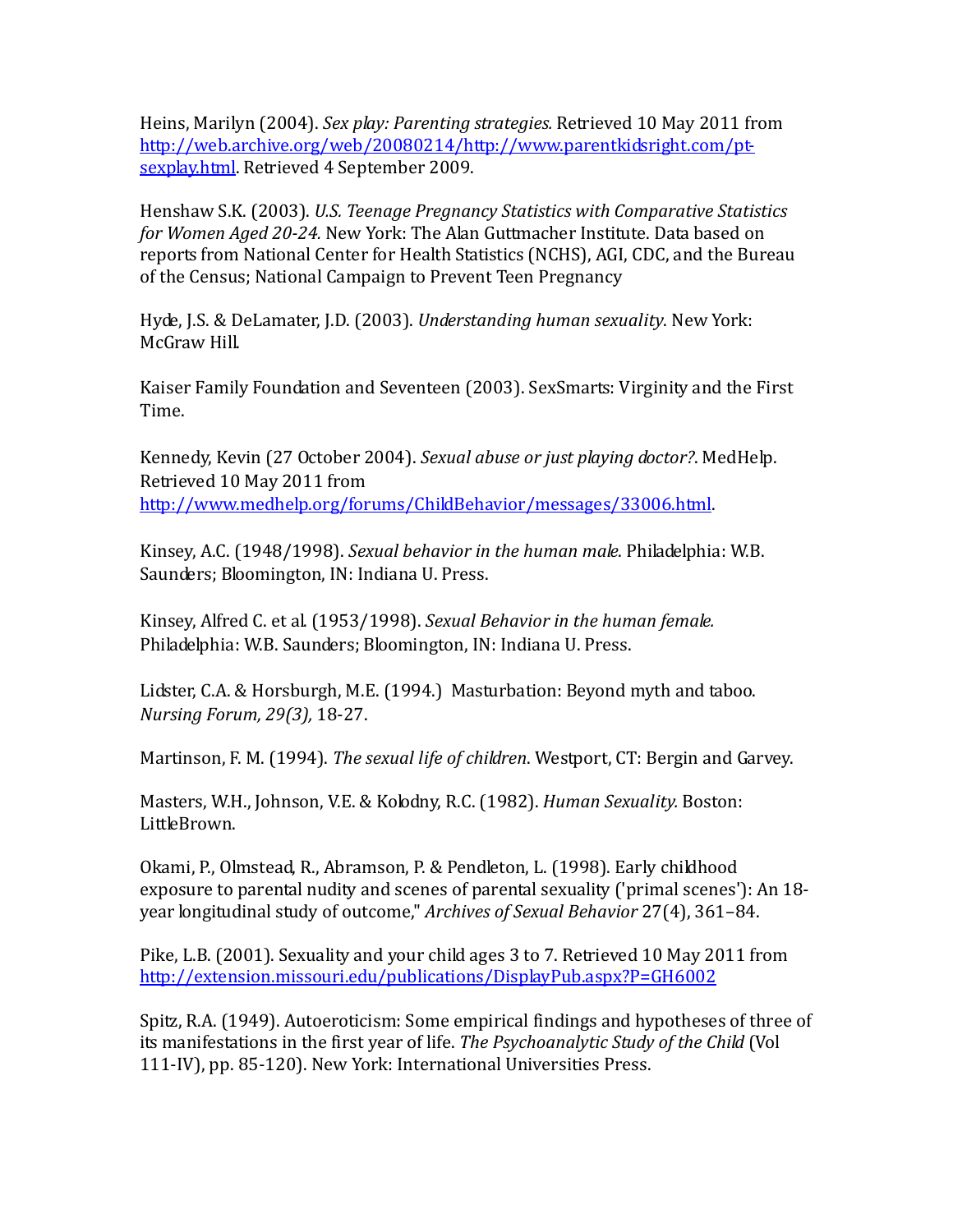Heins, Marilyn (2004). *Sex play: Parenting strategies.* Retrieved 10 May 2011 from [http://web.archive.org/web/20080214/http://www.parentkidsright.com/pt](http://web.archive.org/web/20080214/http:/www.parentkidsright.com/pt-sexplay.html)[sexplay.html.](http://web.archive.org/web/20080214/http:/www.parentkidsright.com/pt-sexplay.html) Retrieved 4 September 2009.

Henshaw S.K. (2003). *U.S. Teenage Pregnancy Statistics with Comparative Statistics for Women Aged 20-24.* New York: The Alan Guttmacher Institute. Data based on reports from National Center for Health Statistics (NCHS), AGI, CDC, and the Bureau of the Census; National Campaign to Prevent Teen Pregnancy

Hyde, J.S. & DeLamater, J.D. (2003). *Understanding human sexuality*. New York: McGraw Hill.

Kaiser Family Foundation and Seventeen (2003). SexSmarts: Virginity and the First Time.

Kennedy, Kevin (27 October 2004). *Sexual abuse or just playing doctor?*. MedHelp. Retrieved 10 May 2011 from [http://www.medhelp.org/forums/ChildBehavior/messages/33006.html.](http://www.medhelp.org/forums/ChildBehavior/messages/33006.html) 

Kinsey, A.C. (1948/1998). *Sexual behavior in the human male*. Philadelphia: W.B. Saunders; Bloomington, IN: Indiana U. Press.

Kinsey, Alfred C. et al. (1953/1998). *Sexual Behavior in the human female.*  Philadelphia: W.B. Saunders; Bloomington, IN: Indiana U. Press.

Lidster, C.A. & Horsburgh, M.E. (1994.) Masturbation: Beyond myth and taboo. *Nursing Forum, 29(3),* 18-27.

Martinson, F. M. (1994). *The sexual life of children*. Westport, CT: Bergin and Garvey.

Masters, W.H., Johnson, V.E. & Kolodny, R.C. (1982). *Human Sexuality.* Boston: LittleBrown.

Okami, P., Olmstead, R., Abramson, P. & Pendleton, L. (1998). Early childhood exposure to parental nudity and scenes of parental sexuality ('primal scenes'): An 18 year longitudinal study of outcome," *Archives of Sexual Behavior* 27(4), 361–84.

Pike, L.B. (2001). Sexuality and your child ages 3 to 7. Retrieved 10 May 2011 from <http://extension.missouri.edu/publications/DisplayPub.aspx?P=GH6002>

Spitz, R.A. (1949). Autoeroticism: Some empirical findings and hypotheses of three of its manifestations in the first year of life. *The Psychoanalytic Study of the Child* (Vol 111-IV), pp. 85-120). New York: International Universities Press.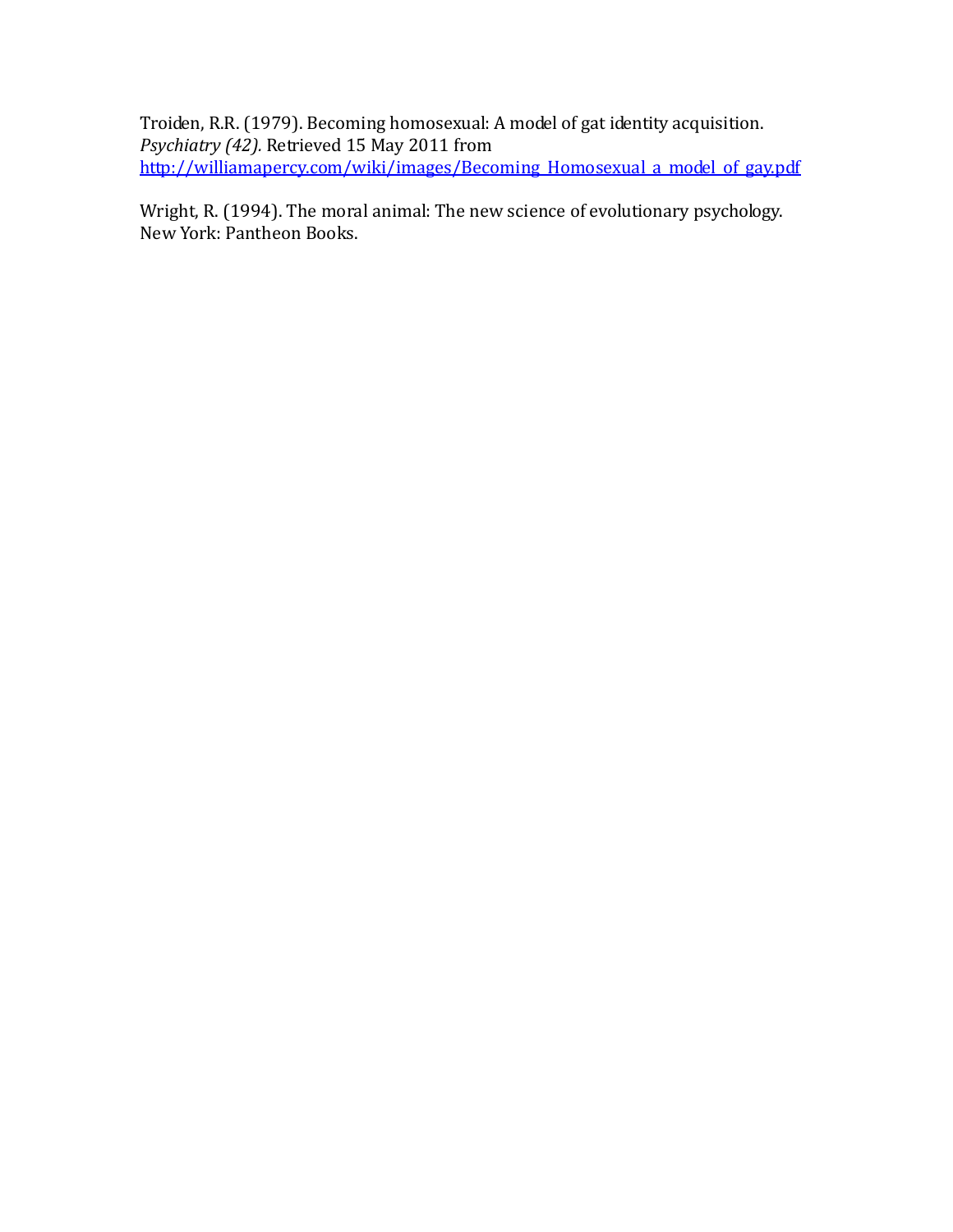Troiden, R.R. (1979). Becoming homosexual: A model of gat identity acquisition. *Psychiatry (42).* Retrieved 15 May 2011 from http://williamapercy.com/wiki/images/Becoming Homosexual a model of gay.pdf

Wright, R. (1994). The moral animal: The new science of evolutionary psychology. New York: Pantheon Books.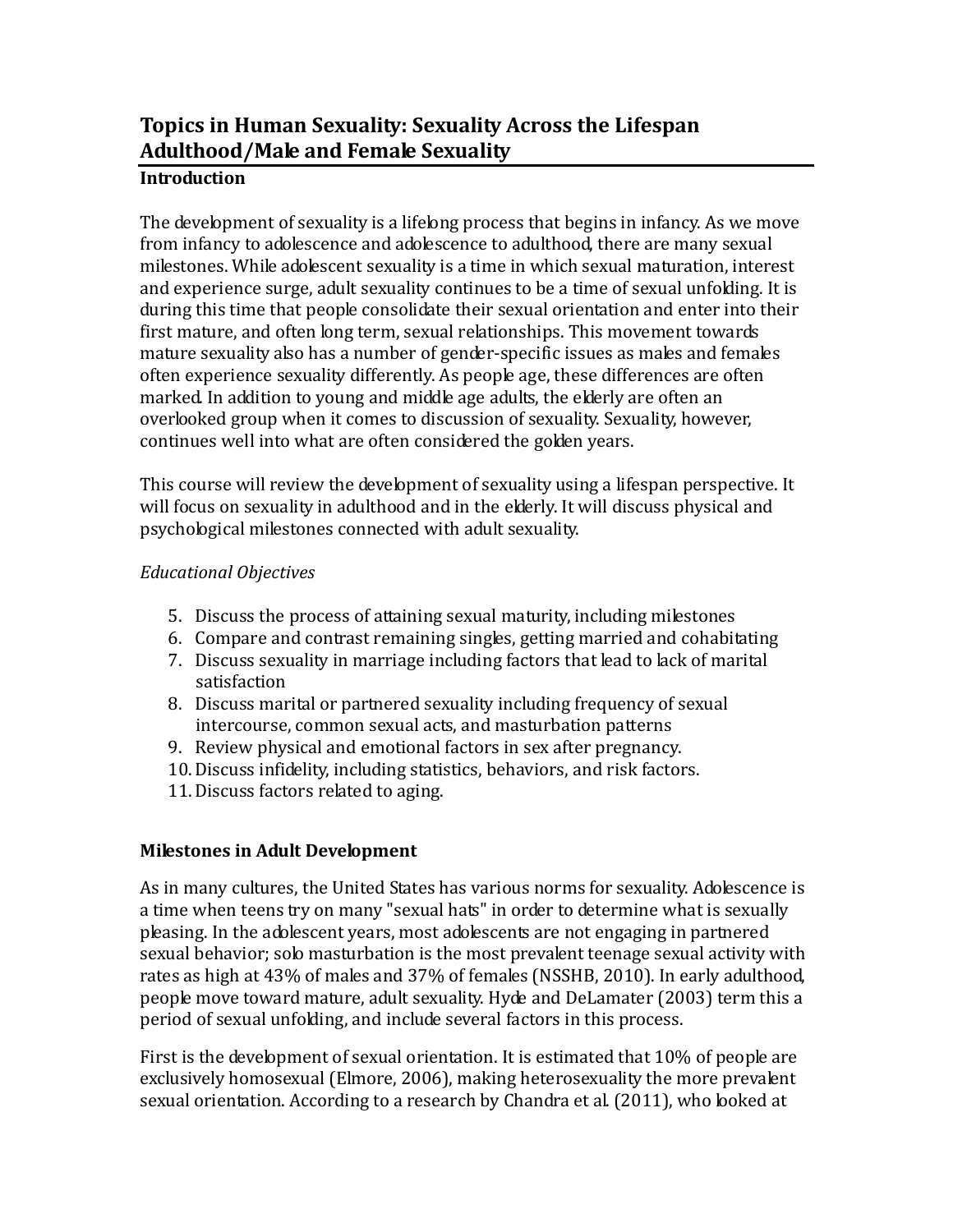# **Topics in Human Sexuality: Sexuality Across the Lifespan Adulthood/Male and Female Sexuality**

### **Introduction**

The development of sexuality is a lifelong process that begins in infancy. As we move from infancy to adolescence and adolescence to adulthood, there are many sexual milestones. While adolescent sexuality is a time in which sexual maturation, interest and experience surge, adult sexuality continues to be a time of sexual unfolding. It is during this time that people consolidate their sexual orientation and enter into their first mature, and often long term, sexual relationships. This movement towards mature sexuality also has a number of gender-specific issues as males and females often experience sexuality differently. As people age, these differences are often marked. In addition to young and middle age adults, the elderly are often an overlooked group when it comes to discussion of sexuality. Sexuality, however, continues well into what are often considered the golden years.

This course will review the development of sexuality using a lifespan perspective. It will focus on sexuality in adulthood and in the elderly. It will discuss physical and psychological milestones connected with adult sexuality.

### *Educational Objectives*

- 5. Discuss the process of attaining sexual maturity, including milestones
- 6. Compare and contrast remaining singles, getting married and cohabitating
- 7. Discuss sexuality in marriage including factors that lead to lack of marital satisfaction
- 8. Discuss marital or partnered sexuality including frequency of sexual intercourse, common sexual acts, and masturbation patterns
- 9. Review physical and emotional factors in sex after pregnancy.
- 10.Discuss infidelity, including statistics, behaviors, and risk factors.
- 11.Discuss factors related to aging.

### **Milestones in Adult Development**

As in many cultures, the United States has various norms for sexuality. Adolescence is a time when teens try on many "sexual hats" in order to determine what is sexually pleasing. In the adolescent years, most adolescents are not engaging in partnered sexual behavior; solo masturbation is the most prevalent teenage sexual activity with rates as high at 43% of males and 37% of females (NSSHB, 2010). In early adulthood, people move toward mature, adult sexuality. Hyde and DeLamater (2003) term this a period of sexual unfolding, and include several factors in this process.

First is the development of sexual orientation. It is estimated that 10% of people are exclusively homosexual (Elmore, 2006), making heterosexuality the more prevalent sexual orientation. According to a research by Chandra et al. (2011), who looked at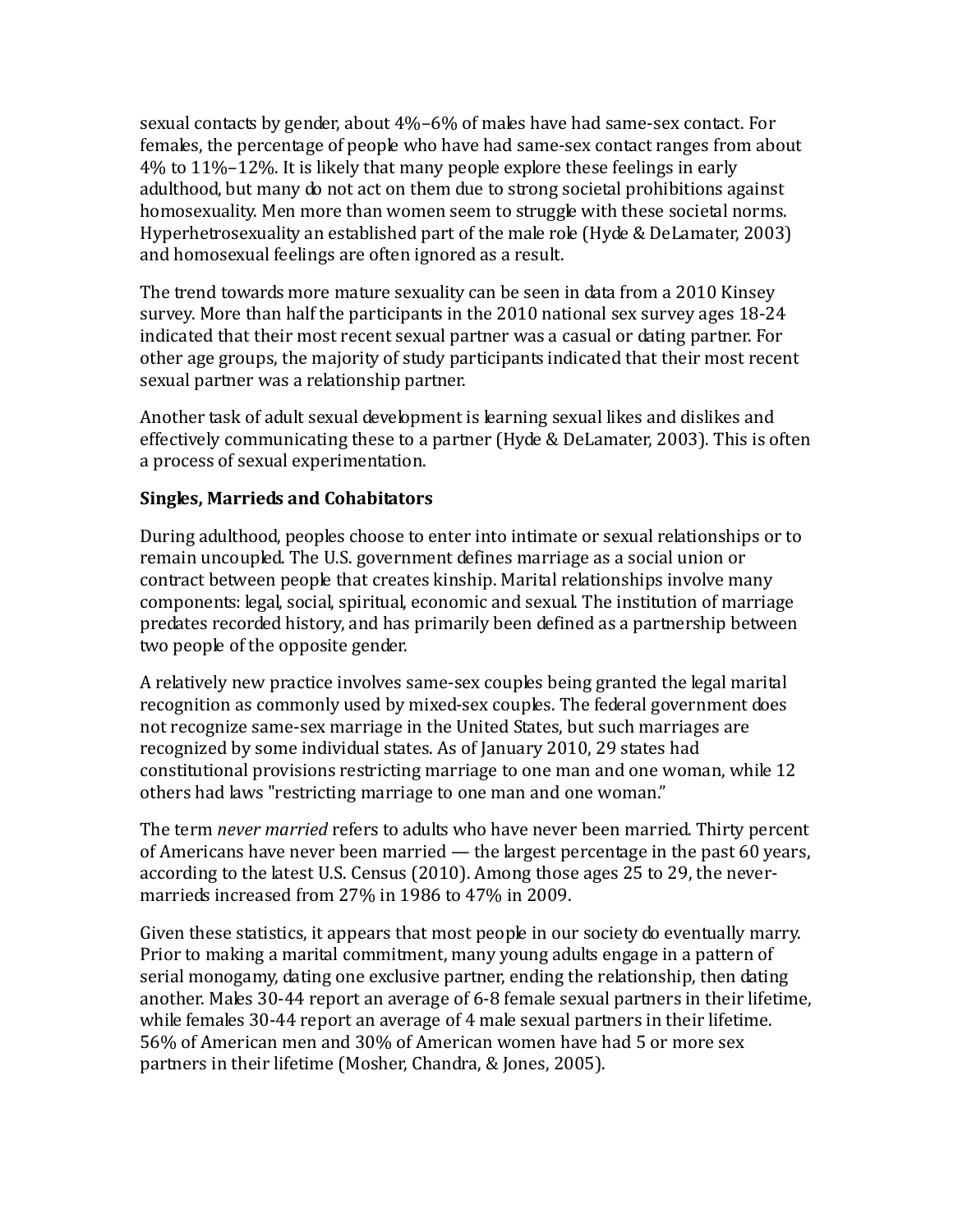sexual contacts by gender, about 4%–6% of males have had same-sex contact. For females, the percentage of people who have had same-sex contact ranges from about 4% to 11%–12%. It is likely that many people explore these feelings in early adulthood, but many do not act on them due to strong societal prohibitions against homosexuality. Men more than women seem to struggle with these societal norms. Hyperhetrosexuality an established part of the male role (Hyde & DeLamater, 2003) and homosexual feelings are often ignored as a result.

The trend towards more mature sexuality can be seen in data from a 2010 Kinsey survey. More than half the participants in the 2010 national sex survey ages 18-24 indicated that their most recent sexual partner was a casual or dating partner. For other age groups, the majority of study participants indicated that their most recent sexual partner was a relationship partner.

Another task of adult sexual development is learning sexual likes and dislikes and effectively communicating these to a partner (Hyde & DeLamater, 2003). This is often a process of sexual experimentation.

### **Singles, Marrieds and Cohabitators**

During adulthood, peoples choose to enter into intimate or sexual relationships or to remain uncoupled. The U.S. government defines marriage as a social union or contract between people that creates kinship. Marital relationships involve many components: legal, social, spiritual, economic and sexual. The institution of marriage predates recorded history, and has primarily been defined as a partnership between two people of the opposite gender.

A relatively new practice involves same-sex couples being granted the legal marital recognition as commonly used by mixed-sex couples. The federal government does not recognize same-sex marriage in the United States, but such marriages are recognized by some individual states. As of January 2010, 29 states had constitutional provisions restricting marriage to one man and one woman, while 12 others had laws "restricting marriage to one man and one woman."

The term *never married* refers to adults who have never been married. Thirty percent of Americans have never been married — the largest percentage in the past 60 years, according to the latest U.S. Census (2010). Among those ages 25 to 29, the nevermarrieds increased from 27% in 1986 to 47% in 2009.

Given these statistics, it appears that most people in our society do eventually marry. Prior to making a marital commitment, many young adults engage in a pattern of serial monogamy, dating one exclusive partner, ending the relationship, then dating another. Males 30-44 report an average of 6-8 female sexual partners in their lifetime, while females 30-44 report an average of 4 male sexual partners in their lifetime. 56% of American men and 30% of American women have had 5 or more sex partners in their lifetime (Mosher, Chandra, & Jones, 2005).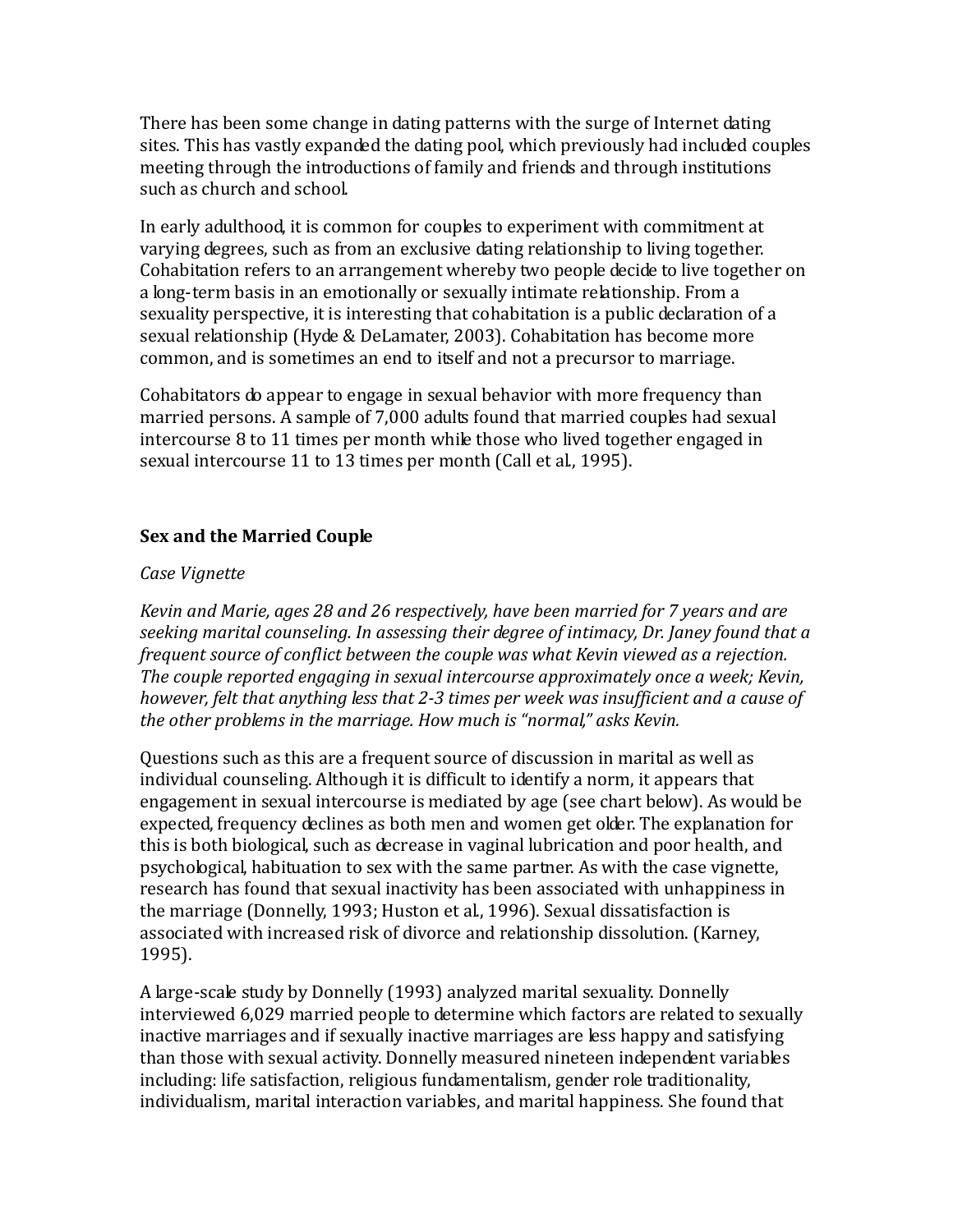There has been some change in dating patterns with the surge of Internet dating sites. This has vastly expanded the dating pool, which previously had included couples meeting through the introductions of family and friends and through institutions such as church and school.

In early adulthood, it is common for couples to experiment with commitment at varying degrees, such as from an exclusive dating relationship to living together. Cohabitation refers to an arrangement whereby two people decide to live together on a long-term basis in an emotionally or sexually intimate relationship. From a sexuality perspective, it is interesting that cohabitation is a public declaration of a sexual relationship (Hyde & DeLamater, 2003). Cohabitation has become more common, and is sometimes an end to itself and not a precursor to marriage.

Cohabitators do appear to engage in sexual behavior with more frequency than married persons. A sample of 7,000 adults found that married couples had sexual intercourse 8 to 11 times per month while those who lived together engaged in sexual intercourse 11 to 13 times per month (Call et al., 1995).

### **Sex and the Married Couple**

#### *Case Vignette*

*Kevin and Marie, ages 28 and 26 respectively, have been married for 7 years and are seeking marital counseling. In assessing their degree of intimacy, Dr. Janey found that a frequent source of conflict between the couple was what Kevin viewed as a rejection. The couple reported engaging in sexual intercourse approximately once a week; Kevin, however, felt that anything less that 2-3 times per week was insufficient and a cause of the other problems in the marriage. How much is "normal," asks Kevin.*

Questions such as this are a frequent source of discussion in marital as well as individual counseling. Although it is difficult to identify a norm, it appears that engagement in sexual intercourse is mediated by age (see chart below). As would be expected, frequency declines as both men and women get older. The explanation for this is both biological, such as decrease in vaginal lubrication and poor health, and psychological, habituation to sex with the same partner. As with the case vignette, research has found that sexual inactivity has been associated with unhappiness in the marriage (Donnelly, 1993; Huston et al., 1996). Sexual dissatisfaction is associated with increased risk of divorce and relationship dissolution. (Karney, 1995).

A large-scale study by Donnelly (1993) analyzed marital sexuality. Donnelly interviewed 6,029 married people to determine which factors are related to sexually inactive marriages and if sexually inactive marriages are less happy and satisfying than those with sexual activity. Donnelly measured nineteen independent variables including: life satisfaction, religious fundamentalism, gender role traditionality, individualism, marital interaction variables, and marital happiness. She found that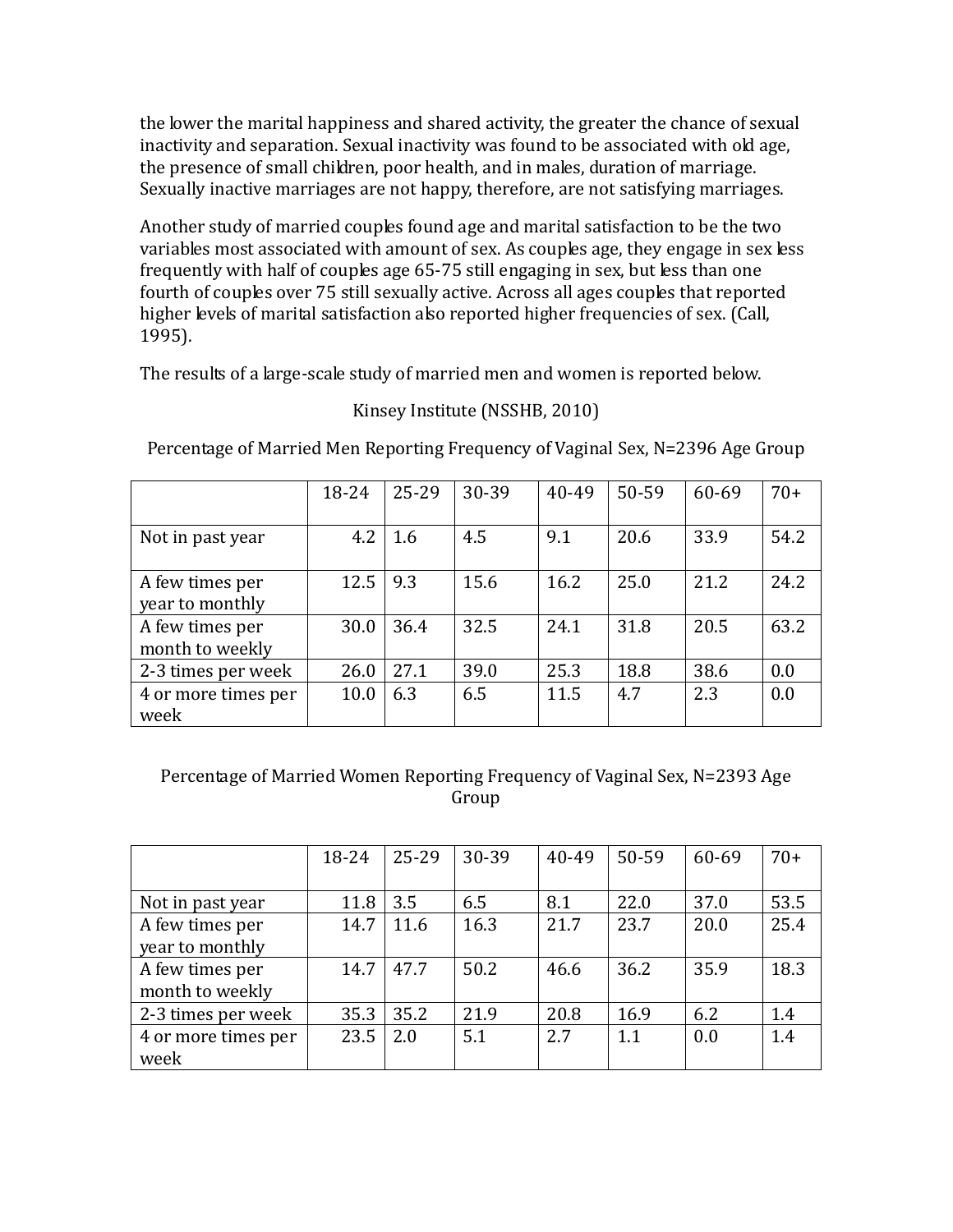the lower the marital happiness and shared activity, the greater the chance of sexual inactivity and separation. Sexual inactivity was found to be associated with old age, the presence of small children, poor health, and in males, duration of marriage. Sexually inactive marriages are not happy, therefore, are not satisfying marriages.

Another study of married couples found age and marital satisfaction to be the two variables most associated with amount of sex. As couples age, they engage in sex less frequently with half of couples age 65-75 still engaging in sex, but less than one fourth of couples over 75 still sexually active. Across all ages couples that reported higher levels of marital satisfaction also reported higher frequencies of sex. (Call, 1995).

The results of a large-scale study of married men and women is reported below.

### 18-24 25-29 30-39 40-49 50-59 60-69 70+ Not in past year | 4.2 | 1.6 | 4.5 | 9.1 | 20.6 | 33.9 | 54.2 A few times per year to monthly 12.5 9.3 15.6 16.2 25.0 21.2 24.2 A few times per month to weekly 30.0 36.4 32.5 24.1 31.8 20.5 63.2 2-3 times per week 26.0 27.1 39.0 25.3 18.8 38.6 0.0<br>4 or more times per 10.0 6.3 6.5 11.5 4.7 2.3 0.0 4 or more times per week  $10.0 \begin{array}{|l} \end{array}$  6.3  $\begin{array}{|l} \end{array}$  6.5  $\begin{array}{|l} \end{array}$  11.5  $\begin{array}{|l} \end{array}$  4.7  $\begin{array}{|l} \end{array}$  2.3  $\begin{array}{|l} \end{array}$  0.0

### Kinsey Institute (NSSHB, 2010)

Percentage of Married Men Reporting Frequency of Vaginal Sex, N=2396 Age Group

### Percentage of Married Women Reporting Frequency of Vaginal Sex, N=2393 Age Group

|                     | 18-24 | $25 - 29$ | 30-39 | 40-49 | 50-59 | 60-69 | $70+$ |
|---------------------|-------|-----------|-------|-------|-------|-------|-------|
|                     |       |           |       |       |       |       |       |
| Not in past year    | 11.8  | 3.5       | 6.5   | 8.1   | 22.0  | 37.0  | 53.5  |
| A few times per     | 14.7  | 11.6      | 16.3  | 21.7  | 23.7  | 20.0  | 25.4  |
| year to monthly     |       |           |       |       |       |       |       |
| A few times per     | 14.7  | 47.7      | 50.2  | 46.6  | 36.2  | 35.9  | 18.3  |
| month to weekly     |       |           |       |       |       |       |       |
| 2-3 times per week  | 35.3  | 35.2      | 21.9  | 20.8  | 16.9  | 6.2   | 1.4   |
| 4 or more times per | 23.5  | 2.0       | 5.1   | 2.7   | 1.1   | 0.0   | 1.4   |
| week                |       |           |       |       |       |       |       |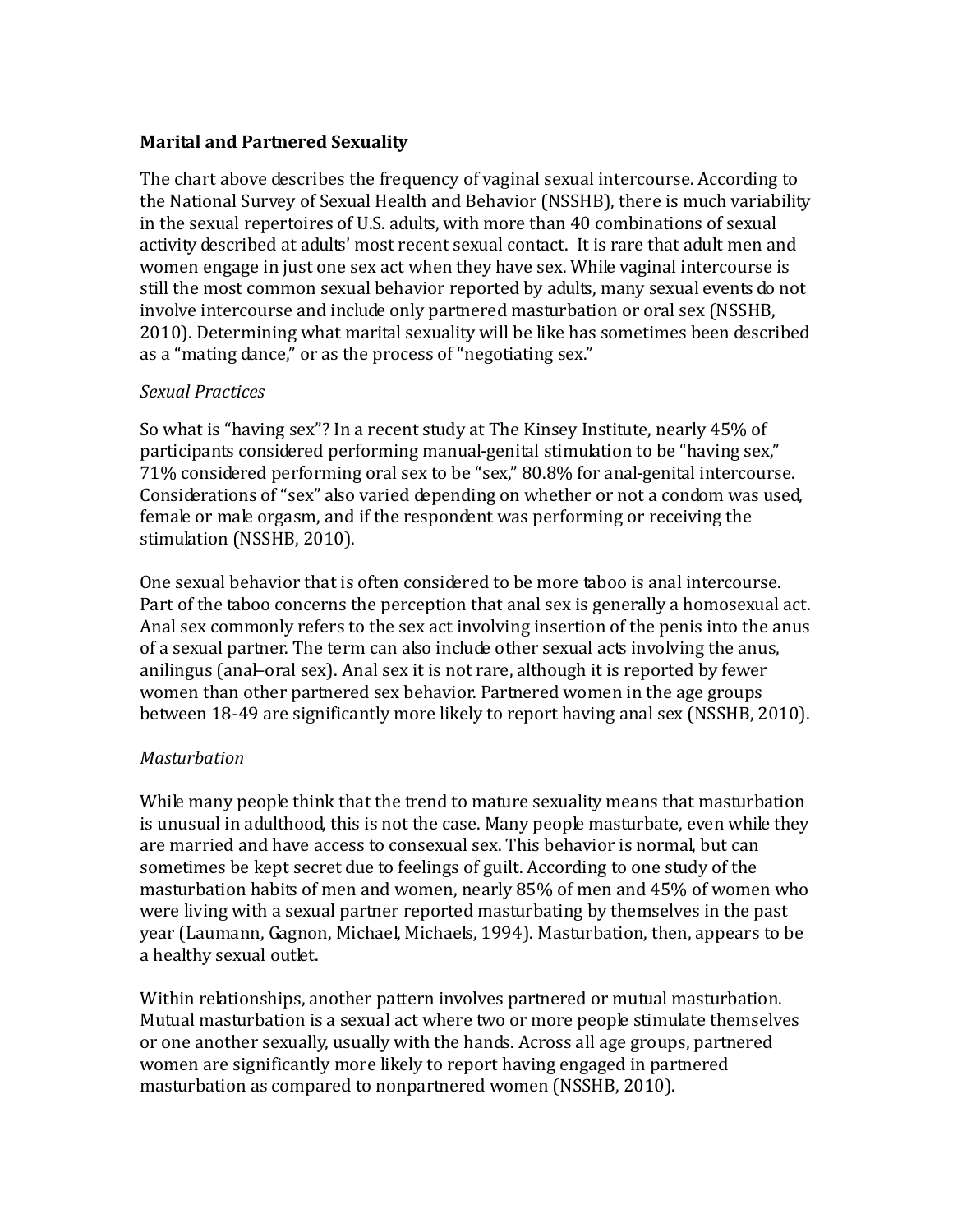### **Marital and Partnered Sexuality**

The chart above describes the frequency of vaginal sexual intercourse. According to the National Survey of Sexual Health and Behavior (NSSHB), there is much variability in the sexual repertoires of U.S. adults, with more than 40 combinations of sexual activity described at adults' most recent sexual contact. It is rare that adult men and women engage in just one sex act when they have sex. While vaginal intercourse is still the most common sexual behavior reported by adults, many sexual events do not involve intercourse and include only partnered masturbation or oral sex (NSSHB, 2010). Determining what marital sexuality will be like has sometimes been described as a "mating dance," or as the process of "negotiating sex."

### *Sexual Practices*

So what is "having sex"? In a recent study at The Kinsey Institute, nearly 45% of participants considered performing manual-genital stimulation to be "having sex," 71% considered performing oral sex to be "sex," 80.8% for anal-genital intercourse. Considerations of "sex" also varied depending on whether or not a condom was used, female or male orgasm, and if the respondent was performing or receiving the stimulation (NSSHB, 2010).

One sexual behavior that is often considered to be more taboo is anal intercourse. Part of the taboo concerns the perception that anal sex is generally a homosexual act. Anal sex commonly refers to the sex act involving insertion of the penis into the anus of a sexual partner. The term can also include other sexual acts involving the anus, anilingus (anal–oral sex). Anal sex it is not rare, although it is reported by fewer women than other partnered sex behavior. Partnered women in the age groups between 18-49 are significantly more likely to report having anal sex (NSSHB, 2010).

#### *Masturbation*

While many people think that the trend to mature sexuality means that masturbation is unusual in adulthood, this is not the case. Many people masturbate, even while they are married and have access to consexual sex. This behavior is normal, but can sometimes be kept secret due to feelings of guilt. According to one study of the masturbation habits of men and women, nearly 85% of men and 45% of women who were living with a sexual partner reported masturbating by themselves in the past year (Laumann, Gagnon, Michael, Michaels, 1994). Masturbation, then, appears to be a healthy sexual outlet.

Within relationships, another pattern involves partnered or mutual masturbation. Mutual masturbation is a sexual act where two or more people stimulate themselves or one another sexually, usually with the hands. Across all age groups, partnered women are significantly more likely to report having engaged in partnered masturbation as compared to nonpartnered women (NSSHB, 2010).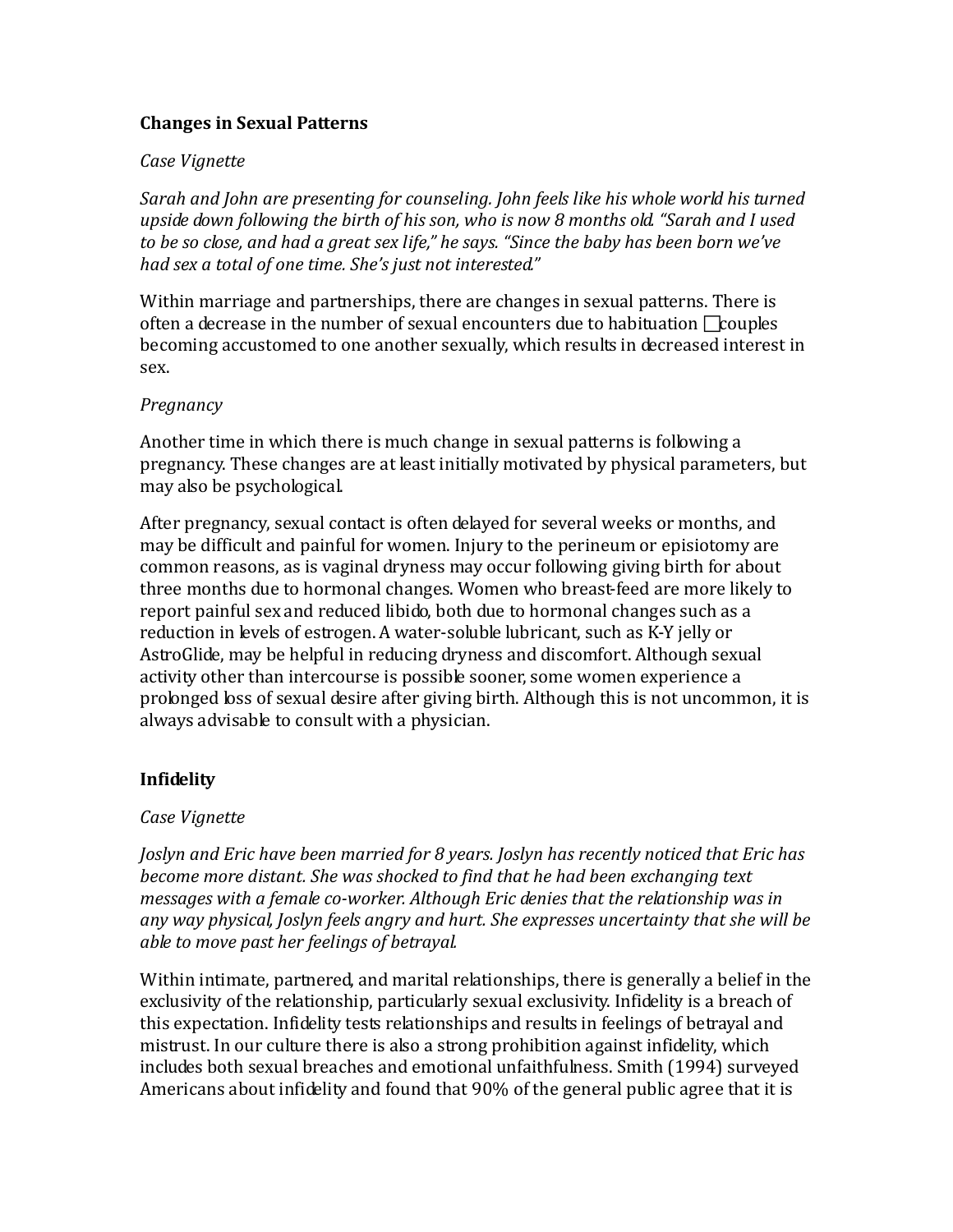### **Changes in Sexual Patterns**

#### *Case Vignette*

*Sarah and John are presenting for counseling. John feels like his whole world his turned upside down following the birth of his son, who is now 8 months old. "Sarah and I used to be so close, and had a great sex life," he says. "Since the baby has been born we've had sex a total of one time. She's just not interested."*

Within marriage and partnerships, there are changes in sexual patterns. There is often a decrease in the number of sexual encounters due to habituation  $\Box$ couples becoming accustomed to one another sexually, which results in decreased interest in sex.

#### *Pregnancy*

Another time in which there is much change in sexual patterns is following a pregnancy. These changes are at least initially motivated by physical parameters, but may also be psychological.

After pregnancy, sexual contact is often delayed for several weeks or months, and may be difficult and painful for women. Injury to the perineum or episiotomy are common reasons, as is vaginal dryness may occur following giving birth for about three months due to hormonal changes. Women who breast-feed are more likely to report painful sex and reduced libido, both due to hormonal changes such as a reduction in levels of estrogen. A water-soluble lubricant, such as K-Y jelly or AstroGlide, may be helpful in reducing dryness and discomfort. Although sexual activity other than intercourse is possible sooner, some women experience a prolonged loss of sexual desire after giving birth. Although this is not uncommon, it is always advisable to consult with a physician.

### **Infidelity**

### *Case Vignette*

*Joslyn and Eric have been married for 8 years. Joslyn has recently noticed that Eric has become more distant. She was shocked to find that he had been exchanging text messages with a female co-worker. Although Eric denies that the relationship was in any way physical, Joslyn feels angry and hurt. She expresses uncertainty that she will be able to move past her feelings of betrayal.*

Within intimate, partnered, and marital relationships, there is generally a belief in the exclusivity of the relationship, particularly sexual exclusivity. Infidelity is a breach of this expectation. Infidelity tests relationships and results in feelings of betrayal and mistrust. In our culture there is also a strong prohibition against infidelity, which includes both sexual breaches and emotional unfaithfulness. Smith (1994) surveyed Americans about infidelity and found that 90% of the general public agree that it is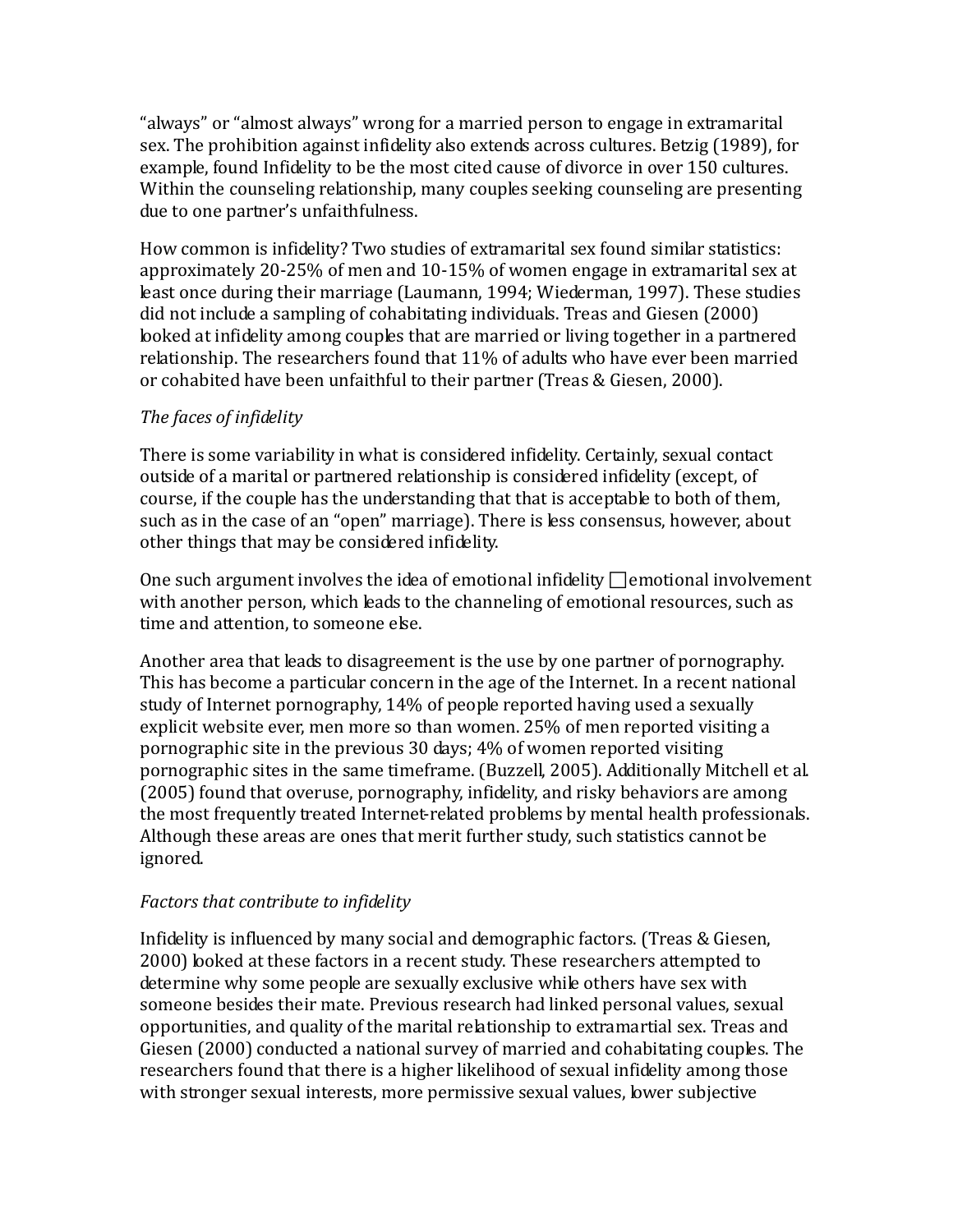"always" or "almost always" wrong for a married person to engage in extramarital sex. The prohibition against infidelity also extends across cultures. Betzig (1989), for example, found Infidelity to be the most cited cause of divorce in over 150 cultures. Within the counseling relationship, many couples seeking counseling are presenting due to one partner's unfaithfulness.

How common is infidelity? Two studies of extramarital sex found similar statistics: approximately 20-25% of men and 10-15% of women engage in extramarital sex at least once during their marriage (Laumann, 1994; Wiederman, 1997). These studies did not include a sampling of cohabitating individuals. Treas and Giesen (2000) looked at infidelity among couples that are married or living together in a partnered relationship. The researchers found that 11% of adults who have ever been married or cohabited have been unfaithful to their partner (Treas & Giesen, 2000).

### *The faces of infidelity*

There is some variability in what is considered infidelity. Certainly, sexual contact outside of a marital or partnered relationship is considered infidelity (except, of course, if the couple has the understanding that that is acceptable to both of them, such as in the case of an "open" marriage). There is less consensus, however, about other things that may be considered infidelity.

One such argument involves the idea of emotional infidelity  $\Box$  emotional involvement with another person, which leads to the channeling of emotional resources, such as time and attention, to someone else.

Another area that leads to disagreement is the use by one partner of pornography. This has become a particular concern in the age of the Internet. In a recent national study of Internet pornography, 14% of people reported having used a sexually explicit website ever, men more so than women. 25% of men reported visiting a pornographic site in the previous 30 days; 4% of women reported visiting pornographic sites in the same timeframe. (Buzzell, 2005). Additionally Mitchell et al. (2005) found that overuse, pornography, infidelity, and risky behaviors are among the most frequently treated Internet-related problems by mental health professionals. Although these areas are ones that merit further study, such statistics cannot be ignored.

### *Factors that contribute to infidelity*

Infidelity is influenced by many social and demographic factors. (Treas & Giesen, 2000) looked at these factors in a recent study. These researchers attempted to determine why some people are sexually exclusive while others have sex with someone besides their mate. Previous research had linked personal values, sexual opportunities, and quality of the marital relationship to extramartial sex. Treas and Giesen (2000) conducted a national survey of married and cohabitating couples. The researchers found that there is a higher likelihood of sexual infidelity among those with stronger sexual interests, more permissive sexual values, lower subjective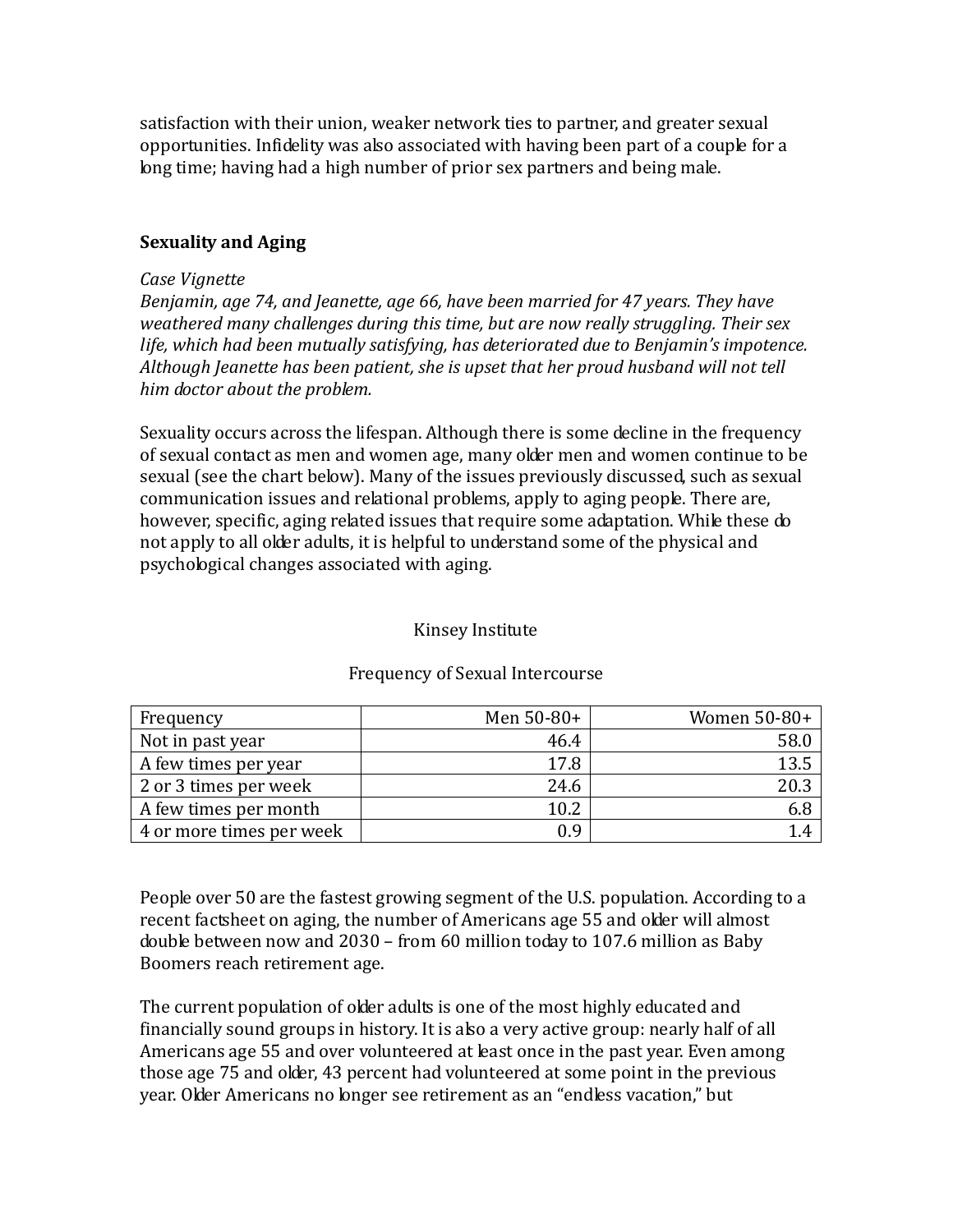satisfaction with their union, weaker network ties to partner, and greater sexual opportunities. Infidelity was also associated with having been part of a couple for a long time; having had a high number of prior sex partners and being male.

#### **Sexuality and Aging**

#### *Case Vignette*

*Benjamin, age 74, and Jeanette, age 66, have been married for 47 years. They have weathered many challenges during this time, but are now really struggling. Their sex life, which had been mutually satisfying, has deteriorated due to Benjamin's impotence. Although Jeanette has been patient, she is upset that her proud husband will not tell him doctor about the problem.*

Sexuality occurs across the lifespan. Although there is some decline in the frequency of sexual contact as men and women age, many older men and women continue to be sexual (see the chart below). Many of the issues previously discussed, such as sexual communication issues and relational problems, apply to aging people. There are, however, specific, aging related issues that require some adaptation. While these do not apply to all older adults, it is helpful to understand some of the physical and psychological changes associated with aging.

#### Kinsey Institute

| Frequency                | Men $50-80+$ | Women 50-80+ |
|--------------------------|--------------|--------------|
| Not in past year         | 46.4         | 58.0         |
| A few times per year     | 17.8         | 13.5         |
| 2 or 3 times per week    | 24.6         | 20.3         |
| A few times per month    | 10.2         | 6.8          |
| 4 or more times per week | 0.9          |              |

#### Frequency of Sexual Intercourse

People over 50 are the fastest growing segment of the U.S. population. According to a recent factsheet on aging, the number of Americans age 55 and older will almost double between now and 2030 – from 60 million today to 107.6 million as Baby Boomers reach retirement age.

The current population of older adults is one of the most highly educated and financially sound groups in history. It is also a very active group: nearly half of all Americans age 55 and over volunteered at least once in the past year. Even among those age 75 and older, 43 percent had volunteered at some point in the previous year. Older Americans no longer see retirement as an "endless vacation," but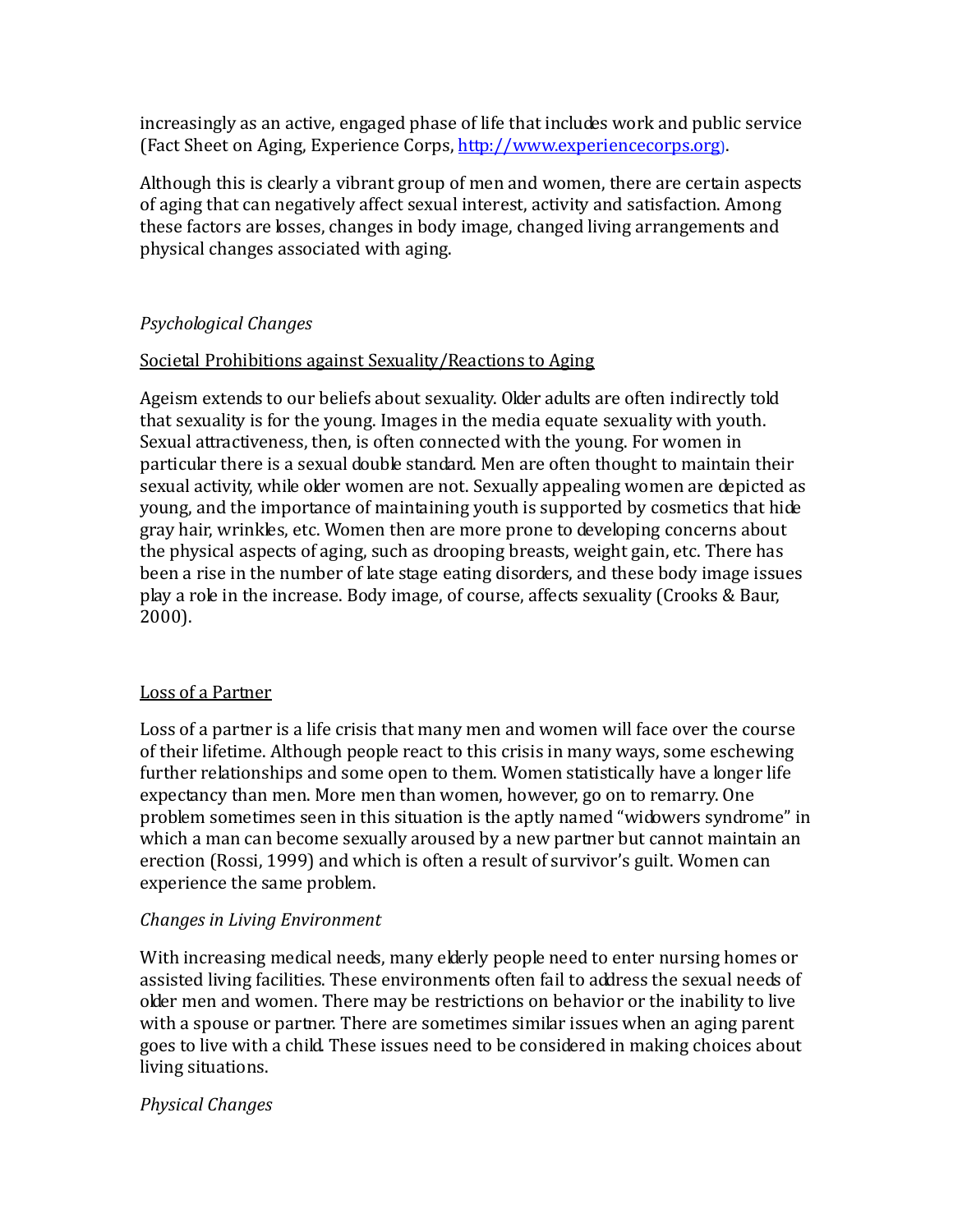increasingly as an active, engaged phase of life that includes work and public service (Fact Sheet on Aging, Experience Corps[, http://www.experiencecorps.org\)](http://www.experiencecorps.org/).

Although this is clearly a vibrant group of men and women, there are certain aspects of aging that can negatively affect sexual interest, activity and satisfaction. Among these factors are losses, changes in body image, changed living arrangements and physical changes associated with aging.

### *Psychological Changes*

### Societal Prohibitions against Sexuality/Reactions to Aging

Ageism extends to our beliefs about sexuality. Older adults are often indirectly told that sexuality is for the young. Images in the media equate sexuality with youth. Sexual attractiveness, then, is often connected with the young. For women in particular there is a sexual double standard. Men are often thought to maintain their sexual activity, while older women are not. Sexually appealing women are depicted as young, and the importance of maintaining youth is supported by cosmetics that hide gray hair, wrinkles, etc. Women then are more prone to developing concerns about the physical aspects of aging, such as drooping breasts, weight gain, etc. There has been a rise in the number of late stage eating disorders, and these body image issues play a role in the increase. Body image, of course, affects sexuality (Crooks & Baur, 2000).

### Loss of a Partner

Loss of a partner is a life crisis that many men and women will face over the course of their lifetime. Although people react to this crisis in many ways, some eschewing further relationships and some open to them. Women statistically have a longer life expectancy than men. More men than women, however, go on to remarry. One problem sometimes seen in this situation is the aptly named "widowers syndrome" in which a man can become sexually aroused by a new partner but cannot maintain an erection (Rossi, 1999) and which is often a result of survivor's guilt. Women can experience the same problem.

### *Changes in Living Environment*

With increasing medical needs, many elderly people need to enter nursing homes or assisted living facilities. These environments often fail to address the sexual needs of older men and women. There may be restrictions on behavior or the inability to live with a spouse or partner. There are sometimes similar issues when an aging parent goes to live with a child. These issues need to be considered in making choices about living situations.

### *Physical Changes*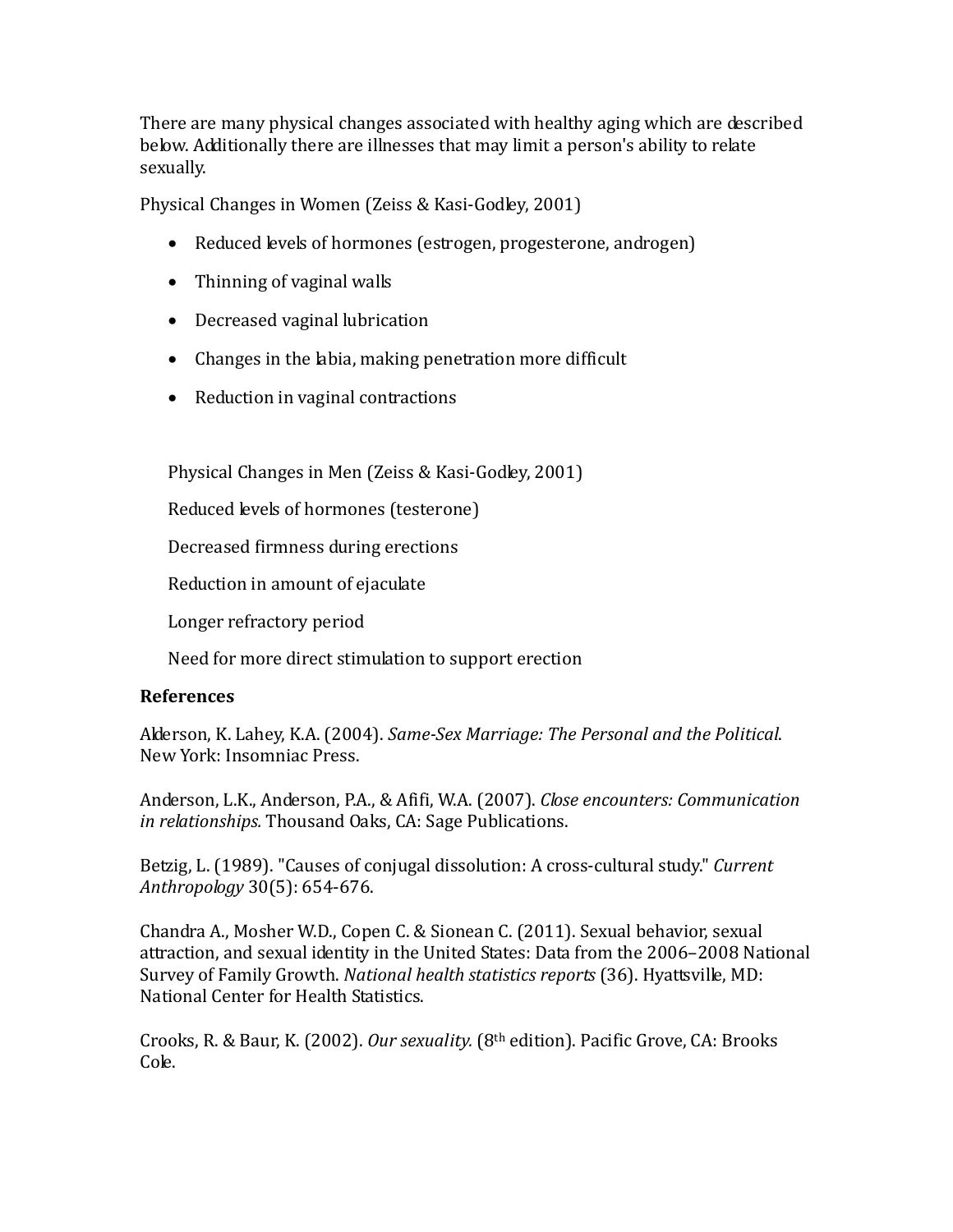There are many physical changes associated with healthy aging which are described below. Additionally there are illnesses that may limit a person's ability to relate sexually.

Physical Changes in Women (Zeiss & Kasi-Godley, 2001)

- Reduced levels of hormones (estrogen, progesterone, androgen)
- Thinning of vaginal walls
- Decreased vaginal lubrication
- Changes in the labia, making penetration more difficult
- Reduction in vaginal contractions

Physical Changes in Men (Zeiss & Kasi-Godley, 2001)

Reduced levels of hormones (testerone)

Decreased firmness during erections

Reduction in amount of ejaculate

Longer refractory period

Need for more direct stimulation to support erection

### **References**

Alderson, K. Lahey, K.A. (2004). *Same-Sex Marriage: The Personal and the Political*. New York: Insomniac Press.

Anderson, L.K., Anderson, P.A., & Afifi, W.A. (2007). *Close encounters: Communication in relationships.* Thousand Oaks, CA: Sage Publications.

Betzig, L. (1989). "Causes of conjugal dissolution: A cross-cultural study." *Current Anthropology* 30(5): 654-676.

Chandra A., Mosher W.D., Copen C. & Sionean C. (2011). Sexual behavior, sexual attraction, and sexual identity in the United States: Data from the 2006–2008 National Survey of Family Growth. *National health statistics reports* (36). Hyattsville, MD: National Center for Health Statistics.

Crooks, R. & Baur, K. (2002). *Our sexuality.* (8th edition). Pacific Grove, CA: Brooks Cole.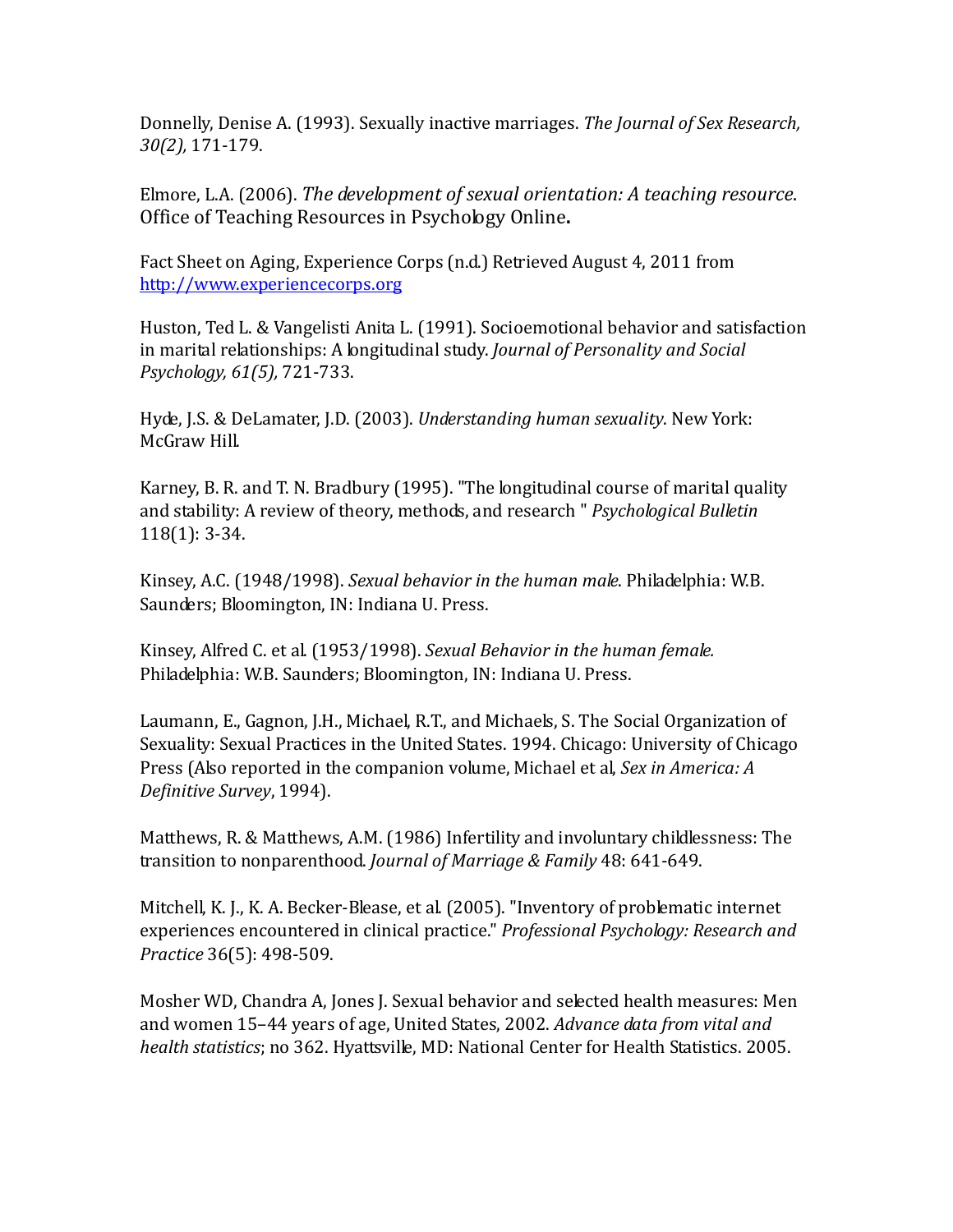Donnelly, Denise A. (1993). Sexually inactive marriages. *The Journal of Sex Research, 30(2),* 171-179.

Elmore, L.A. (2006). *The development of sexual orientation: A teaching resource*. Office of Teaching Resources in Psychology Online**.** 

Fact Sheet on Aging, Experience Corps (n.d.) Retrieved August 4, 2011 from [http://www.experiencecorps.org](http://www.experiencecorps.org/)

Huston, Ted L. & Vangelisti Anita L. (1991). Socioemotional behavior and satisfaction in marital relationships: A longitudinal study. *Journal of Personality and Social Psychology, 61(5),* 721-733.

Hyde, J.S. & DeLamater, J.D. (2003). *Understanding human sexuality*. New York: McGraw Hill.

Karney, B. R. and T. N. Bradbury (1995). "The longitudinal course of marital quality and stability: A review of theory, methods, and research " *Psychological Bulletin* 118(1): 3-34.

Kinsey, A.C. (1948/1998). *Sexual behavior in the human male*. Philadelphia: W.B. Saunders; Bloomington, IN: Indiana U. Press.

Kinsey, Alfred C. et al. (1953/1998). *Sexual Behavior in the human female.*  Philadelphia: W.B. Saunders; Bloomington, IN: Indiana U. Press.

Laumann, E., Gagnon, J.H., Michael, R.T., and Michaels, S. The Social Organization of Sexuality: Sexual Practices in the United States. 1994. Chicago: University of Chicago Press (Also reported in the companion volume, Michael et al, *Sex in America: A Definitive Survey*, 1994).

Matthews, R. & Matthews, A.M. (1986) Infertility and involuntary childlessness: The transition to nonparenthood. *Journal of Marriage & Family* 48: 641-649.

Mitchell, K. J., K. A. Becker-Blease, et al. (2005). "Inventory of problematic internet experiences encountered in clinical practice." *Professional Psychology: Research and Practice* 36(5): 498-509.

Mosher WD, Chandra A, Jones J. Sexual behavior and selected health measures: Men and women 15–44 years of age, United States, 2002. *Advance data from vital and health statistics*; no 362. Hyattsville, MD: National Center for Health Statistics. 2005.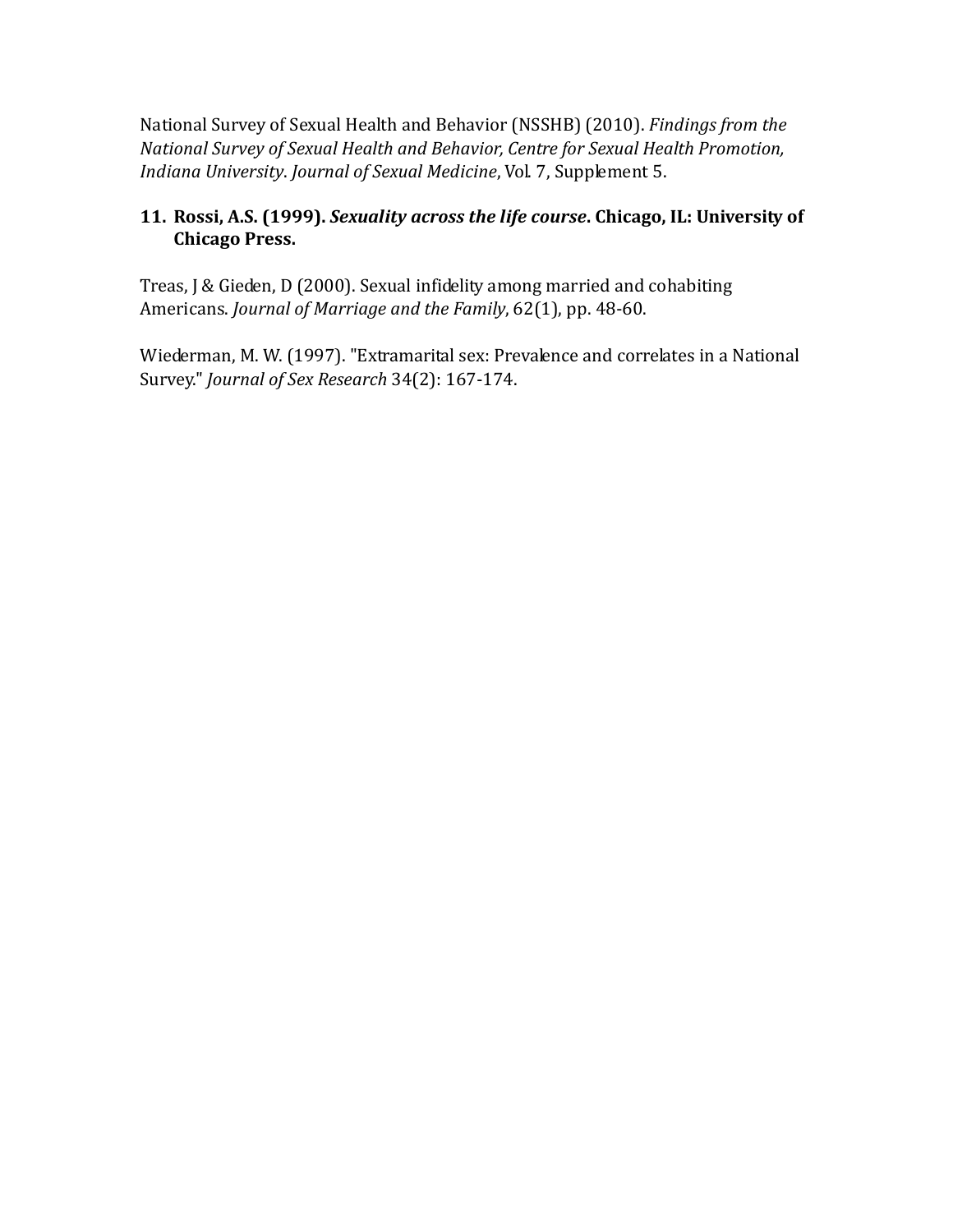National Survey of Sexual Health and Behavior (NSSHB) (2010). *Findings from the National Survey of Sexual Health and Behavior, Centre for Sexual Health Promotion, Indiana University*. *Journal of Sexual Medicine*, Vol. 7, Supplement 5.

### **11. Rossi, A.S. (1999).** *Sexuality across the life course***. Chicago, IL: University of Chicago Press.**

Treas, J & Gieden, D (2000). Sexual infidelity among married and cohabiting Americans. *Journal of Marriage and the Family*, 62(1), pp. 48-60.

Wiederman, M. W. (1997). "Extramarital sex: Prevalence and correlates in a National Survey." *Journal of Sex Research* 34(2): 167-174.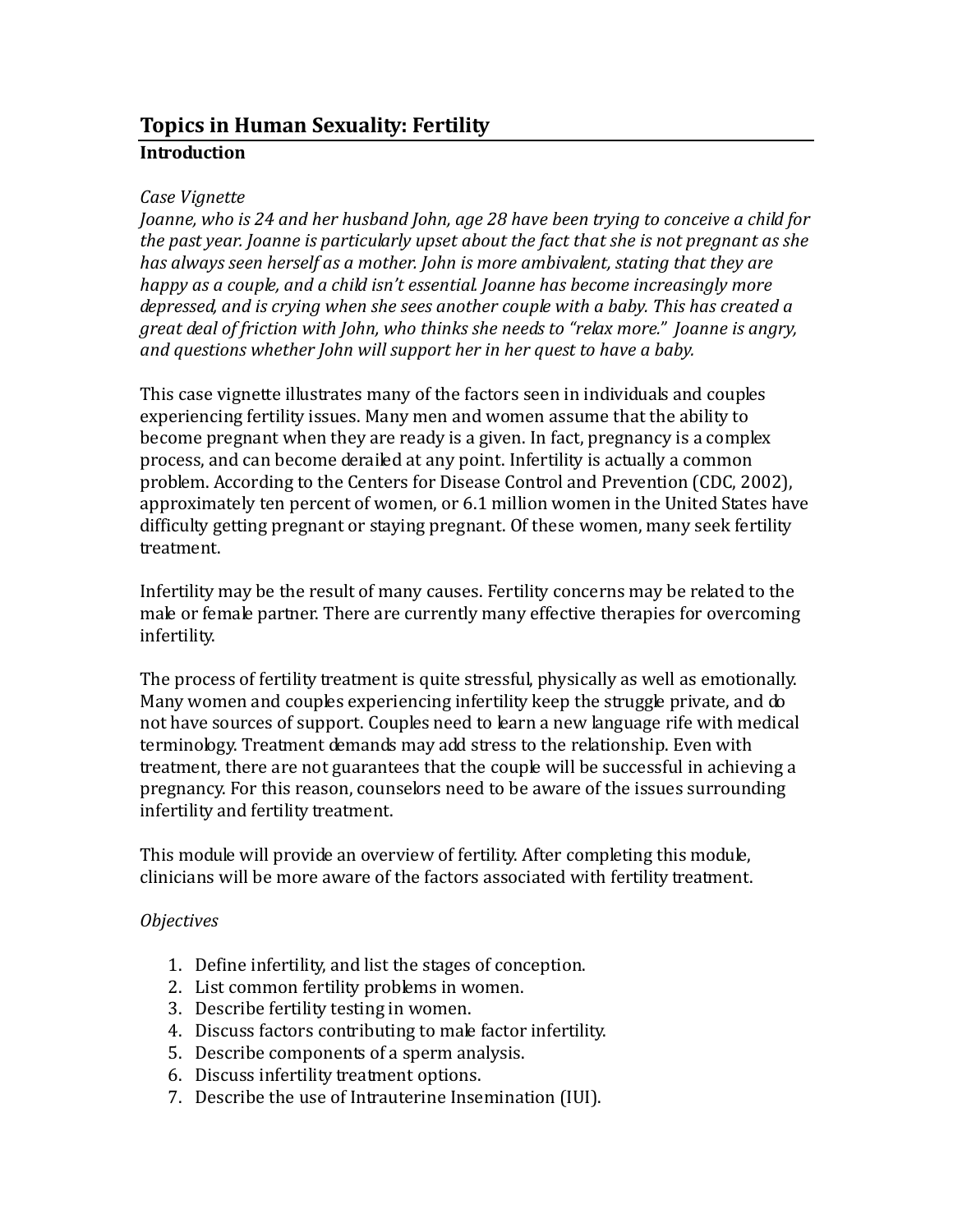## **Topics in Human Sexuality: Fertility Introduction**

#### *Case Vignette*

*Joanne, who is 24 and her husband John, age 28 have been trying to conceive a child for the past year. Joanne is particularly upset about the fact that she is not pregnant as she has always seen herself as a mother. John is more ambivalent, stating that they are happy as a couple, and a child isn't essential. Joanne has become increasingly more depressed, and is crying when she sees another couple with a baby. This has created a great deal of friction with John, who thinks she needs to "relax more." Joanne is angry, and questions whether John will support her in her quest to have a baby.*

This case vignette illustrates many of the factors seen in individuals and couples experiencing fertility issues. Many men and women assume that the ability to become pregnant when they are ready is a given. In fact, pregnancy is a complex process, and can become derailed at any point. Infertility is actually a common problem. According to the Centers for Disease Control and Prevention (CDC, 2002), approximately ten percent of women, or 6.1 million women in the United States have difficulty getting pregnant or staying pregnant. Of these women, many seek fertility treatment.

Infertility may be the result of many causes. Fertility concerns may be related to the male or female partner. There are currently many effective therapies for overcoming infertility.

The process of fertility treatment is quite stressful, physically as well as emotionally. Many women and couples experiencing infertility keep the struggle private, and do not have sources of support. Couples need to learn a new language rife with medical terminology. Treatment demands may add stress to the relationship. Even with treatment, there are not guarantees that the couple will be successful in achieving a pregnancy. For this reason, counselors need to be aware of the issues surrounding infertility and fertility treatment.

This module will provide an overview of fertility. After completing this module, clinicians will be more aware of the factors associated with fertility treatment.

### *Objectives*

- 1. Define infertility, and list the stages of conception.
- 2. List common fertility problems in women.
- 3. Describe fertility testing in women.
- 4. Discuss factors contributing to male factor infertility.
- 5. Describe components of a sperm analysis.
- 6. Discuss infertility treatment options.
- 7. Describe the use of Intrauterine Insemination (IUI).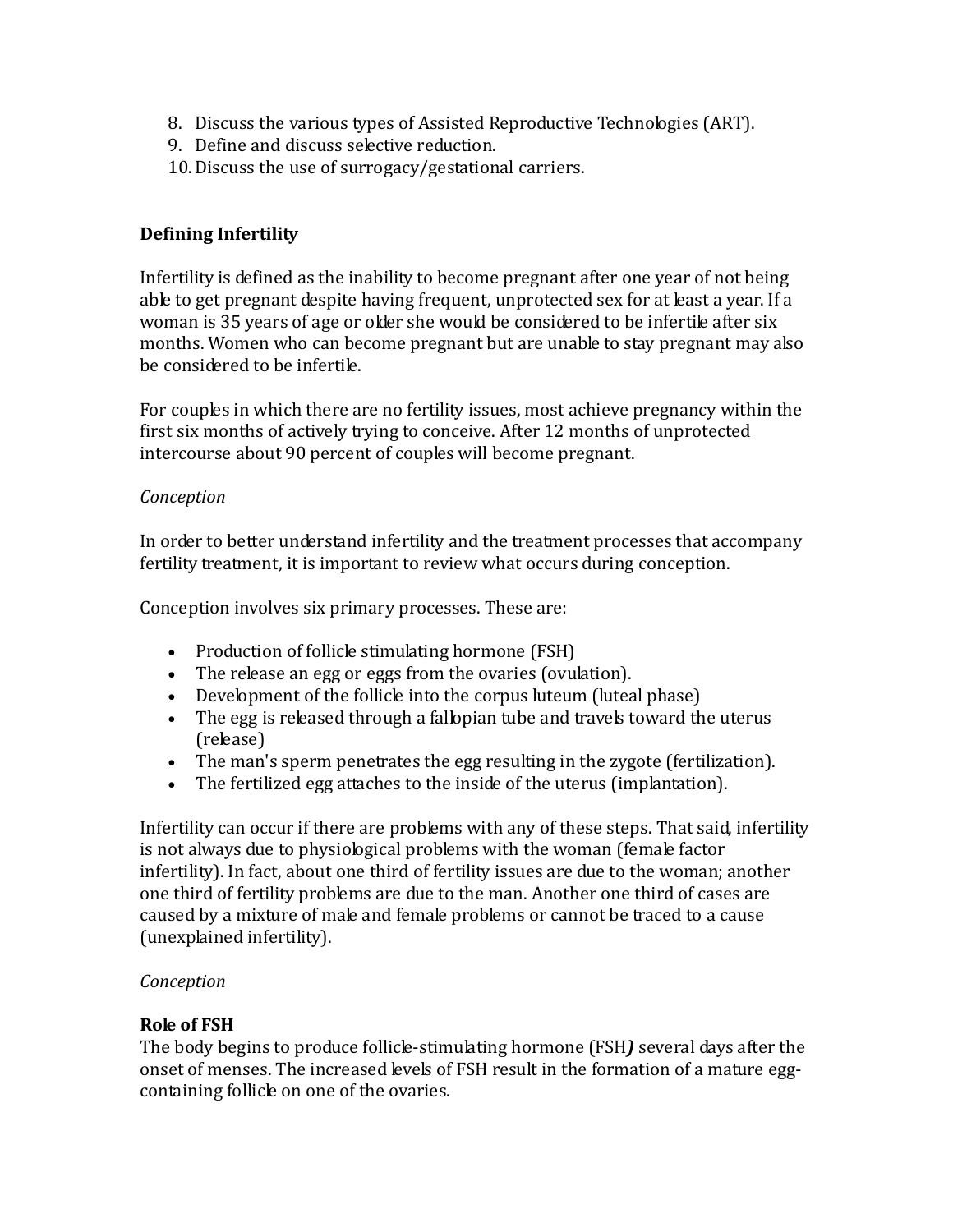- 8. Discuss the various types of Assisted Reproductive Technologies (ART).
- 9. Define and discuss selective reduction.
- 10.Discuss the use of surrogacy/gestational carriers.

### **Defining Infertility**

Infertility is defined as the inability to become pregnant after one year of not being able to get pregnant despite having frequent, unprotected sex for at least a year. If a woman is 35 years of age or older she would be considered to be infertile after six months. Women who can become pregnant but are unable to stay pregnant may also be considered to be infertile.

For couples in which there are no fertility issues, most achieve pregnancy within the first six months of actively trying to conceive. After 12 months of unprotected intercourse about 90 percent of couples will become pregnant.

### *Conception*

In order to better understand infertility and the treatment processes that accompany fertility treatment, it is important to review what occurs during conception.

Conception involves six primary processes. These are:

- Production of follicle stimulating hormone (FSH)
- The release an egg or eggs from the ovaries (ovulation).
- Development of the follicle into the corpus luteum (luteal phase)
- The egg is released through a fallopian tube and travels toward the uterus (release)
- The man's sperm penetrates the egg resulting in the zygote (fertilization).
- The fertilized egg attaches to the inside of the uterus (implantation).

Infertility can occur if there are problems with any of these steps. That said, infertility is not always due to physiological problems with the woman (female factor infertility). In fact, about one third of fertility issues are due to the woman; another one third of fertility problems are due to the man. Another one third of cases are caused by a mixture of male and female problems or cannot be traced to a cause (unexplained infertility).

### *Conception*

### **Role of FSH**

The body begins to produce follicle-stimulating hormone (FSH*)* several days after the onset of menses. The increased levels of FSH result in the formation of a mature eggcontaining follicle on one of the ovaries.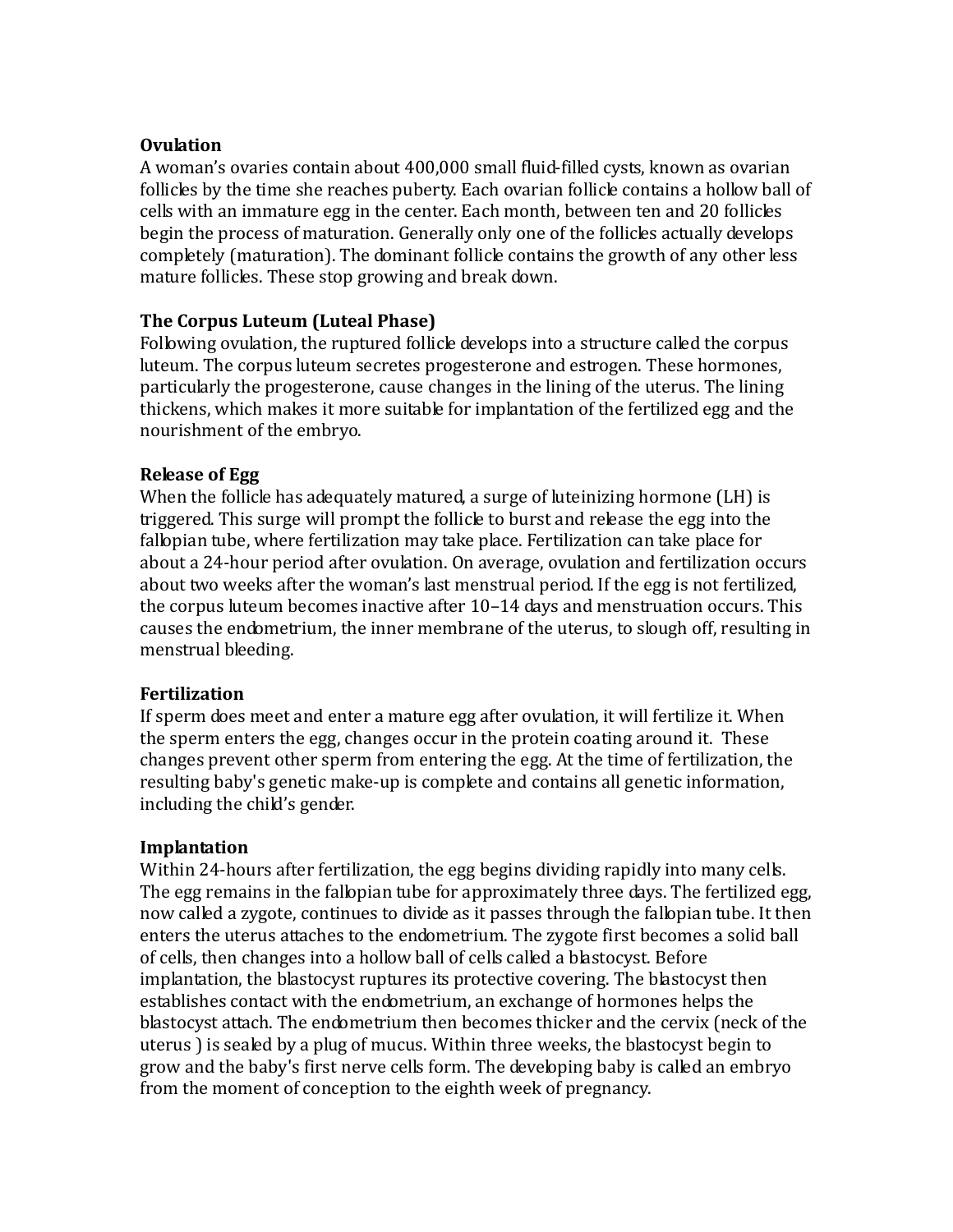#### **Ovulation**

A woman's ovaries contain about 400,000 small fluid-filled cysts, known as ovarian follicles by the time she reaches puberty. Each ovarian follicle contains a hollow ball of cells with an immature egg in the center. Each month, between ten and 20 follicles begin the process of maturation. Generally only one of the follicles actually develops completely (maturation). The dominant follicle contains the growth of any other less mature follicles. These stop growing and break down.

### **The Corpus Luteum (Luteal Phase)**

Following ovulation, the ruptured follicle develops into a structure called the corpus luteum. The corpus luteum secretes progesterone and estrogen. These hormones, particularly the progesterone, cause changes in the lining of the uterus. The lining thickens, which makes it more suitable for implantation of the fertilized egg and the nourishment of the embryo.

### **Release of Egg**

When the follicle has adequately matured, a surge of luteinizing hormone (LH) is triggered. This surge will prompt the follicle to burst and release the egg into the fallopian tube, where fertilization may take place. Fertilization can take place for about a 24-hour period after ovulation. On average, ovulation and fertilization occurs about two weeks after the woman's last menstrual period. If the egg is not fertilized, the corpus luteum becomes inactive after 10–14 days and menstruation occurs. This causes the endometrium, the inner membrane of the uterus, to slough off, resulting in menstrual bleeding.

### **Fertilization**

If sperm does meet and enter a mature egg after ovulation, it will fertilize it. When the sperm enters the egg, changes occur in the protein coating around it. These changes prevent other sperm from entering the egg. At the time of fertilization, the resulting baby's genetic make-up is complete and contains all genetic information, including the child's gender.

### **Implantation**

Within 24-hours after fertilization, the egg begins dividing rapidly into many cells. The egg remains in the fallopian tube for approximately three days. The fertilized egg, now called a zygote, continues to divide as it passes through the fallopian tube. It then enters the uterus attaches to the endometrium. The zygote first becomes a solid ball of cells, then changes into a hollow ball of cells called a blastocyst. Before implantation, the blastocyst ruptures its protective covering. The blastocyst then establishes contact with the endometrium, an exchange of hormones helps the blastocyst attach. The endometrium then becomes thicker and the cervix (neck of the uterus ) is sealed by a plug of mucus. Within three weeks, the blastocyst begin to grow and the baby's first nerve cells form. The developing baby is called an embryo from the moment of conception to the eighth week of pregnancy.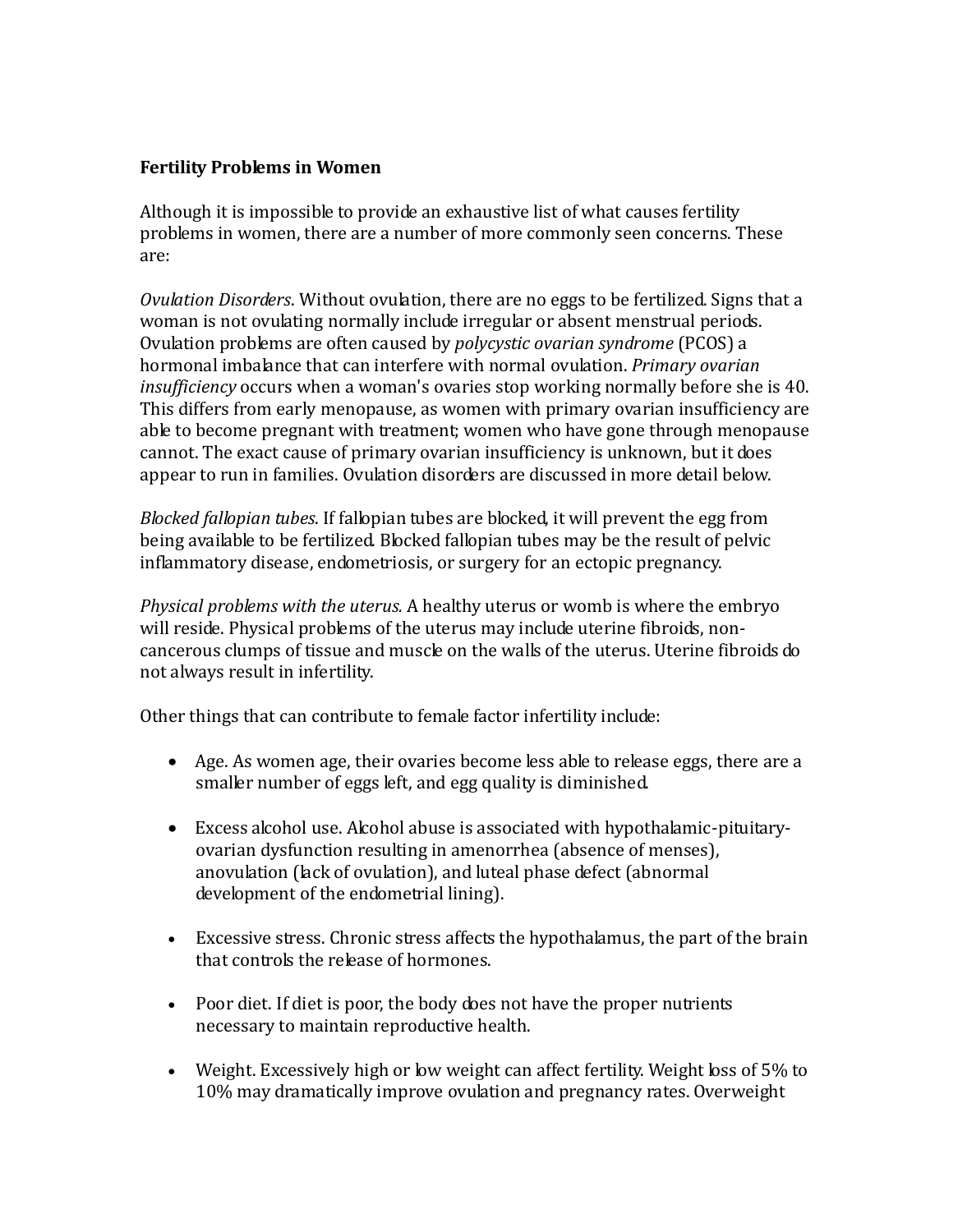### **Fertility Problems in Women**

Although it is impossible to provide an exhaustive list of what causes fertility problems in women, there are a number of more commonly seen concerns. These are:

*Ovulation Disorders*. Without ovulation, there are no eggs to be fertilized. Signs that a woman is not ovulating normally include irregular or absent menstrual periods. Ovulation problems are often caused by *polycystic ovarian syndrome* (PCOS) a hormonal imbalance that can interfere with normal ovulation. *Primary ovarian insufficiency* occurs when a woman's ovaries stop working normally before she is 40. This differs from early menopause, as women with primary ovarian insufficiency are able to become pregnant with treatment; women who have gone through menopause cannot. The exact cause of primary ovarian insufficiency is unknown, but it does appear to run in families. Ovulation disorders are discussed in more detail below.

*Blocked fallopian tubes*. If fallopian tubes are blocked, it will prevent the egg from being available to be fertilized. Blocked fallopian tubes may be the result of pelvic inflammatory disease, endometriosis, or surgery for an ectopic pregnancy.

*Physical problems with the uterus.* A healthy uterus or womb is where the embryo will reside. Physical problems of the uterus may include uterine fibroids, noncancerous clumps of tissue and muscle on the walls of the uterus. Uterine fibroids do not always result in infertility.

Other things that can contribute to female factor infertility include:

- Age. As women age, their ovaries become less able to release eggs, there are a smaller number of eggs left, and egg quality is diminished.
- Excess alcohol use. Alcohol abuse is associated with hypothalamic-pituitaryovarian dysfunction resulting in amenorrhea (absence of menses), anovulation (lack of ovulation), and luteal phase defect (abnormal development of the endometrial lining).
- Excessive stress. Chronic stress affects the hypothalamus, the part of the brain that controls the release of hormones.
- Poor diet. If diet is poor, the body does not have the proper nutrients necessary to maintain reproductive health.
- Weight. Excessively high or low weight can affect fertility. Weight loss of 5% to 10% may dramatically improve ovulation and pregnancy rates. Overweight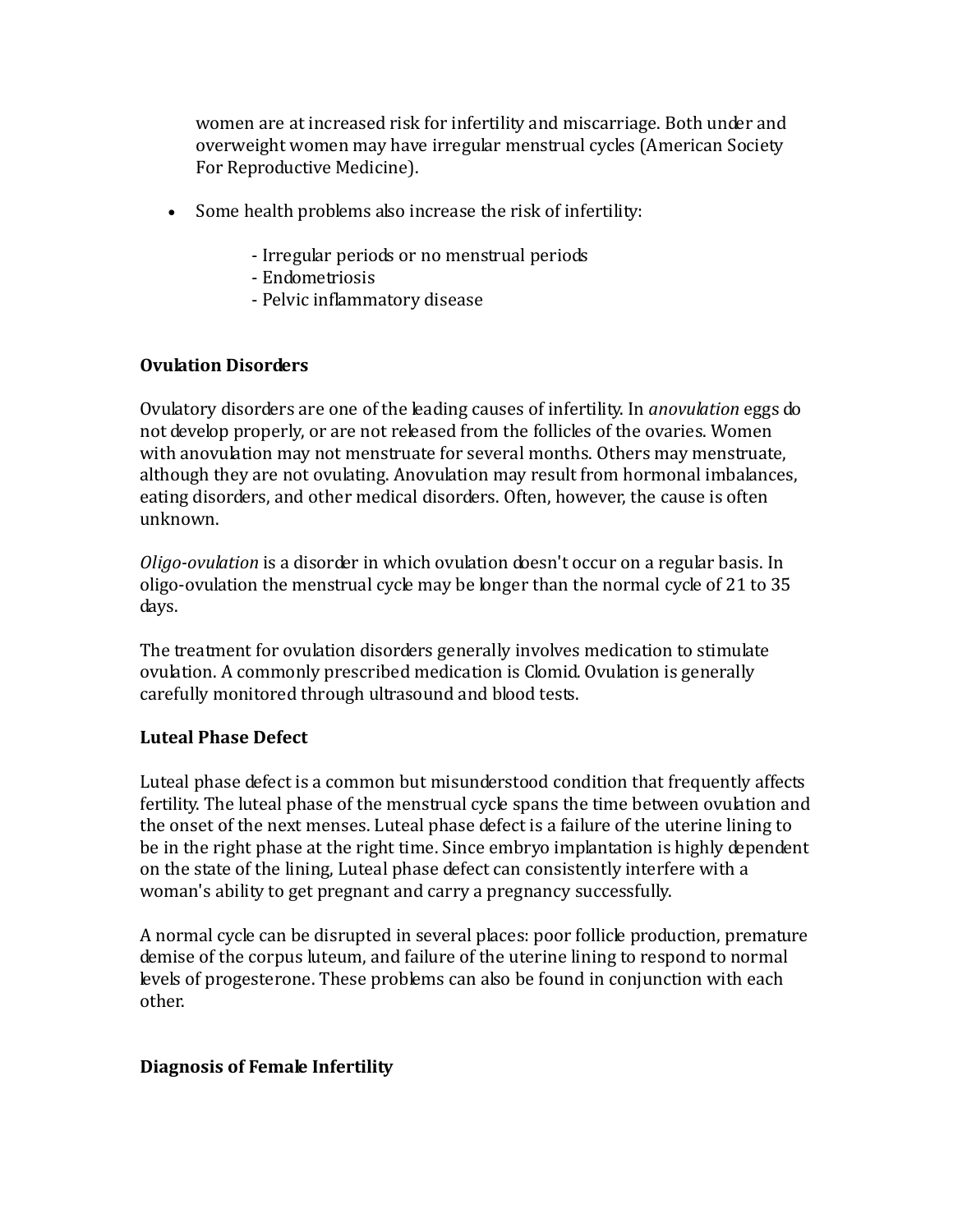women are at increased risk for infertility and miscarriage. Both under and overweight women may have irregular menstrual cycles (American Society For Reproductive Medicine).

- Some health problems also increase the risk of infertility:
	- Irregular periods or no menstrual periods
	- Endometriosis
	- Pelvic inflammatory disease

### **Ovulation Disorders**

Ovulatory disorders are one of the leading causes of infertility. In *anovulation* eggs do not develop properly, or are not released from the follicles of the ovaries. Women with anovulation may not menstruate for several months. Others may menstruate, although they are not ovulating. Anovulation may result from hormonal imbalances, eating disorders, and other medical disorders. Often, however, the cause is often unknown.

*Oligo-ovulation* is a disorder in which ovulation doesn't occur on a regular basis. In oligo-ovulation the menstrual cycle may be longer than the normal cycle of 21 to 35 days.

The treatment for ovulation disorders generally involves medication to stimulate ovulation. A commonly prescribed medication is Clomid. Ovulation is generally carefully monitored through ultrasound and blood tests.

### **Luteal Phase Defect**

Luteal phase defect is a common but misunderstood condition that frequently affects fertility. The luteal phase of the menstrual cycle spans the time between ovulation and the onset of the next menses. Luteal phase defect is a failure of the uterine lining to be in the right phase at the right time. Since embryo implantation is highly dependent on the state of the lining, Luteal phase defect can consistently interfere with a woman's ability to get pregnant and carry a pregnancy successfully.

A normal cycle can be disrupted in several places: poor follicle production, premature demise of the corpus luteum, and failure of the uterine lining to respond to normal levels of progesterone. These problems can also be found in conjunction with each other.

### **Diagnosis of Female Infertility**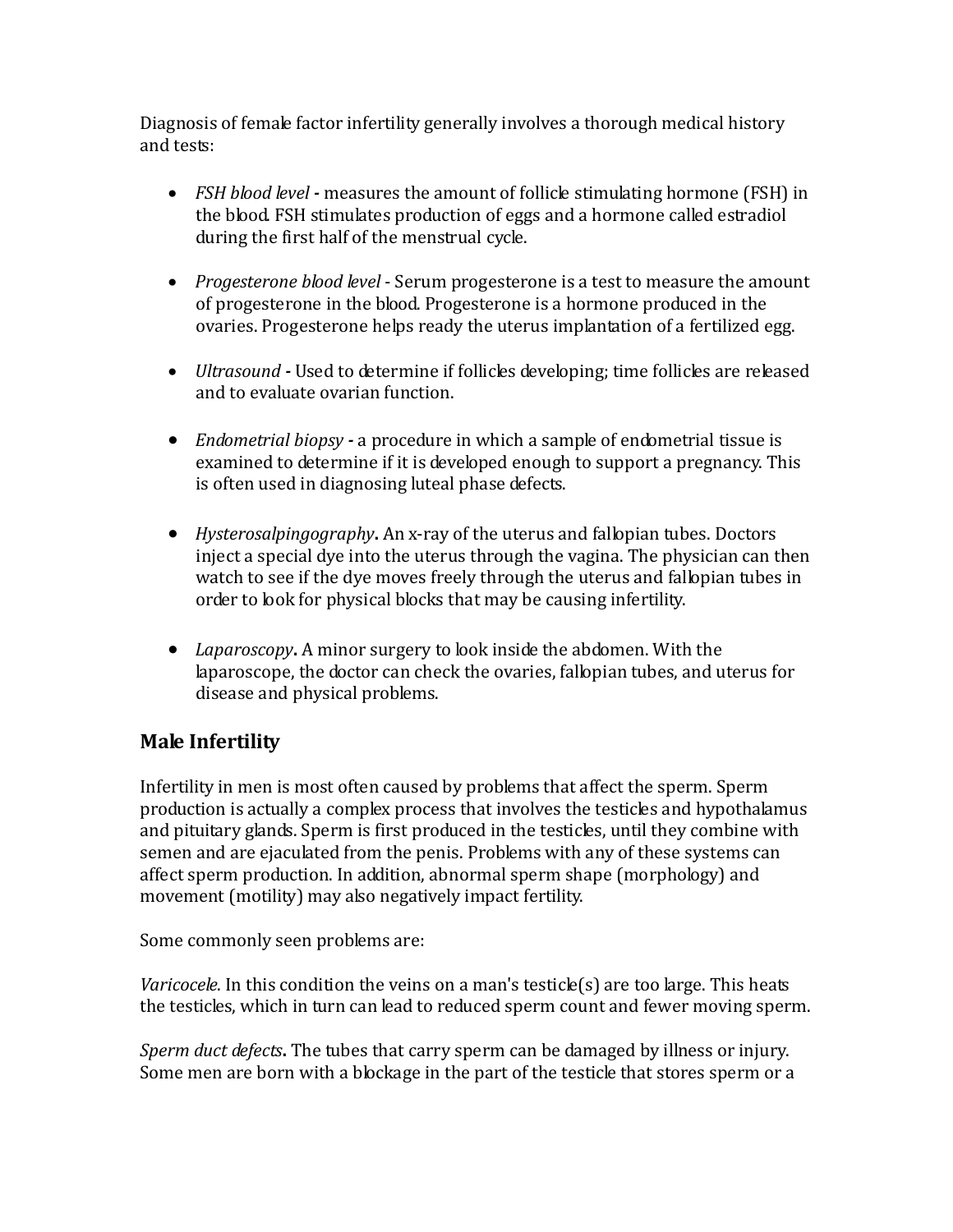Diagnosis of female factor infertility generally involves a thorough medical history and tests:

- *FSH blood level* measures the amount of follicle stimulating hormone (FSH) in the blood. FSH stimulates production of eggs and a hormone called estradiol during the first half of the menstrual cycle.
- *Progesterone blood level* Serum progesterone is a test to measure the amount of progesterone in the blood. Progesterone is a hormone produced in the ovaries. Progesterone helps ready the uterus implantation of a fertilized egg.
- *Ultrasound* Used to determine if follicles developing; time follicles are released and to evaluate ovarian function.
- *Endometrial biopsy -* a procedure in which a sample of endometrial tissue is examined to determine if it is developed enough to support a pregnancy. This is often used in diagnosing luteal phase defects.
- *Hysterosalpingography***.** An x-ray of the uterus and fallopian tubes. Doctors inject a special dye into the uterus through the vagina. The physician can then watch to see if the dye moves freely through the uterus and fallopian tubes in order to look for physical blocks that may be causing infertility.
- *Laparoscopy***.** A minor surgery to look inside the abdomen. With the laparoscope, the doctor can check the ovaries, fallopian tubes, and uterus for disease and physical problems.

## **Male Infertility**

Infertility in men is most often caused by problems that affect the sperm. Sperm production is actually a complex process that involves the testicles and hypothalamus and pituitary glands. Sperm is first produced in the testicles, until they combine with semen and are ejaculated from the penis. Problems with any of these systems can affect sperm production. In addition, abnormal sperm shape (morphology) and movement (motility) may also negatively impact fertility.

Some commonly seen problems are:

*Varicocele*. In this condition the veins on a man's testicle(s) are too large. This heats the testicles, which in turn can lead to reduced sperm count and fewer moving sperm.

*Sperm duct defects***.** The tubes that carry sperm can be damaged by illness or injury. Some men are born with a blockage in the part of the testicle that stores sperm or a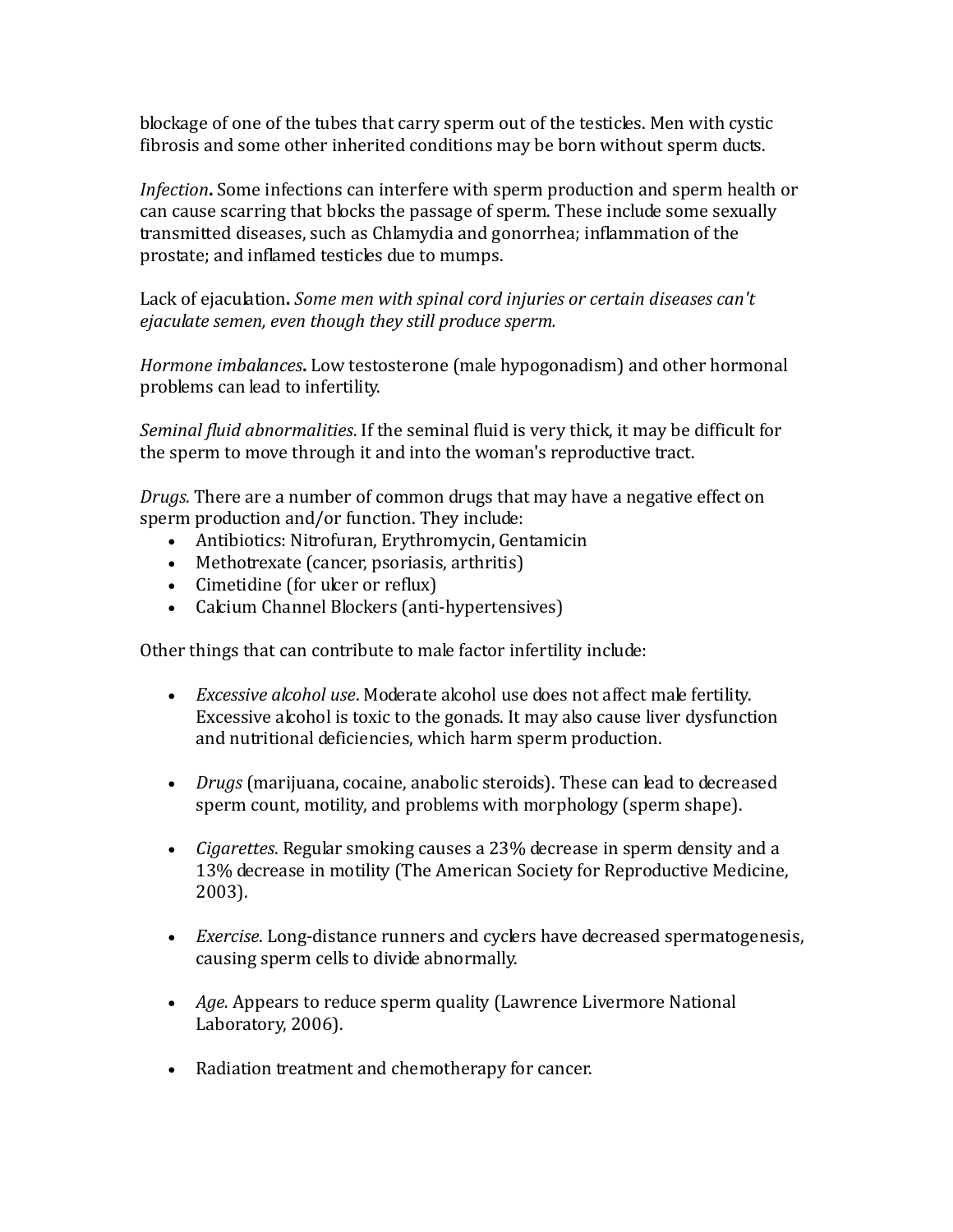blockage of one of the tubes that carry sperm out of the testicles. Men with cystic fibrosis and some other inherited conditions may be born without sperm ducts.

*Infection***.** Some infections can interfere with sperm production and sperm health or can cause scarring that blocks the passage of sperm. These include some sexually transmitted diseases, such as Chlamydia and gonorrhea; inflammation of the prostate; and inflamed testicles due to mumps.

Lack of ejaculation**.** *Some men with spinal cord injuries or certain diseases can't ejaculate semen, even though they still produce sperm.*

*Hormone imbalances***.** Low testosterone (male hypogonadism) and other hormonal problems can lead to infertility.

*Seminal fluid abnormalities*. If the seminal fluid is very thick, it may be difficult for the sperm to move through it and into the woman's reproductive tract.

*Drugs.* There are a number of common drugs that may have a negative effect on sperm production and/or function. They include:

- Antibiotics: Nitrofuran, Erythromycin, Gentamicin
- Methotrexate (cancer, psoriasis, arthritis)
- Cimetidine (for ulcer or reflux)
- Calcium Channel Blockers (anti-hypertensives)

Other things that can contribute to male factor infertility include:

- *Excessive alcohol use*. Moderate alcohol use does not affect male fertility. Excessive alcohol is toxic to the gonads. It may also cause liver dysfunction and nutritional deficiencies, which harm sperm production.
- *Drugs* (marijuana, cocaine, anabolic steroids). These can lead to decreased sperm count, motility, and problems with morphology (sperm shape).
- *Cigarettes*. Regular smoking causes a 23% decrease in sperm density and a 13% decrease in motility (The American Society for Reproductive Medicine, 2003).
- *Exercise*. Long-distance runners and cyclers have decreased spermatogenesis, causing sperm cells to divide abnormally.
- *Age.* Appears to reduce sperm quality (Lawrence Livermore National Laboratory, 2006).
- Radiation treatment and chemotherapy for cancer.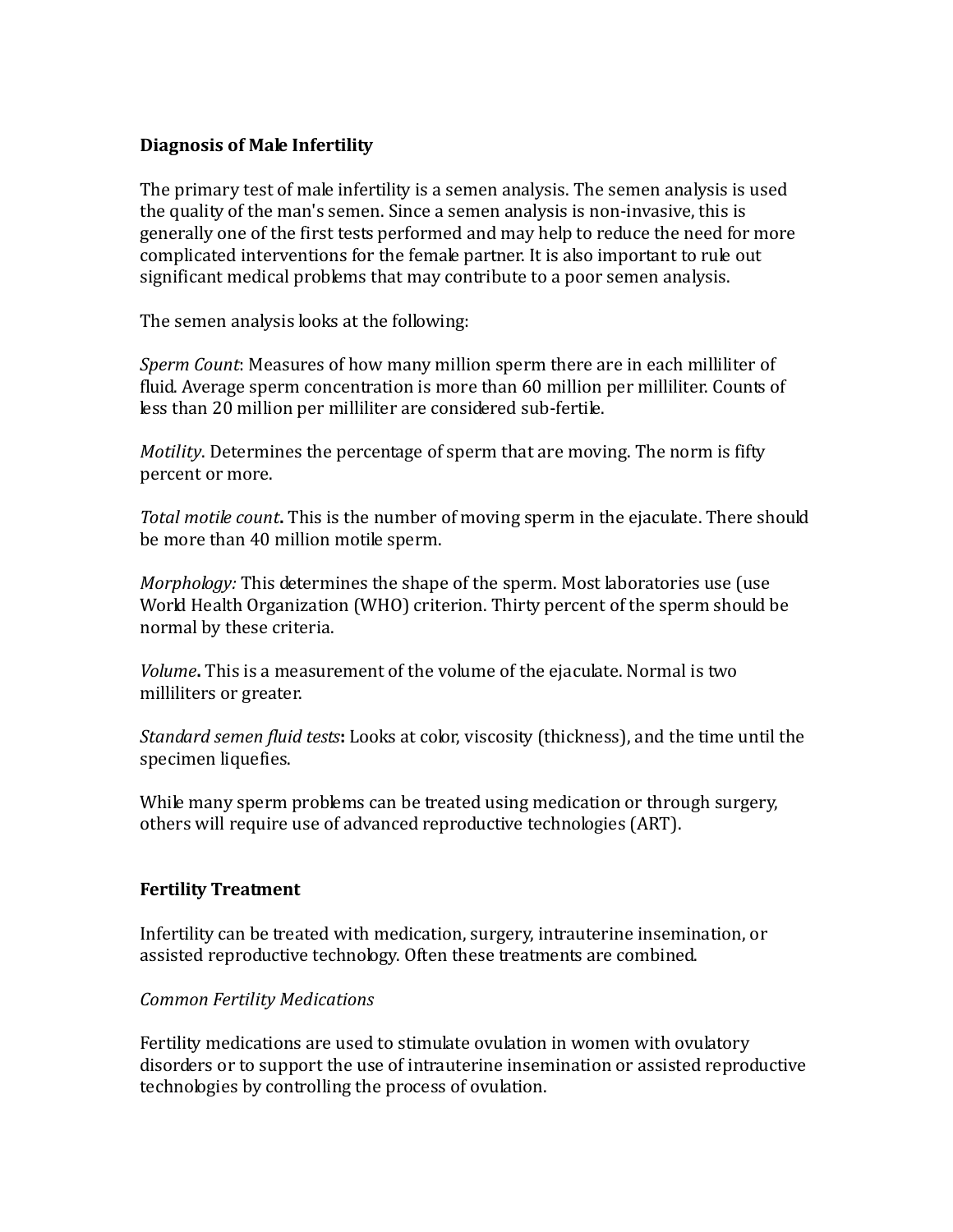### **Diagnosis of Male Infertility**

The primary test of male infertility is a semen analysis. The semen analysis is used the quality of the man's semen. Since a semen analysis is non-invasive, this is generally one of the first tests performed and may help to reduce the need for more complicated interventions for the female partner. It is also important to rule out significant medical problems that may contribute to a poor semen analysis.

The semen analysis looks at the following:

*Sperm Count*: Measures of how many million sperm there are in each milliliter of fluid. Average sperm concentration is more than 60 million per milliliter. Counts of less than 20 million per milliliter are considered sub-fertile.

*Motility*. Determines the percentage of sperm that are moving. The norm is fifty percent or more.

*Total motile count***.** This is the number of moving sperm in the ejaculate. There should be more than 40 million motile sperm.

*Morphology:* This determines the shape of the sperm. Most laboratories use (use World Health Organization (WHO) criterion. Thirty percent of the sperm should be normal by these criteria.

*Volume***.** This is a measurement of the volume of the ejaculate. Normal is two milliliters or greater.

*Standard semen fluid tests***:** Looks at color, viscosity (thickness), and the time until the specimen liquefies.

While many sperm problems can be treated using medication or through surgery, others will require use of advanced reproductive technologies (ART).

### **Fertility Treatment**

Infertility can be treated with medication, surgery, intrauterine insemination, or assisted reproductive technology. Often these treatments are combined.

### *Common Fertility Medications*

Fertility medications are used to stimulate ovulation in women with ovulatory disorders or to support the use of intrauterine insemination or assisted reproductive technologies by controlling the process of ovulation.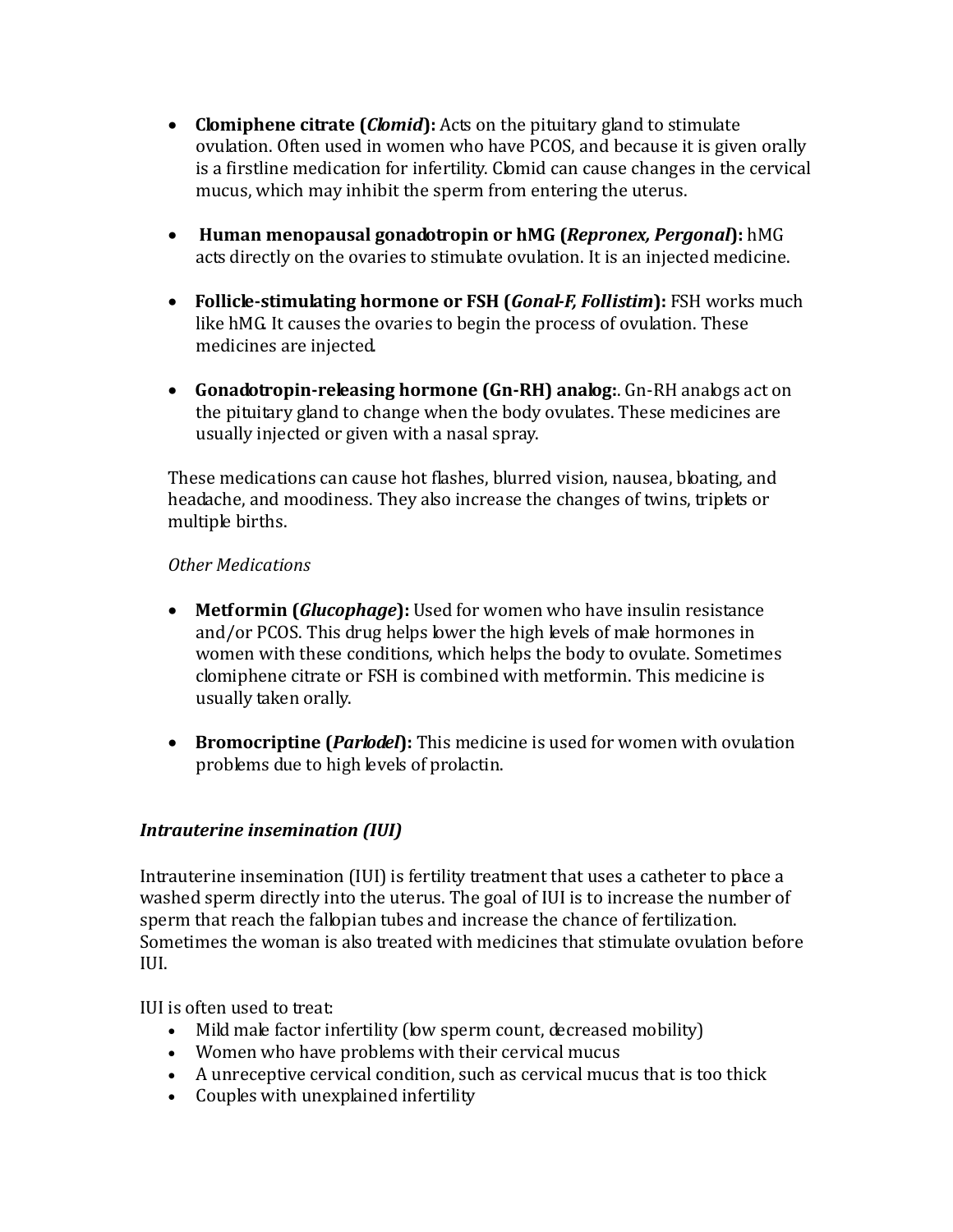- **Clomiphene citrate (***Clomid***):** Acts on the pituitary gland to stimulate ovulation. Often used in women who have PCOS, and because it is given orally is a firstline medication for infertility. Clomid can cause changes in the cervical mucus, which may inhibit the sperm from entering the uterus.
- **Human menopausal gonadotropin or hMG (***Repronex, Pergonal***):** hMG acts directly on the ovaries to stimulate ovulation. It is an injected medicine.
- **Follicle-stimulating hormone or FSH (***Gonal-F, Follistim***):** FSH works much like hMG. It causes the ovaries to begin the process of ovulation. These medicines are injected.
- **Gonadotropin-releasing hormone (Gn-RH) analog:**. Gn-RH analogs act on the pituitary gland to change when the body ovulates. These medicines are usually injected or given with a nasal spray.

These medications can cause hot flashes, blurred vision, nausea, bloating, and headache, and moodiness. They also increase the changes of twins, triplets or multiple births.

### *Other Medications*

- **Metformin (***Glucophage***):** Used for women who have insulin resistance and/or PCOS. This drug helps lower the high levels of male hormones in women with these conditions, which helps the body to ovulate. Sometimes clomiphene citrate or FSH is combined with metformin. This medicine is usually taken orally.
- **Bromocriptine (***Parlodel***):** This medicine is used for women with ovulation problems due to high levels of prolactin.

### *Intrauterine insemination (IUI)*

Intrauterine insemination (IUI) is fertility treatment that uses a catheter to place a washed sperm directly into the uterus. The goal of IUI is to increase the number of sperm that reach the fallopian tubes and increase the chance of fertilization. Sometimes the woman is also treated with medicines that stimulate ovulation before IUI.

IUI is often used to treat:

- Mild male factor infertility (low sperm count, decreased mobility)
- Women who have problems with their cervical mucus
- A unreceptive cervical condition, such as cervical mucus that is too thick
- Couples with unexplained infertility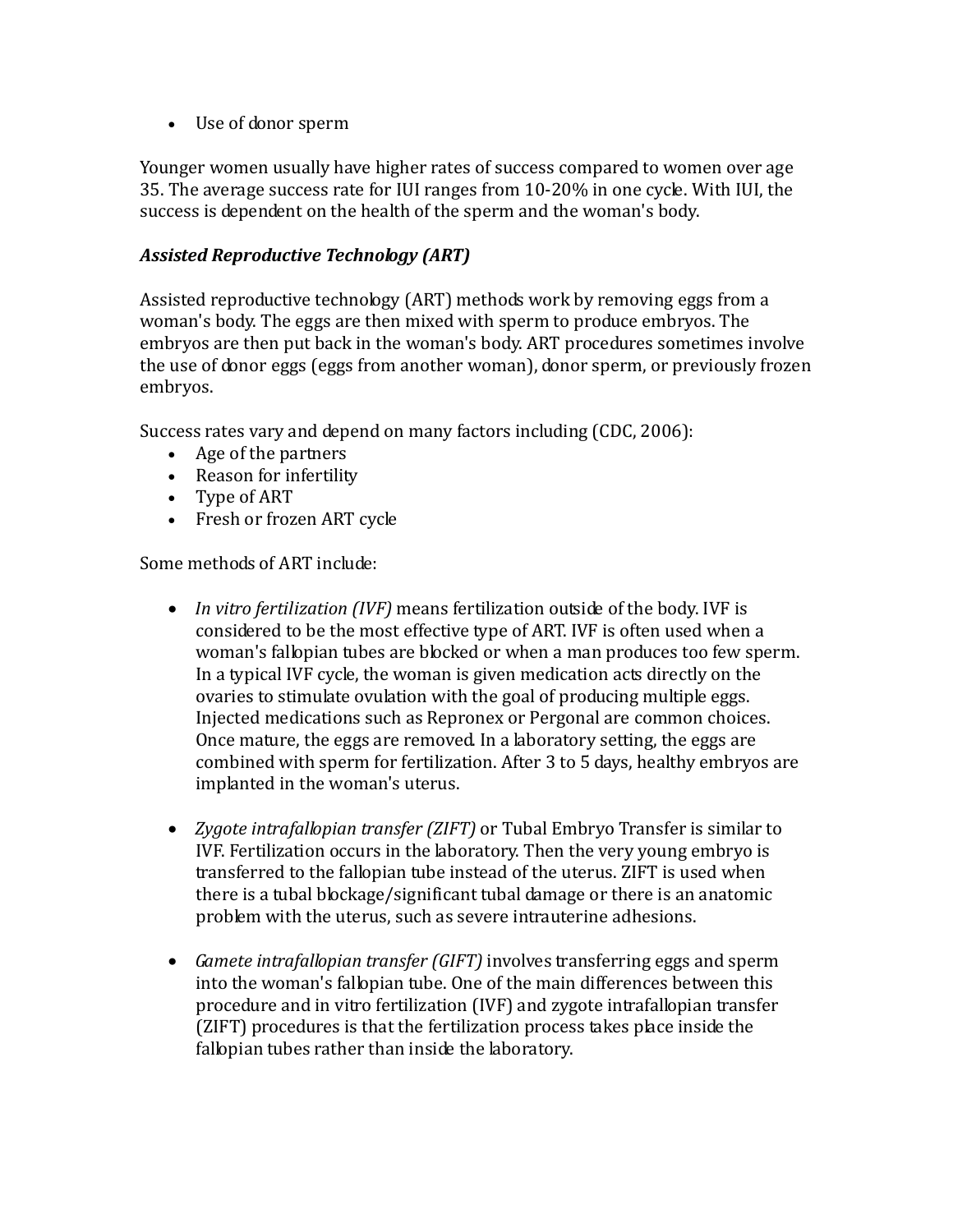• Use of donor sperm

Younger women usually have higher rates of success compared to women over age 35. The average success rate for IUI ranges from 10-20% in one cycle. With IUI, the success is dependent on the health of the sperm and the woman's body.

### *Assisted Reproductive Technology (ART)*

Assisted reproductive technology (ART) methods work by removing eggs from a woman's body. The eggs are then mixed with sperm to produce embryos. The embryos are then put back in the woman's body. ART procedures sometimes involve the use of donor eggs (eggs from another woman), donor sperm, or previously frozen embryos.

Success rates vary and depend on many factors including (CDC, 2006):

- Age of the partners
- Reason for infertility
- Type of ART
- Fresh or frozen ART cycle

Some methods of ART include:

- *In vitro fertilization (IVF)* means fertilization outside of the body. IVF is considered to be the most effective type of ART. IVF is often used when a woman's fallopian tubes are blocked or when a man produces too few sperm. In a typical IVF cycle, the woman is given medication acts directly on the ovaries to stimulate ovulation with the goal of producing multiple eggs. Injected medications such as Repronex or Pergonal are common choices. Once mature, the eggs are removed. In a laboratory setting, the eggs are combined with sperm for fertilization. After 3 to 5 days, healthy embryos are implanted in the woman's uterus.
- *Zygote intrafallopian transfer (ZIFT)* or Tubal Embryo Transfer is similar to IVF. Fertilization occurs in the laboratory. Then the very young embryo is transferred to the fallopian tube instead of the uterus. ZIFT is used when there is a tubal blockage/significant tubal damage or there is an anatomic problem with the uterus, such as severe intrauterine adhesions.
- *Gamete intrafallopian transfer (GIFT)* involves transferring eggs and sperm into the woman's fallopian tube. One of the main differences between this procedure and in vitro fertilization (IVF) and zygote intrafallopian transfer (ZIFT) procedures is that the fertilization process takes place inside the fallopian tubes rather than inside the laboratory.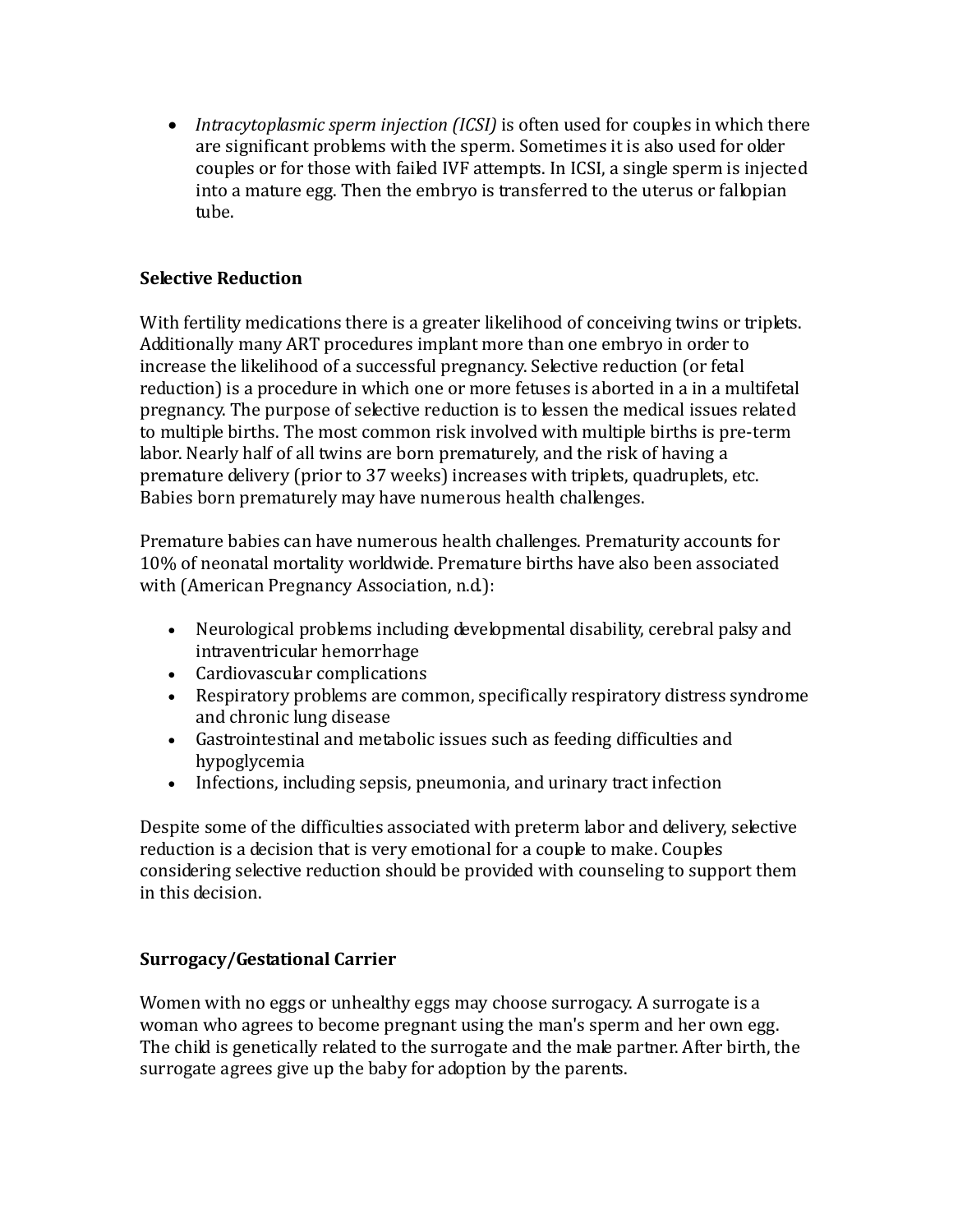• *Intracytoplasmic sperm injection (ICSI)* is often used for couples in which there are significant problems with the sperm. Sometimes it is also used for older couples or for those with failed IVF attempts. In ICSI, a single sperm is injected into a mature egg. Then the embryo is transferred to the uterus or fallopian tube.

### **Selective Reduction**

With fertility medications there is a greater likelihood of conceiving twins or triplets. Additionally many ART procedures implant more than one embryo in order to increase the likelihood of a successful pregnancy. Selective reduction (or fetal reduction) is a procedure in which one or more fetuses is aborted in a in a multifetal pregnancy. The purpose of selective reduction is to lessen the medical issues related to multiple births. The most common risk involved with multiple births is pre-term labor. Nearly half of all twins are born prematurely, and the risk of having a premature delivery (prior to 37 weeks) increases with triplets, quadruplets, etc. Babies born prematurely may have numerous health challenges.

Premature babies can have numerous health challenges. Prematurity accounts for 10% of neonatal mortality worldwide. Premature births have also been associated with (American Pregnancy Association, n.d.):

- Neurological problems including developmental disability, cerebral palsy and intraventricular hemorrhage
- Cardiovascular complications
- Respiratory problems are common, specifically respiratory distress syndrome and chronic lung disease
- Gastrointestinal and metabolic issues such as feeding difficulties and hypoglycemia
- Infections, including sepsis, pneumonia, and urinary tract infection

Despite some of the difficulties associated with preterm labor and delivery, selective reduction is a decision that is very emotional for a couple to make. Couples considering selective reduction should be provided with counseling to support them in this decision.

### **Surrogacy/Gestational Carrier**

Women with no eggs or unhealthy eggs may choose surrogacy. A surrogate is a woman who agrees to become pregnant using the man's sperm and her own egg. The child is genetically related to the surrogate and the male partner. After birth, the surrogate agrees give up the baby for adoption by the parents.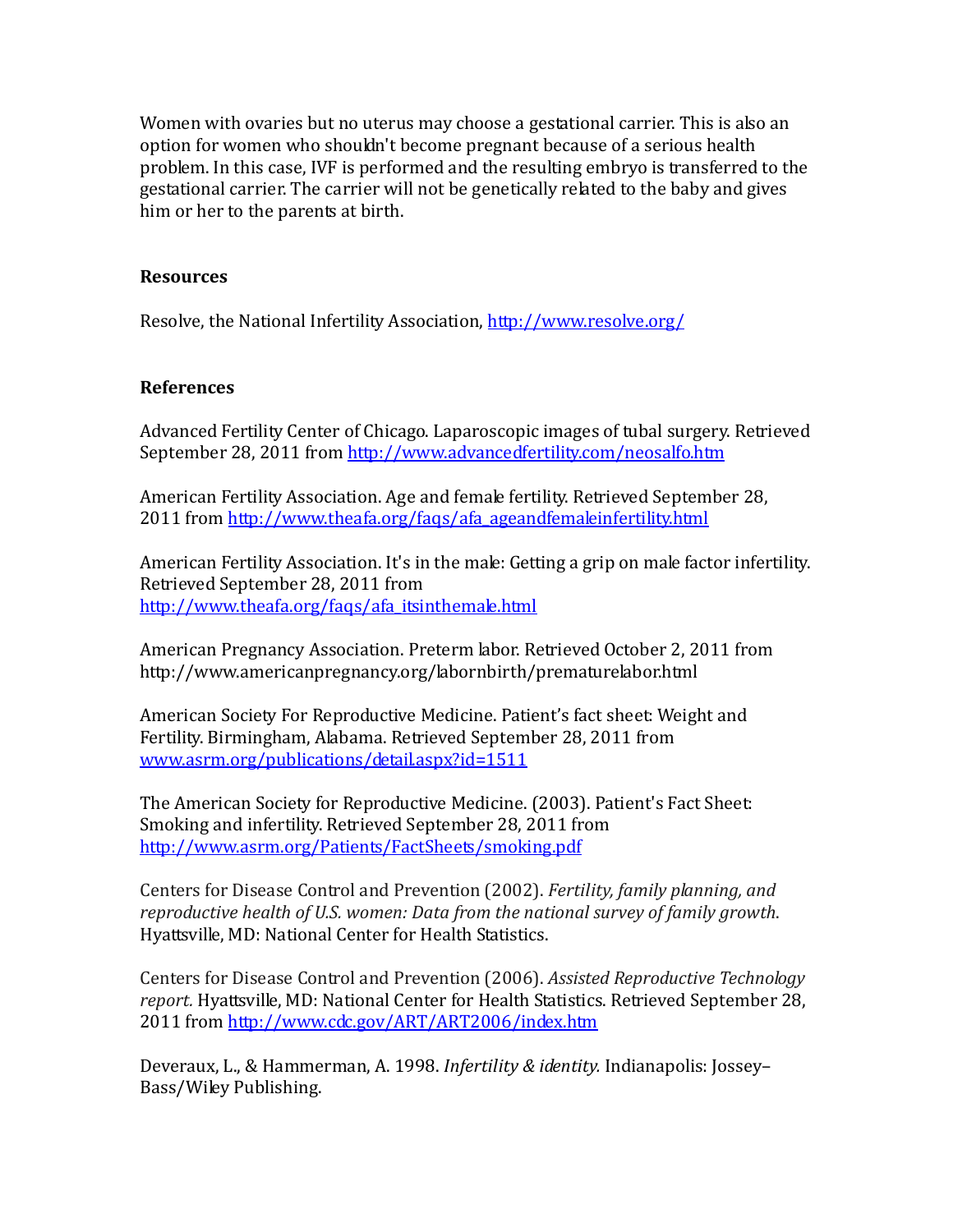Women with ovaries but no uterus may choose a gestational carrier. This is also an option for women who shouldn't become pregnant because of a serious health problem. In this case, IVF is performed and the resulting embryo is transferred to the gestational carrier. The carrier will not be genetically related to the baby and gives him or her to the parents at birth.

#### **Resources**

Resolve, the National Infertility Association,<http://www.resolve.org/>

## **References**

Advanced Fertility Center of Chicago. Laparoscopic images of tubal surgery. Retrieved September 28, 2011 from<http://www.advancedfertility.com/neosalfo.htm>

American Fertility Association. Age and female fertility. Retrieved September 28, 2011 from [http://www.theafa.org/faqs/afa\\_ageandfemaleinfertility.html](http://www.theafa.org/faqs/afa_ageandfemaleinfertility.html)

American Fertility Association. It's in the male: Getting a grip on male factor infertility. Retrieved September 28, 2011 from [http://www.theafa.org/faqs/afa\\_itsinthemale.html](http://www.theafa.org/faqs/afa_itsinthemale.html)

American Pregnancy Association. Preterm labor. Retrieved October 2, 2011 from http://www.americanpregnancy.org/labornbirth/prematurelabor.html

American Society For Reproductive Medicine. Patient's fact sheet: Weight and Fertility. Birmingham, Alabama. Retrieved September 28, 2011 from [www.asrm.org/publications/detail.aspx?id=1511](http://www.asrm.org/publications/detail.aspx?id=1511)

The American Society for Reproductive Medicine. (2003). Patient's Fact Sheet: Smoking and infertility. Retrieved September 28, 2011 from <http://www.asrm.org/Patients/FactSheets/smoking.pdf>

Centers for Disease Control and Prevention (2002). *Fertility, family planning, and reproductive health of U.S. women: Data from the national survey of family growth*. Hyattsville, MD: National Center for Health Statistics.

Centers for Disease Control and Prevention (2006). *Assisted Reproductive Technology report.* Hyattsville, MD: National Center for Health Statistics. Retrieved September 28, 2011 from<http://www.cdc.gov/ART/ART2006/index.htm>

Deveraux, L., & Hammerman, A. 1998. *Infertility & identity.* Indianapolis: Jossey– Bass/Wiley Publishing.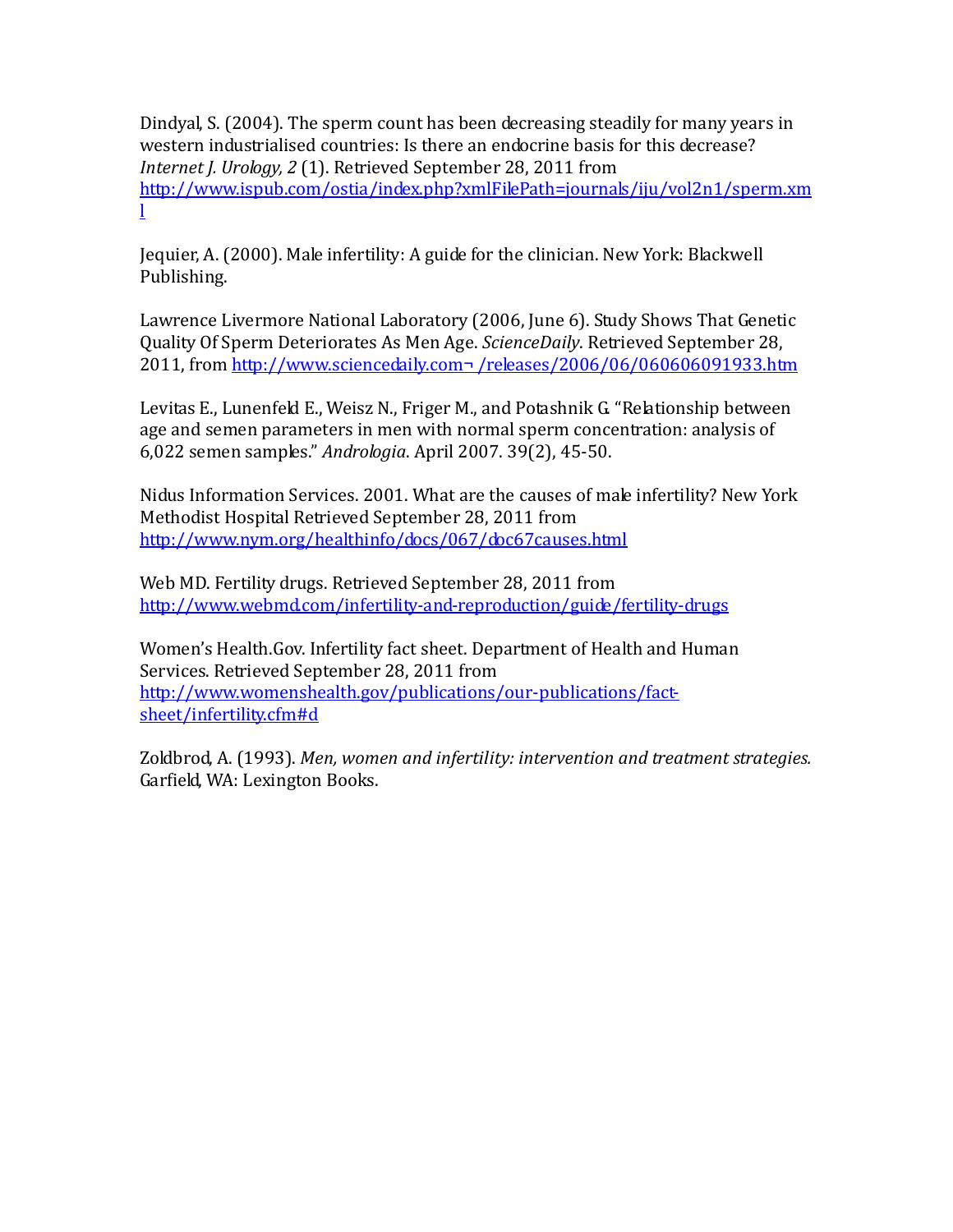Dindyal, S. (2004). The sperm count has been decreasing steadily for many years in western industrialised countries: Is there an endocrine basis for this decrease? *Internet J. Urology, 2* (1). Retrieved September 28, 2011 from [http://www.ispub.com/ostia/index.php?xmlFilePath=journals/iju/vol2n1/sperm.xm](http://www.ispub.com/ostia/index.php?xmlFilePath=journals/iju/vol2n1/sperm.xml) [l](http://www.ispub.com/ostia/index.php?xmlFilePath=journals/iju/vol2n1/sperm.xml)

Jequier, A. (2000). Male infertility: A guide for the clinician. New York: Blackwell Publishing.

Lawrence Livermore National Laboratory (2006, June 6). Study Shows That Genetic Quality Of Sperm Deteriorates As Men Age. *ScienceDaily*. Retrieved September 28, 2011, from http://www.sciencedaily.com¬ /releases/2006/06/060606091933.htm

Levitas E., Lunenfeld E., Weisz N., Friger M., and Potashnik G. "Relationship between age and semen parameters in men with normal sperm concentration: analysis of 6,022 semen samples." *Andrologia*. April 2007. 39(2), 45-50.

Nidus Information Services. 2001. What are the causes of male infertility? New York Methodist Hospital Retrieved September 28, 2011 from <http://www.nym.org/healthinfo/docs/067/doc67causes.html>

Web MD. Fertility drugs. Retrieved September 28, 2011 from <http://www.webmd.com/infertility-and-reproduction/guide/fertility-drugs>

Women's Health.Gov. Infertility fact sheet. Department of Health and Human Services. Retrieved September 28, 2011 from [http://www.womenshealth.gov/publications/our-publications/fact](http://www.womenshealth.gov/publications/our-publications/fact-sheet/infertility.cfm#d)[sheet/infertility.cfm#d](http://www.womenshealth.gov/publications/our-publications/fact-sheet/infertility.cfm#d)

Zoldbrod, A. (1993). *Men, women and infertility: intervention and treatment strategies.* Garfield, WA: Lexington Books.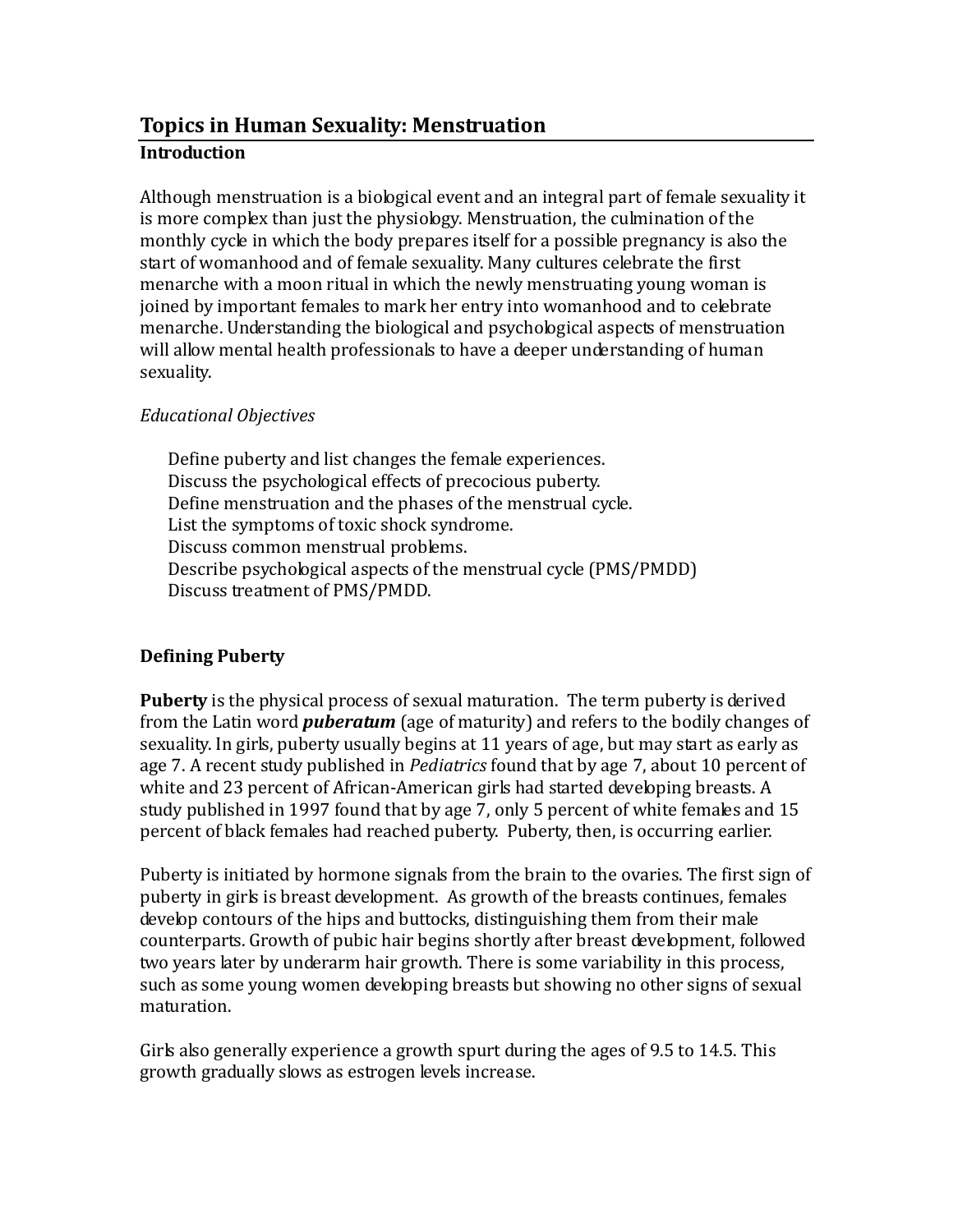# **Topics in Human Sexuality: Menstruation Introduction**

Although menstruation is a biological event and an integral part of female sexuality it is more complex than just the physiology. Menstruation, the culmination of the monthly cycle in which the body prepares itself for a possible pregnancy is also the start of womanhood and of female sexuality. Many cultures celebrate the first menarche with a moon ritual in which the newly menstruating young woman is joined by important females to mark her entry into womanhood and to celebrate menarche. Understanding the biological and psychological aspects of menstruation will allow mental health professionals to have a deeper understanding of human sexuality.

## *Educational Objectives*

Define puberty and list changes the female experiences. Discuss the psychological effects of precocious puberty. Define menstruation and the phases of the menstrual cycle. List the symptoms of toxic shock syndrome. Discuss common menstrual problems. Describe psychological aspects of the menstrual cycle (PMS/PMDD) Discuss treatment of PMS/PMDD.

## **Defining Puberty**

**Puberty** is the physical process of sexual maturation. The term puberty is derived from the Latin word *puberatum* (age of maturity) and refers to the bodily changes of sexuality. In girls, puberty usually begins at 11 years of age, but may start as early as age 7. A recent study published in *Pediatrics* found that by age 7, about 10 percent of white and 23 percent of African-American girls had started developing breasts. A study published in 1997 found that by age 7, only 5 percent of white females and 15 percent of black females had reached puberty. Puberty, then, is occurring earlier.

Puberty is initiated by hormone signals from the brain to the ovaries. The first sign of puberty in girls is breast development. As growth of the breasts continues, females develop contours of the hips and buttocks, distinguishing them from their male counterparts. Growth of pubic hair begins shortly after breast development, followed two years later by underarm hair growth. There is some variability in this process, such as some young women developing breasts but showing no other signs of sexual maturation.

Girls also generally experience a growth spurt during the ages of 9.5 to 14.5. This growth gradually slows as estrogen levels increase.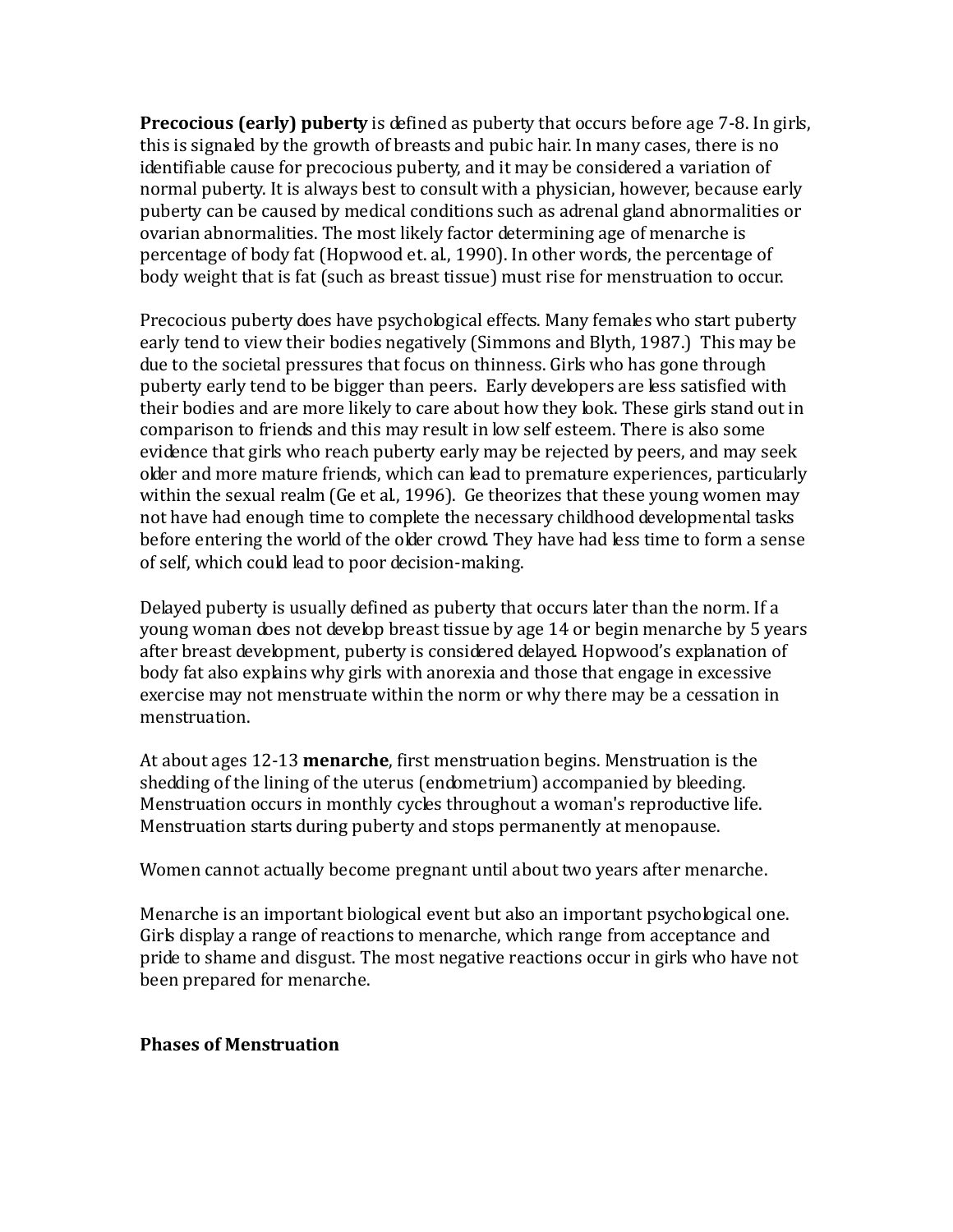**Precocious (early) puberty** is defined as puberty that occurs before age 7-8. In girls, this is signaled by the growth of breasts and pubic hair. In many cases, there is no identifiable cause for precocious puberty, and it may be considered a variation of normal puberty. It is always best to consult with a physician, however, because early puberty can be caused by medical conditions such as adrenal gland abnormalities or ovarian abnormalities. The most likely factor determining age of menarche is percentage of body fat (Hopwood et. al., 1990). In other words, the percentage of body weight that is fat (such as breast tissue) must rise for menstruation to occur.

Precocious puberty does have psychological effects. Many females who start puberty early tend to view their bodies negatively (Simmons and Blyth, 1987.) This may be due to the societal pressures that focus on thinness. Girls who has gone through puberty early tend to be bigger than peers. Early developers are less satisfied with their bodies and are more likely to care about how they look. These girls stand out in comparison to friends and this may result in low self esteem. There is also some evidence that girls who reach puberty early may be rejected by peers, and may seek older and more mature friends, which can lead to premature experiences, particularly within the sexual realm (Ge et al., 1996). Ge theorizes that these young women may not have had enough time to complete the necessary childhood developmental tasks before entering the world of the older crowd. They have had less time to form a sense of self, which could lead to poor decision-making.

Delayed puberty is usually defined as puberty that occurs later than the norm. If a young woman does not develop breast tissue by age 14 or begin menarche by 5 years after breast development, puberty is considered delayed. Hopwood's explanation of body fat also explains why girls with anorexia and those that engage in excessive exercise may not menstruate within the norm or why there may be a cessation in menstruation.

At about ages 12-13 **menarche**, first menstruation begins. Menstruation is the shedding of the lining of the uterus (endometrium) accompanied by bleeding. Menstruation occurs in monthly cycles throughout a woman's reproductive life. Menstruation starts during puberty and stops permanently at menopause.

Women cannot actually become pregnant until about two years after menarche.

Menarche is an important biological event but also an important psychological one. Girls display a range of reactions to menarche, which range from acceptance and pride to shame and disgust. The most negative reactions occur in girls who have not been prepared for menarche.

## **Phases of Menstruation**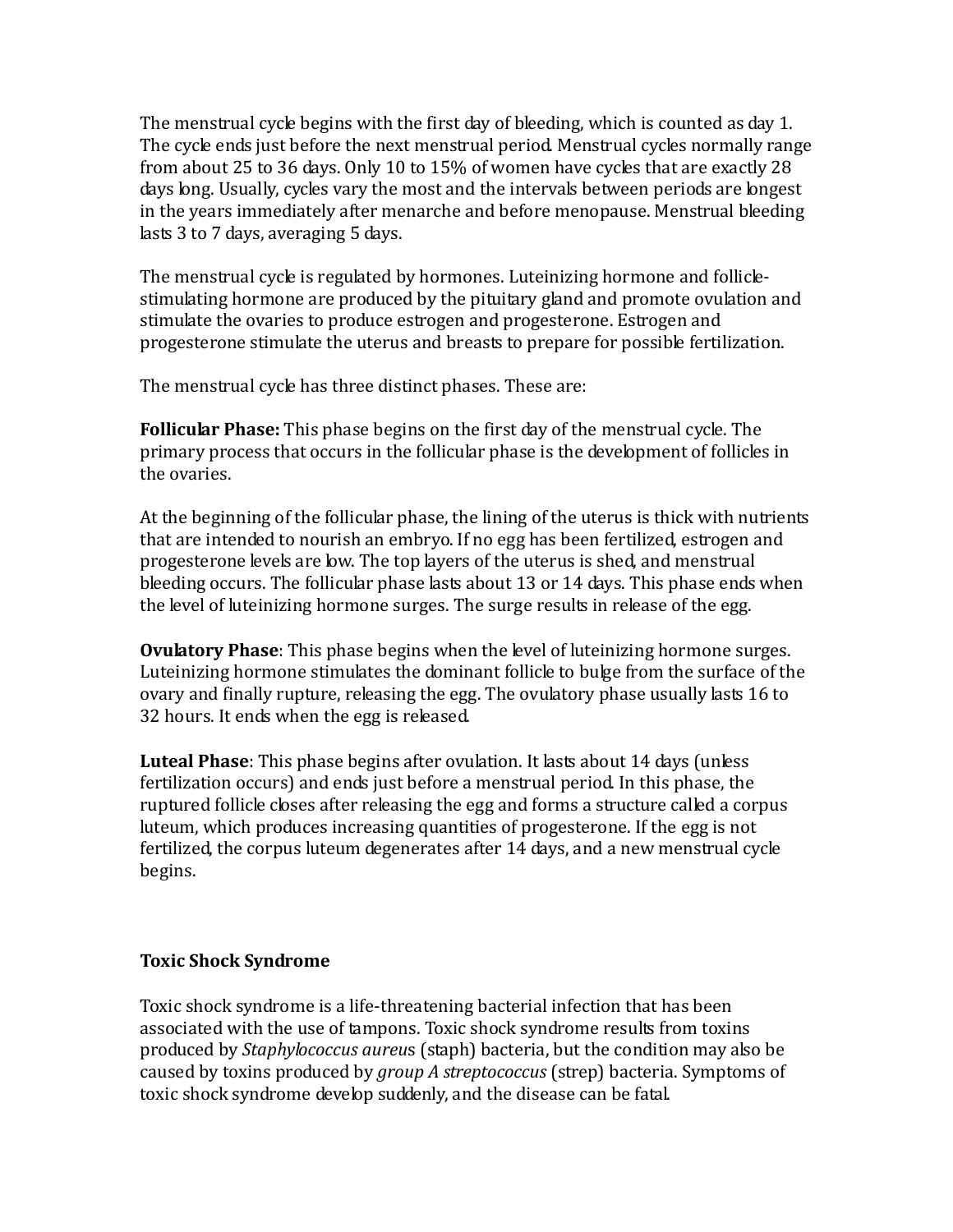The menstrual cycle begins with the first day of bleeding, which is counted as day 1. The cycle ends just before the next menstrual period. Menstrual cycles normally range from about 25 to 36 days. Only 10 to 15% of women have cycles that are exactly 28 days long. Usually, cycles vary the most and the intervals between periods are longest in the years immediately after menarche and before menopause. Menstrual bleeding lasts 3 to 7 days, averaging 5 days.

The menstrual cycle is regulated by hormones. Luteinizing hormone and folliclestimulating hormone are produced by the pituitary gland and promote ovulation and stimulate the ovaries to produce estrogen and progesterone. Estrogen and progesterone stimulate the uterus and breasts to prepare for possible fertilization.

The menstrual cycle has three distinct phases. These are:

**Follicular Phase:** This phase begins on the first day of the menstrual cycle. The primary process that occurs in the follicular phase is the development of follicles in the ovaries.

At the beginning of the follicular phase, the lining of the uterus is thick with nutrients that are intended to nourish an embryo. If no egg has been fertilized, estrogen and progesterone levels are low. The top layers of the uterus is shed, and menstrual bleeding occurs. The follicular phase lasts about 13 or 14 days. This phase ends when the level of luteinizing hormone surges. The surge results in release of the egg.

**Ovulatory Phase**: This phase begins when the level of luteinizing hormone surges. Luteinizing hormone stimulates the dominant follicle to bulge from the surface of the ovary and finally rupture, releasing the egg. The ovulatory phase usually lasts 16 to 32 hours. It ends when the egg is released.

**Luteal Phase**: This phase begins after ovulation. It lasts about 14 days (unless fertilization occurs) and ends just before a menstrual period. In this phase, the ruptured follicle closes after releasing the egg and forms a structure called a corpus luteum, which produces increasing quantities of progesterone. If the egg is not fertilized, the corpus luteum degenerates after 14 days, and a new menstrual cycle begins.

## **Toxic Shock Syndrome**

Toxic shock syndrome is a life-threatening bacterial infection that has been associated with the use of tampons. Toxic shock syndrome results from toxins produced by *Staphylococcus aureu*s (staph) bacteria, but the condition may also be caused by toxins produced by *group A streptococcus* (strep) bacteria. Symptoms of toxic shock syndrome develop suddenly, and the disease can be fatal.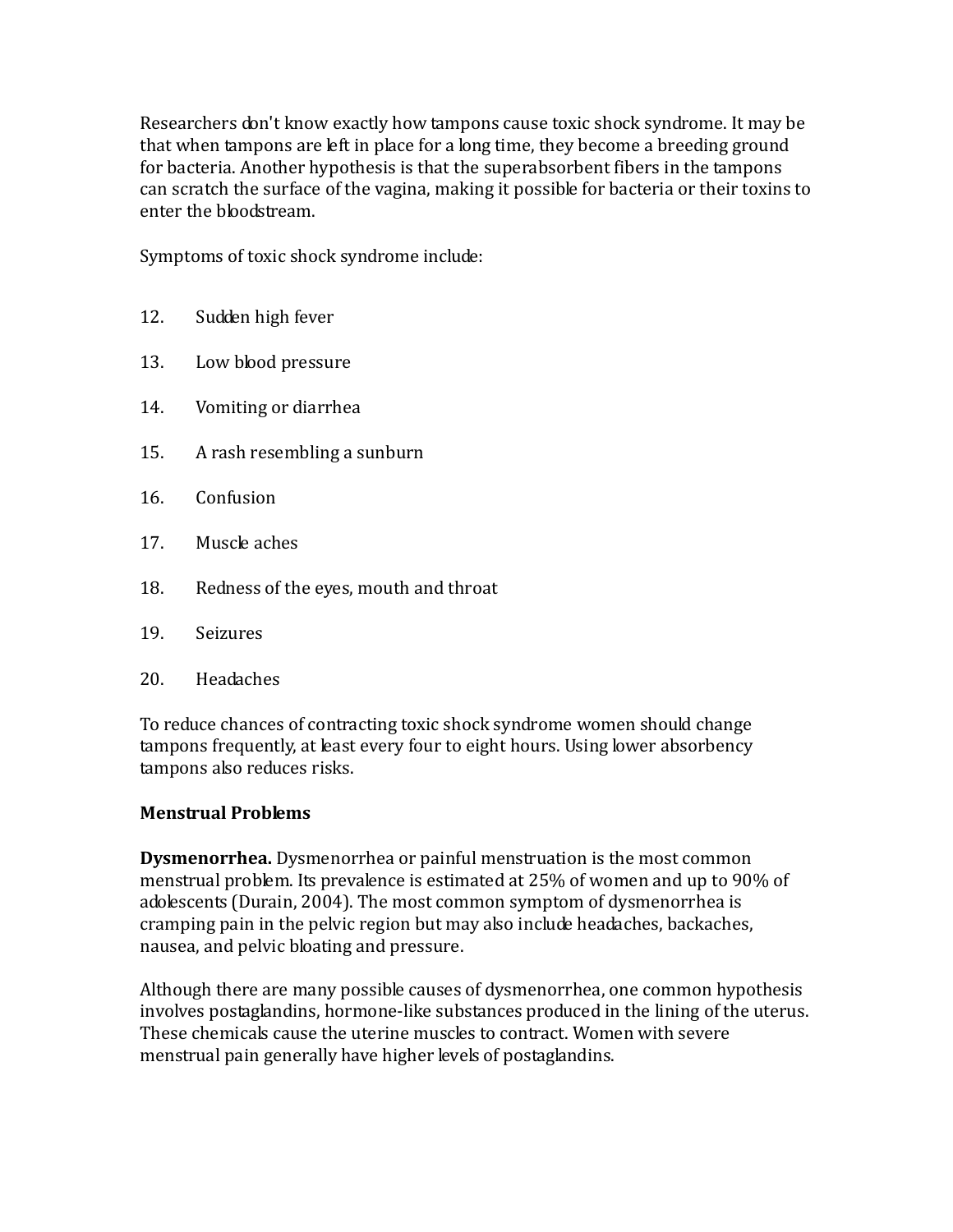Researchers don't know exactly how tampons cause toxic shock syndrome. It may be that when tampons are left in place for a long time, they become a breeding ground for bacteria. Another hypothesis is that the superabsorbent fibers in the tampons can scratch the surface of the vagina, making it possible for bacteria or their toxins to enter the bloodstream.

Symptoms of toxic shock syndrome include:

- 12. Sudden high fever
- 13. Low blood pressure
- 14. Vomiting or diarrhea
- 15. A rash resembling a sunburn
- 16. Confusion
- 17. Muscle aches
- 18. Redness of the eyes, mouth and throat
- 19. Seizures
- 20. Headaches

To reduce chances of contracting toxic shock syndrome women should change tampons frequently, at least every four to eight hours. Using lower absorbency tampons also reduces risks.

## **Menstrual Problems**

**Dysmenorrhea.** Dysmenorrhea or painful menstruation is the most common menstrual problem. Its prevalence is estimated at 25% of women and up to 90% of adolescents (Durain, 2004). The most common symptom of dysmenorrhea is cramping pain in the pelvic region but may also include headaches, backaches, nausea, and pelvic bloating and pressure.

Although there are many possible causes of dysmenorrhea, one common hypothesis involves postaglandins, hormone-like substances produced in the lining of the uterus. These chemicals cause the uterine muscles to contract. Women with severe menstrual pain generally have higher levels of postaglandins.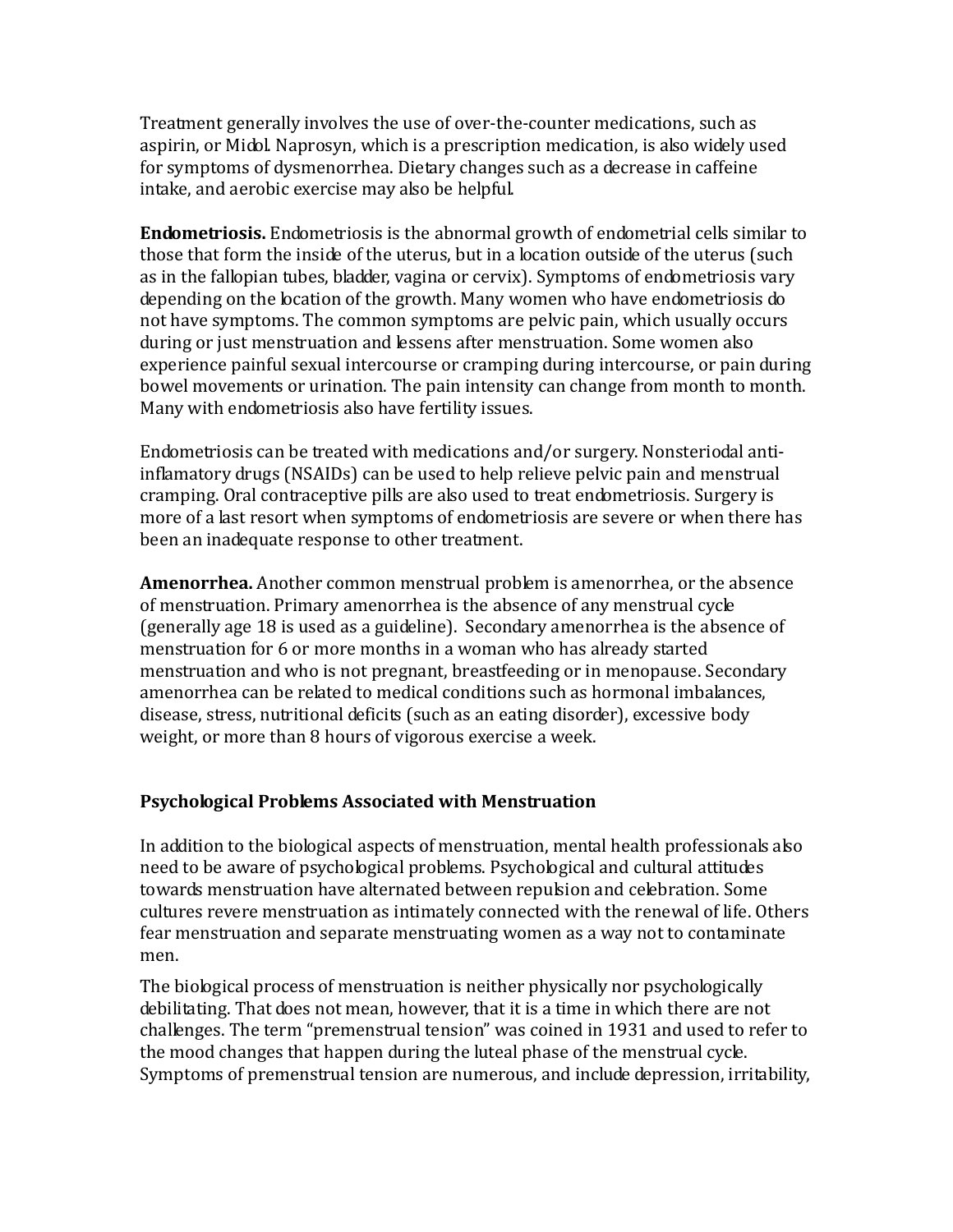Treatment generally involves the use of over-the-counter medications, such as aspirin, or Midol. Naprosyn, which is a prescription medication, is also widely used for symptoms of dysmenorrhea. Dietary changes such as a decrease in caffeine intake, and aerobic exercise may also be helpful.

**Endometriosis.** Endometriosis is the abnormal growth of endometrial cells similar to those that form the inside of the uterus, but in a location outside of the uterus (such as in the fallopian tubes, bladder, vagina or cervix). Symptoms of endometriosis vary depending on the location of the growth. Many women who have endometriosis do not have symptoms. The common symptoms are pelvic pain, which usually occurs during or just menstruation and lessens after menstruation. Some women also experience painful sexual intercourse or cramping during intercourse, or pain during bowel movements or urination. The pain intensity can change from month to month. Many with endometriosis also have fertility issues.

Endometriosis can be treated with medications and/or surgery. Nonsteriodal antiinflamatory drugs (NSAIDs) can be used to help relieve pelvic pain and menstrual cramping. Oral contraceptive pills are also used to treat endometriosis. Surgery is more of a last resort when symptoms of endometriosis are severe or when there has been an inadequate response to other treatment.

**Amenorrhea.** Another common menstrual problem is amenorrhea, or the absence of menstruation. Primary amenorrhea is the absence of any menstrual cycle (generally age 18 is used as a guideline). Secondary amenorrhea is the absence of menstruation for 6 or more months in a woman who has already started menstruation and who is not pregnant, breastfeeding or in menopause. Secondary amenorrhea can be related to medical conditions such as hormonal imbalances, disease, stress, nutritional deficits (such as an eating disorder), excessive body weight, or more than 8 hours of vigorous exercise a week.

## **Psychological Problems Associated with Menstruation**

In addition to the biological aspects of menstruation, mental health professionals also need to be aware of psychological problems. Psychological and cultural attitudes towards menstruation have alternated between repulsion and celebration. Some cultures revere menstruation as intimately connected with the renewal of life. Others fear menstruation and separate menstruating women as a way not to contaminate men.

The biological process of menstruation is neither physically nor psychologically debilitating. That does not mean, however, that it is a time in which there are not challenges. The term "premenstrual tension" was coined in 1931 and used to refer to the mood changes that happen during the luteal phase of the menstrual cycle. Symptoms of premenstrual tension are numerous, and include depression, irritability,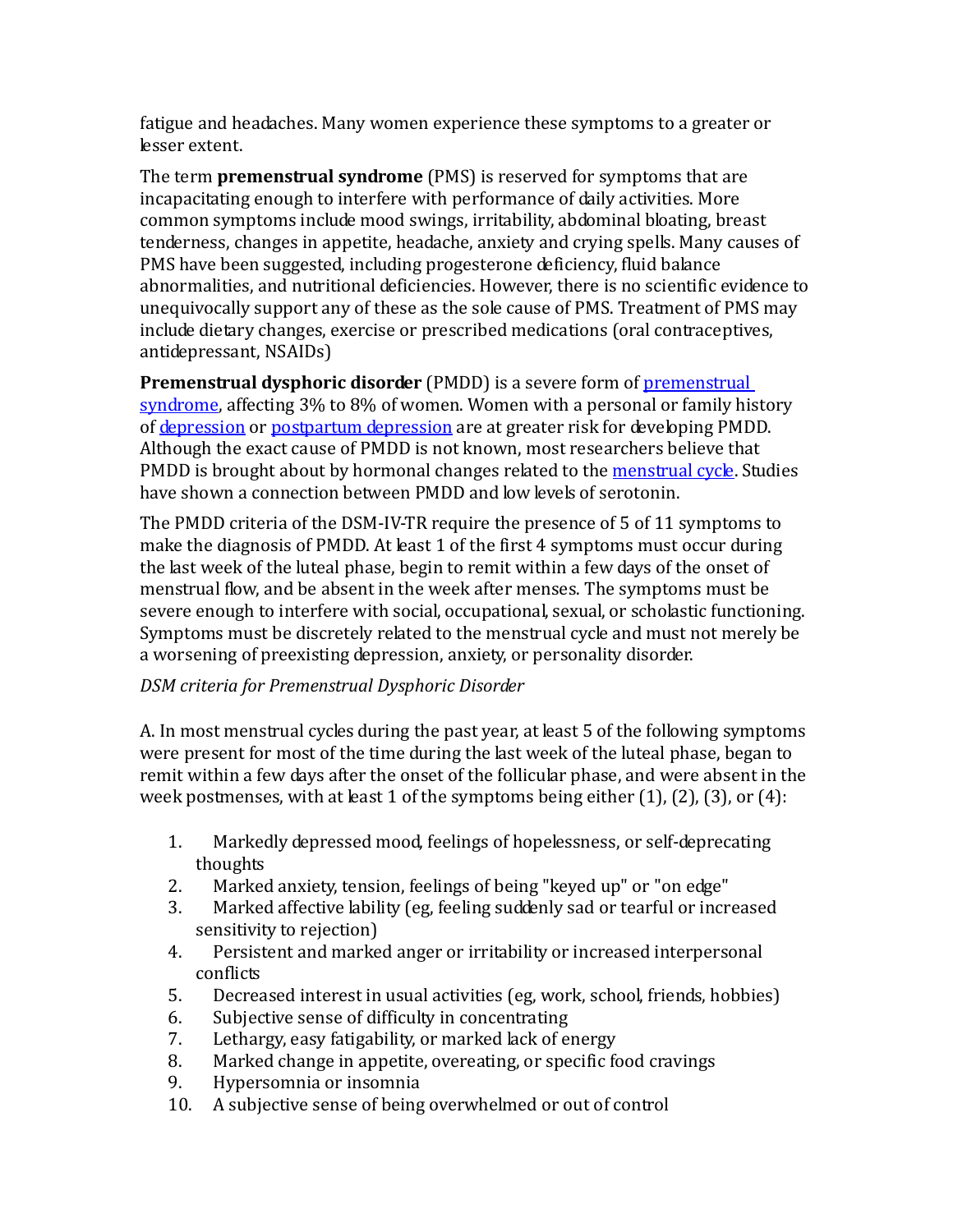fatigue and headaches. Many women experience these symptoms to a greater or lesser extent.

The term **premenstrual syndrome** (PMS) is reserved for symptoms that are incapacitating enough to interfere with performance of daily activities. More common symptoms include mood swings, irritability, abdominal bloating, breast tenderness, changes in appetite, headache, anxiety and crying spells. Many causes of PMS have been suggested, including progesterone deficiency, fluid balance abnormalities, and nutritional deficiencies. However, there is no scientific evidence to unequivocally support any of these as the sole cause of PMS. Treatment of PMS may include dietary changes, exercise or prescribed medications (oral contraceptives, antidepressant, NSAIDs)

**Premenstrual dysphoric disorder** (PMDD) is a severe form of **premenstrual** [syndrome,](http://en.wikipedia.org/wiki/Premenstrual_syndrome) affecting 3% to 8% of women. Women with a personal or family history of [depression](http://www.webmd.com/depression/default.htm) or [postpartum depression](http://www.webmd.com/depression/postpartum-depression/default.htm) are at greater risk for developing PMDD. Although the exact cause of PMDD is not known, most researchers believe that PMDD is brought about by hormonal changes related to the [menstrual cycle.](http://women.webmd.com/tc/normal-menstrual-cycle-topic-overview) Studies have shown a connection between PMDD and low levels of serotonin.

The PMDD criteria of the DSM-IV-TR require the presence of 5 of 11 symptoms to make the diagnosis of PMDD. At least 1 of the first 4 symptoms must occur during the last week of the luteal phase, begin to remit within a few days of the onset of menstrual flow, and be absent in the week after menses. The symptoms must be severe enough to interfere with social, occupational, sexual, or scholastic functioning. Symptoms must be discretely related to the menstrual cycle and must not merely be a worsening of preexisting depression, anxiety, or personality disorder.

## *DSM criteria for Premenstrual Dysphoric Disorder*

A. In most menstrual cycles during the past year, at least 5 of the following symptoms were present for most of the time during the last week of the luteal phase, began to remit within a few days after the onset of the follicular phase, and were absent in the week postmenses, with at least 1 of the symptoms being either  $(1)$ ,  $(2)$ ,  $(3)$ , or  $(4)$ :

- 1. Markedly depressed mood, feelings of hopelessness, or self-deprecating thoughts
- 2. Marked anxiety, tension, feelings of being "keyed up" or "on edge"<br>3. Marked affective lability (eg, feeling suddenly sad or tearful or incr
- Marked affective lability (eg, feeling suddenly sad or tearful or increased sensitivity to rejection)
- 4. Persistent and marked anger or irritability or increased interpersonal conflicts
- 5. Decreased interest in usual activities (eg, work, school, friends, hobbies)<br>6. Subiective sense of difficulty in concentrating
- 6. Subjective sense of difficulty in concentrating<br>7. Lethargy, easy fatigability, or marked lack of ex-
- 7. Lethargy, easy fatigability, or marked lack of energy<br>8. Marked change in appetite, overeating, or specific fo
- 8. Marked change in appetite, overeating, or specific food cravings<br>9. Hypersomnia or insomnia
- 9. Hypersomnia or insomnia<br>10. A subiective sense of being
- A subjective sense of being overwhelmed or out of control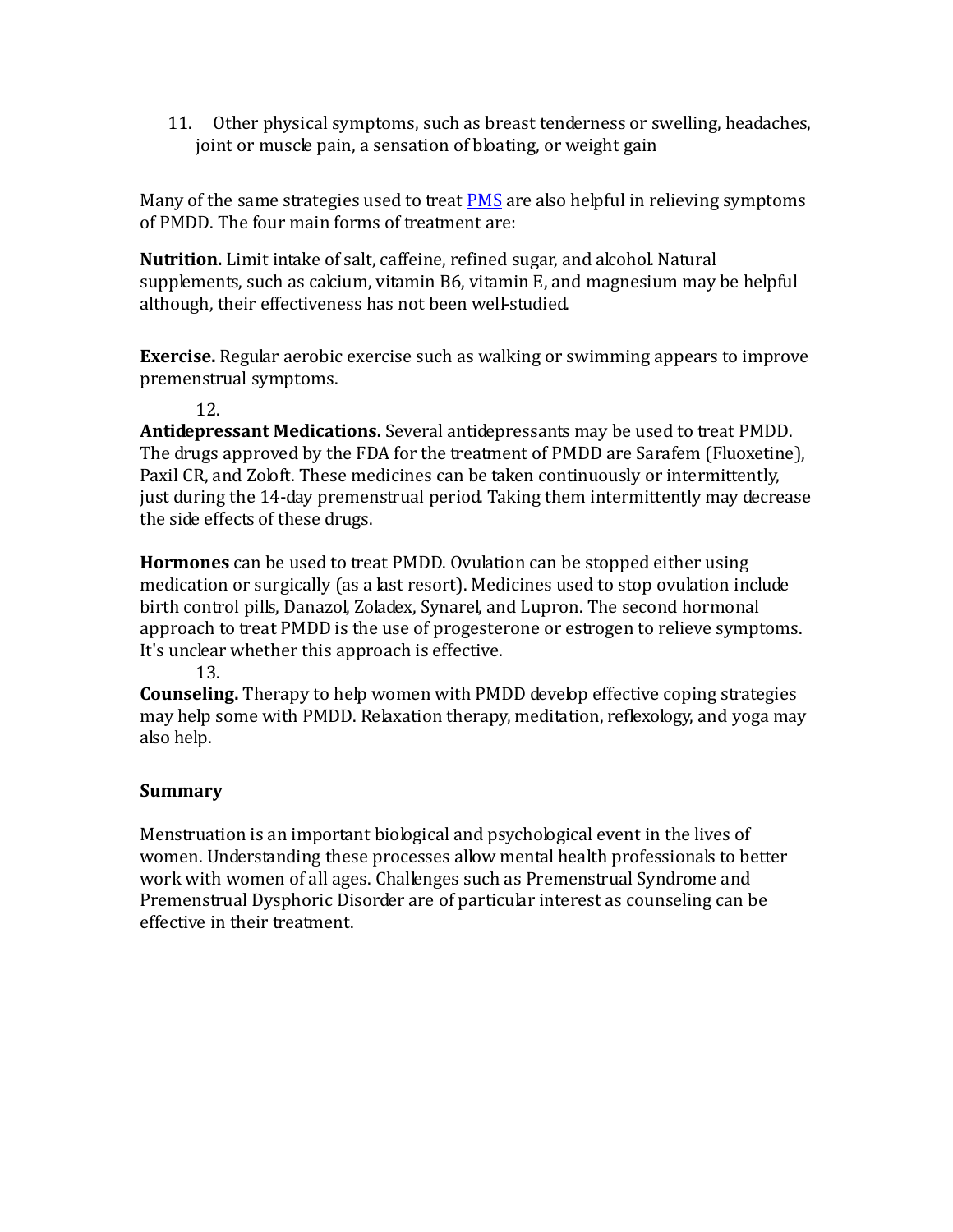11. Other physical symptoms, such as breast tenderness or swelling, headaches, joint or muscle pain, a sensation of bloating, or weight gain

Many of the same strategies used to treat [PMS](http://www.webmd.com/content/article/10/2953_497.htm) are also helpful in relieving symptoms of PMDD. The four main forms of treatment are:

**Nutrition.** Limit intake of salt, caffeine, refined sugar, and alcohol. Natural supplements, such as calcium, vitamin B6, vitamin E, and magnesium may be helpful although, their effectiveness has not been well-studied.

**Exercise.** Regular aerobic exercise such as walking or swimming appears to improve premenstrual symptoms.

12.

**Antidepressant Medications.** Several antidepressants may be used to treat PMDD. The drugs approved by the FDA for the treatment of PMDD are Sarafem (Fluoxetine), Paxil CR, and Zoloft. These medicines can be taken continuously or intermittently, just during the 14-day premenstrual period. Taking them intermittently may decrease the side effects of these drugs.

**Hormones** can be used to treat PMDD. Ovulation can be stopped either using medication or surgically (as a last resort). Medicines used to stop ovulation include birth control pills, Danazol, Zoladex, Synarel, and Lupron. The second hormonal approach to treat PMDD is the use of progesterone or estrogen to relieve symptoms. It's unclear whether this approach is effective.

13.

**Counseling.** Therapy to help women with PMDD develop effective coping strategies may help some with PMDD. Relaxation therapy, meditation, reflexology, and yoga may also help.

## **Summary**

Menstruation is an important biological and psychological event in the lives of women. Understanding these processes allow mental health professionals to better work with women of all ages. Challenges such as Premenstrual Syndrome and Premenstrual Dysphoric Disorder are of particular interest as counseling can be effective in their treatment.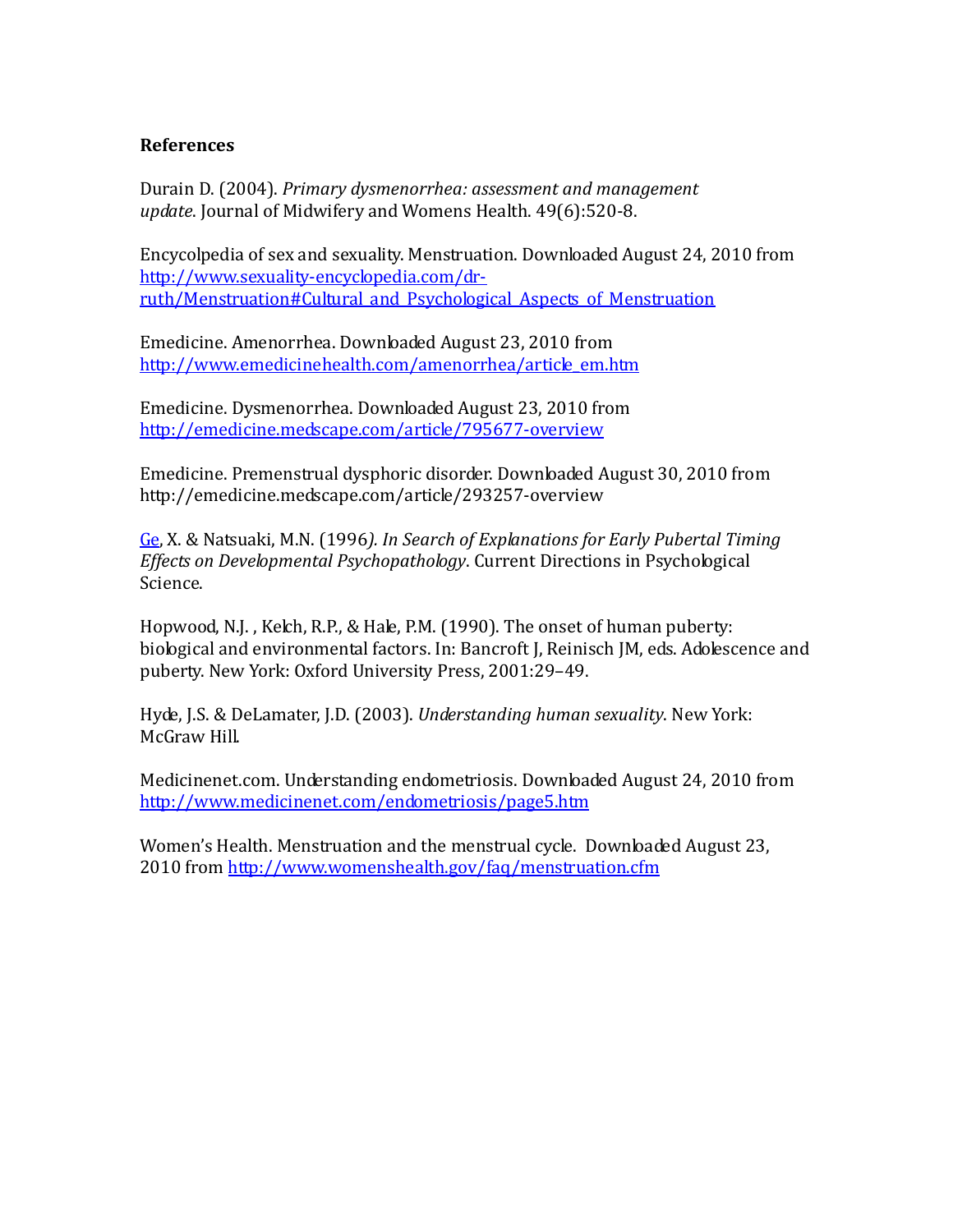#### **References**

Durain D. (2004). *Primary dysmenorrhea: assessment and management update*. Journal of Midwifery and Womens Health. 49(6):520-8.

Encycolpedia of sex and sexuality. Menstruation. Downloaded August 24, 2010 from [http://www.sexuality-encyclopedia.com/dr](http://www.sexuality-encyclopedia.com/dr-ruth/Menstruation)[ruth/Menstruation#Cultural\\_and\\_Psychological\\_Aspects\\_of\\_Menstruation](http://www.sexuality-encyclopedia.com/dr-ruth/Menstruation)

Emedicine. Amenorrhea. Downloaded August 23, 2010 from [http://www.emedicinehealth.com/amenorrhea/article\\_em.htm](http://www.emedicinehealth.com/amenorrhea/article_em.htm)

Emedicine. Dysmenorrhea. Downloaded August 23, 2010 from <http://emedicine.medscape.com/article/795677-overview>

Emedicine. Premenstrual dysphoric disorder. Downloaded August 30, 2010 from http://emedicine.medscape.com/article/293257-overview

[Ge,](http://cdp.sagepub.com/search?author1=Xiaojia+Ge&sortspec=date&submit=Submit) X. & Natsuaki, M.N. (1996*). In Search of Explanations for Early Pubertal Timing Effects on Developmental Psychopathology*. Current Directions in Psychological Science.

Hopwood, N.J. , Kelch, R.P., & Hale, P.M. (1990). The onset of human puberty: biological and environmental factors. In: Bancroft J, Reinisch JM, eds. Adolescence and puberty. New York: Oxford University Press, 2001:29–49.

Hyde, J.S. & DeLamater, J.D. (2003). *Understanding human sexuality*. New York: McGraw Hill.

Medicinenet.com. Understanding endometriosis. Downloaded August 24, 2010 from <http://www.medicinenet.com/endometriosis/page5.htm>

Women's Health. Menstruation and the menstrual cycle. Downloaded August 23, 2010 from<http://www.womenshealth.gov/faq/menstruation.cfm>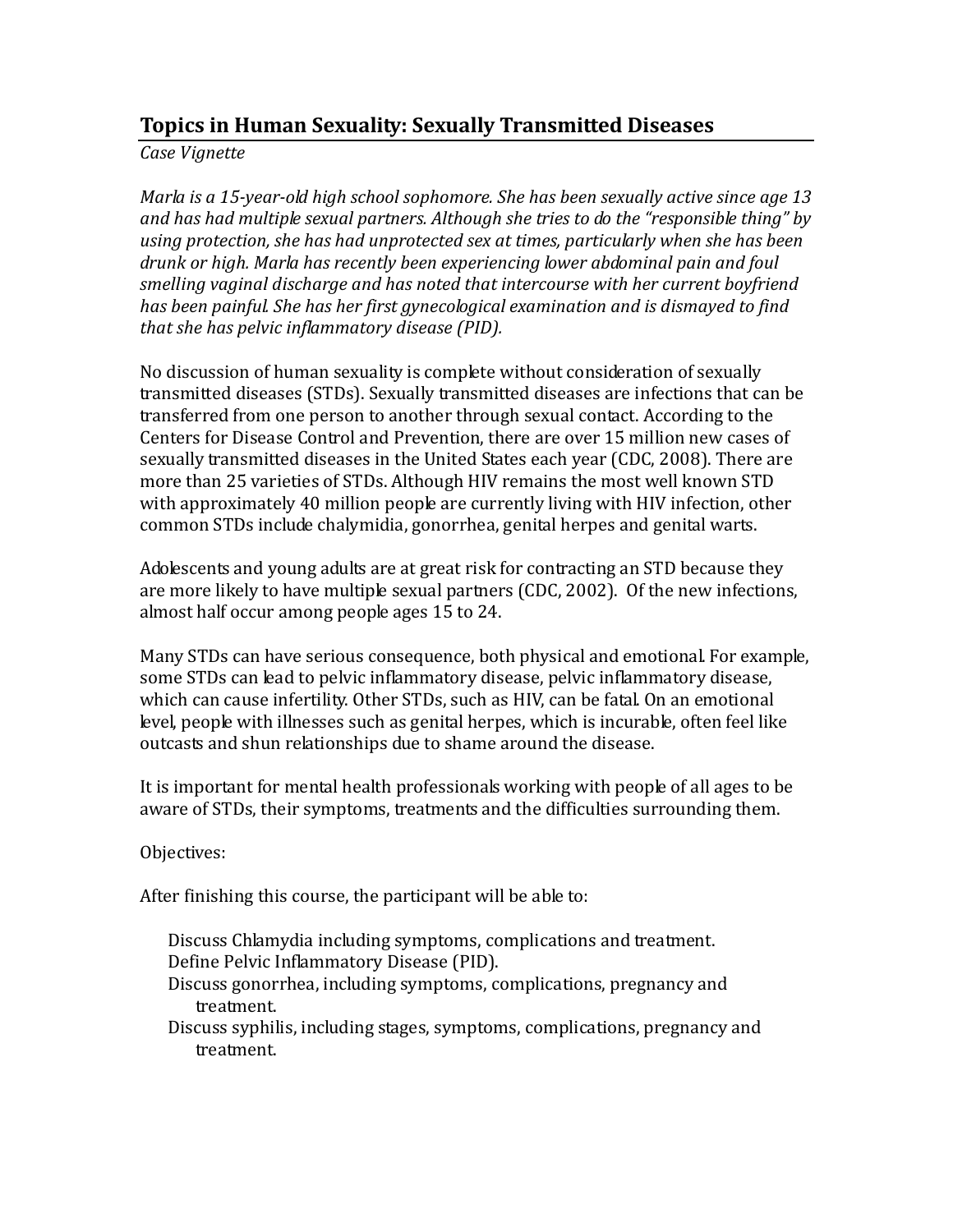# **Topics in Human Sexuality: Sexually Transmitted Diseases**

*Case Vignette*

*Marla is a 15-year-old high school sophomore. She has been sexually active since age 13 and has had multiple sexual partners. Although she tries to do the "responsible thing" by using protection, she has had unprotected sex at times, particularly when she has been drunk or high. Marla has recently been experiencing lower abdominal pain and foul smelling vaginal discharge and has noted that intercourse with her current boyfriend has been painful. She has her first gynecological examination and is dismayed to find that she has pelvic inflammatory disease (PID).* 

No discussion of human sexuality is complete without consideration of sexually transmitted diseases (STDs). Sexually transmitted diseases are infections that can be transferred from one person to another through sexual contact. According to the Centers for Disease Control and Prevention, there are over 15 million new cases of sexually transmitted diseases in the United States each year (CDC, 2008). There are more than 25 varieties of STDs. Although HIV remains the most well known STD with approximately 40 million people are currently living with HIV infection, other common STDs include chalymidia, gonorrhea, genital herpes and genital warts.

Adolescents and young adults are at great risk for contracting an STD because they are more likely to have multiple sexual partners (CDC, 2002). Of the new infections, almost half occur among people ages 15 to 24.

Many STDs can have serious consequence, both physical and emotional. For example, some STDs can lead to pelvic inflammatory disease, pelvic inflammatory disease, which can cause infertility. Other STDs, such as HIV, can be fatal. On an emotional level, people with illnesses such as genital herpes, which is incurable, often feel like outcasts and shun relationships due to shame around the disease.

It is important for mental health professionals working with people of all ages to be aware of STDs, their symptoms, treatments and the difficulties surrounding them.

Objectives:

After finishing this course, the participant will be able to:

- Discuss Chlamydia including symptoms, complications and treatment. Define Pelvic Inflammatory Disease (PID).
- Discuss gonorrhea, including symptoms, complications, pregnancy and treatment.
- Discuss syphilis, including stages, symptoms, complications, pregnancy and treatment.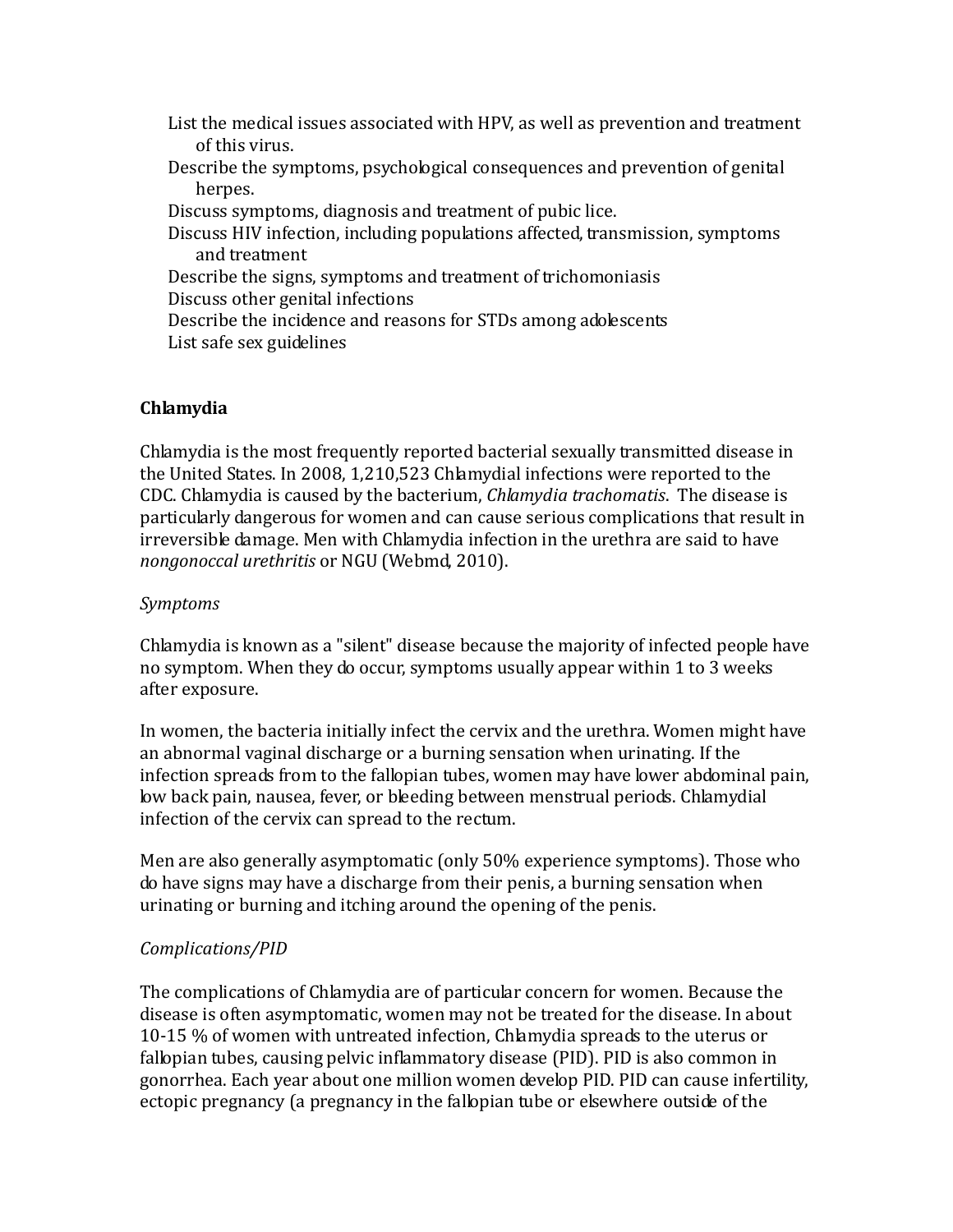- List the medical issues associated with HPV, as well as prevention and treatment of this virus.
- Describe the symptoms, psychological consequences and prevention of genital herpes.
- Discuss symptoms, diagnosis and treatment of pubic lice.
- Discuss HIV infection, including populations affected, transmission, symptoms and treatment
- Describe the signs, symptoms and treatment of trichomoniasis Discuss other genital infections
- Describe the incidence and reasons for STDs among adolescents List safe sex guidelines

## **Chlamydia**

Chlamydia is the most frequently reported bacterial sexually transmitted disease in the United States. In 2008, 1,210,523 Chlamydial infections were reported to the CDC. Chlamydia is caused by the bacterium, *Chlamydia trachomatis*. The disease is particularly dangerous for women and can cause serious complications that result in irreversible damage. Men with Chlamydia infection in the urethra are said to have *nongonoccal urethritis* or NGU (Webmd, 2010).

## *Symptoms*

Chlamydia is known as a "silent" disease because the majority of infected people have no symptom. When they do occur, symptoms usually appear within 1 to 3 weeks after exposure.

In women, the bacteria initially infect the cervix and the urethra. Women might have an abnormal vaginal discharge or a burning sensation when urinating. If the infection spreads from to the fallopian tubes, women may have lower abdominal pain, low back pain, nausea, fever, or bleeding between menstrual periods. Chlamydial infection of the cervix can spread to the rectum.

Men are also generally asymptomatic (only 50% experience symptoms). Those who do have signs may have a discharge from their penis, a burning sensation when urinating or burning and itching around the opening of the penis.

## *Complications/PID*

The complications of Chlamydia are of particular concern for women. Because the disease is often asymptomatic, women may not be treated for the disease. In about 10-15 % of women with untreated infection, Chlamydia spreads to the uterus or fallopian tubes, causing pelvic inflammatory disease (PID). PID is also common in gonorrhea. Each year about one million women develop PID. PID can cause infertility, ectopic pregnancy (a pregnancy in the fallopian tube or elsewhere outside of the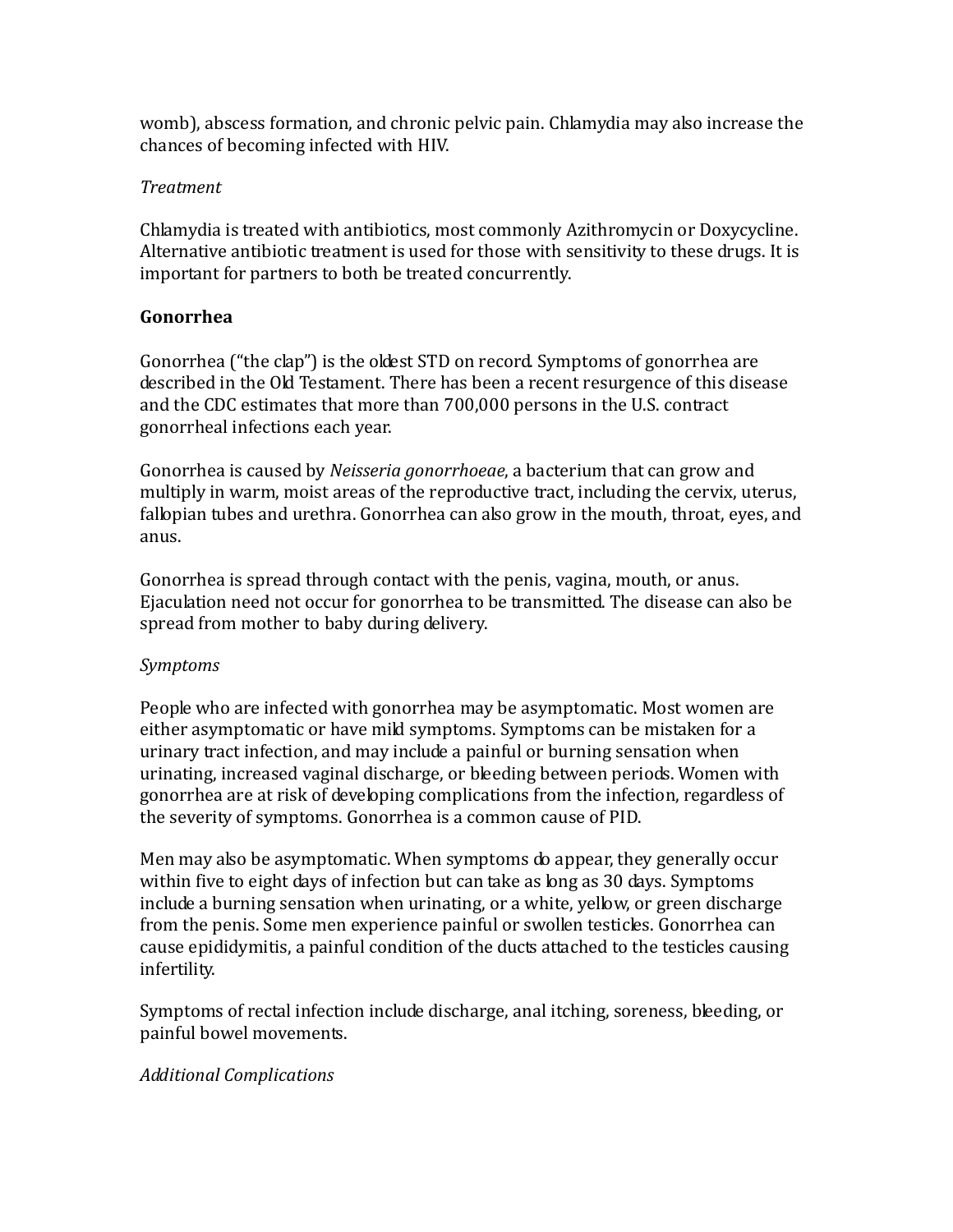womb), abscess formation, and chronic pelvic pain. Chlamydia may also increase the chances of becoming infected with HIV.

## *Treatment*

Chlamydia is treated with antibiotics, most commonly Azithromycin or Doxycycline. Alternative antibiotic treatment is used for those with sensitivity to these drugs. It is important for partners to both be treated concurrently.

## **Gonorrhea**

Gonorrhea ("the clap") is the oldest STD on record. Symptoms of gonorrhea are described in the Old Testament. There has been a recent resurgence of this disease and the CDC estimates that more than 700,000 persons in the U.S. contract gonorrheal infections each year.

Gonorrhea is caused by *Neisseria gonorrhoeae*, a bacterium that can grow and multiply in warm, moist areas of the reproductive tract, including the cervix, uterus, fallopian tubes and urethra. Gonorrhea can also grow in the mouth, throat, eyes, and anus.

Gonorrhea is spread through contact with the penis, vagina, mouth, or anus. Ejaculation need not occur for gonorrhea to be transmitted. The disease can also be spread from mother to baby during delivery.

## *Symptoms*

People who are infected with gonorrhea may be asymptomatic. Most women are either asymptomatic or have mild symptoms. Symptoms can be mistaken for a urinary tract infection, and may include a painful or burning sensation when urinating, increased vaginal discharge, or bleeding between periods. Women with gonorrhea are at risk of developing complications from the infection, regardless of the severity of symptoms. Gonorrhea is a common cause of PID.

Men may also be asymptomatic. When symptoms do appear, they generally occur within five to eight days of infection but can take as long as 30 days. Symptoms include a burning sensation when urinating, or a white, yellow, or green discharge from the penis. Some men experience painful or swollen testicles. Gonorrhea can cause epididymitis, a painful condition of the ducts attached to the testicles causing infertility.

Symptoms of rectal infection include discharge, anal itching, soreness, bleeding, or painful bowel movements.

## *Additional Complications*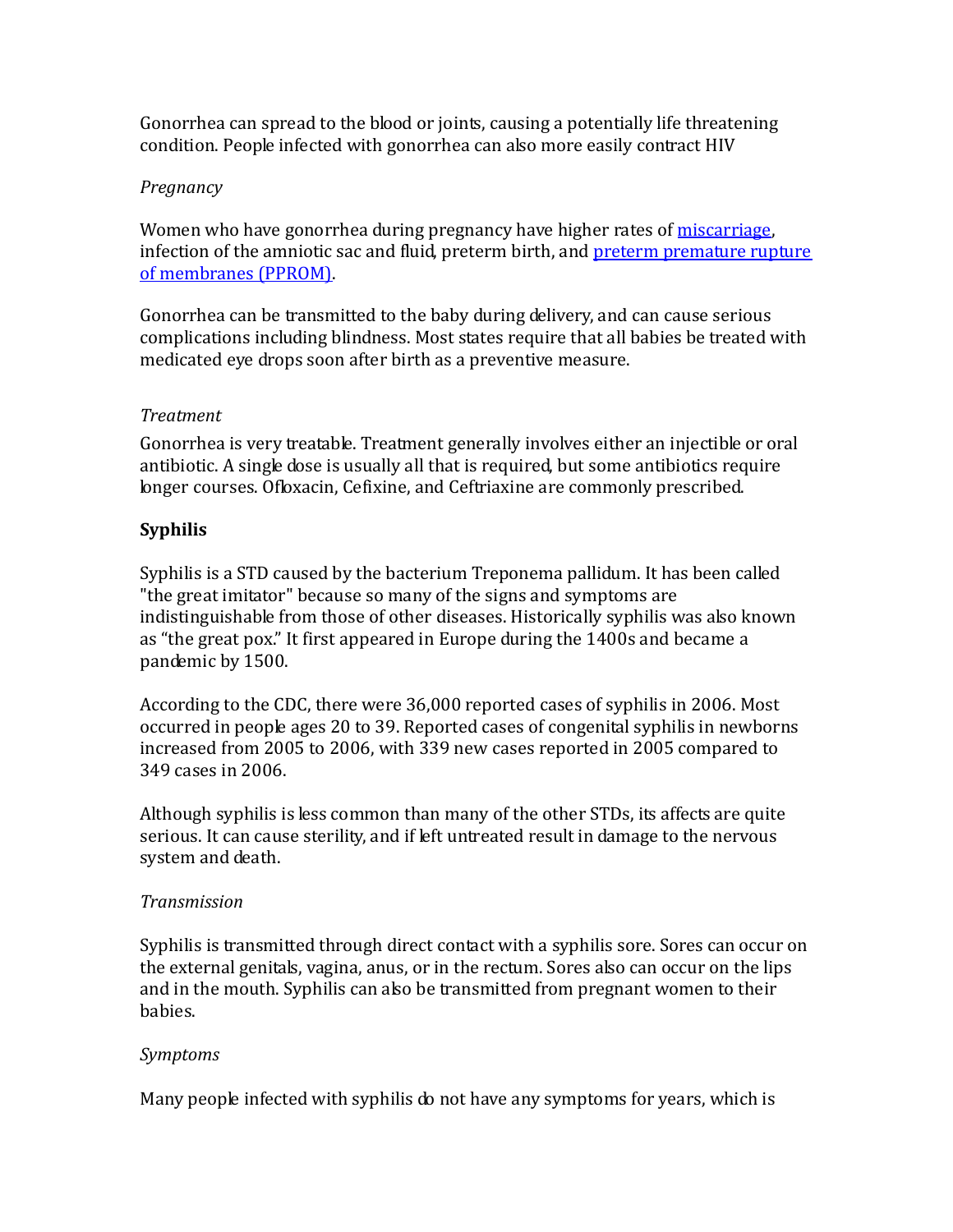Gonorrhea can spread to the blood or joints, causing a potentially life threatening condition. People infected with gonorrhea can also more easily contract HIV

## *Pregnancy*

Women who have gonorrhea during pregnancy have higher rates of *miscarriage*, infection of the amniotic sac and fluid, preterm birth, and [preterm premature rupture](http://www.babycenter.com/0_preterm-labor-and-birth_1055.bc)  [of membranes \(PPROM\).](http://www.babycenter.com/0_preterm-labor-and-birth_1055.bc)

Gonorrhea can be transmitted to the baby during delivery, and can cause serious complications including blindness. Most states require that all babies be treated with medicated eye drops soon after birth as a preventive measure.

## *Treatment*

Gonorrhea is very treatable. Treatment generally involves either an injectible or oral antibiotic. A single dose is usually all that is required, but some antibiotics require longer courses. Ofloxacin, Cefixine, and Ceftriaxine are commonly prescribed.

## **Syphilis**

Syphilis is a STD caused by the bacterium Treponema pallidum. It has been called "the great imitator" because so many of the signs and symptoms are indistinguishable from those of other diseases. Historically syphilis was also known as "the great pox." It first appeared in Europe during the 1400s and became a pandemic by 1500.

According to the CDC, there were 36,000 reported cases of syphilis in 2006. Most occurred in people ages 20 to 39. Reported cases of congenital syphilis in newborns increased from 2005 to 2006, with 339 new cases reported in 2005 compared to 349 cases in 2006.

Although syphilis is less common than many of the other STDs, its affects are quite serious. It can cause sterility, and if left untreated result in damage to the nervous system and death.

## *Transmission*

Syphilis is transmitted through direct contact with a syphilis sore. Sores can occur on the external genitals, vagina, anus, or in the rectum. Sores also can occur on the lips and in the mouth. Syphilis can also be transmitted from pregnant women to their babies.

## *Symptoms*

Many people infected with syphilis do not have any symptoms for years, which is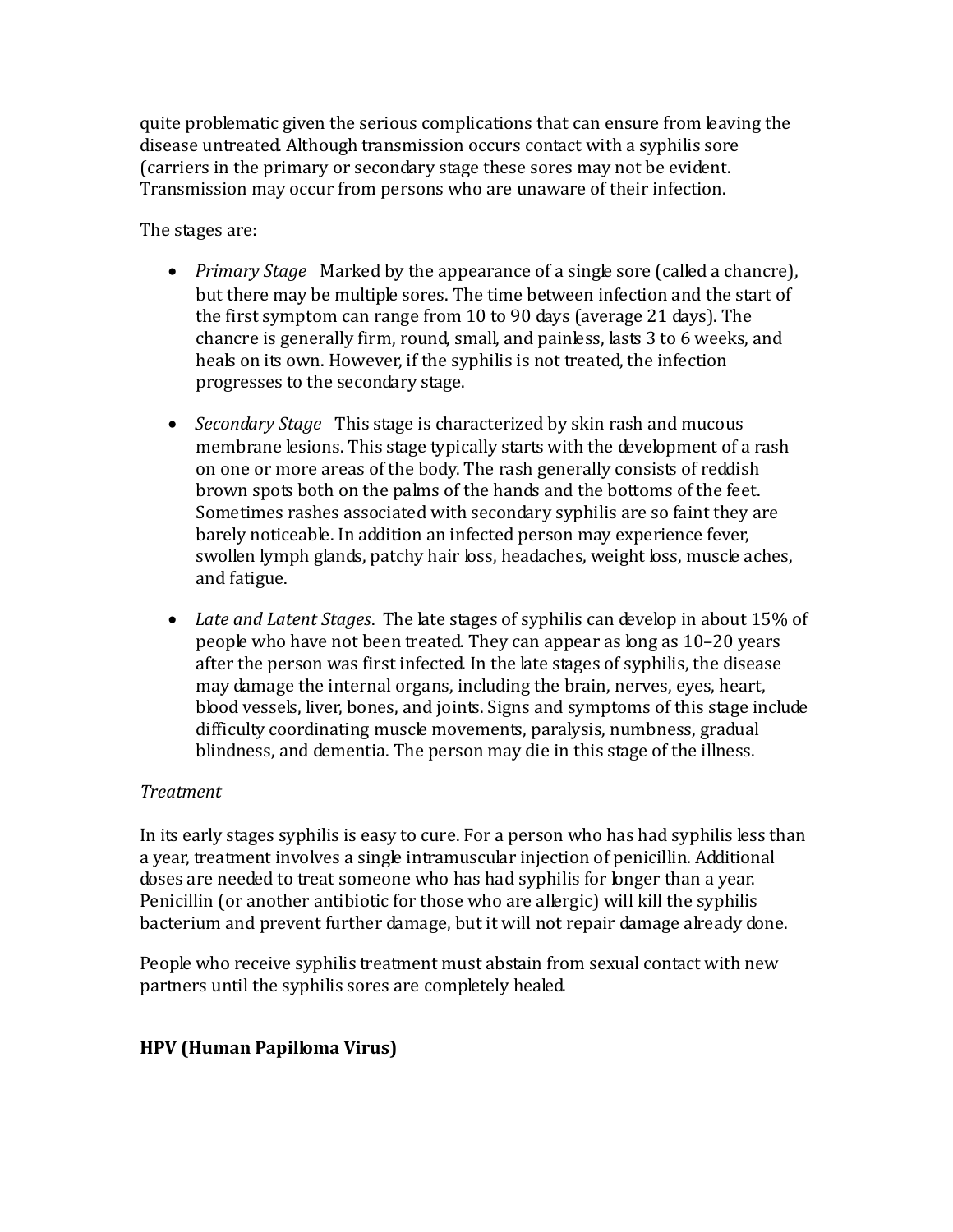quite problematic given the serious complications that can ensure from leaving the disease untreated. Although transmission occurs contact with a syphilis sore (carriers in the primary or secondary stage these sores may not be evident. Transmission may occur from persons who are unaware of their infection.

The stages are:

- *Primary Stage* Marked by the appearance of a single sore (called a chancre), but there may be multiple sores. The time between infection and the start of the first symptom can range from 10 to 90 days (average 21 days). The chancre is generally firm, round, small, and painless, lasts 3 to 6 weeks, and heals on its own. However, if the syphilis is not treated, the infection progresses to the secondary stage.
- *Secondary Stage* This stage is characterized by skin rash and mucous membrane lesions. This stage typically starts with the development of a rash on one or more areas of the body. The rash generally consists of reddish brown spots both on the palms of the hands and the bottoms of the feet. Sometimes rashes associated with secondary syphilis are so faint they are barely noticeable. In addition an infected person may experience fever, swollen lymph glands, patchy hair loss, headaches, weight loss, muscle aches, and fatigue.
- *Late and Latent Stages*. The late stages of syphilis can develop in about 15% of people who have not been treated. They can appear as long as 10–20 years after the person was first infected. In the late stages of syphilis, the disease may damage the internal organs, including the brain, nerves, eyes, heart, blood vessels, liver, bones, and joints. Signs and symptoms of this stage include difficulty coordinating muscle movements, paralysis, numbness, gradual blindness, and dementia. The person may die in this stage of the illness.

## *Treatment*

In its early stages syphilis is easy to cure. For a person who has had syphilis less than a year, treatment involves a single intramuscular injection of penicillin. Additional doses are needed to treat someone who has had syphilis for longer than a year. Penicillin (or another antibiotic for those who are allergic) will kill the syphilis bacterium and prevent further damage, but it will not repair damage already done.

People who receive syphilis treatment must abstain from sexual contact with new partners until the syphilis sores are completely healed.

## **HPV (Human Papilloma Virus)**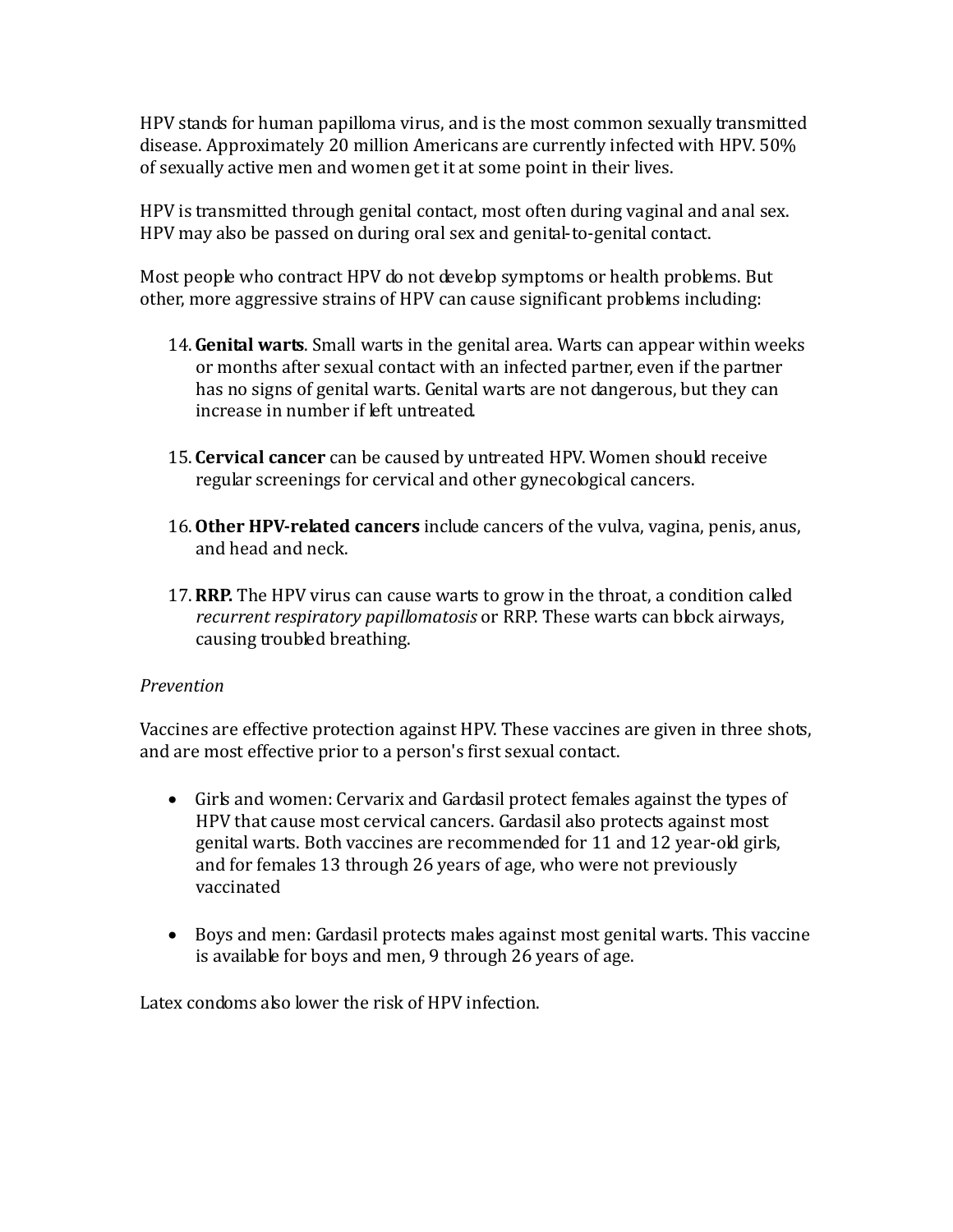HPV stands for human papilloma virus, and is the most common sexually transmitted disease. Approximately 20 million Americans are currently infected with HPV. 50% of sexually active men and women get it at some point in their lives.

HPV is transmitted through genital contact, most often during vaginal and anal sex. HPV may also be passed on during oral sex and genital-to-genital contact.

Most people who contract HPV do not develop symptoms or health problems. But other, more aggressive strains of HPV can cause significant problems including:

- 14.**Genital warts**. Small warts in the genital area. Warts can appear within weeks or months after sexual contact with an infected partner, even if the partner has no signs of genital warts. Genital warts are not dangerous, but they can increase in number if left untreated.
- 15. **Cervical cancer** can be caused by untreated HPV. Women should receive regular screenings for cervical and other gynecological cancers.
- 16.**Other HPV-related cancers** include cancers of the vulva, vagina, penis, anus, and head and neck.
- 17.**RRP.** The HPV virus can cause warts to grow in the throat, a condition called *recurrent respiratory papillomatosis* or RRP. These warts can block airways, causing troubled breathing.

## *Prevention*

Vaccines are effective protection against HPV. These vaccines are given in three shots, and are most effective prior to a person's first sexual contact.

- Girls and women: Cervarix and Gardasil protect females against the types of HPV that cause most cervical cancers. Gardasil also protects against most genital warts. Both vaccines are recommended for 11 and 12 year-old girls, and for females 13 through 26 years of age, who were not previously vaccinated
- Boys and men: Gardasil protects males against most genital warts. This vaccine is available for boys and men, 9 through 26 years of age.

Latex condoms also lower the risk of HPV infection.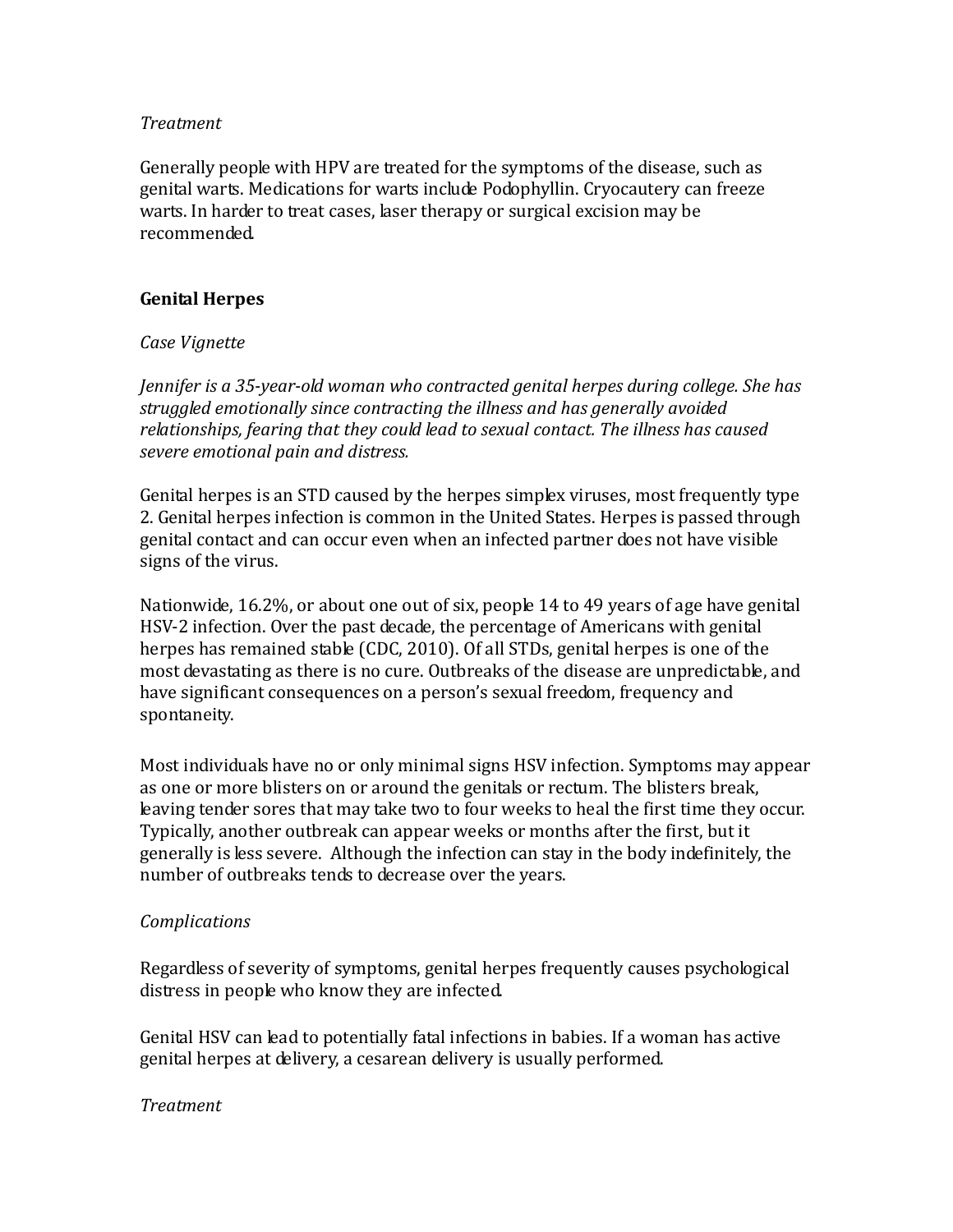#### *Treatment*

Generally people with HPV are treated for the symptoms of the disease, such as genital warts. Medications for warts include Podophyllin. Cryocautery can freeze warts. In harder to treat cases, laser therapy or surgical excision may be recommended.

## **Genital Herpes**

## *Case Vignette*

*Jennifer is a 35-year-old woman who contracted genital herpes during college. She has struggled emotionally since contracting the illness and has generally avoided relationships, fearing that they could lead to sexual contact. The illness has caused severe emotional pain and distress.*

Genital herpes is an STD caused by the herpes simplex viruses, most frequently type 2. Genital herpes infection is common in the United States. Herpes is passed through genital contact and can occur even when an infected partner does not have visible signs of the virus.

Nationwide, 16.2%, or about one out of six, people 14 to 49 years of age have genital HSV-2 infection. Over the past decade, the percentage of Americans with genital herpes has remained stable (CDC, 2010). Of all STDs, genital herpes is one of the most devastating as there is no cure. Outbreaks of the disease are unpredictable, and have significant consequences on a person's sexual freedom, frequency and spontaneity.

Most individuals have no or only minimal signs HSV infection. Symptoms may appear as one or more blisters on or around the genitals or rectum. The blisters break, leaving tender sores that may take two to four weeks to heal the first time they occur. Typically, another outbreak can appear weeks or months after the first, but it generally is less severe. Although the infection can stay in the body indefinitely, the number of outbreaks tends to decrease over the years.

## *Complications*

Regardless of severity of symptoms, genital herpes frequently causes psychological distress in people who know they are infected.

Genital HSV can lead to potentially fatal infections in babies. If a woman has active genital herpes at delivery, a cesarean delivery is usually performed.

## *Treatment*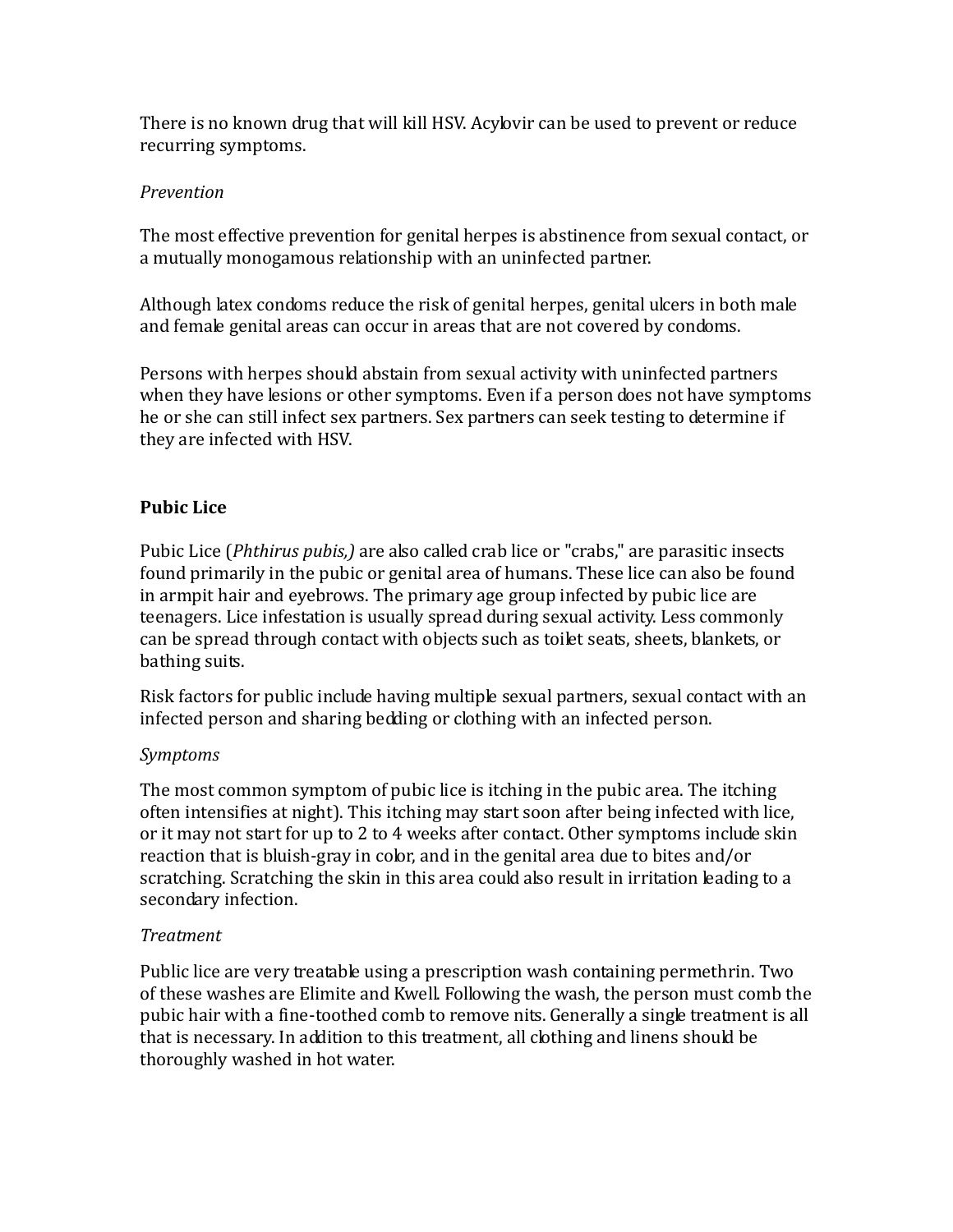There is no known drug that will kill HSV. Acylovir can be used to prevent or reduce recurring symptoms.

## *Prevention*

The most effective prevention for genital herpes is abstinence from sexual contact, or a mutually monogamous relationship with an uninfected partner.

Although latex condoms reduce the risk of genital herpes, genital ulcers in both male and female genital areas can occur in areas that are not covered by condoms.

Persons with herpes should abstain from sexual activity with uninfected partners when they have lesions or other symptoms. Even if a person does not have symptoms he or she can still infect sex partners. Sex partners can seek testing to determine if they are infected with HSV.

## **Pubic Lice**

Pubic Lice (*Phthirus pubis,)* are also called crab lice or "crabs," are parasitic insects found primarily in the pubic or genital area of humans. These lice can also be found in armpit hair and eyebrows. The primary age group infected by pubic lice are teenagers. Lice infestation is usually spread during sexual activity. Less commonly can be spread through contact with objects such as toilet seats, sheets, blankets, or bathing suits.

Risk factors for public include having multiple sexual partners, sexual contact with an infected person and sharing bedding or clothing with an infected person.

## *Symptoms*

The most common symptom of pubic lice is itching in the pubic area. The itching often intensifies at night). This itching may start soon after being infected with lice, or it may not start for up to 2 to 4 weeks after contact. Other symptoms include skin reaction that is bluish-gray in color, and in the genital area due to bites and/or scratching. Scratching the skin in this area could also result in irritation leading to a secondary infection.

## *Treatment*

Public lice are very treatable using a prescription wash containing permethrin. Two of these washes are Elimite and Kwell. Following the wash, the person must comb the pubic hair with a fine-toothed comb to remove nits. Generally a single treatment is all that is necessary. In addition to this treatment, all clothing and linens should be thoroughly washed in hot water.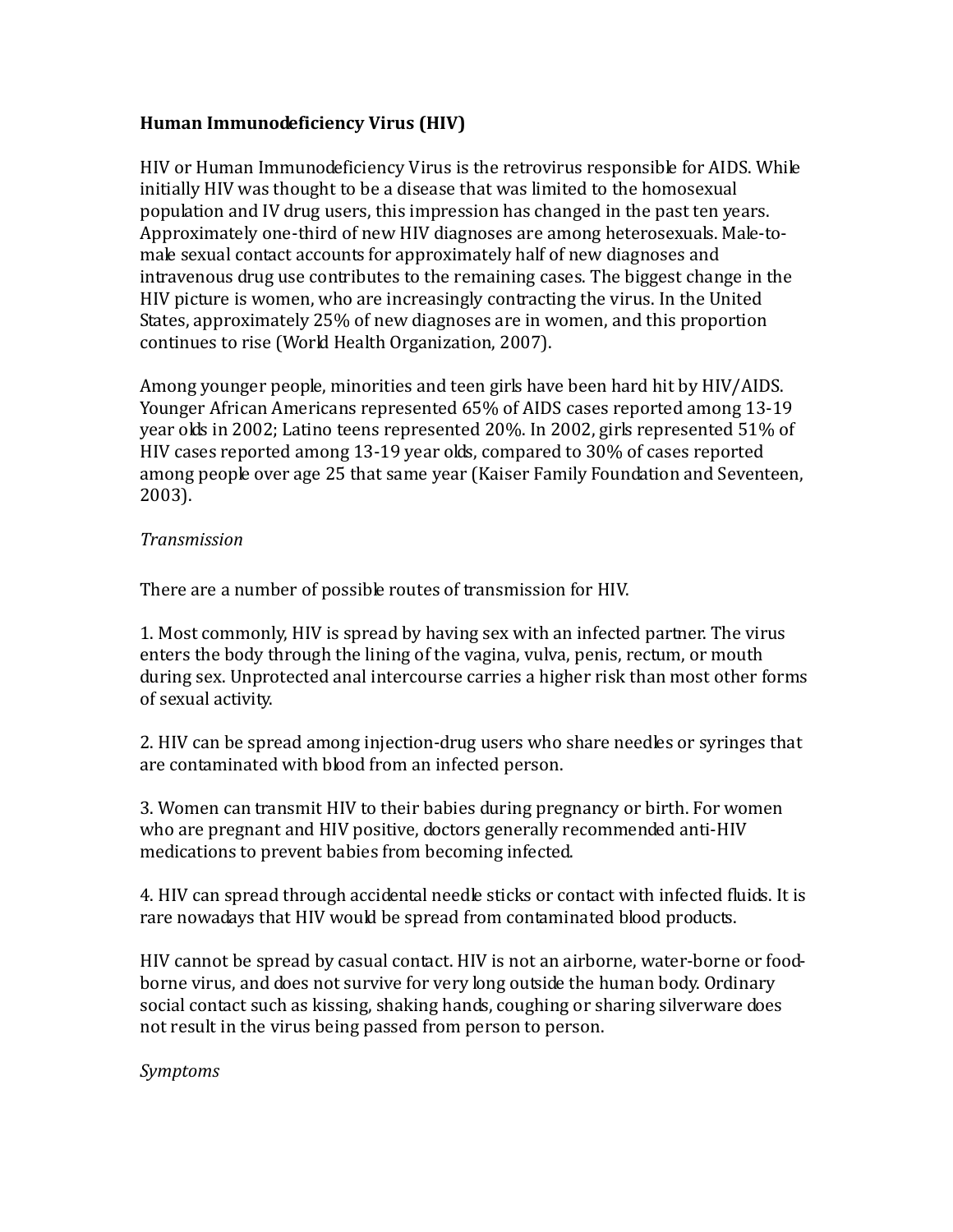## **Human Immunodeficiency Virus (HIV)**

HIV or Human Immunodeficiency Virus is the retrovirus responsible for AIDS. While initially HIV was thought to be a disease that was limited to the homosexual population and IV drug users, this impression has changed in the past ten years. Approximately one-third of new HIV diagnoses are among heterosexuals. Male-tomale sexual contact accounts for approximately half of new diagnoses and intravenous drug use contributes to the remaining cases. The biggest change in the HIV picture is women, who are increasingly contracting the virus. In the United States, approximately 25% of new diagnoses are in women, and this proportion continues to rise (World Health Organization, 2007).

Among younger people, minorities and teen girls have been hard hit by HIV/AIDS. Younger African Americans represented 65% of AIDS cases reported among 13-19 year olds in 2002; Latino teens represented 20%. In 2002, girls represented 51% of HIV cases reported among 13-19 year olds, compared to 30% of cases reported among people over age 25 that same year (Kaiser Family Foundation and Seventeen, 2003).

## *Transmission*

There are a number of possible routes of transmission for HIV.

1. Most commonly, HIV is spread by having sex with an infected partner. The virus enters the body through the lining of the vagina, vulva, penis, rectum, or mouth during sex. Unprotected anal intercourse carries a higher risk than most other forms of sexual activity.

2. HIV can be spread among injection-drug users who share needles or syringes that are contaminated with blood from an infected person.

3. Women can transmit HIV to their babies during pregnancy or birth. For women who are pregnant and HIV positive, doctors generally recommended anti-HIV medications to prevent babies from becoming infected.

4. HIV can spread through accidental needle sticks or contact with infected fluids. It is rare nowadays that HIV would be spread from contaminated blood products.

HIV cannot be spread by casual contact. HIV is not an airborne, water-borne or foodborne virus, and does not survive for very long outside the human body. Ordinary social contact such as kissing, shaking hands, coughing or sharing silverware does not result in the virus being passed from person to person.

*Symptoms*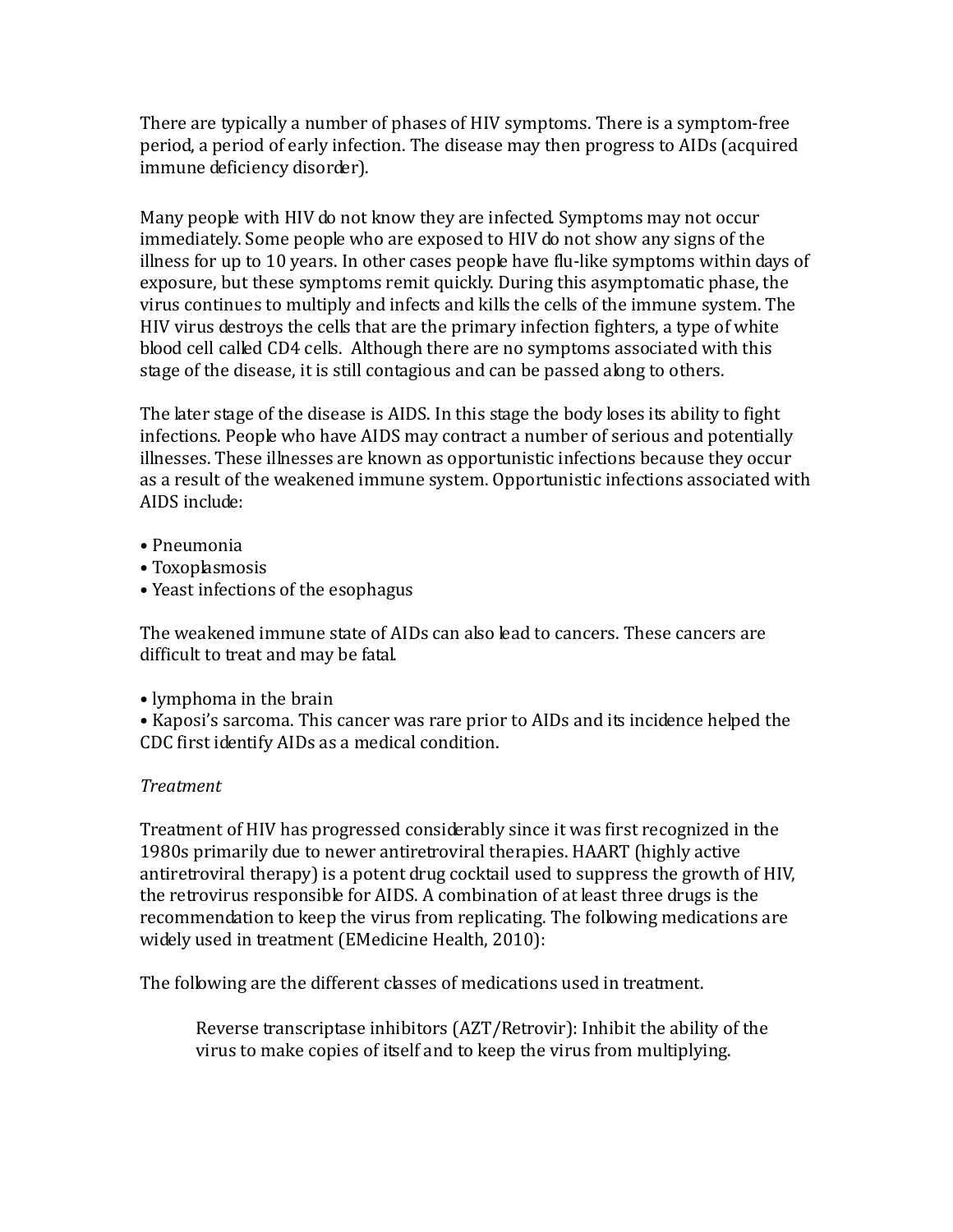There are typically a number of phases of HIV symptoms. There is a symptom-free period, a period of early infection. The disease may then progress to AIDs (acquired immune deficiency disorder).

Many people with HIV do not know they are infected. Symptoms may not occur immediately. Some people who are exposed to HIV do not show any signs of the illness for up to 10 years. In other cases people have flu-like symptoms within days of exposure, but these symptoms remit quickly. During this asymptomatic phase, the virus continues to multiply and infects and kills the cells of the immune system. The HIV virus destroys the cells that are the primary infection fighters, a type of white blood cell called CD4 cells.Although there are no symptoms associated with this stage of the disease, it is still contagious and can be passed along to others.

The later stage of the disease is AIDS. In this stage the body loses its ability to fight infections. People who have AIDS may contract a number of serious and potentially illnesses. These illnesses are known as opportunistic infections because they occur as a result of the weakened immune system. Opportunistic infections associated with AIDS include:

- Pneumonia
- Toxoplasmosis
- Yeast infections of the esophagus

The weakened immune state of AIDs can also lead to cancers. These cancers are difficult to treat and may be fatal.

• lymphoma in the brain

• Kaposi's sarcoma. This cancer was rare prior to AIDs and its incidence helped the CDC first identify AIDs as a medical condition.

## *Treatment*

Treatment of HIV has progressed considerably since it was first recognized in the 1980s primarily due to newer antiretroviral therapies. HAART (highly active antiretroviral therapy) is a potent drug cocktail used to suppress the growth of HIV, the retrovirus responsible for AIDS. A combination of at least three drugs is the recommendation to keep the virus from replicating. The following medications are widely used in treatment (EMedicine Health, 2010):

The following are the different classes of medications used in treatment.

Reverse transcriptase inhibitors (AZT/Retrovir): Inhibit the ability of the virus to make copies of itself and to keep the virus from multiplying.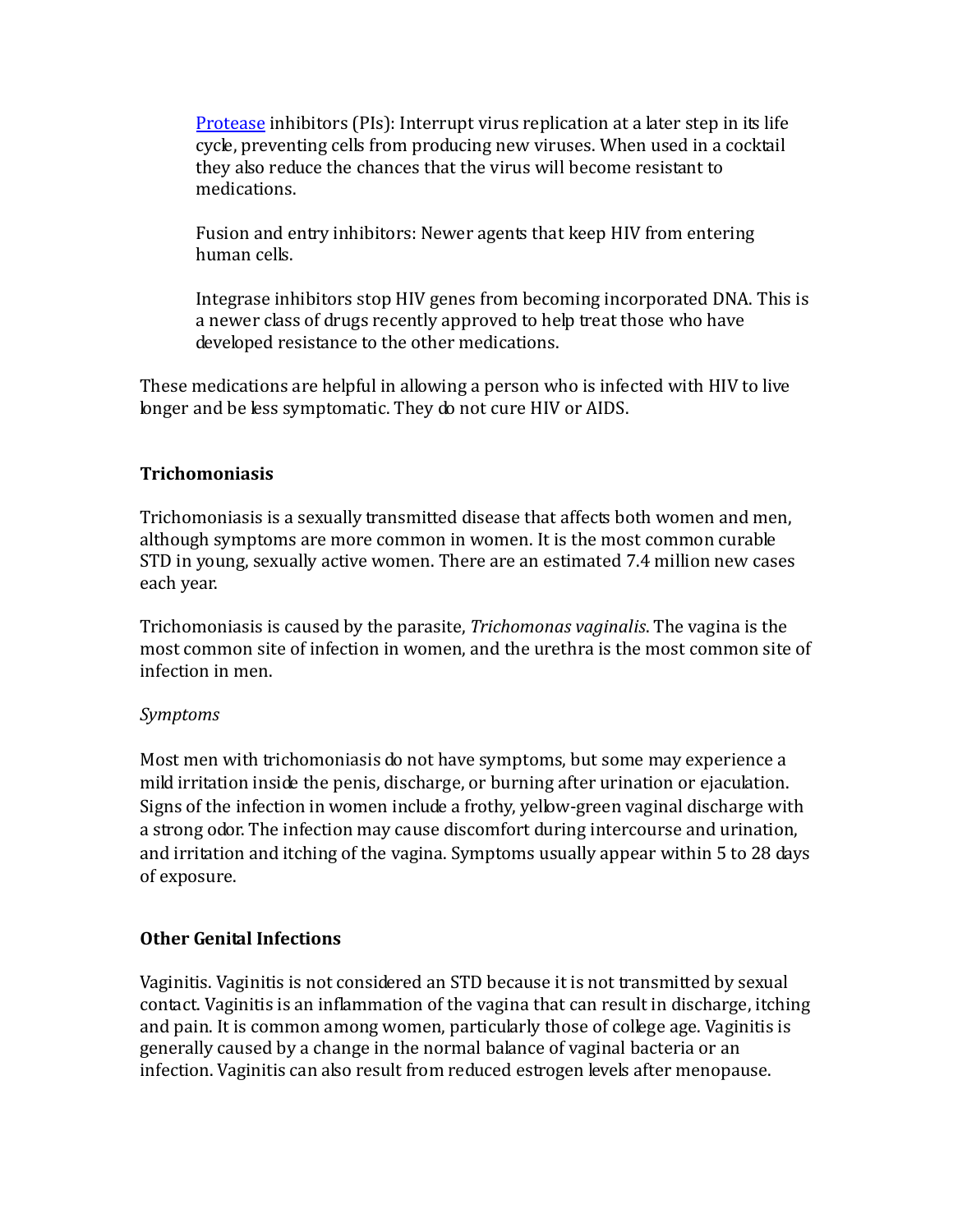[Protease](http://www.emedicinehealth.com/script/main/art.asp?articlekey=5079) inhibitors (PIs): Interrupt virus replication at a later step in its life cycle, preventing cells from producing new viruses. When used in a cocktail they also reduce the chances that the virus will become resistant to medications.

Fusion and entry inhibitors: Newer agents that keep HIV from entering human cells.

Integrase inhibitors stop HIV genes from becoming incorporated DNA. This is a newer class of drugs recently approved to help treat those who have developed resistance to the other medications.

These medications are helpful in allowing a person who is infected with HIV to live longer and be less symptomatic. They do not cure HIV or AIDS.

## **Trichomoniasis**

Trichomoniasis is a sexually transmitted disease that affects both women and men, although symptoms are more common in women. It is the most common curable STD in young, sexually active women. There are an estimated 7.4 million new cases each year.

Trichomoniasis is caused by the parasite, *Trichomonas vaginalis*. The vagina is the most common site of infection in women, and the urethra is the most common site of infection in men.

## *Symptoms*

Most men with trichomoniasis do not have symptoms, but some may experience a mild irritation inside the penis, discharge, or burning after urination or ejaculation. Signs of the infection in women include a frothy, yellow-green vaginal discharge with a strong odor. The infection may cause discomfort during intercourse and urination, and irritation and itching of the vagina. Symptoms usually appear within 5 to 28 days of exposure.

## **Other Genital Infections**

Vaginitis. Vaginitis is not considered an STD because it is not transmitted by sexual contact. Vaginitis is an inflammation of the vagina that can result in discharge, itching and pain. It is common among women, particularly those of college age. Vaginitis is generally caused by a change in the normal balance of vaginal bacteria or an infection. Vaginitis can also result from reduced estrogen levels after menopause.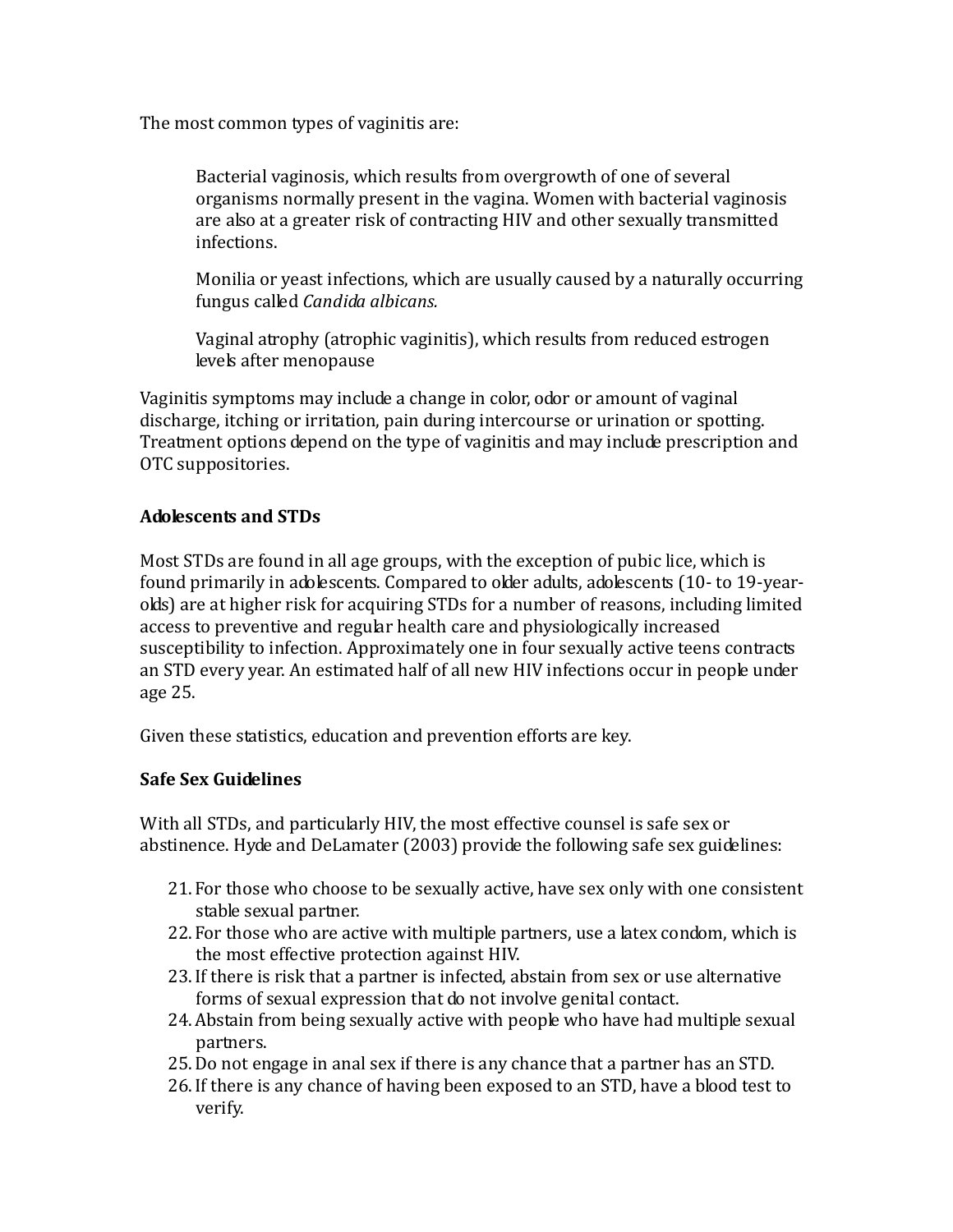The most common types of vaginitis are:

Bacterial vaginosis, which results from overgrowth of one of several organisms normally present in the vagina. Women with bacterial vaginosis are also at a greater risk of contracting HIV and other sexually transmitted infections.

Monilia or yeast infections, which are usually caused by a naturally occurring fungus called *Candida albicans.*

Vaginal atrophy (atrophic vaginitis), which results from reduced estrogen levels after menopause

Vaginitis symptoms may include a change in color, odor or amount of vaginal discharge, itching or irritation, pain during intercourse or urination or spotting. Treatment options depend on the type of vaginitis and may include prescription and OTC suppositories.

## **Adolescents and STDs**

Most STDs are found in all age groups, with the exception of pubic lice, which is found primarily in adolescents. Compared to older adults, adolescents (10- to 19-yearolds) are at higher risk for acquiring STDs for a number of reasons, including limited access to preventive and regular health care and physiologically increased susceptibility to infection. Approximately one in four sexually active teens contracts an STD every year. An estimated half of all new HIV infections occur in people under age 25.

Given these statistics, education and prevention efforts are key.

## **Safe Sex Guidelines**

With all STDs, and particularly HIV, the most effective counsel is safe sex or abstinence. Hyde and DeLamater (2003) provide the following safe sex guidelines:

- 21. For those who choose to be sexually active, have sex only with one consistent stable sexual partner.
- 22. For those who are active with multiple partners, use a latex condom, which is the most effective protection against HIV.
- 23.If there is risk that a partner is infected, abstain from sex or use alternative forms of sexual expression that do not involve genital contact.
- 24.Abstain from being sexually active with people who have had multiple sexual partners.
- 25.Do not engage in anal sex if there is any chance that a partner has an STD.
- 26.If there is any chance of having been exposed to an STD, have a blood test to verify.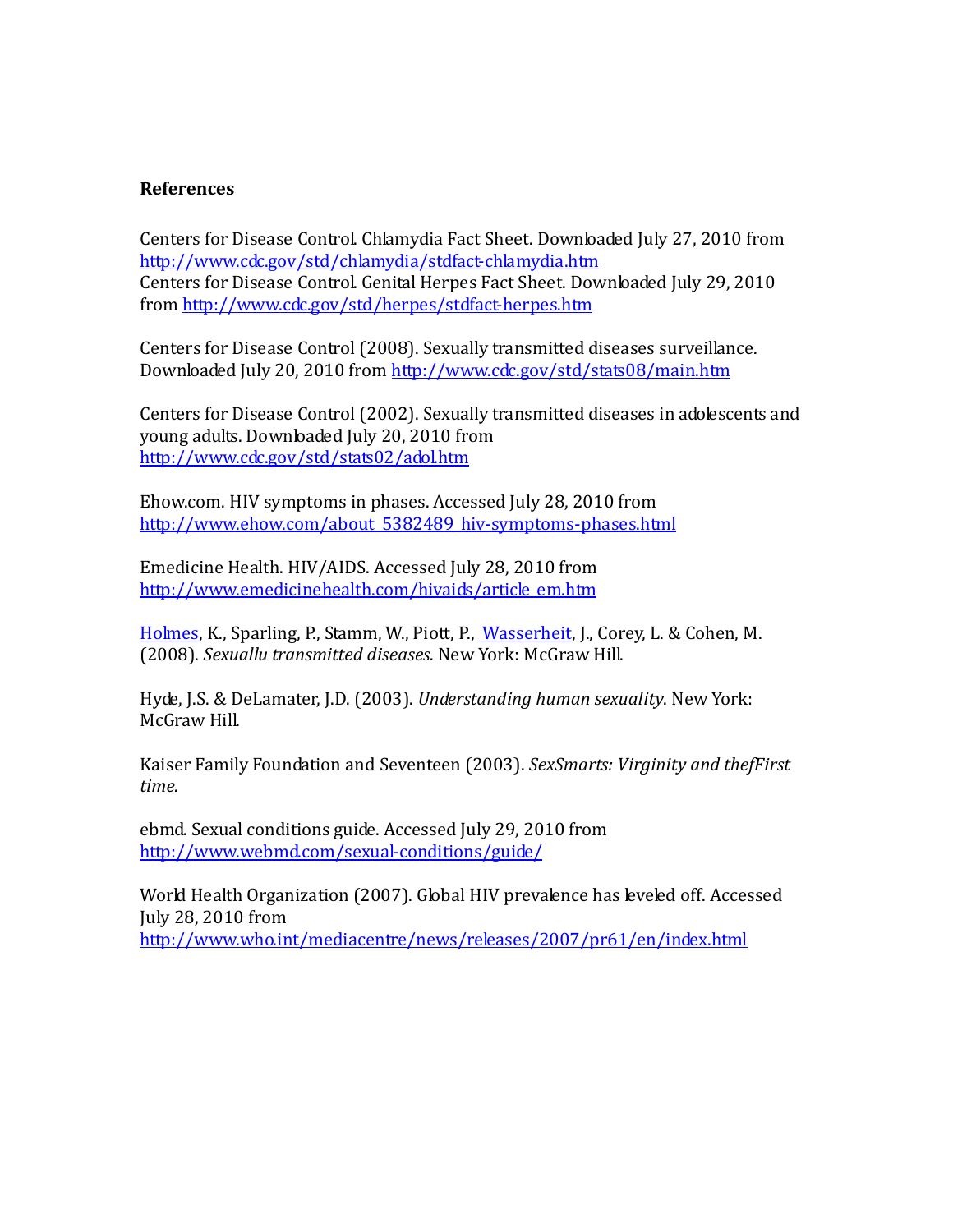#### **References**

Centers for Disease Control. Chlamydia Fact Sheet. Downloaded July 27, 2010 from <http://www.cdc.gov/std/chlamydia/stdfact-chlamydia.htm> Centers for Disease Control. Genital Herpes Fact Sheet. Downloaded July 29, 2010 from<http://www.cdc.gov/std/herpes/stdfact-herpes.htm>

Centers for Disease Control (2008). Sexually transmitted diseases surveillance. Downloaded July 20, 2010 from<http://www.cdc.gov/std/stats08/main.htm>

Centers for Disease Control (2002). Sexually transmitted diseases in adolescents and young adults. Downloaded July 20, 2010 from <http://www.cdc.gov/std/stats02/adol.htm>

Ehow.com. HIV symptoms in phases. Accessed July 28, 2010 from [http://www.ehow.com/about\\_5382489\\_hiv-symptoms-phases.html](http://www.ehow.com/about_5382489_hiv-symptoms-phases.html)

Emedicine Health. HIV/AIDS. Accessed July 28, 2010 from [http://www.emedicinehealth.com/hivaids/article\\_em.htm](http://www.emedicinehealth.com/hivaids/article_em.htm)

[Holmes,](http://www.amazon.com/s/ref=ntt_athr_dp_sr_1?_encoding=UTF8&sort=relevancerank&search-alias=books&field-author=King%20Holmes) K., Sparling, P., Stamm, W., Piott, P.[, Wasserheit,](http://www.amazon.com/s/ref=ntt_athr_dp_sr_5?_encoding=UTF8&sort=relevancerank&search-alias=books&field-author=Judith%20Wasserheit) J., Corey, L. & Cohen, M. (2008). *Sexuallu transmitted diseases.* New York: McGraw Hill.

Hyde, J.S. & DeLamater, J.D. (2003). *Understanding human sexuality*. New York: McGraw Hill.

Kaiser Family Foundation and Seventeen (2003). *SexSmarts: Virginity and thefFirst time.*

ebmd. Sexual conditions guide. Accessed July 29, 2010 from <http://www.webmd.com/sexual-conditions/guide/>

World Health Organization (2007). Global HIV prevalence has leveled off. Accessed July 28, 2010 from <http://www.who.int/mediacentre/news/releases/2007/pr61/en/index.html>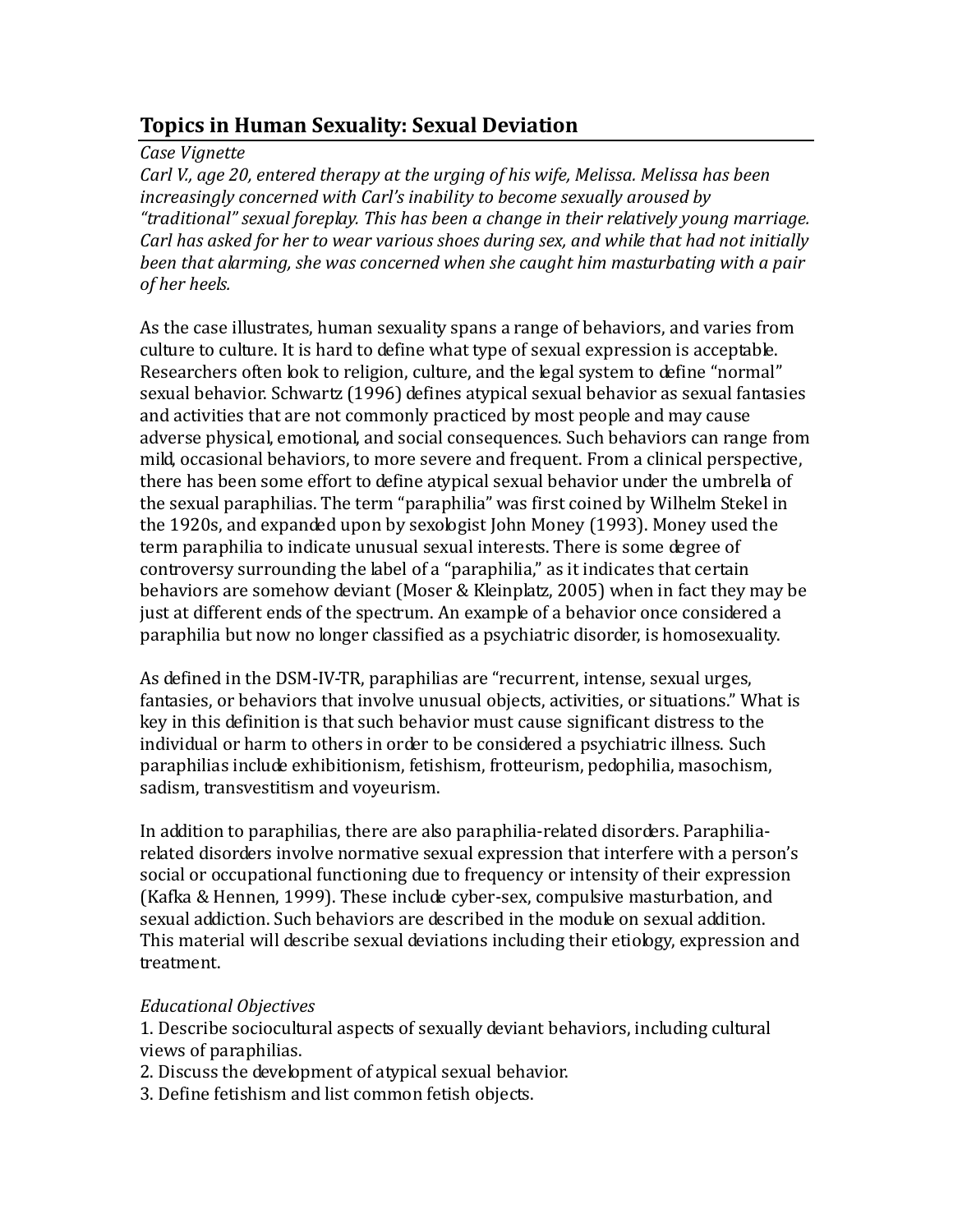# **Topics in Human Sexuality: Sexual Deviation**

## *Case Vignette*

*Carl V., age 20, entered therapy at the urging of his wife, Melissa. Melissa has been increasingly concerned with Carl's inability to become sexually aroused by "traditional" sexual foreplay. This has been a change in their relatively young marriage. Carl has asked for her to wear various shoes during sex, and while that had not initially been that alarming, she was concerned when she caught him masturbating with a pair of her heels.*

As the case illustrates, human sexuality spans a range of behaviors, and varies from culture to culture. It is hard to define what type of sexual expression is acceptable. Researchers often look to religion, culture, and the legal system to define "normal" sexual behavior. Schwartz (1996) defines atypical sexual behavior as sexual fantasies and activities that are not commonly practiced by most people and may cause adverse physical, emotional, and social consequences. Such behaviors can range from mild, occasional behaviors, to more severe and frequent. From a clinical perspective, there has been some effort to define atypical sexual behavior under the umbrella of the sexual paraphilias. The term "paraphilia" was first coined by Wilhelm Stekel in the 1920s, and expanded upon by sexologist John Money (1993). Money used the term paraphilia to indicate unusual sexual interests. There is some degree of controversy surrounding the label of a "paraphilia," as it indicates that certain behaviors are somehow deviant (Moser & Kleinplatz, 2005) when in fact they may be just at different ends of the spectrum. An example of a behavior once considered a paraphilia but now no longer classified as a psychiatric disorder, is homosexuality.

As defined in the DSM-IV-TR, paraphilias are "recurrent, intense, sexual urges, fantasies, or behaviors that involve unusual objects, activities, or situations." What is key in this definition is that such behavior must cause significant distress to the individual or harm to others in order to be considered a psychiatric illness. Such paraphilias include exhibitionism, fetishism, frotteurism, pedophilia, masochism, sadism, transvestitism and voyeurism.

In addition to paraphilias, there are also paraphilia-related disorders. Paraphiliarelated disorders involve normative sexual expression that interfere with a person's social or occupational functioning due to frequency or intensity of their expression (Kafka & Hennen, 1999). These include cyber-sex, compulsive masturbation, and sexual addiction. Such behaviors are described in the module on sexual addition. This material will describe sexual deviations including their etiology, expression and treatment.

## *Educational Objectives*

1. Describe sociocultural aspects of sexually deviant behaviors, including cultural views of paraphilias.

- 2. Discuss the development of atypical sexual behavior.
- 3. Define fetishism and list common fetish objects.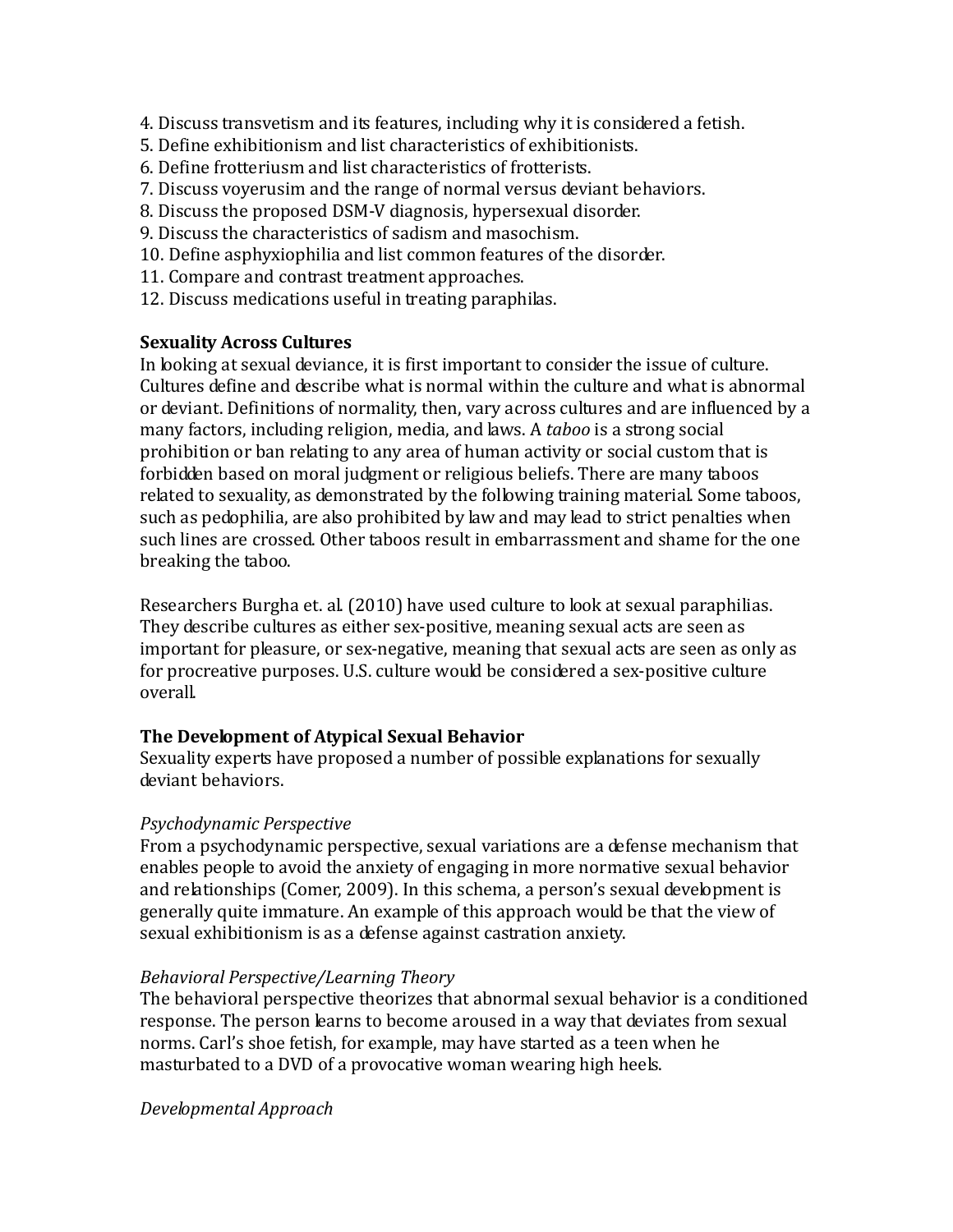- 4. Discuss transvetism and its features, including why it is considered a fetish.
- 5. Define exhibitionism and list characteristics of exhibitionists.
- 6. Define frotteriusm and list characteristics of frotterists.
- 7. Discuss voyerusim and the range of normal versus deviant behaviors.
- 8. Discuss the proposed DSM-V diagnosis, hypersexual disorder.
- 9. Discuss the characteristics of sadism and masochism.
- 10. Define asphyxiophilia and list common features of the disorder.
- 11. Compare and contrast treatment approaches.
- 12. Discuss medications useful in treating paraphilas.

## **Sexuality Across Cultures**

In looking at sexual deviance, it is first important to consider the issue of culture. Cultures define and describe what is normal within the culture and what is abnormal or deviant. Definitions of normality, then, vary across cultures and are influenced by a many factors, including religion, media, and laws. A *taboo* is a strong social prohibition or ban relating to any area of human activity or social custom that is forbidden based on moral judgment or religious beliefs. There are many taboos related to sexuality, as demonstrated by the following training material. Some taboos, such as pedophilia, are also prohibited by law and may lead to strict penalties when such lines are crossed. Other taboos result in embarrassment and shame for the one breaking the taboo.

Researchers Burgha et. al. (2010) have used culture to look at sexual paraphilias. They describe cultures as either sex-positive, meaning sexual acts are seen as important for pleasure, or sex-negative, meaning that sexual acts are seen as only as for procreative purposes. U.S. culture would be considered a sex-positive culture overall.

## **The Development of Atypical Sexual Behavior**

Sexuality experts have proposed a number of possible explanations for sexually deviant behaviors.

## *Psychodynamic Perspective*

From a psychodynamic perspective, sexual variations are a defense mechanism that enables people to avoid the anxiety of engaging in more normative sexual behavior and relationships (Comer, 2009). In this schema, a person's sexual development is generally quite immature. An example of this approach would be that the view of sexual exhibitionism is as a defense against castration anxiety.

## *Behavioral Perspective/Learning Theory*

The behavioral perspective theorizes that abnormal sexual behavior is a conditioned response. The person learns to become aroused in a way that deviates from sexual norms. Carl's shoe fetish, for example, may have started as a teen when he masturbated to a DVD of a provocative woman wearing high heels.

*Developmental Approach*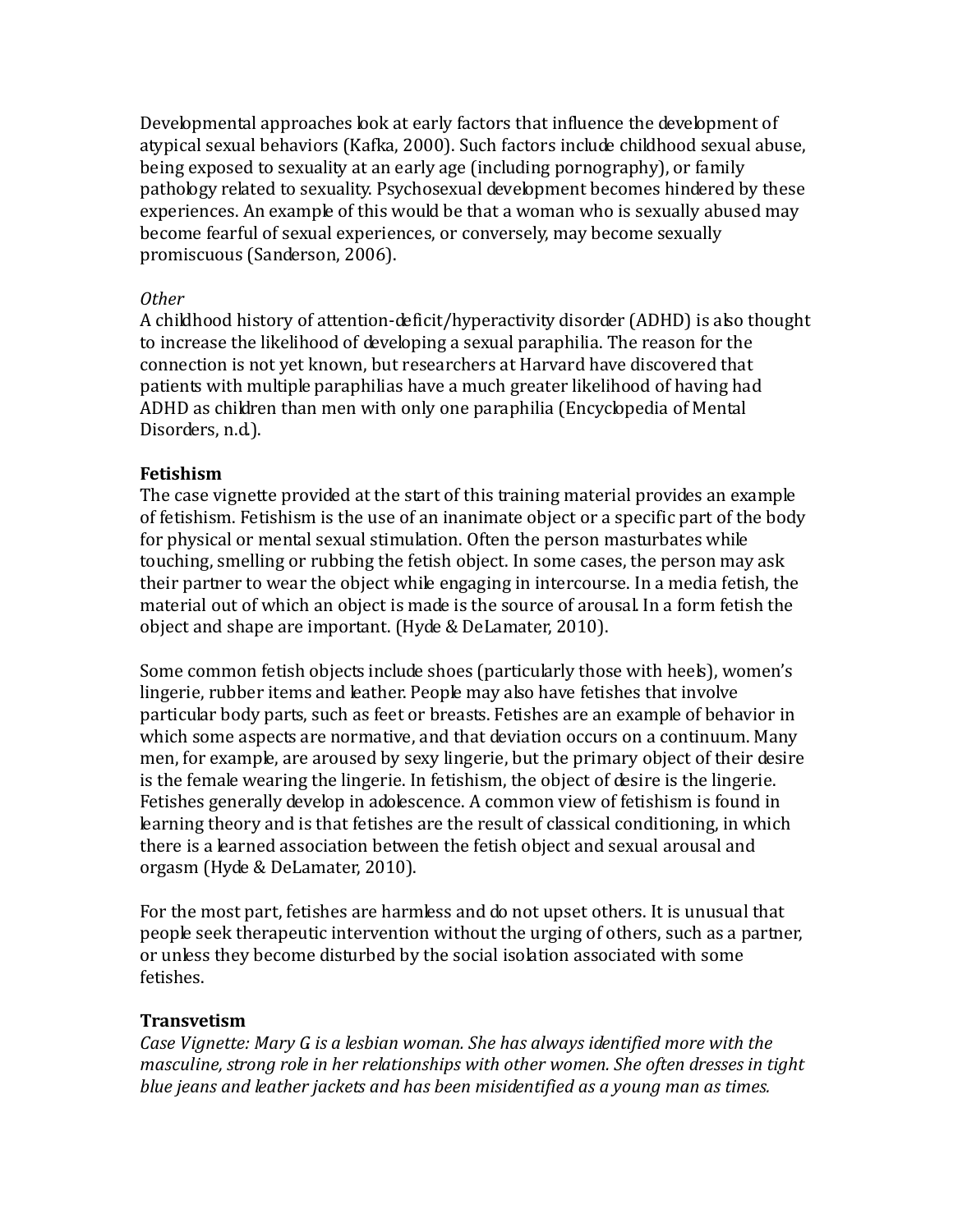Developmental approaches look at early factors that influence the development of atypical sexual behaviors (Kafka, 2000). Such factors include childhood sexual abuse, being exposed to sexuality at an early age (including pornography), or family pathology related to sexuality. Psychosexual development becomes hindered by these experiences. An example of this would be that a woman who is sexually abused may become fearful of sexual experiences, or conversely, may become sexually promiscuous (Sanderson, 2006).

#### *Other*

A childhood history of attention-deficit/hyperactivity disorder (ADHD) is also thought to increase the likelihood of developing a sexual paraphilia. The reason for the connection is not yet known, but researchers at Harvard have discovered that patients with multiple paraphilias have a much greater likelihood of having had ADHD as children than men with only one paraphilia (Encyclopedia of Mental Disorders, n.d.).

## **Fetishism**

The case vignette provided at the start of this training material provides an example of fetishism. Fetishism is the use of an inanimate object or a specific part of the body for physical or mental sexual stimulation. Often the person masturbates while touching, smelling or rubbing the fetish object. In some cases, the person may ask their partner to wear the object while engaging in intercourse. In a media fetish, the material out of which an object is made is the source of arousal. In a form fetish the object and shape are important. (Hyde & DeLamater, 2010).

Some common fetish objects include shoes (particularly those with heels), women's lingerie, rubber items and leather. People may also have fetishes that involve particular body parts, such as feet or breasts. Fetishes are an example of behavior in which some aspects are normative, and that deviation occurs on a continuum. Many men, for example, are aroused by sexy lingerie, but the primary object of their desire is the female wearing the lingerie. In fetishism, the object of desire is the lingerie. Fetishes generally develop in adolescence. A common view of fetishism is found in learning theory and is that fetishes are the result of classical conditioning, in which there is a learned association between the fetish object and sexual arousal and orgasm (Hyde & DeLamater, 2010).

For the most part, fetishes are harmless and do not upset others. It is unusual that people seek therapeutic intervention without the urging of others, such as a partner, or unless they become disturbed by the social isolation associated with some fetishes.

## **Transvetism**

*Case Vignette: Mary G. is a lesbian woman. She has always identified more with the masculine, strong role in her relationships with other women. She often dresses in tight blue jeans and leather jackets and has been misidentified as a young man as times.*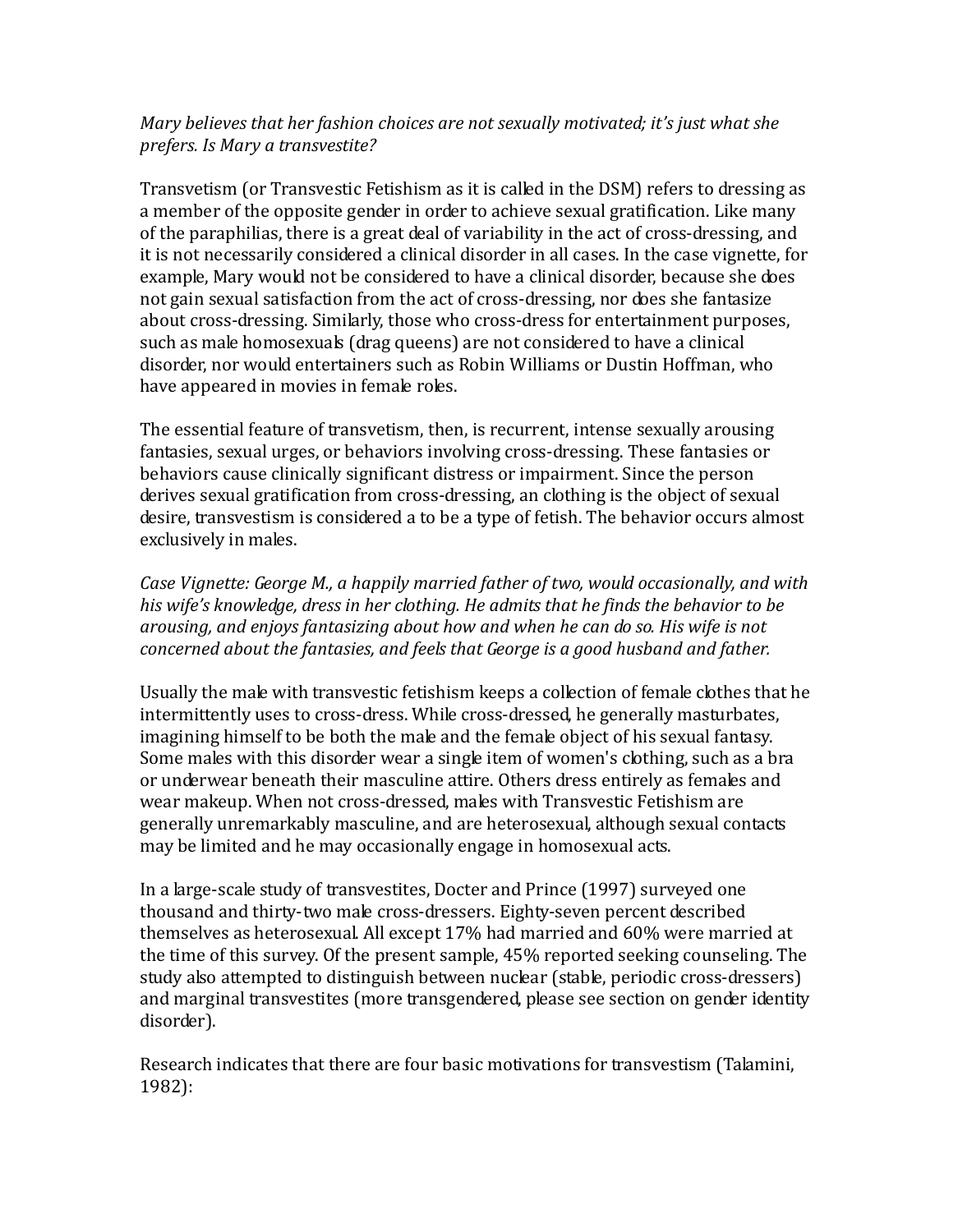## *Mary believes that her fashion choices are not sexually motivated; it's just what she prefers. Is Mary a transvestite?*

Transvetism (or Transvestic Fetishism as it is called in the DSM) refers to dressing as a member of the opposite gender in order to achieve sexual gratification. Like many of the paraphilias, there is a great deal of variability in the act of cross-dressing, and it is not necessarily considered a clinical disorder in all cases. In the case vignette, for example, Mary would not be considered to have a clinical disorder, because she does not gain sexual satisfaction from the act of cross-dressing, nor does she fantasize about cross-dressing. Similarly, those who cross-dress for entertainment purposes, such as male homosexuals (drag queens) are not considered to have a clinical disorder, nor would entertainers such as Robin Williams or Dustin Hoffman, who have appeared in movies in female roles.

The essential feature of transvetism, then, is recurrent, intense sexually arousing fantasies, sexual urges, or behaviors involving cross-dressing. These fantasies or behaviors cause clinically significant distress or impairment. Since the person derives sexual gratification from cross-dressing, an clothing is the object of sexual desire, transvestism is considered a to be a type of fetish. The behavior occurs almost exclusively in males.

*Case Vignette: George M., a happily married father of two, would occasionally, and with his wife's knowledge, dress in her clothing. He admits that he finds the behavior to be arousing, and enjoys fantasizing about how and when he can do so. His wife is not concerned about the fantasies, and feels that George is a good husband and father.*

Usually the male with transvestic fetishism keeps a collection of female clothes that he intermittently uses to cross-dress. While cross-dressed, he generally masturbates, imagining himself to be both the male and the female object of his sexual fantasy. Some males with this disorder wear a single item of women's clothing, such as a bra or underwear beneath their masculine attire. Others dress entirely as females and wear makeup. When not cross-dressed, males with Transvestic Fetishism are generally unremarkably masculine, and are heterosexual, although sexual contacts may be limited and he may occasionally engage in homosexual acts.

In a large-scale study of transvestites, Docter and Prince (1997) surveyed one thousand and thirty-two male cross-dressers. Eighty-seven percent described themselves as heterosexual. All except 17% had married and 60% were married at the time of this survey. Of the present sample, 45% reported seeking counseling. The study also attempted to distinguish between nuclear (stable, periodic cross-dressers) and marginal transvestites (more transgendered, please see section on gender identity disorder).

Research indicates that there are four basic motivations for transvestism (Talamini, 1982):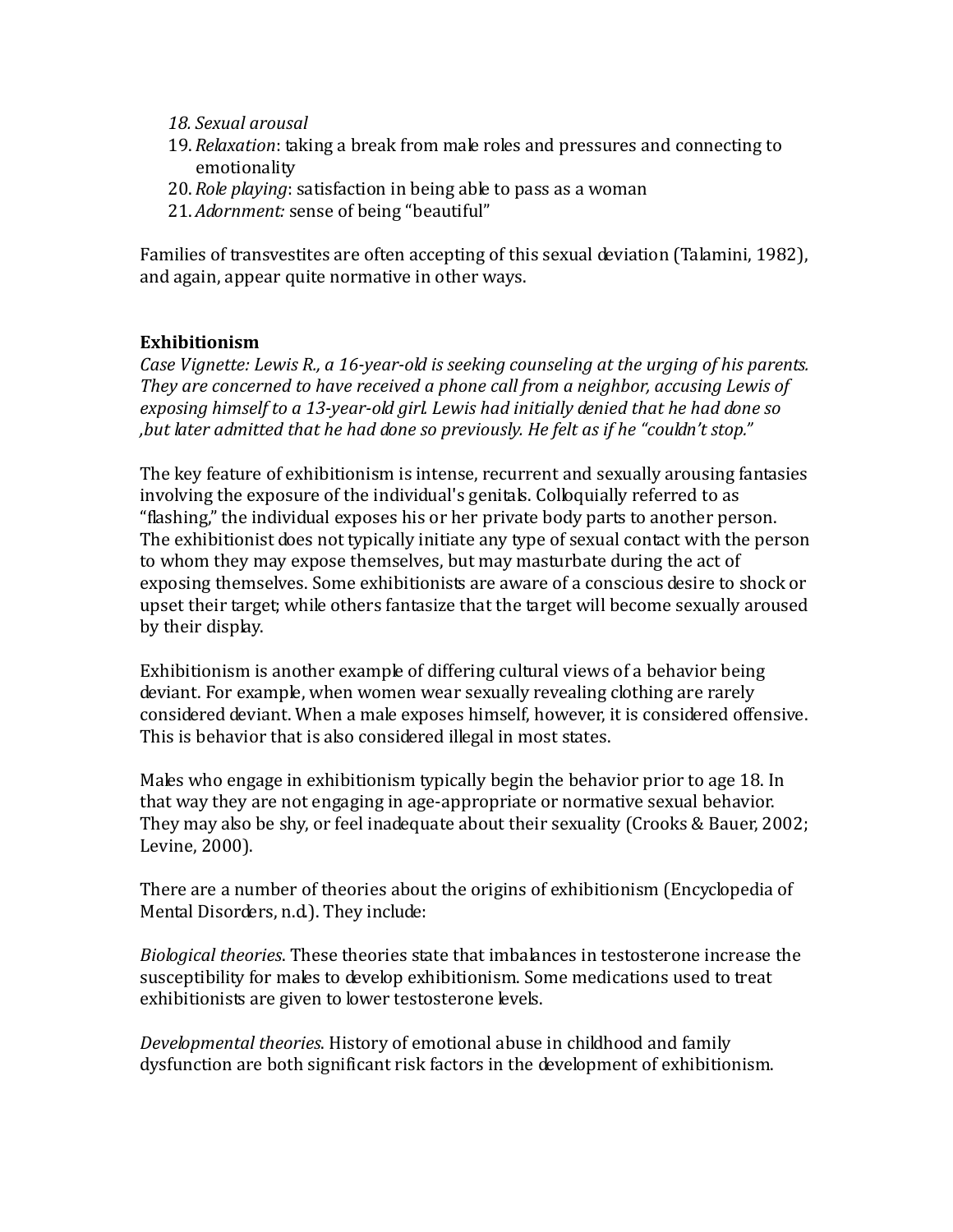- *18. Sexual arousal*
- 19.*Relaxation*: taking a break from male roles and pressures and connecting to emotionality
- 20.*Role playing*: satisfaction in being able to pass as a woman
- 21.*Adornment:* sense of being "beautiful"

Families of transvestites are often accepting of this sexual deviation (Talamini, 1982), and again, appear quite normative in other ways.

## **Exhibitionism**

*Case Vignette: Lewis R., a 16-year-old is seeking counseling at the urging of his parents. They are concerned to have received a phone call from a neighbor, accusing Lewis of exposing himself to a 13-year-old girl. Lewis had initially denied that he had done so ,but later admitted that he had done so previously. He felt as if he "couldn't stop."*

The key feature of exhibitionism is intense, recurrent and sexually arousing fantasies involving the exposure of the individual's genitals. Colloquially referred to as "flashing," the individual exposes his or her private body parts to another person. The exhibitionist does not typically initiate any type of sexual contact with the person to whom they may expose themselves, but may masturbate during the act of exposing themselves. Some exhibitionists are aware of a conscious desire to shock or upset their target; while others fantasize that the target will become sexually aroused by their display.

Exhibitionism is another example of differing cultural views of a behavior being deviant. For example, when women wear sexually revealing clothing are rarely considered deviant. When a male exposes himself, however, it is considered offensive. This is behavior that is also considered illegal in most states.

Males who engage in exhibitionism typically begin the behavior prior to age 18. In that way they are not engaging in age-appropriate or normative sexual behavior. They may also be shy, or feel inadequate about their sexuality (Crooks & Bauer, 2002; Levine, 2000).

There are a number of theories about the origins of exhibitionism (Encyclopedia of Mental Disorders, n.d.). They include:

*Biological theories*. These theories state that imbalances in testosterone increase the susceptibility for males to develop exhibitionism. Some medications used to treat exhibitionists are given to lower testosterone levels.

*Developmental theories*. History of emotional abuse in childhood and family dysfunction are both significant risk factors in the development of exhibitionism.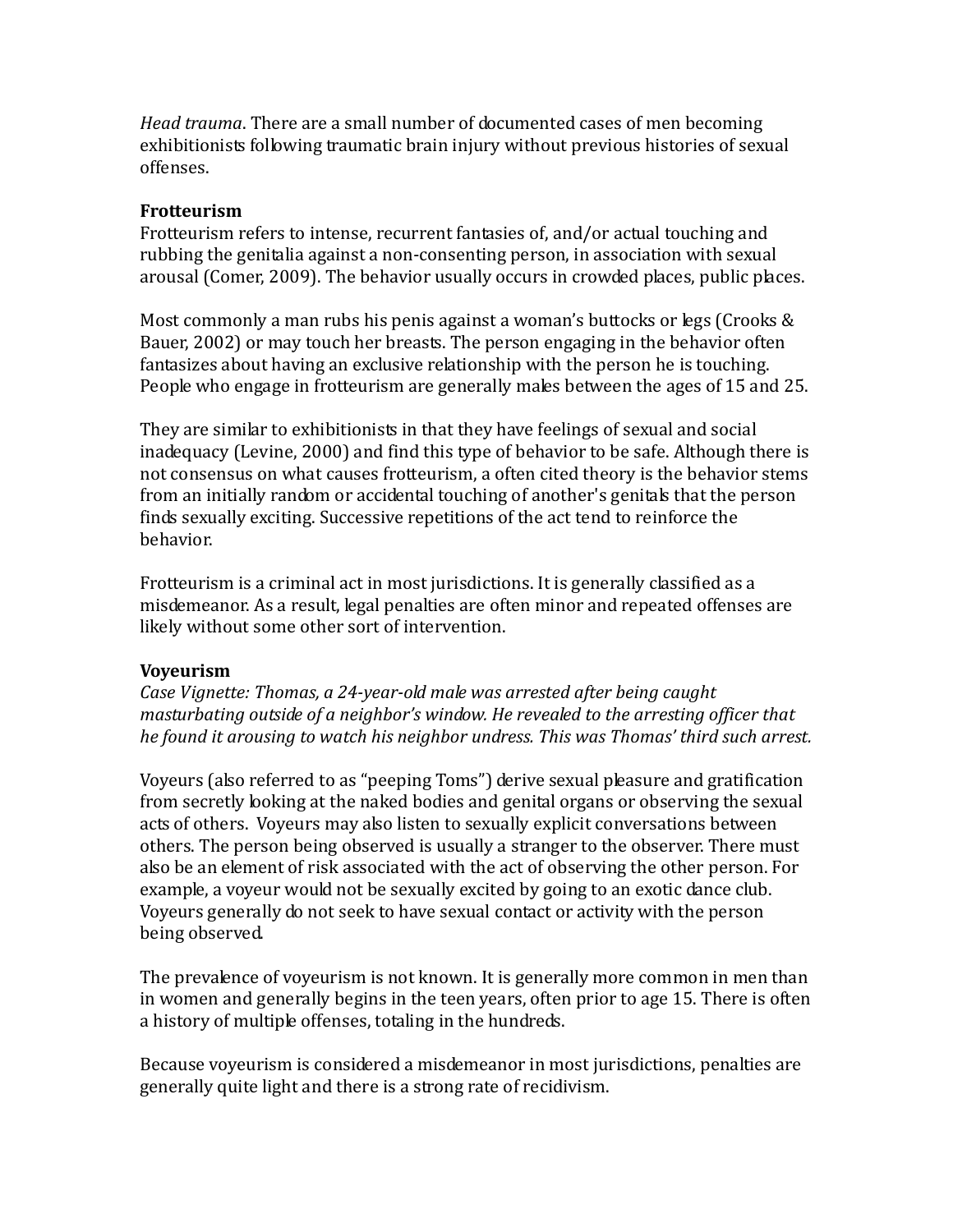*Head trauma*. There are a small number of documented cases of men becoming exhibitionists following traumatic brain injury without previous histories of sexual offenses.

#### **Frotteurism**

Frotteurism refers to intense, recurrent fantasies of, and/or actual touching and rubbing the genitalia against a non-consenting person, in association with sexual arousal (Comer, 2009). The behavior usually occurs in crowded places, public places.

Most commonly a man rubs his penis against a woman's buttocks or legs (Crooks & Bauer, 2002) or may touch her breasts. The person engaging in the behavior often fantasizes about having an exclusive relationship with the person he is touching. People who engage in frotteurism are generally males between the ages of 15 and 25.

They are similar to exhibitionists in that they have feelings of sexual and social inadequacy (Levine, 2000) and find this type of behavior to be safe. Although there is not consensus on what causes frotteurism, a often cited theory is the behavior stems from an initially random or accidental touching of another's genitals that the person finds sexually exciting. Successive repetitions of the act tend to reinforce the behavior.

Frotteurism is a criminal act in most jurisdictions. It is generally classified as a misdemeanor. As a result, legal penalties are often minor and repeated offenses are likely without some other sort of intervention.

## **Voyeurism**

*Case Vignette: Thomas, a 24-year-old male was arrested after being caught masturbating outside of a neighbor's window. He revealed to the arresting officer that he found it arousing to watch his neighbor undress. This was Thomas' third such arrest.* 

Voyeurs (also referred to as "peeping Toms") derive sexual pleasure and gratification from secretly looking at the naked bodies and genital organs or observing the sexual acts of others. Voyeurs may also listen to sexually explicit conversations between others. The person being observed is usually a stranger to the observer. There must also be an element of risk associated with the act of observing the other person. For example, a voyeur would not be sexually excited by going to an exotic dance club. Voyeurs generally do not seek to have sexual contact or activity with the person being observed.

The prevalence of voyeurism is not known. It is generally more common in men than in women and generally begins in the teen years, often prior to age 15. There is often a history of multiple offenses, totaling in the hundreds.

Because voyeurism is considered a misdemeanor in most jurisdictions, penalties are generally quite light and there is a strong rate of recidivism.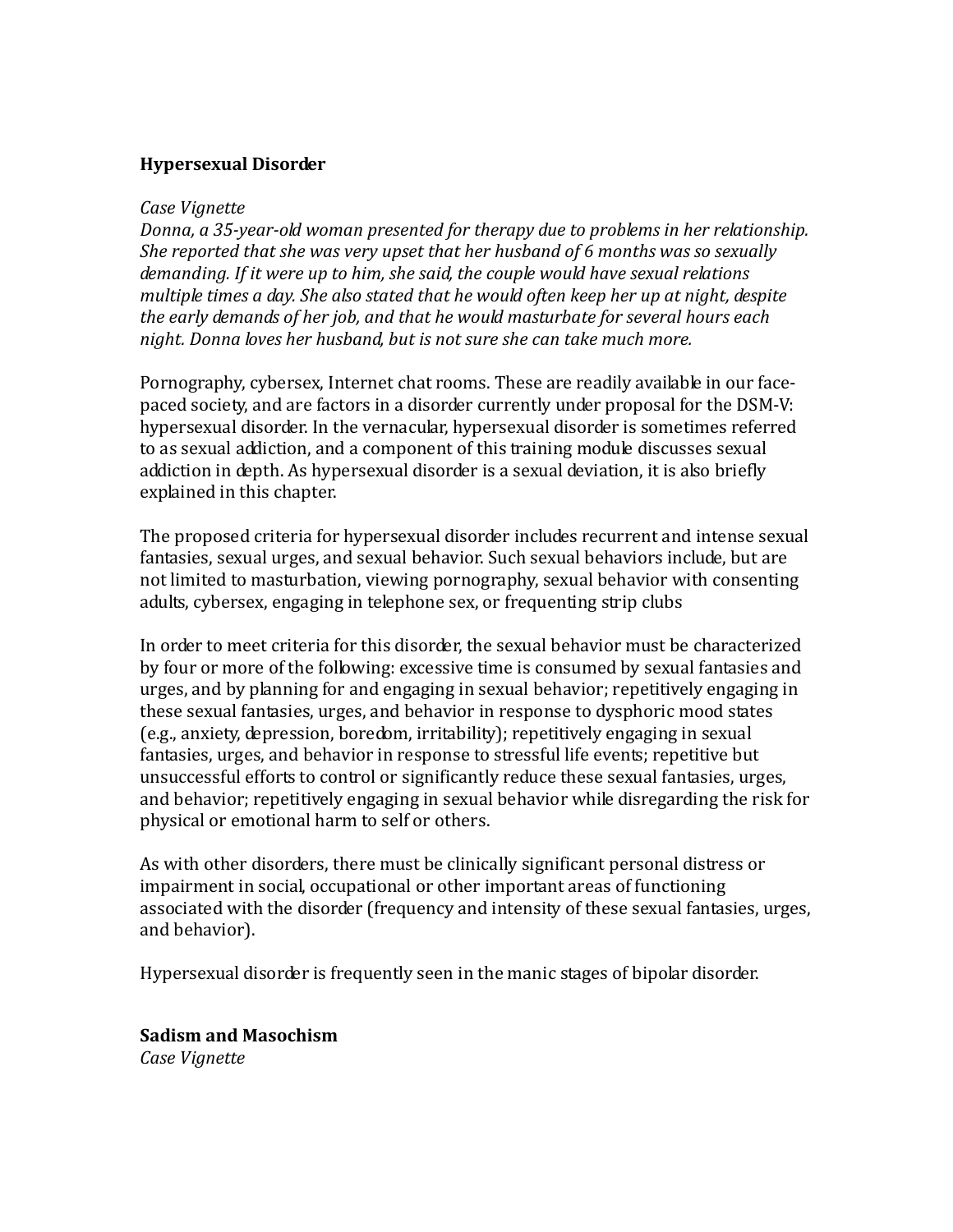#### **Hypersexual Disorder**

#### *Case Vignette*

*Donna, a 35-year-old woman presented for therapy due to problems in her relationship. She reported that she was very upset that her husband of 6 months was so sexually demanding. If it were up to him, she said, the couple would have sexual relations multiple times a day. She also stated that he would often keep her up at night, despite the early demands of her job, and that he would masturbate for several hours each night. Donna loves her husband, but is not sure she can take much more.*

Pornography, cybersex, Internet chat rooms. These are readily available in our facepaced society, and are factors in a disorder currently under proposal for the DSM-V: hypersexual disorder. In the vernacular, hypersexual disorder is sometimes referred to as sexual addiction, and a component of this training module discusses sexual addiction in depth. As hypersexual disorder is a sexual deviation, it is also briefly explained in this chapter.

The proposed criteria for hypersexual disorder includes recurrent and intense sexual fantasies, sexual urges, and sexual behavior. Such sexual behaviors include, but are not limited to masturbation, viewing pornography, sexual behavior with consenting adults, cybersex, engaging in telephone sex, or frequenting strip clubs

In order to meet criteria for this disorder, the sexual behavior must be characterized by four or more of the following: excessive time is consumed by sexual fantasies and urges, and by planning for and engaging in sexual behavior; repetitively engaging in these sexual fantasies, urges, and behavior in response to dysphoric mood states (e.g., anxiety, depression, boredom, irritability); repetitively engaging in sexual fantasies, urges, and behavior in response to stressful life events; repetitive but unsuccessful efforts to control or significantly reduce these sexual fantasies, urges, and behavior; repetitively engaging in sexual behavior while disregarding the risk for physical or emotional harm to self or others.

As with other disorders, there must be clinically significant personal distress or impairment in social, occupational or other important areas of functioning associated with the disorder (frequency and intensity of these sexual fantasies, urges, and behavior).

Hypersexual disorder is frequently seen in the manic stages of bipolar disorder.

## **Sadism and Masochism**

*Case Vignette*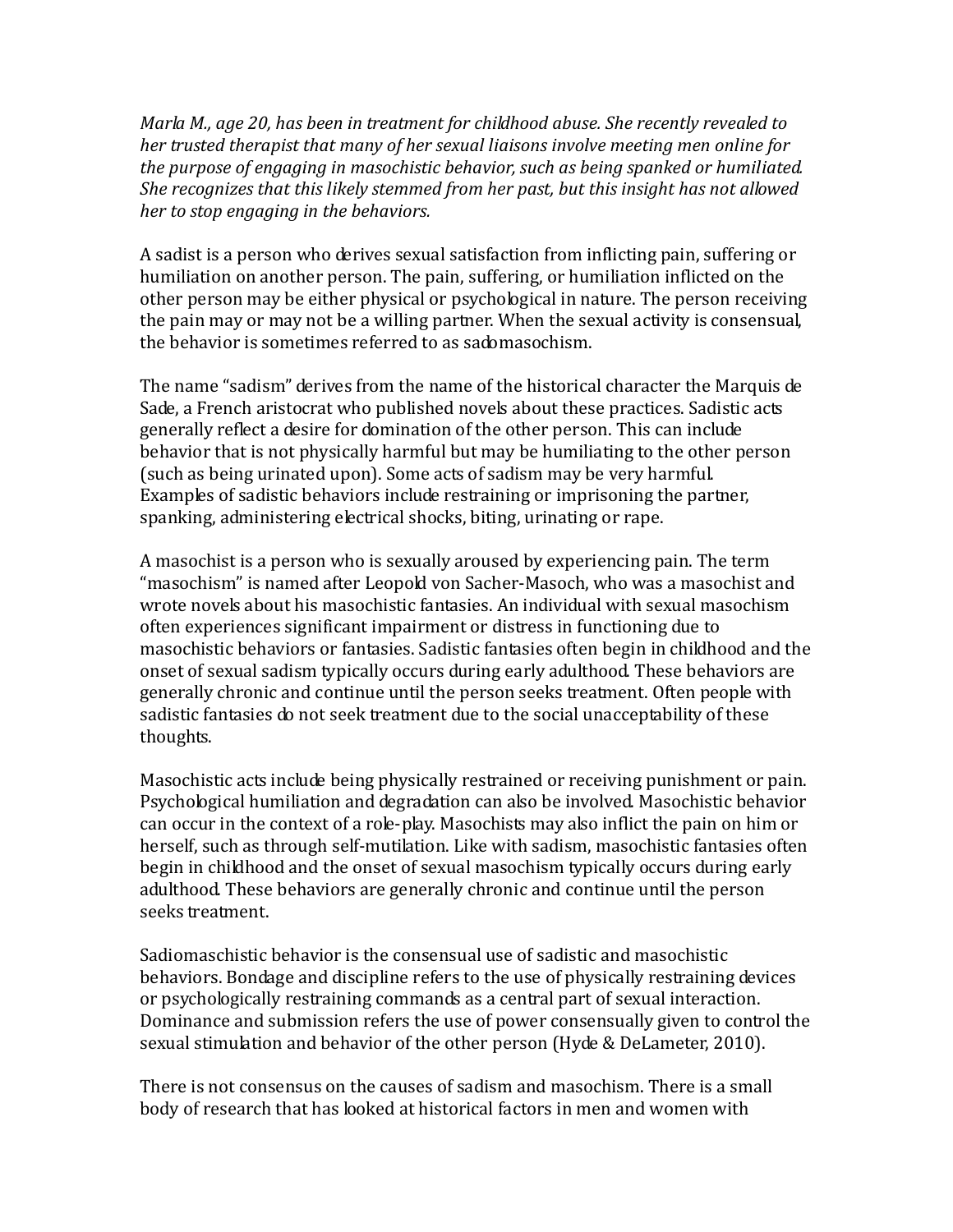*Marla M., age 20, has been in treatment for childhood abuse. She recently revealed to her trusted therapist that many of her sexual liaisons involve meeting men online for the purpose of engaging in masochistic behavior, such as being spanked or humiliated. She recognizes that this likely stemmed from her past, but this insight has not allowed her to stop engaging in the behaviors.*

A sadist is a person who derives sexual satisfaction from inflicting pain, suffering or humiliation on another person. The pain, suffering, or humiliation inflicted on the other person may be either physical or psychological in nature. The person receiving the pain may or may not be a willing partner. When the sexual activity is consensual, the behavior is sometimes referred to as sadomasochism.

The name "sadism" derives from the name of the historical character the Marquis de Sade, a French aristocrat who published novels about these practices. Sadistic acts generally reflect a desire for domination of the other person. This can include behavior that is not physically harmful but may be humiliating to the other person (such as being urinated upon). Some acts of sadism may be very harmful. Examples of sadistic behaviors include restraining or imprisoning the partner, spanking, administering electrical shocks, biting, urinating or rape.

A masochist is a person who is sexually aroused by experiencing pain. The term "masochism" is named after Leopold von Sacher-Masoch, who was a masochist and wrote novels about his masochistic fantasies. An individual with sexual masochism often experiences significant impairment or distress in functioning due to masochistic behaviors or fantasies. Sadistic fantasies often begin in childhood and the onset of sexual sadism typically occurs during early adulthood. These behaviors are generally chronic and continue until the person seeks treatment. Often people with sadistic fantasies do not seek treatment due to the social unacceptability of these thoughts.

Masochistic acts include being physically restrained or receiving punishment or pain. Psychological humiliation and degradation can also be involved. Masochistic behavior can occur in the context of a role-play. Masochists may also inflict the pain on him or herself, such as through self-mutilation. Like with sadism, masochistic fantasies often begin in childhood and the onset of sexual masochism typically occurs during early adulthood. These behaviors are generally chronic and continue until the person seeks treatment.

Sadiomaschistic behavior is the consensual use of sadistic and masochistic behaviors. Bondage and discipline refers to the use of physically restraining devices or psychologically restraining commands as a central part of sexual interaction. Dominance and submission refers the use of power consensually given to control the sexual stimulation and behavior of the other person (Hyde & DeLameter, 2010).

There is not consensus on the causes of sadism and masochism. There is a small body of research that has looked at historical factors in men and women with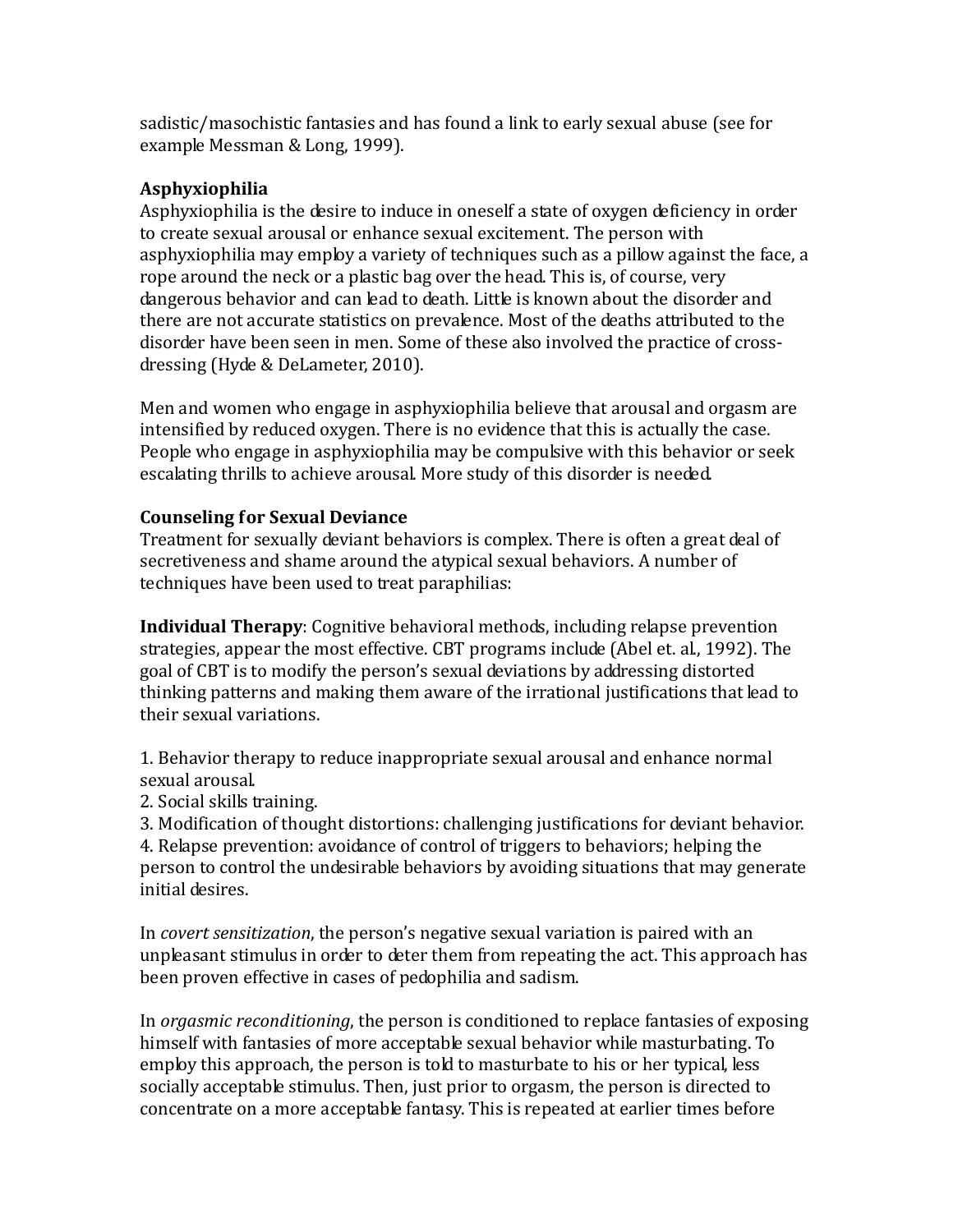sadistic/masochistic fantasies and has found a link to early sexual abuse (see for example Messman & Long, 1999).

## **Asphyxiophilia**

Asphyxiophilia is the desire to induce in oneself a state of oxygen deficiency in order to create sexual arousal or enhance sexual excitement. The person with asphyxiophilia may employ a variety of techniques such as a pillow against the face, a rope around the neck or a plastic bag over the head. This is, of course, very dangerous behavior and can lead to death. Little is known about the disorder and there are not accurate statistics on prevalence. Most of the deaths attributed to the disorder have been seen in men. Some of these also involved the practice of crossdressing (Hyde & DeLameter, 2010).

Men and women who engage in asphyxiophilia believe that arousal and orgasm are intensified by reduced oxygen. There is no evidence that this is actually the case. People who engage in asphyxiophilia may be compulsive with this behavior or seek escalating thrills to achieve arousal. More study of this disorder is needed.

## **Counseling for Sexual Deviance**

Treatment for sexually deviant behaviors is complex. There is often a great deal of secretiveness and shame around the atypical sexual behaviors. A number of techniques have been used to treat paraphilias:

**Individual Therapy**: Cognitive behavioral methods, including relapse prevention strategies, appear the most effective. CBT programs include (Abel et. al., 1992). The goal of CBT is to modify the person's sexual deviations by addressing distorted thinking patterns and making them aware of the irrational justifications that lead to their sexual variations.

1. Behavior therapy to reduce inappropriate sexual arousal and enhance normal sexual arousal.

2. Social skills training.

3. Modification of thought distortions: challenging justifications for deviant behavior. 4. Relapse prevention: avoidance of control of triggers to behaviors; helping the person to control the undesirable behaviors by avoiding situations that may generate initial desires.

In *covert sensitization*, the person's negative sexual variation is paired with an unpleasant stimulus in order to deter them from repeating the act. This approach has been proven effective in cases of pedophilia and sadism.

In *orgasmic reconditioning*, the person is conditioned to replace fantasies of exposing himself with fantasies of more acceptable sexual behavior while masturbating. To employ this approach, the person is told to masturbate to his or her typical, less socially acceptable stimulus. Then, just prior to orgasm, the person is directed to concentrate on a more acceptable fantasy. This is repeated at earlier times before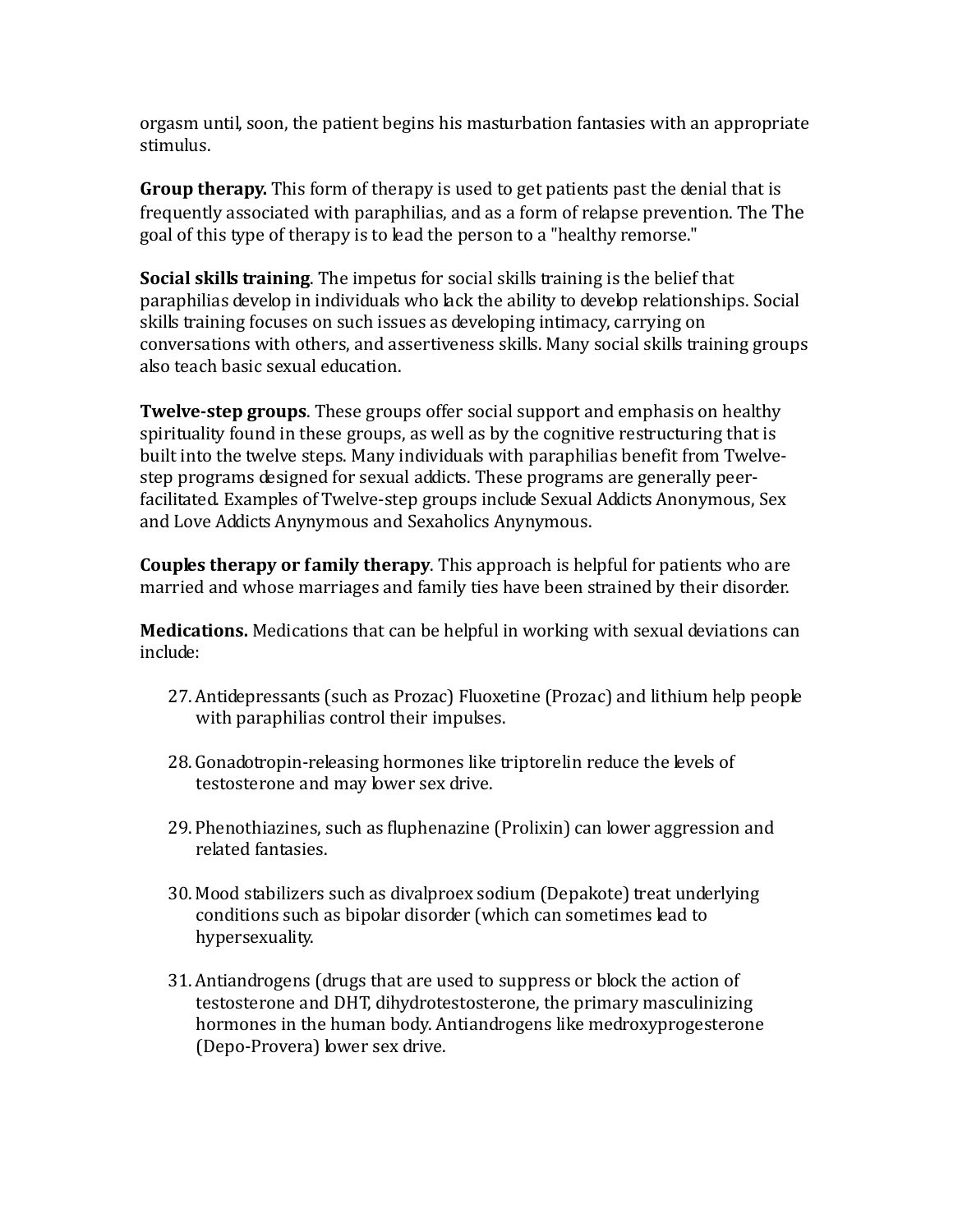orgasm until, soon, the patient begins his masturbation fantasies with an appropriate stimulus.

**Group therapy.** This form of therapy is used to get patients past the denial that is frequently associated with paraphilias, and as a form of relapse prevention. The The goal of this type of therapy is to lead the person to a "healthy remorse."

**Social skills training**. The impetus for social skills training is the belief that paraphilias develop in individuals who lack the ability to develop relationships. Social skills training focuses on such issues as developing intimacy, carrying on conversations with others, and assertiveness skills. Many social skills training groups also teach basic sexual education.

**Twelve-step groups**. These groups offer social support and emphasis on healthy spirituality found in these groups, as well as by the cognitive restructuring that is built into the twelve steps. Many individuals with paraphilias benefit from Twelvestep programs designed for sexual addicts. These programs are generally peerfacilitated. Examples of Twelve-step groups include Sexual Addicts Anonymous, Sex and Love Addicts Anynymous and Sexaholics Anynymous.

**Couples therapy or family therapy**. This approach is helpful for patients who are married and whose marriages and family ties have been strained by their disorder.

**Medications.** Medications that can be helpful in working with sexual deviations can include:

- 27.Antidepressants (such as Prozac) Fluoxetine (Prozac) and lithium help people with paraphilias control their impulses.
- 28.Gonadotropin-releasing hormones like triptorelin reduce the levels of testosterone and may lower sex drive.
- 29. Phenothiazines, such as fluphenazine (Prolixin) can lower aggression and related fantasies.
- 30. Mood stabilizers such as divalproex sodium (Depakote) treat underlying conditions such as bipolar disorder (which can sometimes lead to hypersexuality.
- 31.Antiandrogens (drugs that are used to suppress or block the action of testosterone and DHT, dihydrotestosterone, the primary masculinizing hormones in the human body. Antiandrogens like medroxyprogesterone (Depo-Provera) lower sex drive.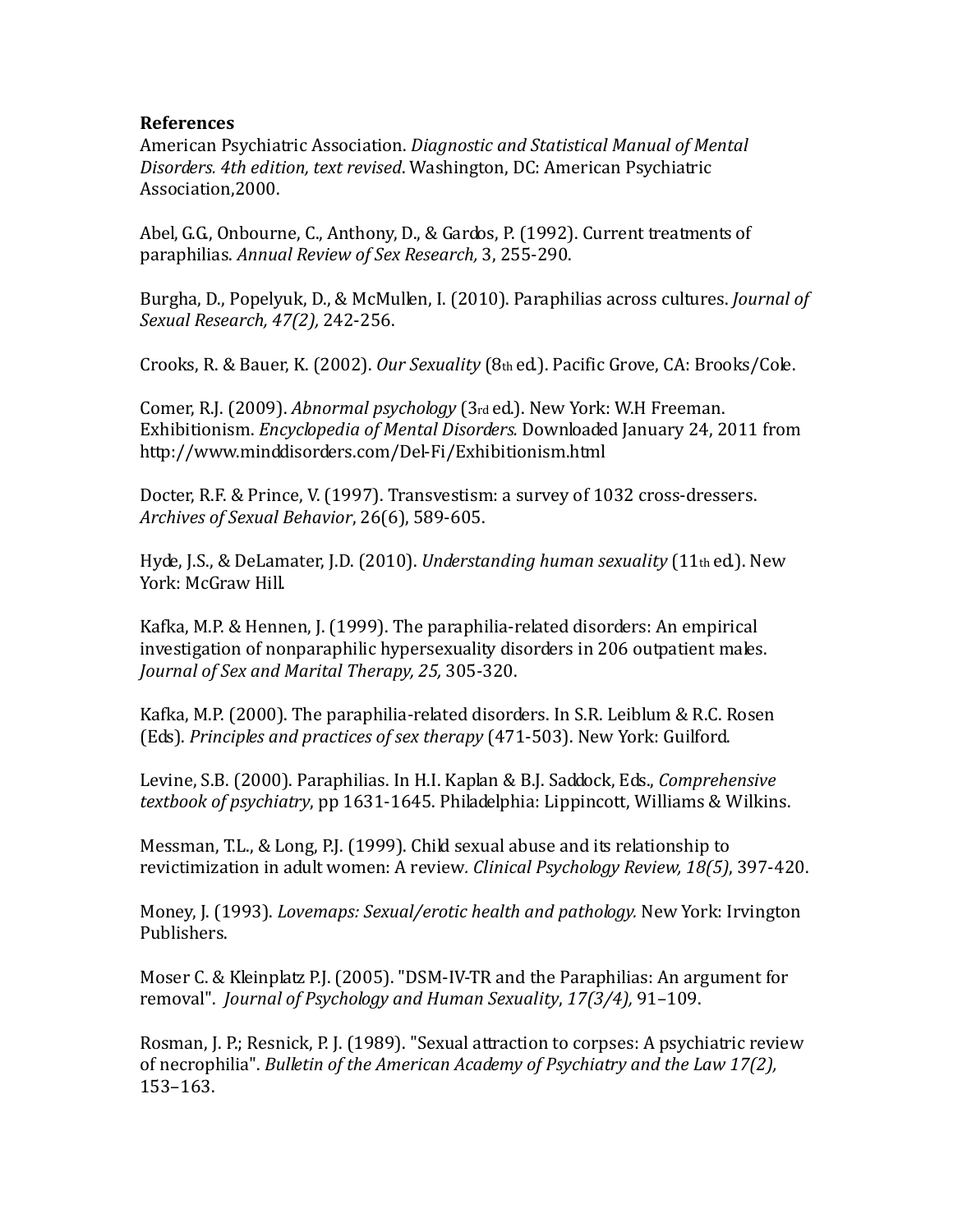#### **References**

American Psychiatric Association. *Diagnostic and Statistical Manual of Mental Disorders. 4th edition, text revised*. Washington, DC: American Psychiatric Association,2000.

Abel, G.G., Onbourne, C., Anthony, D., & Gardos, P. (1992). Current treatments of paraphilias. *Annual Review of Sex Research,* 3, 255-290.

Burgha, D., Popelyuk, D., & McMullen, I. (2010). Paraphilias across cultures. *Journal of Sexual Research, 47(2),* 242-256.

Crooks, R. & Bauer, K. (2002). *Our Sexuality* (8th ed.). Pacific Grove, CA: Brooks/Cole.

Comer, R.J. (2009). *Abnormal psychology* (3rd ed.). New York: W.H Freeman. Exhibitionism. *Encyclopedia of Mental Disorders.* Downloaded January 24, 2011 from http://www.minddisorders.com/Del-Fi/Exhibitionism.html

Docter, R.F. & Prince, V. (1997). Transvestism: a survey of 1032 cross-dressers. *Archives of Sexual Behavior*, 26(6), 589-605.

Hyde, J.S., & DeLamater, J.D. (2010). *Understanding human sexuality* (11th ed.). New York: McGraw Hill.

Kafka, M.P. & Hennen, J. (1999). The paraphilia-related disorders: An empirical investigation of nonparaphilic hypersexuality disorders in 206 outpatient males. *Journal of Sex and Marital Therapy, 25,* 305-320.

Kafka, M.P. (2000). The paraphilia-related disorders. In S.R. Leiblum & R.C. Rosen (Eds). *Principles and practices of sex therapy* (471-503). New York: Guilford.

Levine, S.B. (2000). Paraphilias. In H.I. Kaplan & B.J. Saddock, Eds., *Comprehensive textbook of psychiatry*, pp 1631-1645. Philadelphia: Lippincott, Williams & Wilkins.

Messman, T.L., & Long, P.J. (1999). Child sexual abuse and its relationship to revictimization in adult women: A review*. Clinical Psychology Review, 18(5)*, 397-420.

Money, J. (1993). *Lovemaps: Sexual/erotic health and pathology.* New York: Irvington Publishers.

Moser C. & Kleinplatz P.J. (2005). "DSM-IV-TR and the Paraphilias: An argument for removal". *Journal of Psychology and Human Sexuality*, *17(3/4),* 91–109.

Rosman, J. P.; Resnick, P. J. (1989). "Sexual attraction to corpses: A psychiatric review of necrophilia". *Bulletin of the American Academy of Psychiatry and the Law 17(2),* 153–163.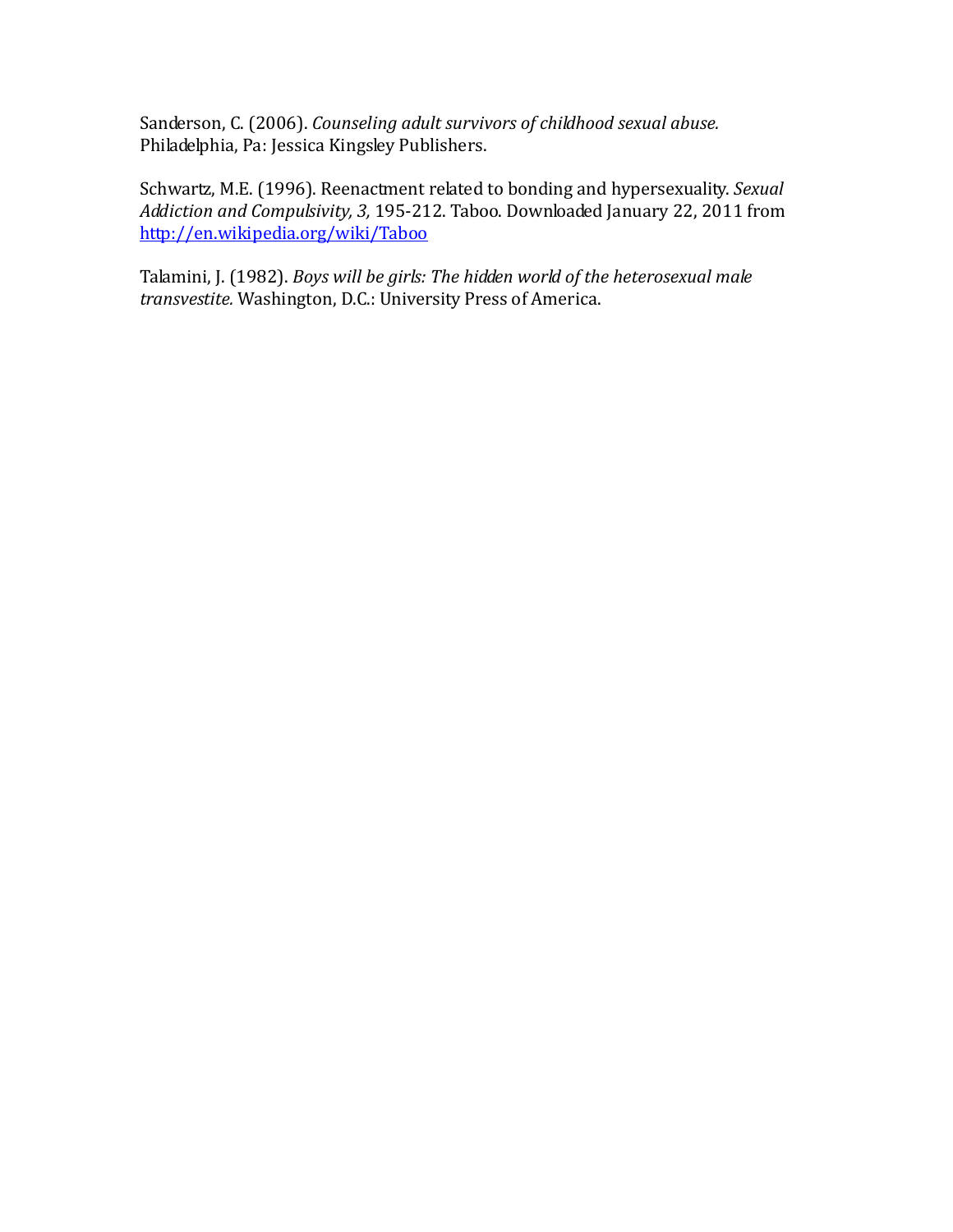Sanderson, C. (2006). *Counseling adult survivors of childhood sexual abuse.* Philadelphia, Pa: Jessica Kingsley Publishers.

Schwartz, M.E. (1996). Reenactment related to bonding and hypersexuality. *Sexual Addiction and Compulsivity, 3,* 195-212. Taboo. Downloaded January 22, 2011 from <http://en.wikipedia.org/wiki/Taboo>

Talamini, J. (1982). *Boys will be girls: The hidden world of the heterosexual male transvestite.* Washington, D.C.: University Press of America.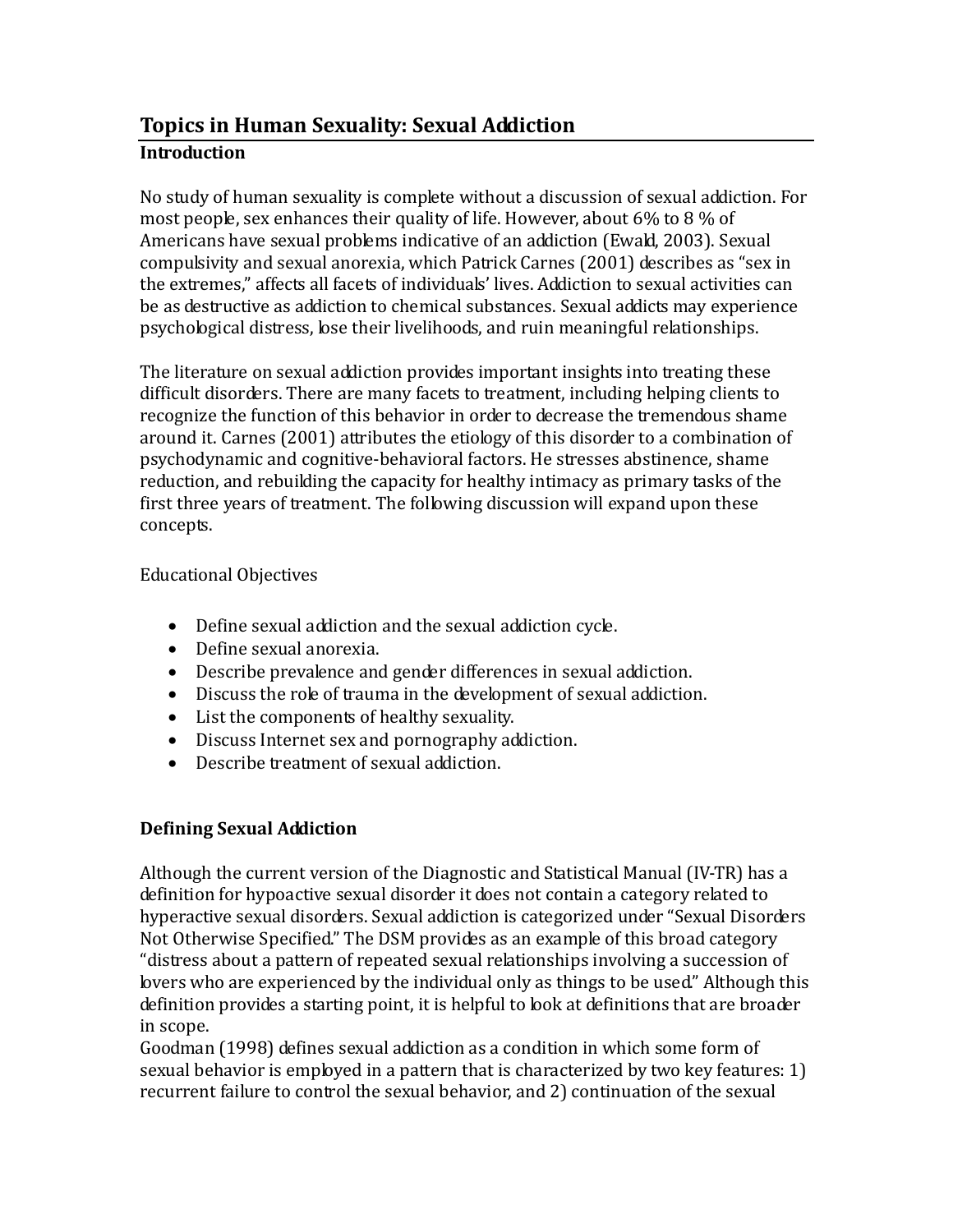# **Topics in Human Sexuality: Sexual Addiction Introduction**

No study of human sexuality is complete without a discussion of sexual addiction. For most people, sex enhances their quality of life. However, about 6% to 8 % of Americans have sexual problems indicative of an addiction (Ewald, 2003). Sexual compulsivity and sexual anorexia, which Patrick Carnes (2001) describes as "sex in the extremes," affects all facets of individuals' lives. Addiction to sexual activities can be as destructive as addiction to chemical substances. Sexual addicts may experience psychological distress, lose their livelihoods, and ruin meaningful relationships.

The literature on sexual addiction provides important insights into treating these difficult disorders. There are many facets to treatment, including helping clients to recognize the function of this behavior in order to decrease the tremendous shame around it. Carnes (2001) attributes the etiology of this disorder to a combination of psychodynamic and cognitive-behavioral factors. He stresses abstinence, shame reduction, and rebuilding the capacity for healthy intimacy as primary tasks of the first three years of treatment. The following discussion will expand upon these concepts.

## Educational Objectives

- Define sexual addiction and the sexual addiction cycle.
- Define sexual anorexia.
- Describe prevalence and gender differences in sexual addiction.
- Discuss the role of trauma in the development of sexual addiction.
- List the components of healthy sexuality.
- Discuss Internet sex and pornography addiction.
- Describe treatment of sexual addiction.

## **Defining Sexual Addiction**

Although the current version of the Diagnostic and Statistical Manual (IV-TR) has a definition for hypoactive sexual disorder it does not contain a category related to hyperactive sexual disorders. Sexual addiction is categorized under "Sexual Disorders Not Otherwise Specified." The DSM provides as an example of this broad category "distress about a pattern of repeated sexual relationships involving a succession of lovers who are experienced by the individual only as things to be used." Although this definition provides a starting point, it is helpful to look at definitions that are broader in scope.

Goodman (1998) defines sexual addiction as a condition in which some form of sexual behavior is employed in a pattern that is characterized by two key features: 1) recurrent failure to control the sexual behavior, and 2) continuation of the sexual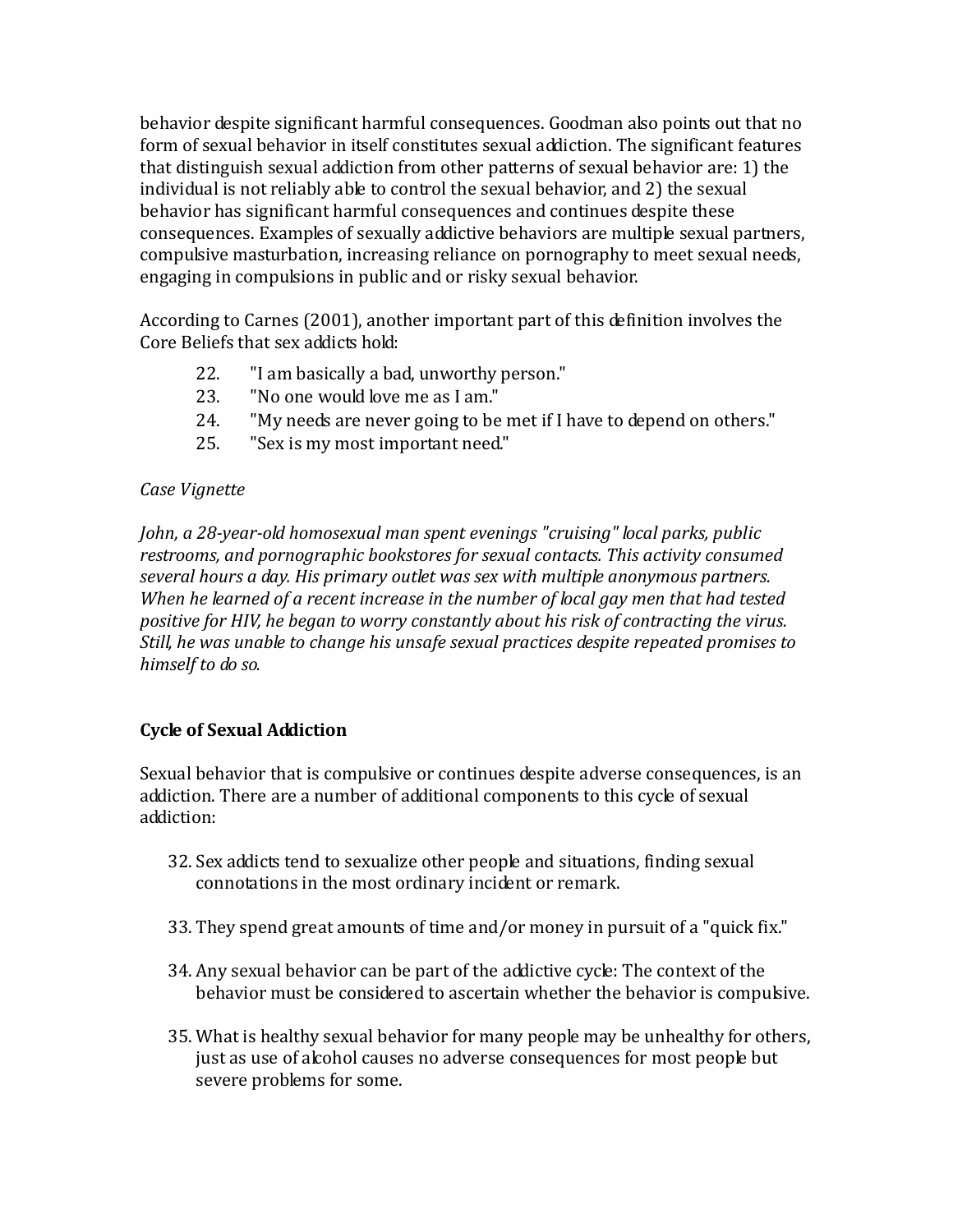behavior despite significant harmful consequences. Goodman also points out that no form of sexual behavior in itself constitutes sexual addiction. The significant features that distinguish sexual addiction from other patterns of sexual behavior are: 1) the individual is not reliably able to control the sexual behavior, and 2) the sexual behavior has significant harmful consequences and continues despite these consequences. Examples of sexually addictive behaviors are multiple sexual partners, compulsive masturbation, increasing reliance on pornography to meet sexual needs, engaging in compulsions in public and or risky sexual behavior.

According to Carnes (2001), another important part of this definition involves the Core Beliefs that sex addicts hold:

- 22. The must ally a bad, unworthy person."<br>23. The one would love me as I am."
- 23. The one would love me as I am."<br>24. Thy needs are never going to be
- "My needs are never going to be met if I have to depend on others."
- 25. "Sex is my most important need"

## *Case Vignette*

*John, a 28-year-old homosexual man spent evenings "cruising" local parks, public restrooms, and pornographic bookstores for sexual contacts. This activity consumed several hours a day. His primary outlet was sex with multiple anonymous partners. When he learned of a recent increase in the number of local gay men that had tested positive for HIV, he began to worry constantly about his risk of contracting the virus. Still, he was unable to change his unsafe sexual practices despite repeated promises to himself to do so.*

## **Cycle of Sexual Addiction**

Sexual behavior that is compulsive or continues despite adverse consequences, is an addiction. There are a number of additional components to this cycle of sexual addiction:

- 32. Sex addicts tend to sexualize other people and situations, finding sexual connotations in the most ordinary incident or remark.
- 33. They spend great amounts of time and/or money in pursuit of a "quick fix."
- 34. Any sexual behavior can be part of the addictive cycle: The context of the behavior must be considered to ascertain whether the behavior is compulsive.
- 35. What is healthy sexual behavior for many people may be unhealthy for others, just as use of alcohol causes no adverse consequences for most people but severe problems for some.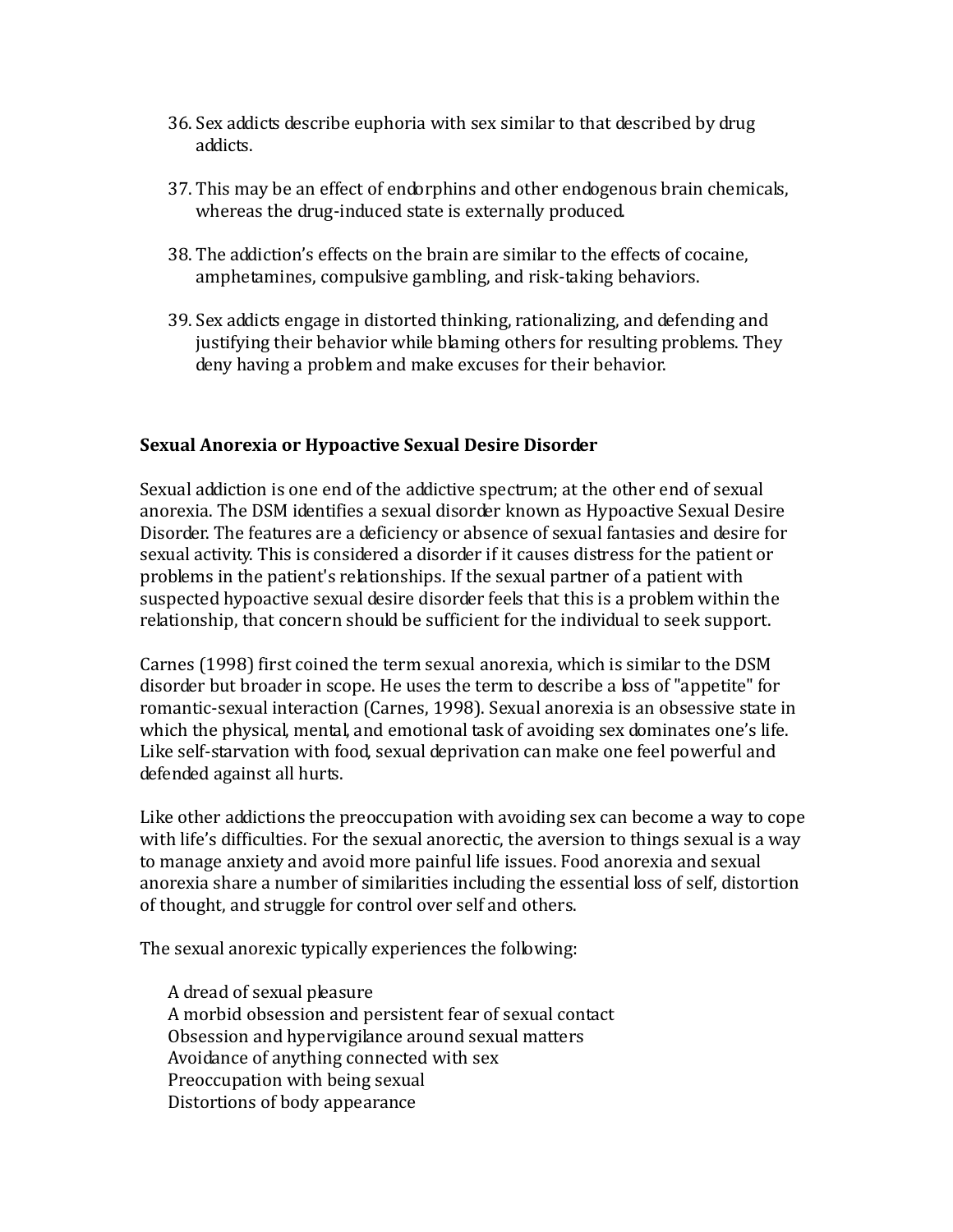- 36. Sex addicts describe euphoria with sex similar to that described by drug addicts.
- 37. This may be an effect of endorphins and other endogenous brain chemicals, whereas the drug-induced state is externally produced.
- 38. The addiction's effects on the brain are similar to the effects of cocaine, amphetamines, compulsive gambling, and risk-taking behaviors.
- 39. Sex addicts engage in distorted thinking, rationalizing, and defending and justifying their behavior while blaming others for resulting problems. They deny having a problem and make excuses for their behavior.

## **Sexual Anorexia or Hypoactive Sexual Desire Disorder**

Sexual addiction is one end of the addictive spectrum; at the other end of sexual anorexia. The DSM identifies a sexual disorder known as Hypoactive Sexual Desire Disorder. The features are a deficiency or absence of sexual fantasies and desire for sexual activity. This is considered a disorder if it causes distress for the patient or problems in the patient's relationships. If the sexual partner of a patient with suspected hypoactive sexual desire disorder feels that this is a problem within the relationship, that concern should be sufficient for the individual to seek support.

Carnes (1998) first coined the term sexual anorexia, which is similar to the DSM disorder but broader in scope. He uses the term to describe a loss of "appetite" for romantic-sexual interaction (Carnes, 1998). Sexual anorexia is an obsessive state in which the physical, mental, and emotional task of avoiding sex dominates one's life. Like self-starvation with food, sexual deprivation can make one feel powerful and defended against all hurts.

Like other addictions the preoccupation with avoiding sex can become a way to cope with life's difficulties. For the sexual anorectic, the aversion to things sexual is a way to manage anxiety and avoid more painful life issues. Food anorexia and sexual anorexia share a number of similarities including the essential loss of self, distortion of thought, and struggle for control over self and others.

The sexual anorexic typically experiences the following:

A dread of sexual pleasure A morbid obsession and persistent fear of sexual contact Obsession and hypervigilance around sexual matters Avoidance of anything connected with sex Preoccupation with being sexual Distortions of body appearance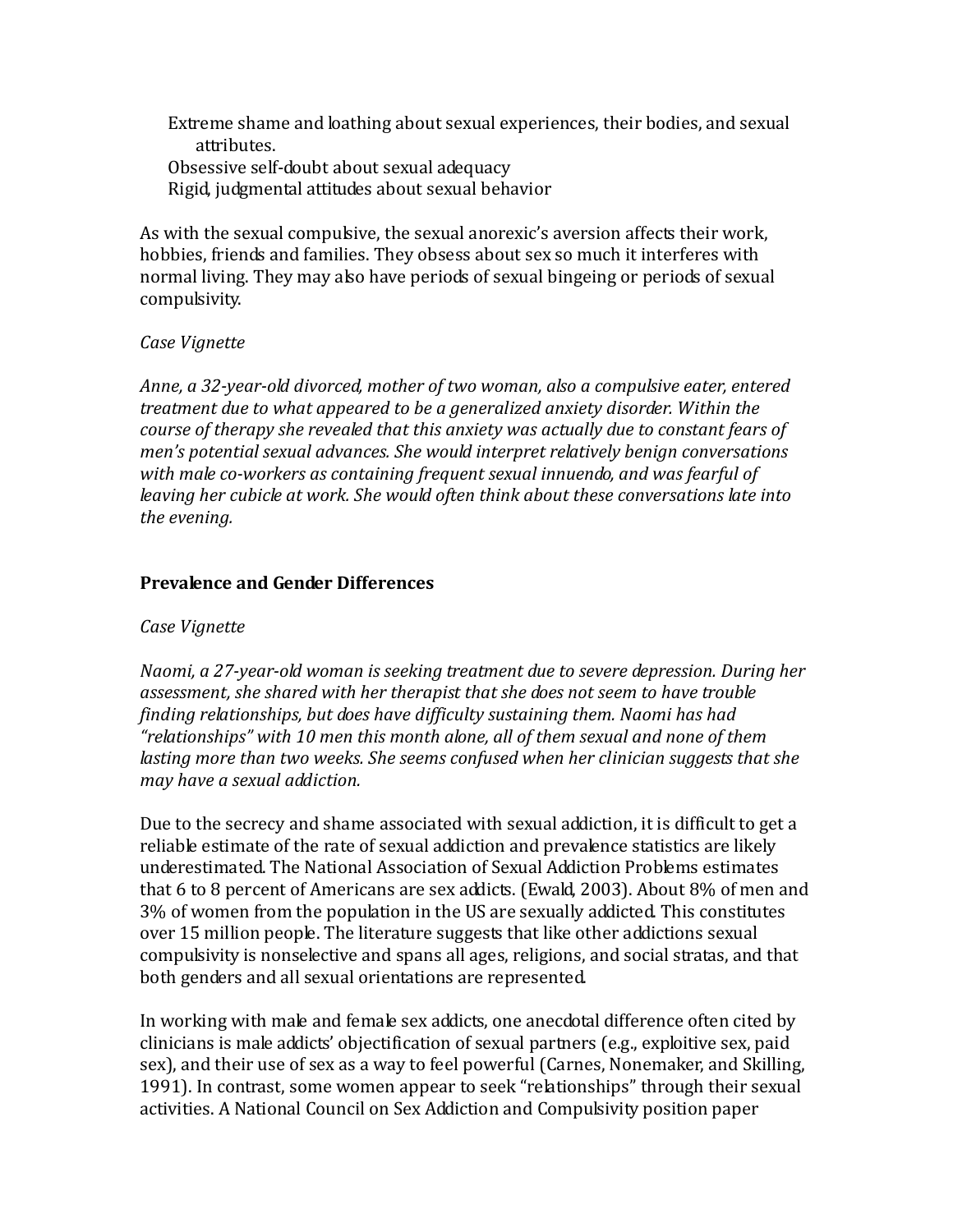Extreme shame and loathing about sexual experiences, their bodies, and sexual attributes. Obsessive self-doubt about sexual adequacy Rigid, judgmental attitudes about sexual behavior

As with the sexual compulsive, the sexual anorexic's aversion affects their work, hobbies, friends and families. They obsess about sex so much it interferes with normal living. They may also have periods of sexual bingeing or periods of sexual compulsivity.

#### *Case Vignette*

*Anne, a 32-year-old divorced, mother of two woman, also a compulsive eater, entered treatment due to what appeared to be a generalized anxiety disorder. Within the course of therapy she revealed that this anxiety was actually due to constant fears of men's potential sexual advances. She would interpret relatively benign conversations with male co-workers as containing frequent sexual innuendo, and was fearful of leaving her cubicle at work. She would often think about these conversations late into the evening.*

#### **Prevalence and Gender Differences**

#### *Case Vignette*

*Naomi, a 27-year-old woman is seeking treatment due to severe depression. During her assessment, she shared with her therapist that she does not seem to have trouble finding relationships, but does have difficulty sustaining them. Naomi has had "relationships" with 10 men this month alone, all of them sexual and none of them lasting more than two weeks. She seems confused when her clinician suggests that she may have a sexual addiction.*

Due to the secrecy and shame associated with sexual addiction, it is difficult to get a reliable estimate of the rate of sexual addiction and prevalence statistics are likely underestimated. The National Association of Sexual Addiction Problems estimates that 6 to 8 percent of Americans are sex addicts. (Ewald, 2003). About 8% of men and 3% of women from the population in the US are sexually addicted. This constitutes over 15 million people. The literature suggests that like other addictions sexual compulsivity is nonselective and spans all ages, religions, and social stratas, and that both genders and all sexual orientations are represented.

In working with male and female sex addicts, one anecdotal difference often cited by clinicians is male addicts' objectification of sexual partners (e.g., exploitive sex, paid sex), and their use of sex as a way to feel powerful (Carnes, Nonemaker, and Skilling, 1991). In contrast, some women appear to seek "relationships" through their sexual activities. A National Council on Sex Addiction and Compulsivity position paper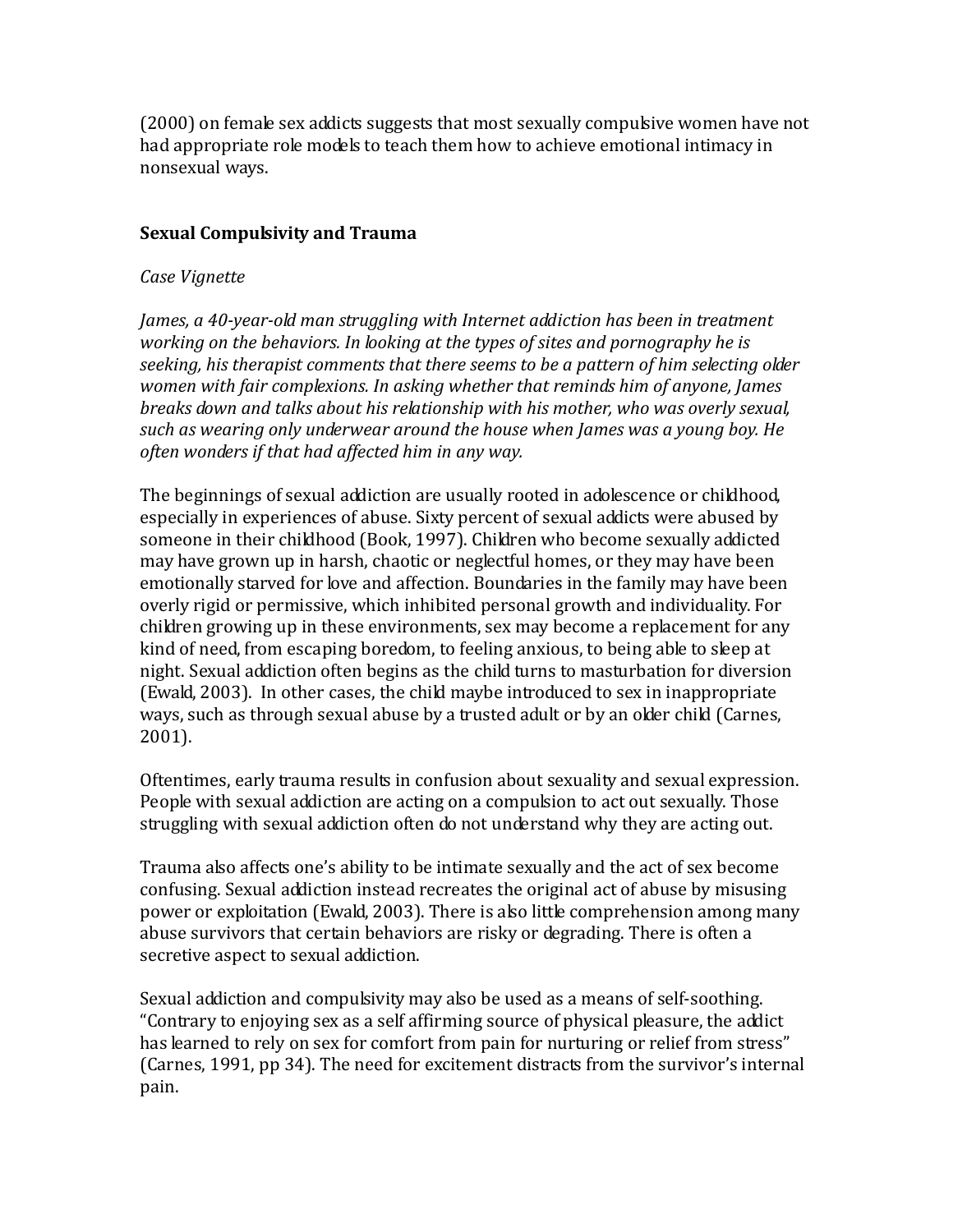(2000) on female sex addicts suggests that most sexually compulsive women have not had appropriate role models to teach them how to achieve emotional intimacy in nonsexual ways.

## **Sexual Compulsivity and Trauma**

#### *Case Vignette*

*James, a 40-year-old man struggling with Internet addiction has been in treatment working on the behaviors. In looking at the types of sites and pornography he is seeking, his therapist comments that there seems to be a pattern of him selecting older women with fair complexions. In asking whether that reminds him of anyone, James breaks down and talks about his relationship with his mother, who was overly sexual, such as wearing only underwear around the house when James was a young boy. He often wonders if that had affected him in any way.*

The beginnings of sexual addiction are usually rooted in adolescence or childhood, especially in experiences of abuse. Sixty percent of sexual addicts were abused by someone in their childhood (Book, 1997). Children who become sexually addicted may have grown up in harsh, chaotic or neglectful homes, or they may have been emotionally starved for love and affection. Boundaries in the family may have been overly rigid or permissive, which inhibited personal growth and individuality. For children growing up in these environments, sex may become a replacement for any kind of need, from escaping boredom, to feeling anxious, to being able to sleep at night. Sexual addiction often begins as the child turns to masturbation for diversion (Ewald, 2003). In other cases, the child maybe introduced to sex in inappropriate ways, such as through sexual abuse by a trusted adult or by an older child (Carnes, 2001).

Oftentimes, early trauma results in confusion about sexuality and sexual expression. People with sexual addiction are acting on a compulsion to act out sexually. Those struggling with sexual addiction often do not understand why they are acting out.

Trauma also affects one's ability to be intimate sexually and the act of sex become confusing. Sexual addiction instead recreates the original act of abuse by misusing power or exploitation (Ewald, 2003). There is also little comprehension among many abuse survivors that certain behaviors are risky or degrading. There is often a secretive aspect to sexual addiction.

Sexual addiction and compulsivity may also be used as a means of self-soothing. "Contrary to enjoying sex as a self affirming source of physical pleasure, the addict has learned to rely on sex for comfort from pain for nurturing or relief from stress" (Carnes, 1991, pp 34). The need for excitement distracts from the survivor's internal pain.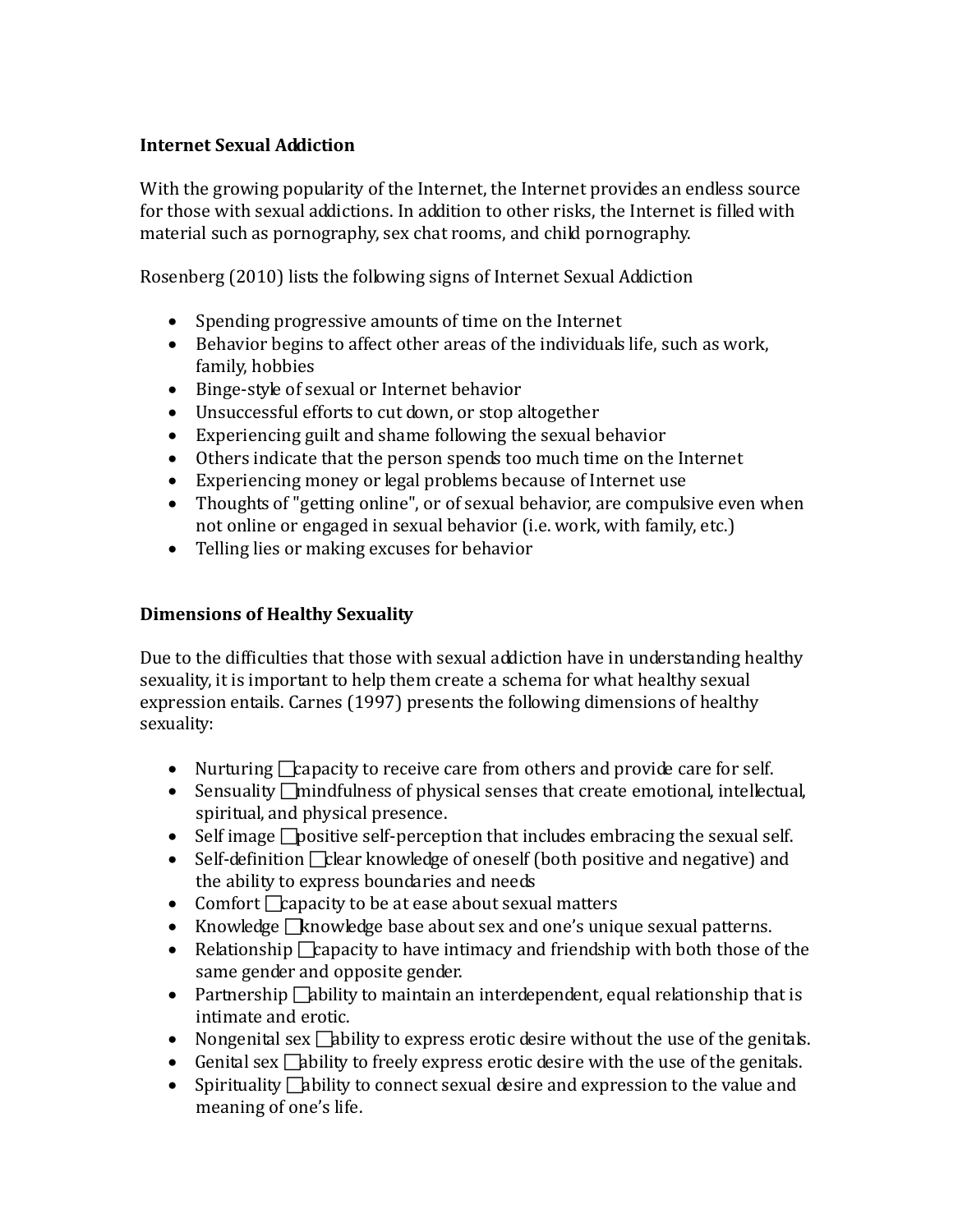# **Internet Sexual Addiction**

With the growing popularity of the Internet, the Internet provides an endless source for those with sexual addictions. In addition to other risks, the Internet is filled with material such as pornography, sex chat rooms, and child pornography.

Rosenberg (2010) lists the following signs of Internet Sexual Addiction

- Spending progressive amounts of time on the Internet
- Behavior begins to affect other areas of the individuals life, such as work, family, hobbies
- Binge-style of sexual or Internet behavior
- Unsuccessful efforts to cut down, or stop altogether
- Experiencing guilt and shame following the sexual behavior
- Others indicate that the person spends too much time on the Internet
- Experiencing money or legal problems because of Internet use
- Thoughts of "getting online", or of sexual behavior, are compulsive even when not online or engaged in sexual behavior (i.e. work, with family, etc.)
- Telling lies or making excuses for behavior

# **Dimensions of Healthy Sexuality**

Due to the difficulties that those with sexual addiction have in understanding healthy sexuality, it is important to help them create a schema for what healthy sexual expression entails. Carnes (1997) presents the following dimensions of healthy sexuality:

- Nurturing  $\Box$  capacity to receive care from others and provide care for self.
- Sensuality  $\Box$  mindfulness of physical senses that create emotional, intellectual, spiritual, and physical presence.
- Self image  $\Box$  positive self-perception that includes embracing the sexual self.
- Self-definition  $\Box$  clear knowledge of oneself (both positive and negative) and the ability to express boundaries and needs
- Comfort  $\Box$  capacity to be at ease about sexual matters
- Knowledge  $\Box$ knowledge base about sex and one's unique sexual patterns.
- Relationship  $\Box$  capacity to have intimacy and friendship with both those of the same gender and opposite gender.
- Partnership  $\Box$ ability to maintain an interdependent, equal relationship that is intimate and erotic.
- Nongenital sex  $\Box$  bility to express erotic desire without the use of the genitals.
- Genital sex  $\Box$ ability to freely express erotic desire with the use of the genitals.
- Spirituality  $\Box$  bility to connect sexual desire and expression to the value and meaning of one's life.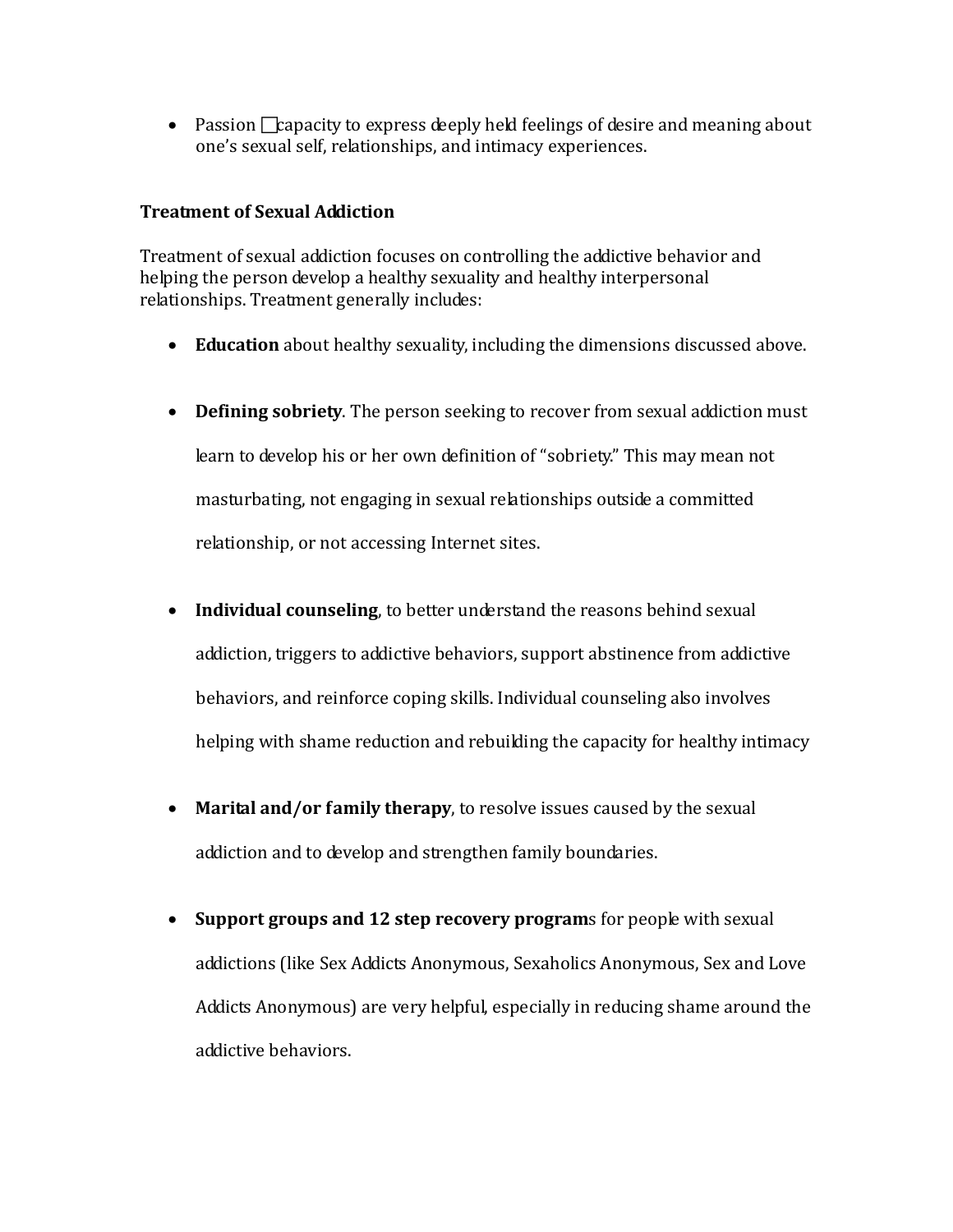• Passion  $\Box$  capacity to express deeply held feelings of desire and meaning about one's sexual self, relationships, and intimacy experiences.

## **Treatment of Sexual Addiction**

Treatment of sexual addiction focuses on controlling the addictive behavior and helping the person develop a healthy sexuality and healthy interpersonal relationships. Treatment generally includes:

- **Education** about healthy sexuality, including the dimensions discussed above.
- **Defining sobriety**. The person seeking to recover from sexual addiction must learn to develop his or her own definition of "sobriety." This may mean not masturbating, not engaging in sexual relationships outside a committed relationship, or not accessing Internet sites.
- **Individual counseling**, to better understand the reasons behind sexual addiction, triggers to addictive behaviors, support abstinence from addictive behaviors, and reinforce coping skills. Individual counseling also involves helping with shame reduction and rebuilding the capacity for healthy intimacy
- **Marital and/or family therapy**, to resolve issues caused by the sexual addiction and to develop and strengthen family boundaries.
- **Support groups and 12 step recovery program**s for people with sexual addictions (like Sex Addicts Anonymous, Sexaholics Anonymous, Sex and Love Addicts Anonymous) are very helpful, especially in reducing shame around the addictive behaviors.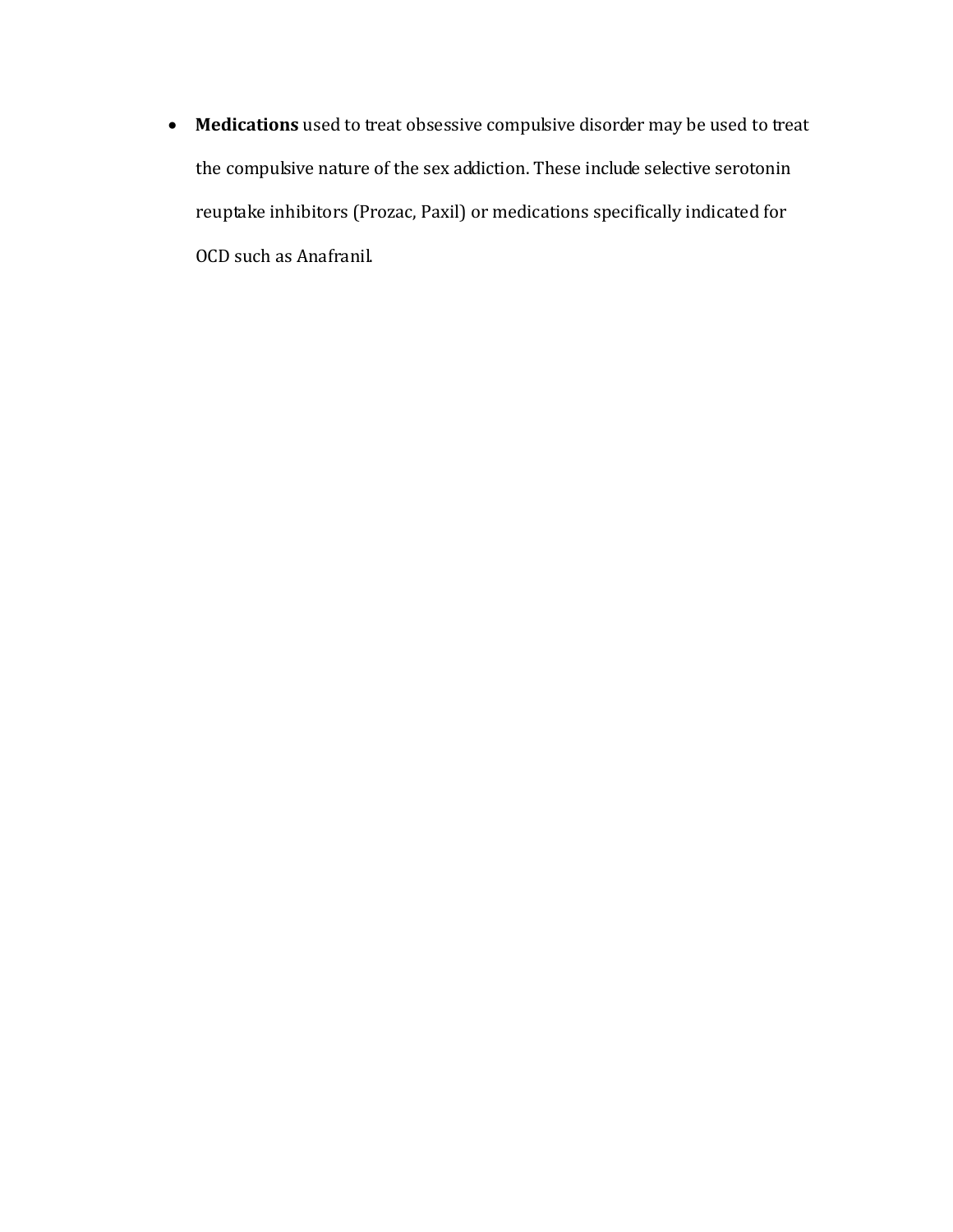• **Medications** used to treat obsessive compulsive disorder may be used to treat the compulsive nature of the sex addiction. These include selective serotonin reuptake inhibitors (Prozac, Paxil) or medications specifically indicated for OCD such as Anafranil.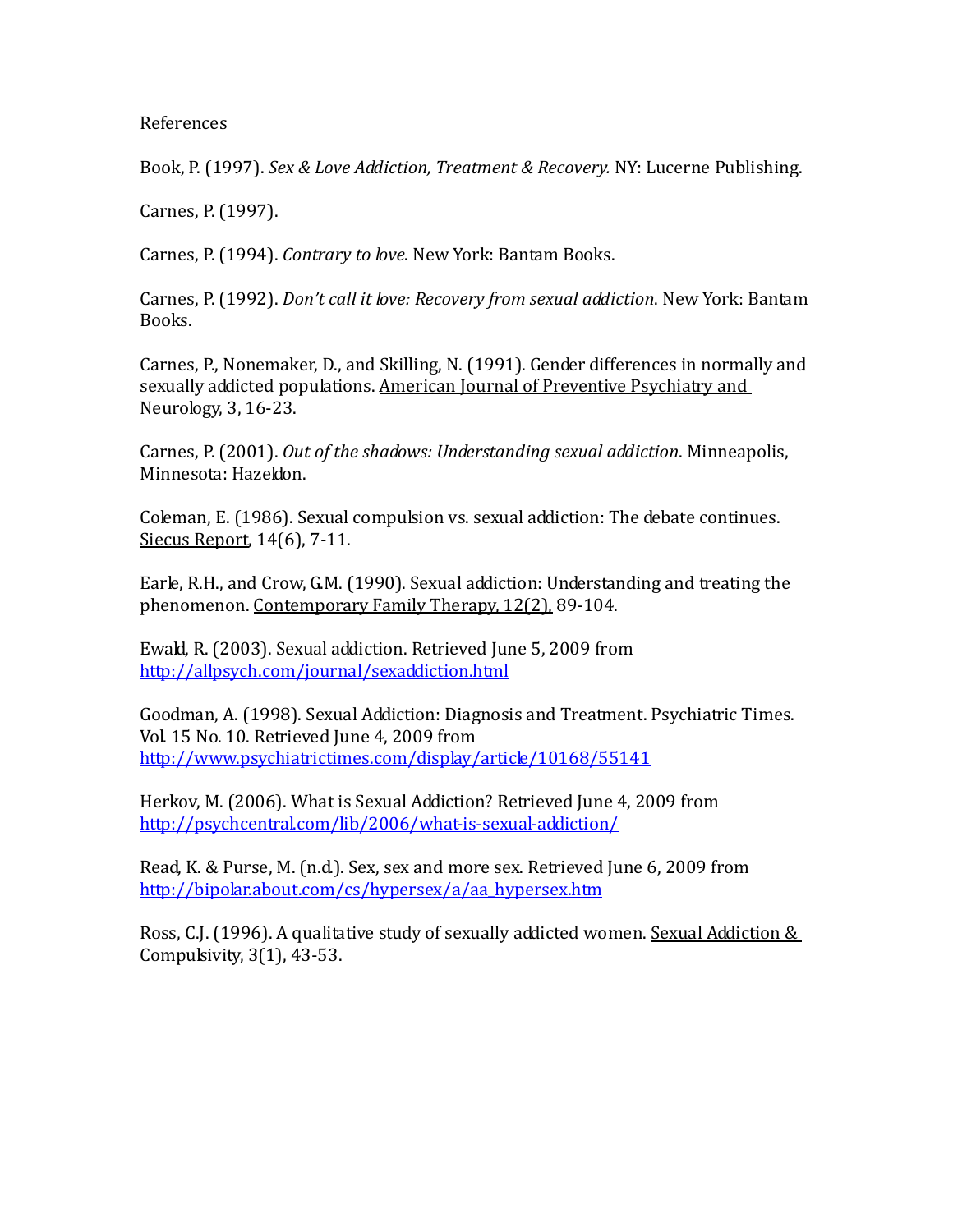References

Book, P. (1997). *Sex & Love Addiction, Treatment & Recovery.* NY: Lucerne Publishing.

Carnes, P. (1997).

Carnes, P. (1994). *Contrary to love*. New York: Bantam Books.

Carnes, P. (1992). *Don't call it love: Recovery from sexual addiction*. New York: Bantam Books.

Carnes, P., Nonemaker, D., and Skilling, N. (1991). Gender differences in normally and sexually addicted populations. American Journal of Preventive Psychiatry and Neurology, 3, 16-23.

Carnes, P. (2001). *Out of the shadows: Understanding sexual addiction*. Minneapolis, Minnesota: Hazeldon.

Coleman, E. (1986). Sexual compulsion vs. sexual addiction: The debate continues. Siecus Report, 14(6), 7-11.

Earle, R.H., and Crow, G.M. (1990). Sexual addiction: Understanding and treating the phenomenon. <u>Contemporary Family Therapy, 12(2),</u> 89-104.

Ewald, R. (2003). Sexual addiction. Retrieved June 5, 2009 from <http://allpsych.com/journal/sexaddiction.html>

Goodman, A. (1998). Sexual Addiction: Diagnosis and Treatment. Psychiatric Times. Vol. 15 No. 10. Retrieved June 4, 2009 from <http://www.psychiatrictimes.com/display/article/10168/55141>

Herkov, M. (2006). What is Sexual Addiction? Retrieved June 4, 2009 from <http://psychcentral.com/lib/2006/what-is-sexual-addiction/>

Read, K. & Purse, M. (n.d.). Sex, sex and more sex. Retrieved June 6, 2009 from [http://bipolar.about.com/cs/hypersex/a/aa\\_hypersex.htm](http://bipolar.about.com/cs/hypersex/a/aa_hypersex.htm)

Ross, C.J. (1996). A qualitative study of sexually addicted women. Sexual Addiction & Compulsivity, 3(1), 43-53.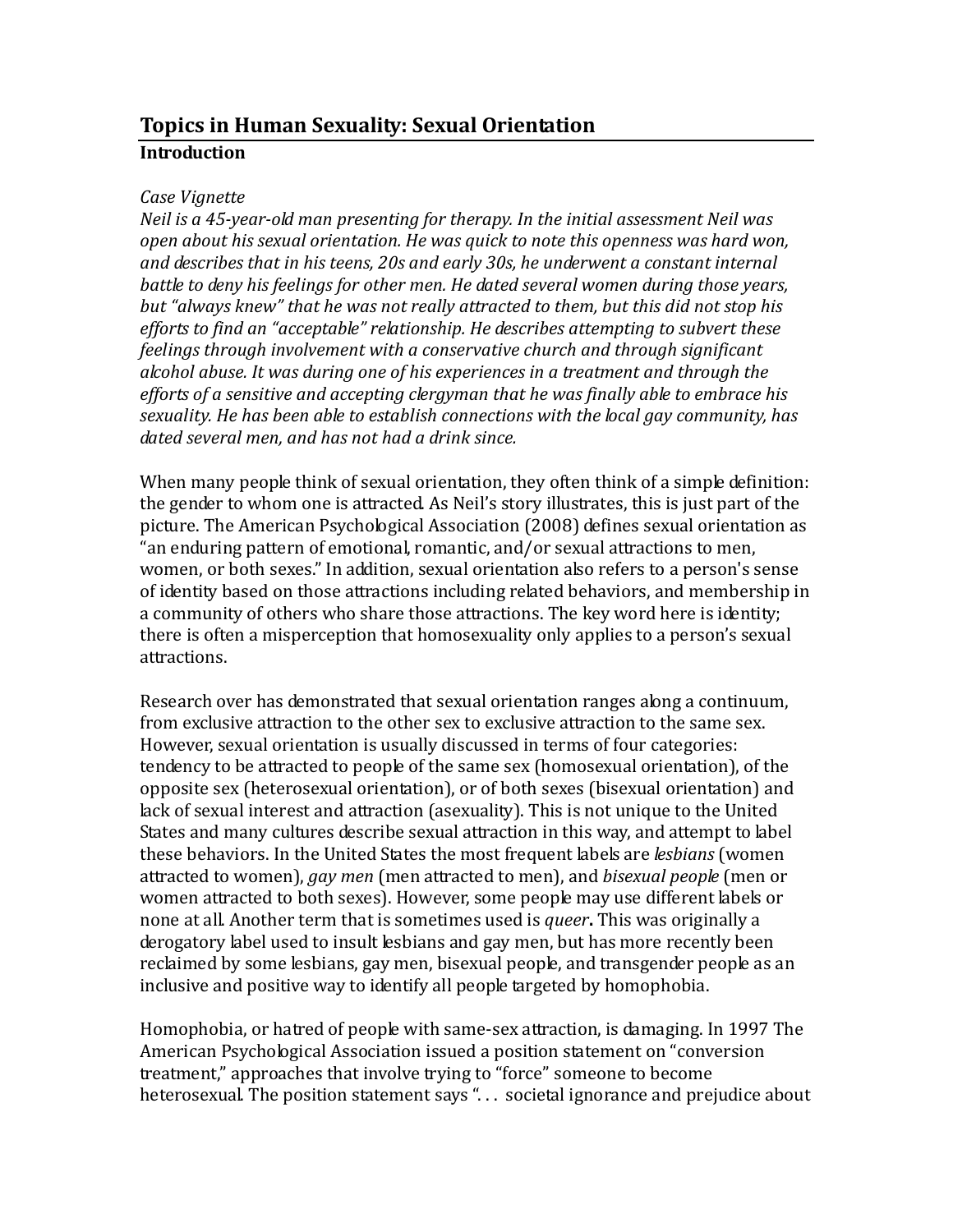# **Topics in Human Sexuality: Sexual Orientation Introduction**

#### *Case Vignette*

*Neil is a 45-year-old man presenting for therapy. In the initial assessment Neil was open about his sexual orientation. He was quick to note this openness was hard won, and describes that in his teens, 20s and early 30s, he underwent a constant internal battle to deny his feelings for other men. He dated several women during those years, but "always knew" that he was not really attracted to them, but this did not stop his efforts to find an "acceptable" relationship. He describes attempting to subvert these feelings through involvement with a conservative church and through significant alcohol abuse. It was during one of his experiences in a treatment and through the efforts of a sensitive and accepting clergyman that he was finally able to embrace his sexuality. He has been able to establish connections with the local gay community, has dated several men, and has not had a drink since.* 

When many people think of sexual orientation, they often think of a simple definition: the gender to whom one is attracted. As Neil's story illustrates, this is just part of the picture. The American Psychological Association (2008) defines sexual orientation as "an enduring pattern of emotional, romantic, and/or sexual attractions to men, women, or both sexes." In addition, sexual orientation also refers to a person's sense of identity based on those attractions including related behaviors, and membership in a community of others who share those attractions. The key word here is identity; there is often a misperception that homosexuality only applies to a person's sexual attractions.

Research over has demonstrated that sexual orientation ranges along a continuum, from exclusive attraction to the other sex to exclusive attraction to the same sex. However, sexual orientation is usually discussed in terms of four categories: tendency to be attracted to people of the same sex (homosexual orientation), of the opposite sex (heterosexual orientation), or of both sexes (bisexual orientation) and lack of sexual interest and attraction (asexuality). This is not unique to the United States and many cultures describe sexual attraction in this way, and attempt to label these behaviors. In the United States the most frequent labels are *lesbians* (women attracted to women), *gay men* (men attracted to men), and *bisexual people* (men or women attracted to both sexes). However, some people may use different labels or none at all. Another term that is sometimes used is *queer***.** This was originally a derogatory label used to insult lesbians and gay men, but has more recently been reclaimed by some lesbians, gay men, bisexual people, and transgender people as an inclusive and positive way to identify all people targeted by homophobia.

Homophobia, or hatred of people with same-sex attraction, is damaging. In 1997 The American Psychological Association issued a position statement on "conversion treatment," approaches that involve trying to "force" someone to become heterosexual. The position statement says ". . . societal ignorance and prejudice about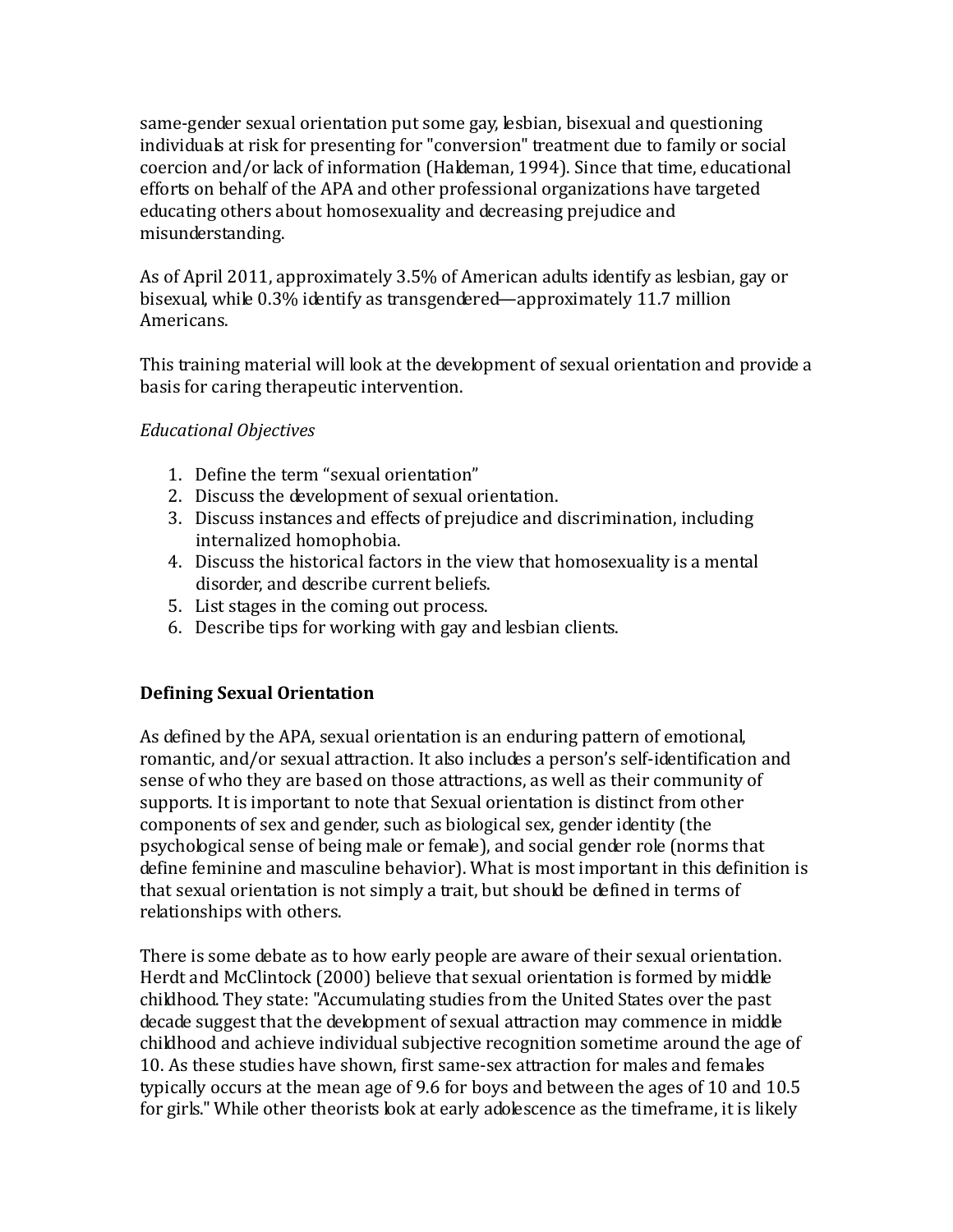same-gender sexual orientation put some gay, lesbian, bisexual and questioning individuals at risk for presenting for "conversion" treatment due to family or social coercion and/or lack of information (Haldeman, 1994). Since that time, educational efforts on behalf of the APA and other professional organizations have targeted educating others about homosexuality and decreasing prejudice and misunderstanding.

As of April 2011, approximately 3.5% of American adults identify as lesbian, gay or bisexual, while 0.3% identify as transgendered—approximately 11.7 million Americans.

This training material will look at the development of sexual orientation and provide a basis for caring therapeutic intervention.

## *Educational Objectives*

- 1. Define the term "sexual orientation"
- 2. Discuss the development of sexual orientation.
- 3. Discuss instances and effects of prejudice and discrimination, including internalized homophobia.
- 4. Discuss the historical factors in the view that homosexuality is a mental disorder, and describe current beliefs.
- 5. List stages in the coming out process.
- 6. Describe tips for working with gay and lesbian clients.

# **Defining Sexual Orientation**

As defined by the APA, sexual orientation is an enduring pattern of emotional, romantic, and/or sexual attraction. It also includes a person's self-identification and sense of who they are based on those attractions, as well as their community of supports. It is important to note that Sexual orientation is distinct from other components of sex and gender, such as biological sex, gender identity (the psychological sense of being male or female), and social gender role (norms that define feminine and masculine behavior). What is most important in this definition is that sexual orientation is not simply a trait, but should be defined in terms of relationships with others.

There is some debate as to how early people are aware of their sexual orientation. Herdt and McClintock (2000) believe that sexual orientation is formed by middle childhood. They state: "Accumulating studies from the United States over the past decade suggest that the development of sexual attraction may commence in middle childhood and achieve individual subjective recognition sometime around the age of 10. As these studies have shown, first same-sex attraction for males and females typically occurs at the mean age of 9.6 for boys and between the ages of 10 and 10.5 for girls." While other theorists look at early adolescence as the timeframe, it is likely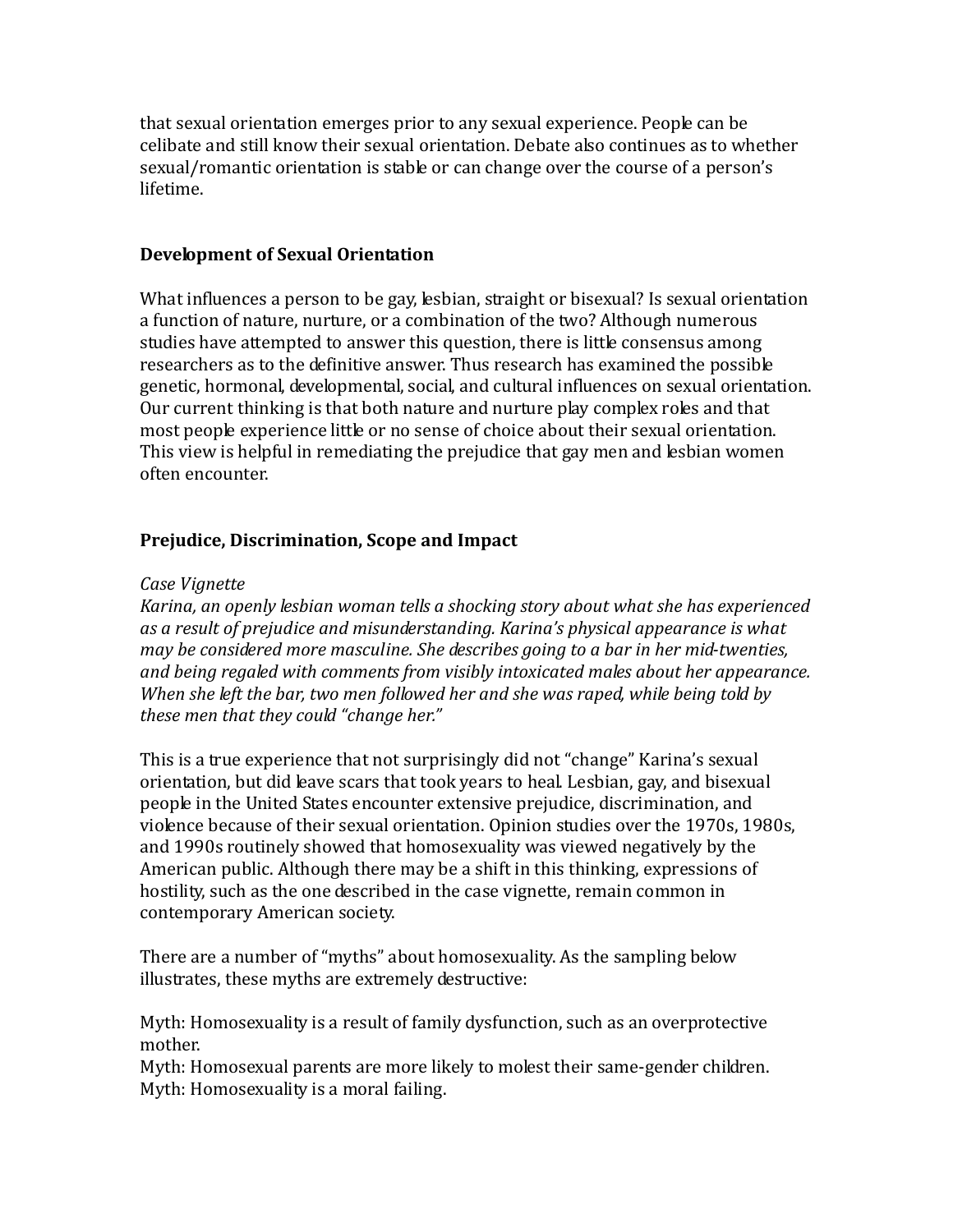that sexual orientation emerges prior to any sexual experience. People can be celibate and still know their sexual orientation. Debate also continues as to whether sexual/romantic orientation is stable or can change over the course of a person's lifetime.

#### **Development of Sexual Orientation**

What influences a person to be gay, lesbian, straight or bisexual? Is sexual orientation a function of nature, nurture, or a combination of the two? Although numerous studies have attempted to answer this question, there is little consensus among researchers as to the definitive answer. Thus research has examined the possible genetic, hormonal, developmental, social, and cultural influences on sexual orientation. Our current thinking is that both nature and nurture play complex roles and that most people experience little or no sense of choice about their sexual orientation. This view is helpful in remediating the prejudice that gay men and lesbian women often encounter.

## **Prejudice, Discrimination, Scope and Impact**

#### *Case Vignette*

*Karina, an openly lesbian woman tells a shocking story about what she has experienced as a result of prejudice and misunderstanding. Karina's physical appearance is what may be considered more masculine. She describes going to a bar in her mid-twenties, and being regaled with comments from visibly intoxicated males about her appearance. When she left the bar, two men followed her and she was raped, while being told by these men that they could "change her."*

This is a true experience that not surprisingly did not "change" Karina's sexual orientation, but did leave scars that took years to heal. Lesbian, gay, and bisexual people in the United States encounter extensive prejudice, discrimination, and violence because of their sexual orientation. Opinion studies over the 1970s, 1980s, and 1990s routinely showed that homosexuality was viewed negatively by the American public. Although there may be a shift in this thinking, expressions of hostility, such as the one described in the case vignette, remain common in contemporary American society.

There are a number of "myths" about homosexuality. As the sampling below illustrates, these myths are extremely destructive:

Myth: Homosexuality is a result of family dysfunction, such as an overprotective mother.

Myth: Homosexual parents are more likely to molest their same-gender children. Myth: Homosexuality is a moral failing.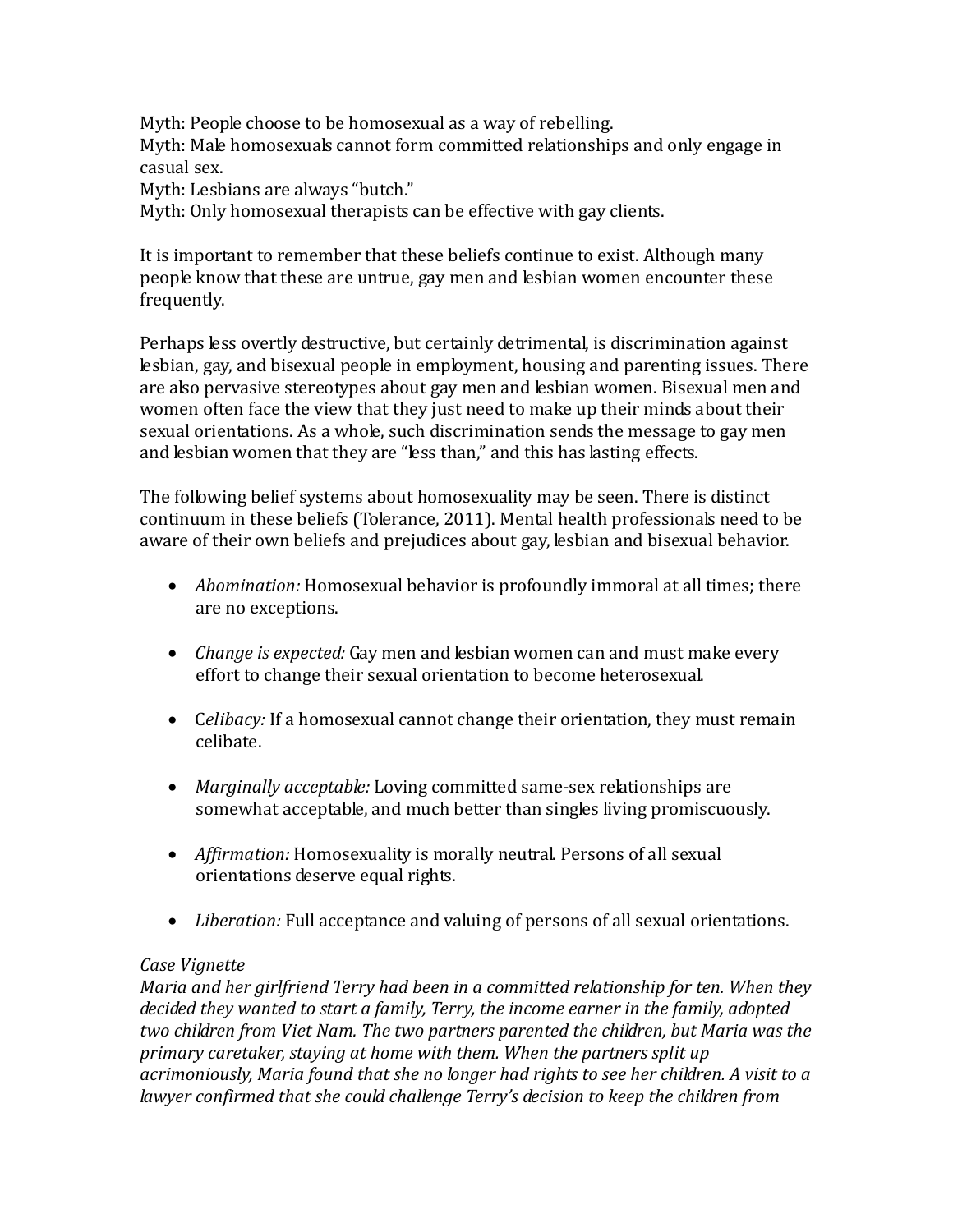Myth: People choose to be homosexual as a way of rebelling. Myth: Male homosexuals cannot form committed relationships and only engage in casual sex.

Myth: Lesbians are always "butch."

Myth: Only homosexual therapists can be effective with gay clients.

It is important to remember that these beliefs continue to exist. Although many people know that these are untrue, gay men and lesbian women encounter these frequently.

Perhaps less overtly destructive, but certainly detrimental, is discrimination against lesbian, gay, and bisexual people in employment, housing and parenting issues. There are also pervasive stereotypes about gay men and lesbian women. Bisexual men and women often face the view that they just need to make up their minds about their sexual orientations. As a whole, such discrimination sends the message to gay men and lesbian women that they are "less than," and this has lasting effects.

The following belief systems about homosexuality may be seen. There is distinct continuum in these beliefs (Tolerance, 2011). Mental health professionals need to be aware of their own beliefs and prejudices about gay, lesbian and bisexual behavior.

- *Abomination:* Homosexual behavior is profoundly immoral at all times; there are no exceptions.
- *Change is expected:* Gay men and lesbian women can and must make every effort to change their sexual orientation to become heterosexual.
- Celibacy: If a homosexual cannot change their orientation, they must remain celibate.
- *Marginally acceptable:* Loving committed same-sex relationships are somewhat acceptable, and much better than singles living promiscuously.
- *Affirmation:* Homosexuality is morally neutral. Persons of all sexual orientations deserve equal rights.
- *Liberation:* Full acceptance and valuing of persons of all sexual orientations.

## *Case Vignette*

*Maria and her girlfriend Terry had been in a committed relationship for ten. When they decided they wanted to start a family, Terry, the income earner in the family, adopted two children from Viet Nam. The two partners parented the children, but Maria was the primary caretaker, staying at home with them. When the partners split up acrimoniously, Maria found that she no longer had rights to see her children. A visit to a lawyer confirmed that she could challenge Terry's decision to keep the children from*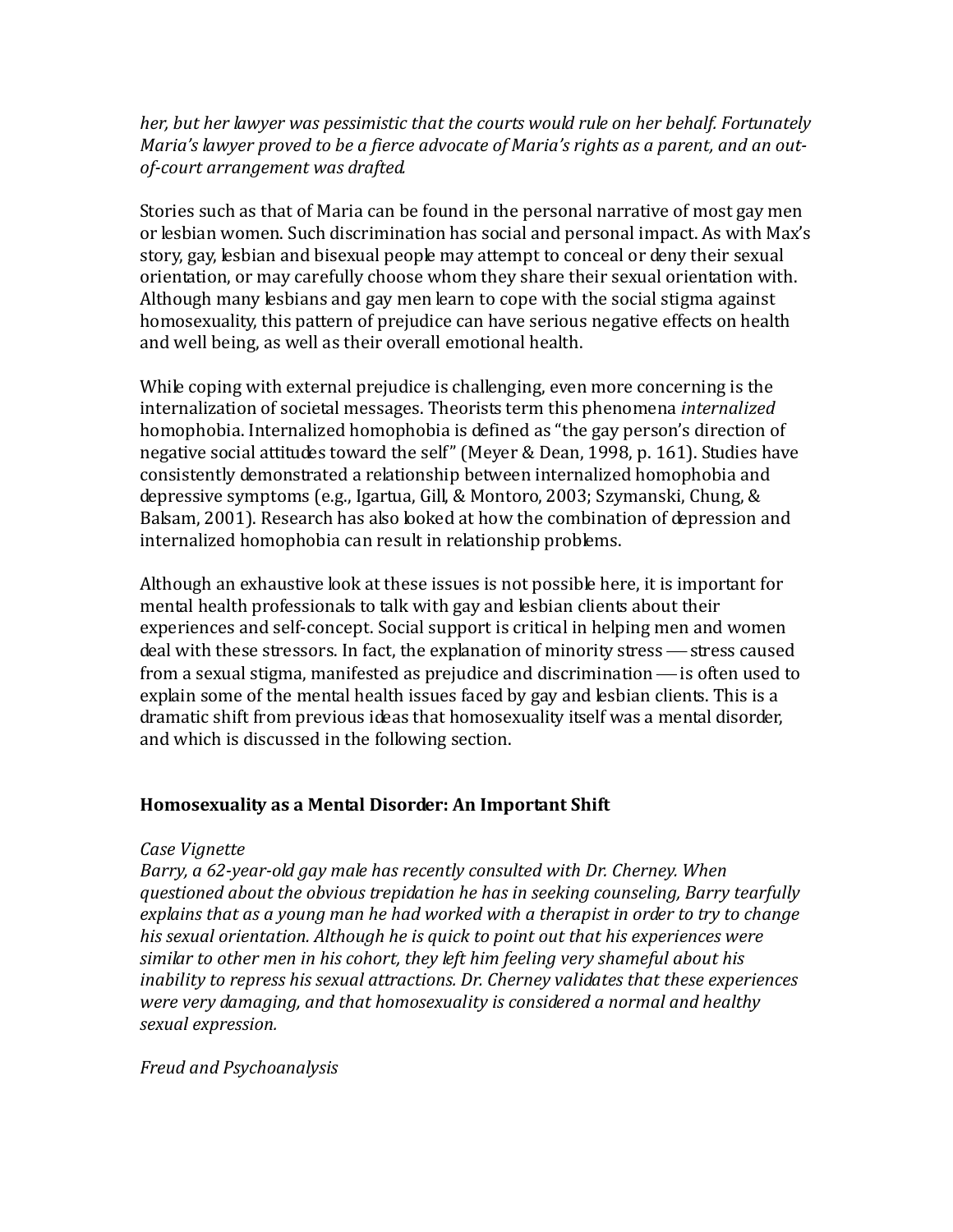## *her, but her lawyer was pessimistic that the courts would rule on her behalf. Fortunately Maria's lawyer proved to be a fierce advocate of Maria's rights as a parent, and an outof-court arrangement was drafted.*

Stories such as that of Maria can be found in the personal narrative of most gay men or lesbian women. Such discrimination has social and personal impact. As with Max's story, gay, lesbian and bisexual people may attempt to conceal or deny their sexual orientation, or may carefully choose whom they share their sexual orientation with. Although many lesbians and gay men learn to cope with the social stigma against homosexuality, this pattern of prejudice can have serious negative effects on health and well being, as well as their overall emotional health.

While coping with external prejudice is challenging, even more concerning is the internalization of societal messages. Theorists term this phenomena *internalized*  homophobia. Internalized homophobia is defined as "the gay person's direction of negative social attitudes toward the self" (Meyer & Dean, 1998, p. 161). Studies have consistently demonstrated a relationship between internalized homophobia and depressive symptoms (e.g., Igartua, Gill, & Montoro, 2003; Szymanski, Chung, & Balsam, 2001). Research has also looked at how the combination of depression and internalized homophobia can result in relationship problems.

Although an exhaustive look at these issues is not possible here, it is important for mental health professionals to talk with gay and lesbian clients about their experiences and self-concept. Social support is critical in helping men and women deal with these stressors. In fact, the explanation of minority stress — stress caused from a sexual stigma, manifested as prejudice and discrimination  $\frac{1}{1}$  is often used to explain some of the mental health issues faced by gay and lesbian clients. This is a dramatic shift from previous ideas that homosexuality itself was a mental disorder, and which is discussed in the following section.

#### **Homosexuality as a Mental Disorder: An Important Shift**

#### *Case Vignette*

*Barry, a 62-year-old gay male has recently consulted with Dr. Cherney. When questioned about the obvious trepidation he has in seeking counseling, Barry tearfully explains that as a young man he had worked with a therapist in order to try to change his sexual orientation. Although he is quick to point out that his experiences were similar to other men in his cohort, they left him feeling very shameful about his inability to repress his sexual attractions. Dr. Cherney validates that these experiences were very damaging, and that homosexuality is considered a normal and healthy sexual expression.*

## *Freud and Psychoanalysis*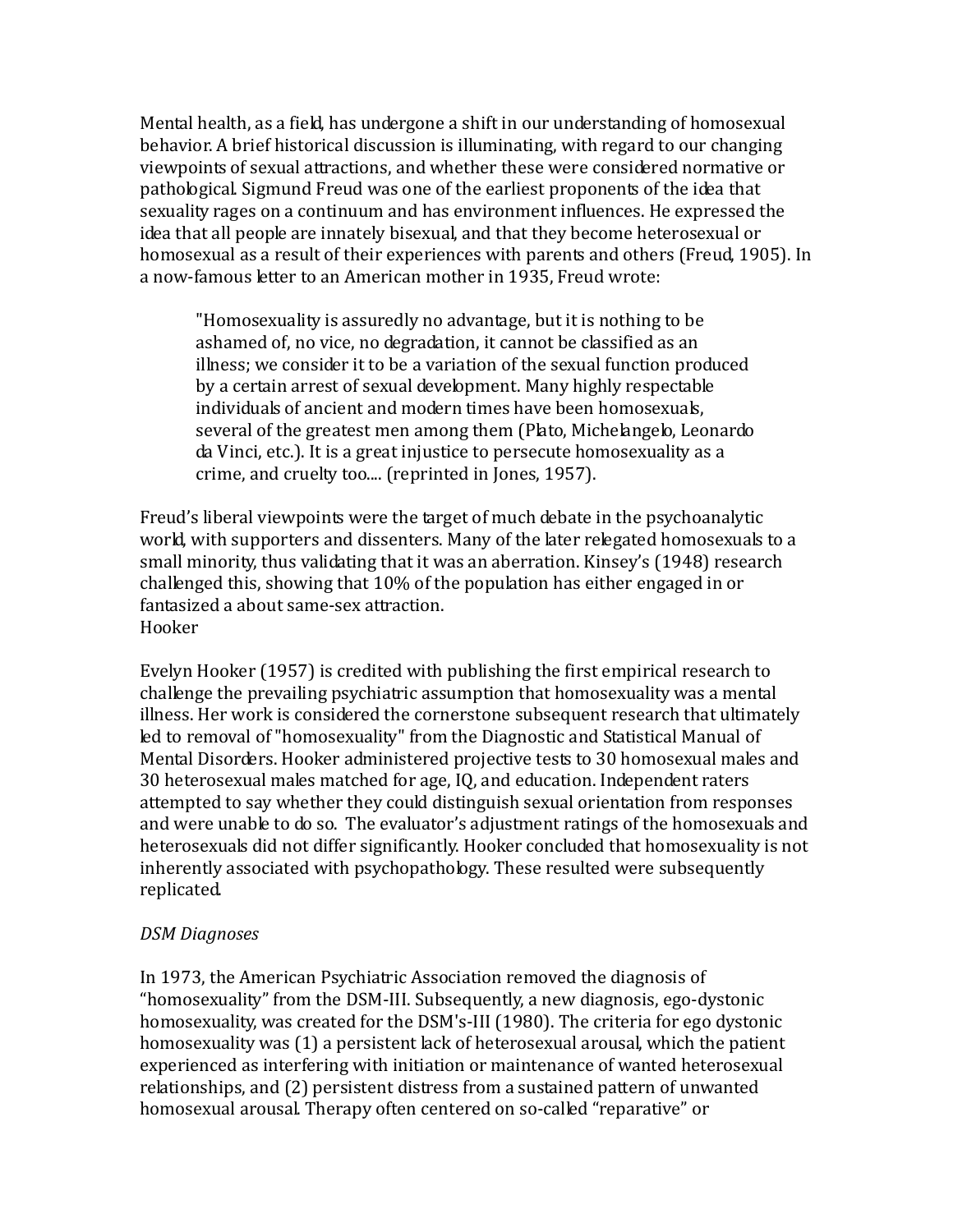Mental health, as a field, has undergone a shift in our understanding of homosexual behavior. A brief historical discussion is illuminating, with regard to our changing viewpoints of sexual attractions, and whether these were considered normative or pathological. Sigmund Freud was one of the earliest proponents of the idea that sexuality rages on a continuum and has environment influences. He expressed the idea that all people are innately bisexual, and that they become heterosexual or homosexual as a result of their experiences with parents and others (Freud, 1905). In a now-famous letter to an American mother in 1935, Freud wrote:

"Homosexuality is assuredly no advantage, but it is nothing to be ashamed of, no vice, no degradation, it cannot be classified as an illness; we consider it to be a variation of the sexual function produced by a certain arrest of sexual development. Many highly respectable individuals of ancient and modern times have been homosexuals, several of the greatest men among them (Plato, Michelangelo, Leonardo da Vinci, etc.). It is a great injustice to persecute homosexuality as a crime, and cruelty too.... (reprinted in Jones, 1957).

Freud's liberal viewpoints were the target of much debate in the psychoanalytic world, with supporters and dissenters. Many of the later relegated homosexuals to a small minority, thus validating that it was an aberration. Kinsey's (1948) research challenged this, showing that 10% of the population has either engaged in or fantasized a about same-sex attraction. Hooker

Evelyn Hooker (1957) is credited with publishing the first empirical research to challenge the prevailing psychiatric assumption that homosexuality was a mental illness. Her work is considered the cornerstone subsequent research that ultimately led to removal of "homosexuality" from the Diagnostic and Statistical Manual of Mental Disorders. Hooker administered projective tests to 30 homosexual males and 30 heterosexual males matched for age, IQ, and education. Independent raters attempted to say whether they could distinguish sexual orientation from responses and were unable to do so. The evaluator's adjustment ratings of the homosexuals and heterosexuals did not differ significantly. Hooker concluded that homosexuality is not inherently associated with psychopathology. These resulted were subsequently replicated.

## *DSM Diagnoses*

In 1973, the American Psychiatric Association removed the diagnosis of "homosexuality" from the DSM-III. Subsequently, a new diagnosis, ego-dystonic homosexuality, was created for the DSM's-III (1980). The criteria for ego dystonic homosexuality was (1) a persistent lack of heterosexual arousal, which the patient experienced as interfering with initiation or maintenance of wanted heterosexual relationships, and (2) persistent distress from a sustained pattern of unwanted homosexual arousal. Therapy often centered on so-called "reparative" or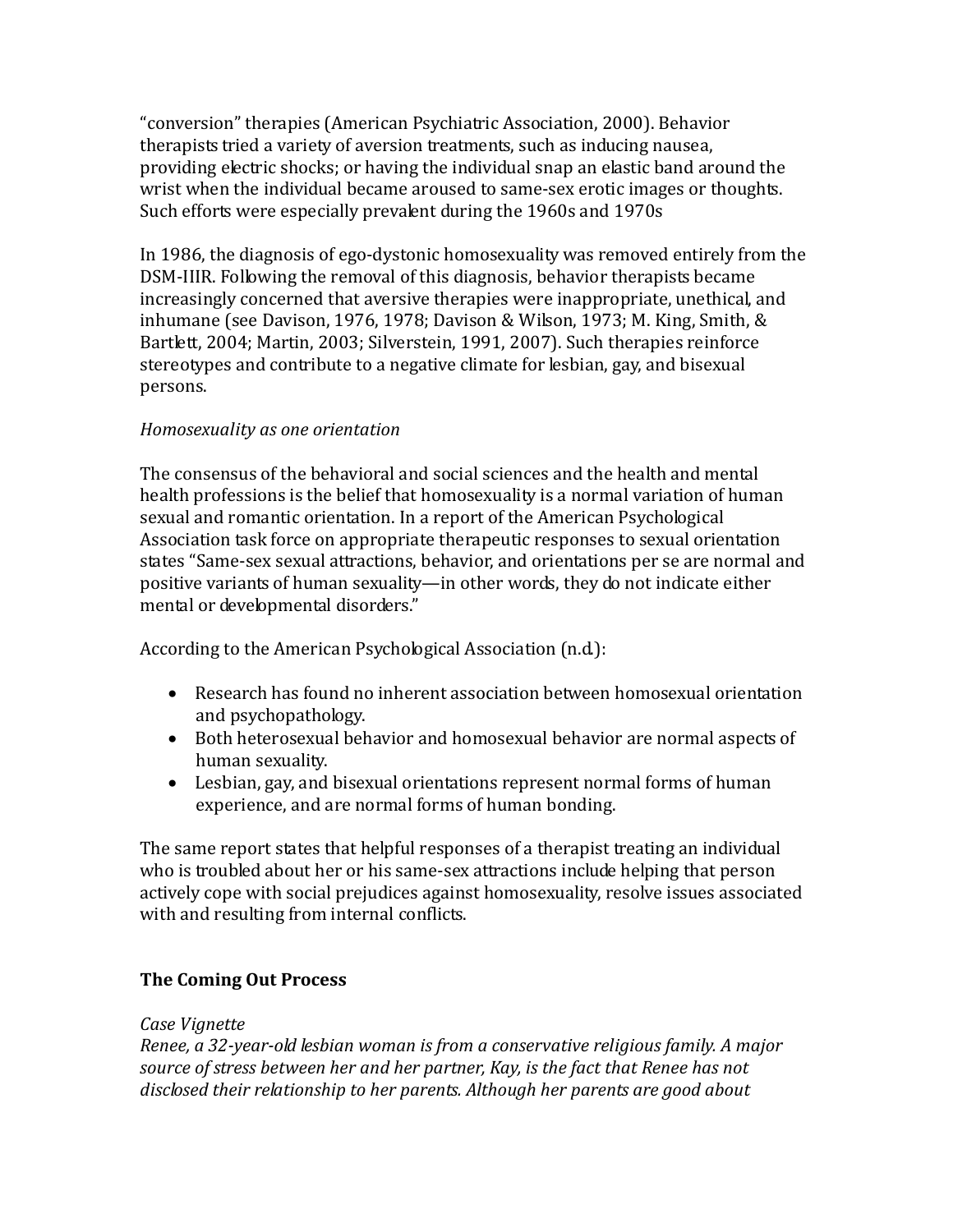"conversion" therapies (American Psychiatric Association, 2000). Behavior therapists tried a variety of aversion treatments, such as inducing nausea, providing electric shocks; or having the individual snap an elastic band around the wrist when the individual became aroused to same-sex erotic images or thoughts. Such efforts were especially prevalent during the 1960s and 1970s

In 1986, the diagnosis of ego-dystonic homosexuality was removed entirely from the DSM-IIIR. Following the removal of this diagnosis, behavior therapists became increasingly concerned that aversive therapies were inappropriate, unethical, and inhumane (see Davison, 1976, 1978; Davison & Wilson, 1973; M. King, Smith, & Bartlett, 2004; Martin, 2003; Silverstein, 1991, 2007). Such therapies reinforce stereotypes and contribute to a negative climate for lesbian, gay, and bisexual persons.

## *Homosexuality as one orientation*

The consensus of the behavioral and social sciences and the health and mental health professions is the belief that homosexuality is a normal variation of human sexual and romantic orientation. In a report of the American Psychological Association task force on appropriate therapeutic responses to sexual orientation states "Same-sex sexual attractions, behavior, and orientations per se are normal and positive variants of human sexuality—in other words, they do not indicate either mental or developmental disorders."

According to the American Psychological Association (n.d.):

- Research has found no inherent association between homosexual orientation and psychopathology.
- Both heterosexual behavior and homosexual behavior are normal aspects of human sexuality.
- Lesbian, gay, and bisexual orientations represent normal forms of human experience, and are normal forms of human bonding.

The same report states that helpful responses of a therapist treating an individual who is troubled about her or his same-sex attractions include helping that person actively cope with social prejudices against homosexuality, resolve issues associated with and resulting from internal conflicts.

# **The Coming Out Process**

## *Case Vignette*

*Renee, a 32-year-old lesbian woman is from a conservative religious family. A major source of stress between her and her partner, Kay, is the fact that Renee has not disclosed their relationship to her parents. Although her parents are good about*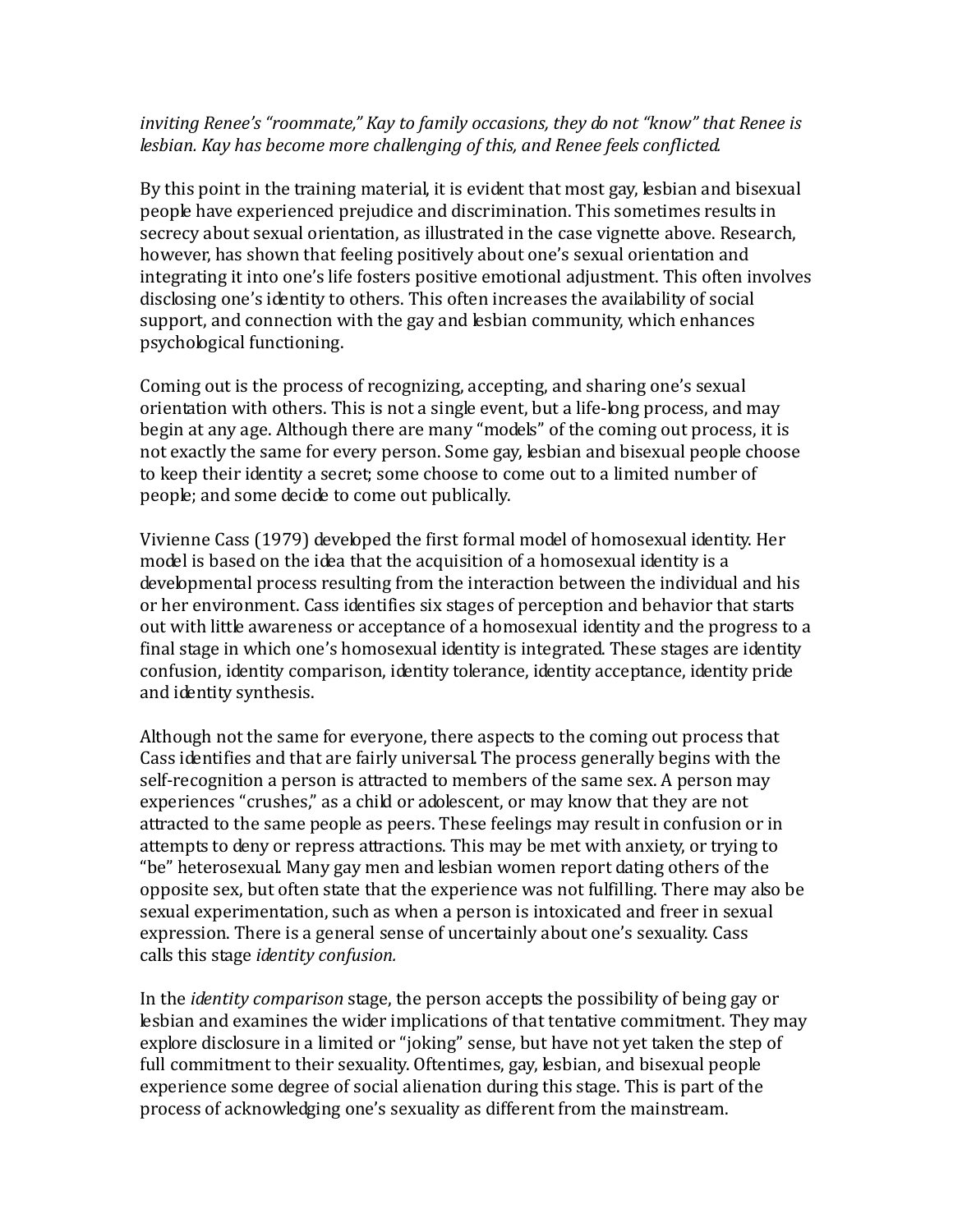## *inviting Renee's "roommate," Kay to family occasions, they do not "know" that Renee is lesbian. Kay has become more challenging of this, and Renee feels conflicted.*

By this point in the training material, it is evident that most gay, lesbian and bisexual people have experienced prejudice and discrimination. This sometimes results in secrecy about sexual orientation, as illustrated in the case vignette above. Research, however, has shown that feeling positively about one's sexual orientation and integrating it into one's life fosters positive emotional adjustment. This often involves disclosing one's identity to others. This often increases the availability of social support, and connection with the gay and lesbian community, which enhances psychological functioning.

Coming out is the process of recognizing, accepting, and sharing one's sexual orientation with others. This is not a single event, but a life-long process, and may begin at any age. Although there are many "models" of the coming out process, it is not exactly the same for every person. Some gay, lesbian and bisexual people choose to keep their identity a secret; some choose to come out to a limited number of people; and some decide to come out publically.

Vivienne Cass (1979) developed the first formal model of homosexual identity. Her model is based on the idea that the acquisition of a homosexual identity is a developmental process resulting from the interaction between the individual and his or her environment. Cass identifies six stages of perception and behavior that starts out with little awareness or acceptance of a homosexual identity and the progress to a final stage in which one's homosexual identity is integrated. These stages are identity confusion, identity comparison, identity tolerance, identity acceptance, identity pride and identity synthesis.

Although not the same for everyone, there aspects to the coming out process that Cass identifies and that are fairly universal. The process generally begins with the self-recognition a person is attracted to members of the same sex. A person may experiences "crushes," as a child or adolescent, or may know that they are not attracted to the same people as peers. These feelings may result in confusion or in attempts to deny or repress attractions. This may be met with anxiety, or trying to "be" heterosexual. Many gay men and lesbian women report dating others of the opposite sex, but often state that the experience was not fulfilling. There may also be sexual experimentation, such as when a person is intoxicated and freer in sexual expression. There is a general sense of uncertainly about one's sexuality. Cass calls this stage *identity confusion.*

In the *identity comparison* stage, the person accepts the possibility of being gay or lesbian and examines the wider implications of that tentative commitment. They may explore disclosure in a limited or "joking" sense, but have not yet taken the step of full commitment to their sexuality. Oftentimes, gay, lesbian, and bisexual people experience some degree of social alienation during this stage. This is part of the process of acknowledging one's sexuality as different from the mainstream.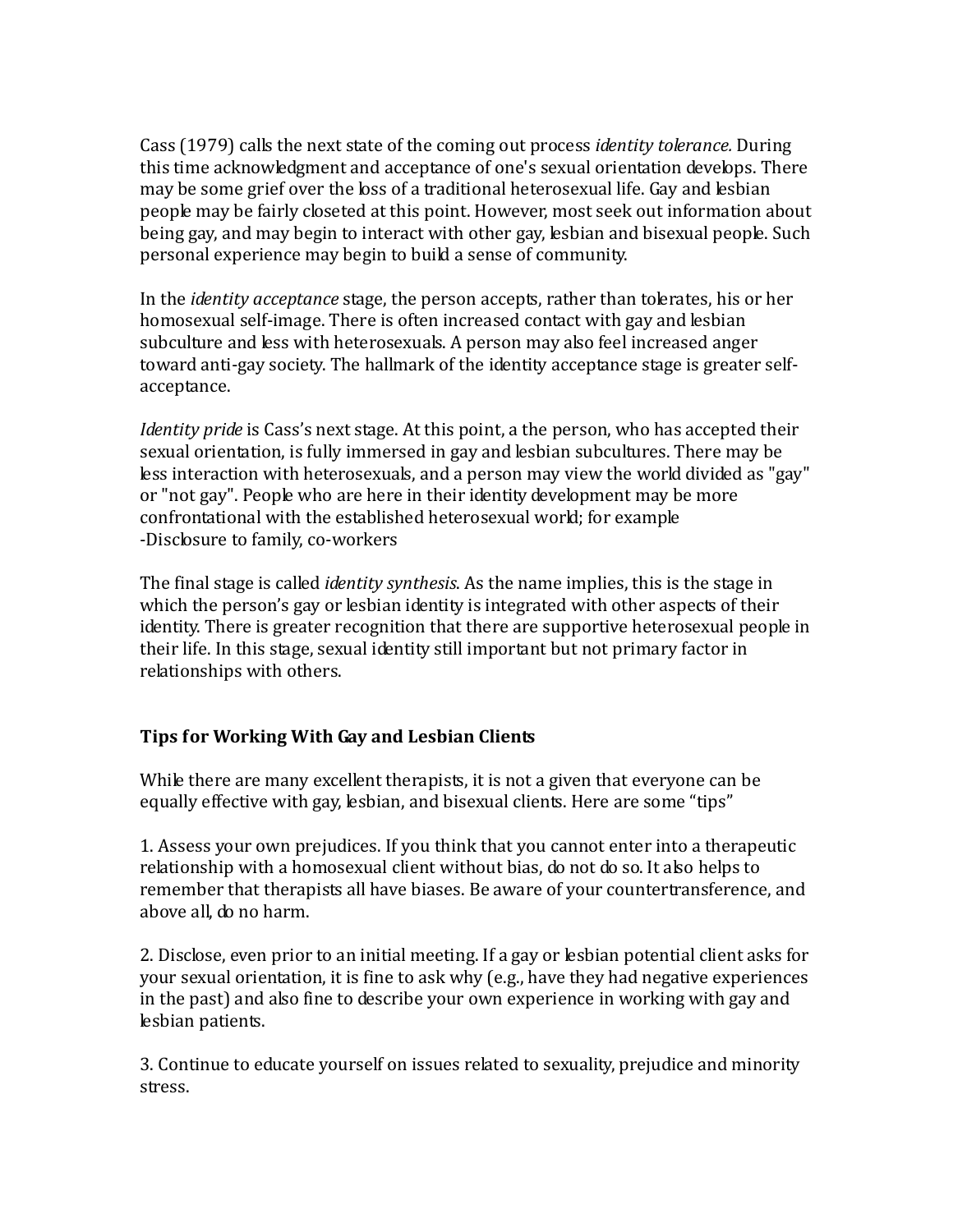Cass (1979) calls the next state of the coming out process *identity tolerance.* During this time acknowledgment and acceptance of one's sexual orientation develops. There may be some grief over the loss of a traditional heterosexual life. Gay and lesbian people may be fairly closeted at this point. However, most seek out information about being gay, and may begin to interact with other gay, lesbian and bisexual people. Such personal experience may begin to build a sense of community.

In the *identity acceptance* stage, the person accepts, rather than tolerates, his or her homosexual self-image. There is often increased contact with gay and lesbian subculture and less with heterosexuals. A person may also feel increased anger toward anti-gay society. The hallmark of the identity acceptance stage is greater selfacceptance.

*Identity pride* is Cass's next stage. At this point, a the person, who has accepted their sexual orientation, is fully immersed in gay and lesbian subcultures. There may be less interaction with heterosexuals, and a person may view the world divided as "gay" or "not gay". People who are here in their identity development may be more confrontational with the established heterosexual world; for example -Disclosure to family, co-workers

The final stage is called *identity synthesis*. As the name implies, this is the stage in which the person's gay or lesbian identity is integrated with other aspects of their identity. There is greater recognition that there are supportive heterosexual people in their life. In this stage, sexual identity still important but not primary factor in relationships with others.

# **Tips for Working With Gay and Lesbian Clients**

While there are many excellent therapists, it is not a given that everyone can be equally effective with gay, lesbian, and bisexual clients. Here are some "tips"

1. Assess your own prejudices. If you think that you cannot enter into a therapeutic relationship with a homosexual client without bias, do not do so. It also helps to remember that therapists all have biases. Be aware of your countertransference, and above all, do no harm.

2. Disclose, even prior to an initial meeting. If a gay or lesbian potential client asks for your sexual orientation, it is fine to ask why (e.g., have they had negative experiences in the past) and also fine to describe your own experience in working with gay and lesbian patients.

3. Continue to educate yourself on issues related to sexuality, prejudice and minority stress.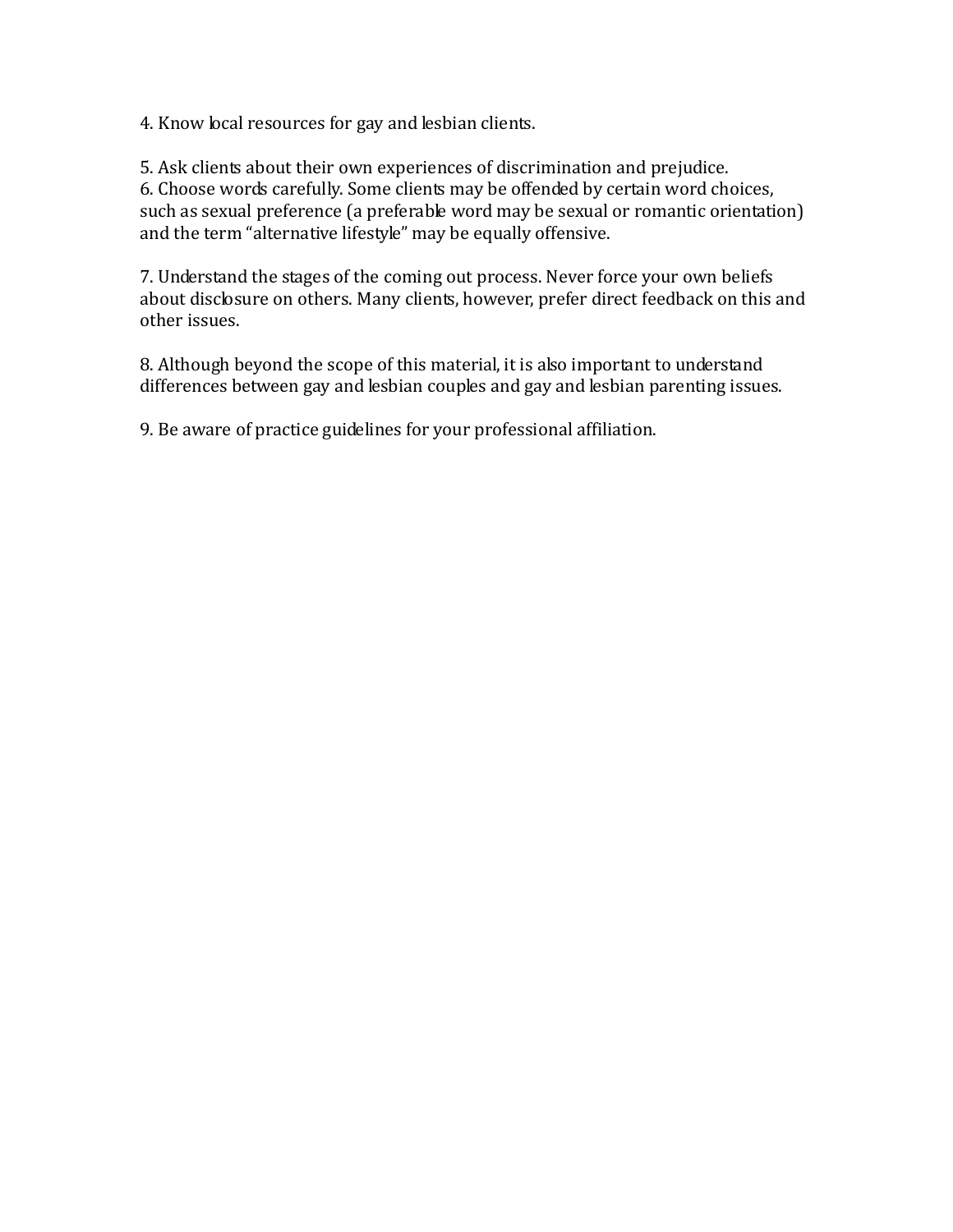4. Know local resources for gay and lesbian clients.

5. Ask clients about their own experiences of discrimination and prejudice. 6. Choose words carefully. Some clients may be offended by certain word choices, such as sexual preference (a preferable word may be sexual or romantic orientation) and the term "alternative lifestyle" may be equally offensive.

7. Understand the stages of the coming out process. Never force your own beliefs about disclosure on others. Many clients, however, prefer direct feedback on this and other issues.

8. Although beyond the scope of this material, it is also important to understand differences between gay and lesbian couples and gay and lesbian parenting issues.

9. Be aware of practice guidelines for your professional affiliation.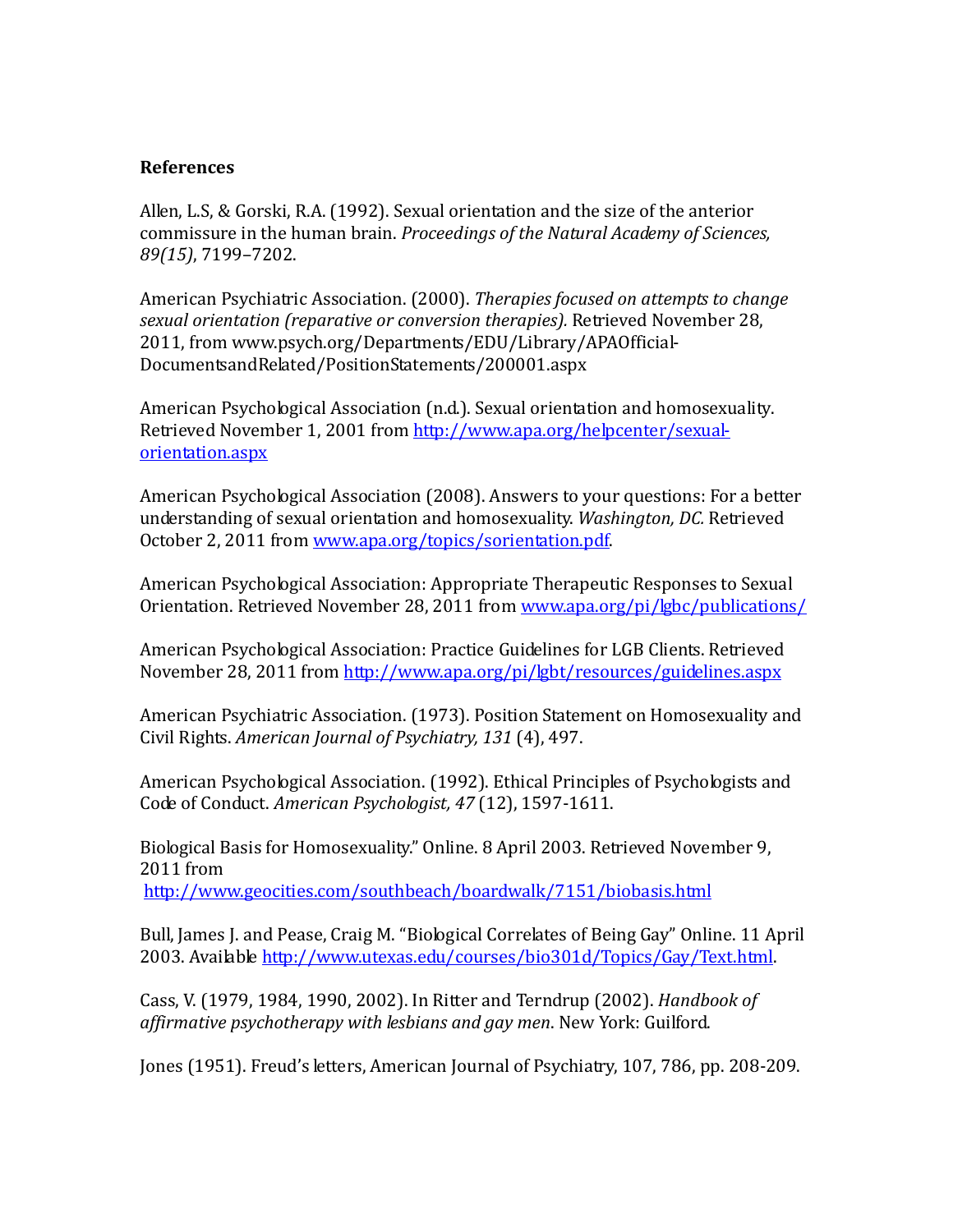#### **References**

Allen, L.S, & Gorski, R.A. (1992). Sexual orientation and the size of the anterior commissure in the human brain. *Proceedings of the Natural Academy of Sciences, 89(15)*, 7199–7202.

American Psychiatric Association. (2000). *Therapies focused on attempts to change sexual orientation (reparative or conversion therapies).* Retrieved November 28, 2011, from www.psych.org/Departments/EDU/Library/APAOfficial-DocumentsandRelated/PositionStatements/200001.aspx

American Psychological Association (n.d.). Sexual orientation and homosexuality. Retrieved November 1, 2001 from [http://www.apa.org/helpcenter/sexual](http://www.apa.org/helpcenter/sexual-orientation.aspx)[orientation.aspx](http://www.apa.org/helpcenter/sexual-orientation.aspx)

American Psychological Association (2008). Answers to your questions: For a better understanding of sexual orientation and homosexuality. *Washington, DC.* Retrieved October 2, 2011 from [www.apa.org/topics/sorientation.pdf.](http://www.apa.org/topics/sorientation.pdf)

American Psychological Association: Appropriate Therapeutic Responses to Sexual Orientation. Retrieved November 28, 2011 from [www.apa.org/pi/lgbc/publications/](http://www.apa.org/pi/lgbc/publications/)

American Psychological Association: Practice Guidelines for LGB Clients. Retrieved November 28, 2011 from <http://www.apa.org/pi/lgbt/resources/guidelines.aspx>

American Psychiatric Association. (1973). Position Statement on Homosexuality and Civil Rights. *American Journal of Psychiatry, 131* (4), 497.

American Psychological Association. (1992). Ethical Principles of Psychologists and Code of Conduct. *American Psychologist, 47* (12), 1597-1611.

Biological Basis for Homosexuality." Online. 8 April 2003. Retrieved November 9, 2011 from <http://www.geocities.com/southbeach/boardwalk/7151/biobasis.html>

Bull, James J. and Pease, Craig M. "Biological Correlates of Being Gay" Online. 11 April 2003. Available [http://www.utexas.edu/courses/bio301d/Topics/Gay/Text.html.](http://www.utexas.edu/courses/bio301d/Topics/Gay/Text.html)

Cass, V. (1979, 1984, 1990, 2002). In Ritter and Terndrup (2002). *Handbook of affirmative psychotherapy with lesbians and gay men*. New York: Guilford.

Jones (1951). Freud's letters, American Journal of Psychiatry, 107, 786, pp. 208-209.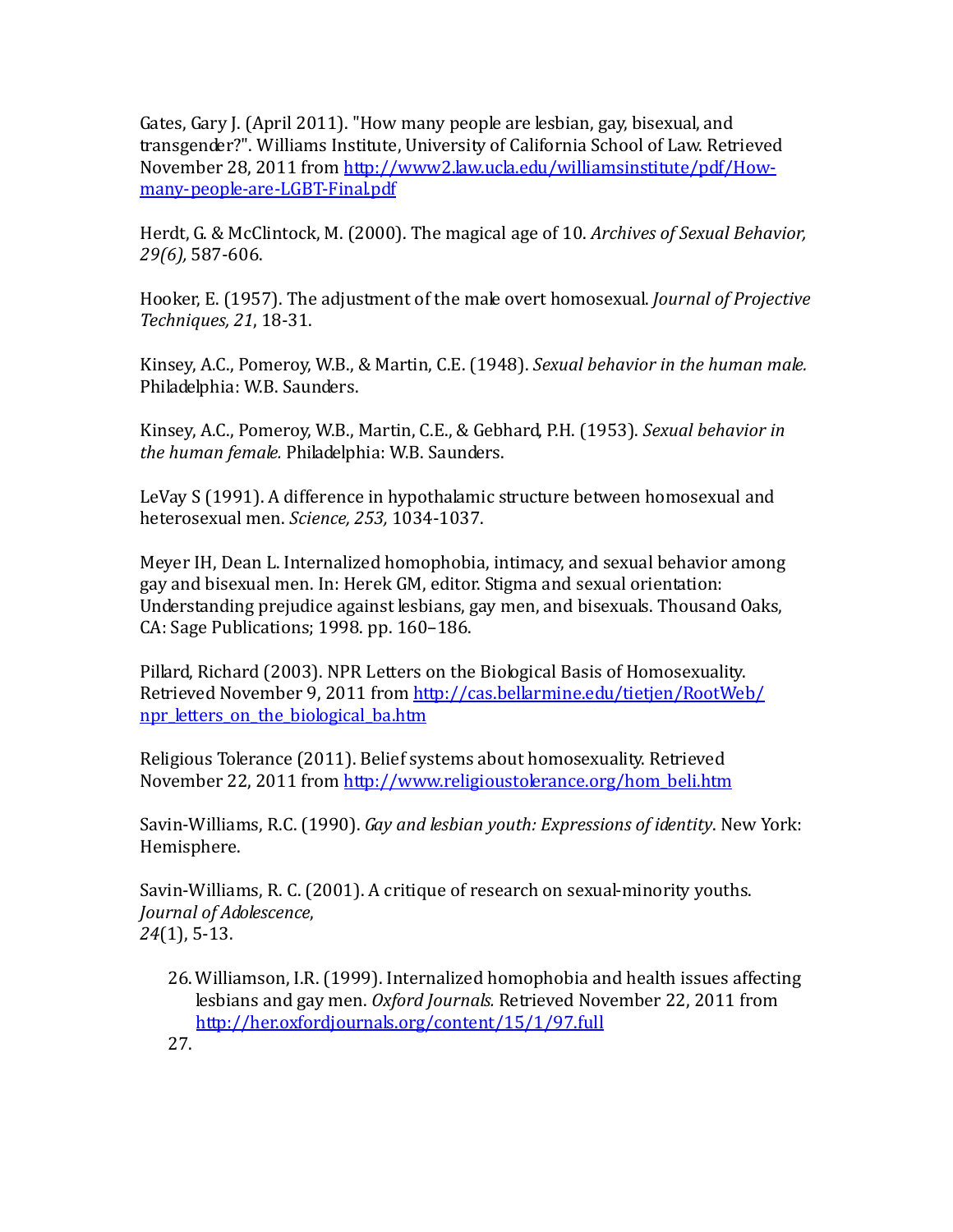Gates, Gary J. (April 2011). "How many people are lesbian, gay, bisexual, and transgender?". Williams Institute, University of California School of Law. Retrieved November 28, 2011 from [http://www2.law.ucla.edu/williamsinstitute/pdf/How](http://www2.law.ucla.edu/williamsinstitute/pdf/How-many-people-are-LGBT-Final.pdf)[many-people-are-LGBT-Final.pdf](http://www2.law.ucla.edu/williamsinstitute/pdf/How-many-people-are-LGBT-Final.pdf)

Herdt, G. & McClintock, M. (2000). The magical age of 10. *Archives of Sexual Behavior, 29(6),* 587-606.

Hooker, E. (1957). The adjustment of the male overt homosexual. *Journal of Projective Techniques, 21*, 18-31.

Kinsey, A.C., Pomeroy, W.B., & Martin, C.E. (1948). *Sexual behavior in the human male.* Philadelphia: W.B. Saunders.

Kinsey, A.C., Pomeroy, W.B., Martin, C.E., & Gebhard, P.H. (1953). *Sexual behavior in the human female.* Philadelphia: W.B. Saunders.

LeVay S (1991). A difference in hypothalamic structure between homosexual and heterosexual men. *Science, 253,* 1034-1037.

Meyer IH, Dean L. Internalized homophobia, intimacy, and sexual behavior among gay and bisexual men. In: Herek GM, editor. Stigma and sexual orientation: Understanding prejudice against lesbians, gay men, and bisexuals. Thousand Oaks, CA: Sage Publications; 1998. pp. 160–186.

Pillard, Richard (2003). NPR Letters on the Biological Basis of Homosexuality. Retrieved November 9, 2011 from [http://cas.bellarmine.edu/tietjen/RootWeb/](http://cas.bellarmine.edu/tietjen/RootWeb/npr_letters_on_the_biological_ba.htm) [npr\\_letters\\_on\\_the\\_biological\\_ba.htm](http://cas.bellarmine.edu/tietjen/RootWeb/npr_letters_on_the_biological_ba.htm)

Religious Tolerance (2011). Belief systems about homosexuality. Retrieved November 22, 2011 from [http://www.religioustolerance.org/hom\\_beli.htm](http://www.religioustolerance.org/hom_beli.htm)

Savin-Williams, R.C. (1990). *Gay and lesbian youth: Expressions of identity*. New York: Hemisphere.

Savin-Williams, R. C. (2001). A critique of research on sexual-minority youths. *Journal of Adolescence*, *24*(1), 5-13.

- 26.Williamson, I.R. (1999). Internalized homophobia and health issues affecting lesbians and gay men. *Oxford Journals.* Retrieved November 22, 2011 from <http://her.oxfordjournals.org/content/15/1/97.full>
- 27.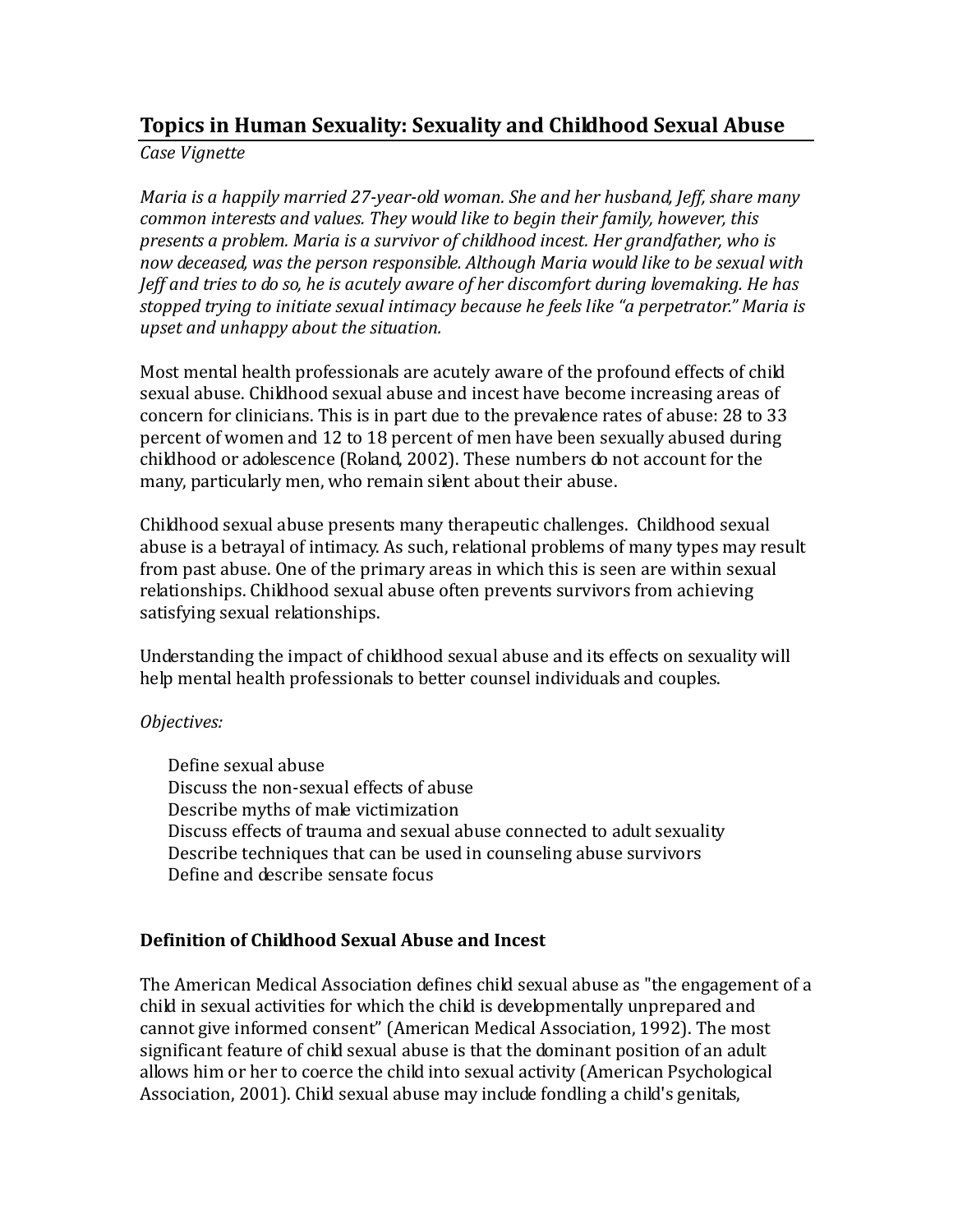# **Topics in Human Sexuality: Sexuality and Childhood Sexual Abuse**

*Case Vignette*

*Maria is a happily married 27-year-old woman. She and her husband, Jeff, share many common interests and values. They would like to begin their family, however, this presents a problem. Maria is a survivor of childhood incest. Her grandfather, who is now deceased, was the person responsible. Although Maria would like to be sexual with Jeff and tries to do so, he is acutely aware of her discomfort during lovemaking. He has stopped trying to initiate sexual intimacy because he feels like "a perpetrator." Maria is upset and unhappy about the situation.*

Most mental health professionals are acutely aware of the profound effects of child sexual abuse. Childhood sexual abuse and incest have become increasing areas of concern for clinicians. This is in part due to the prevalence rates of abuse: 28 to 33 percent of women and 12 to 18 percent of men have been sexually abused during childhood or adolescence (Roland, 2002). These numbers do not account for the many, particularly men, who remain silent about their abuse.

Childhood sexual abuse presents many therapeutic challenges. Childhood sexual abuse is a betrayal of intimacy. As such, relational problems of many types may result from past abuse. One of the primary areas in which this is seen are within sexual relationships. Childhood sexual abuse often prevents survivors from achieving satisfying sexual relationships.

Understanding the impact of childhood sexual abuse and its effects on sexuality will help mental health professionals to better counsel individuals and couples.

## *Objectives:*

Define sexual abuse Discuss the non-sexual effects of abuse Describe myths of male victimization Discuss effects of trauma and sexual abuse connected to adult sexuality Describe techniques that can be used in counseling abuse survivors Define and describe sensate focus

# **Definition of Childhood Sexual Abuse and Incest**

The American Medical Association defines child sexual abuse as "the engagement of a child in sexual activities for which the child is developmentally unprepared and cannot give informed consent" (American Medical Association, 1992). The most significant feature of child sexual abuse is that the dominant position of an adult allows him or her to coerce the child into sexual activity (American Psychological Association, 2001). Child sexual abuse may include fondling a child's genitals,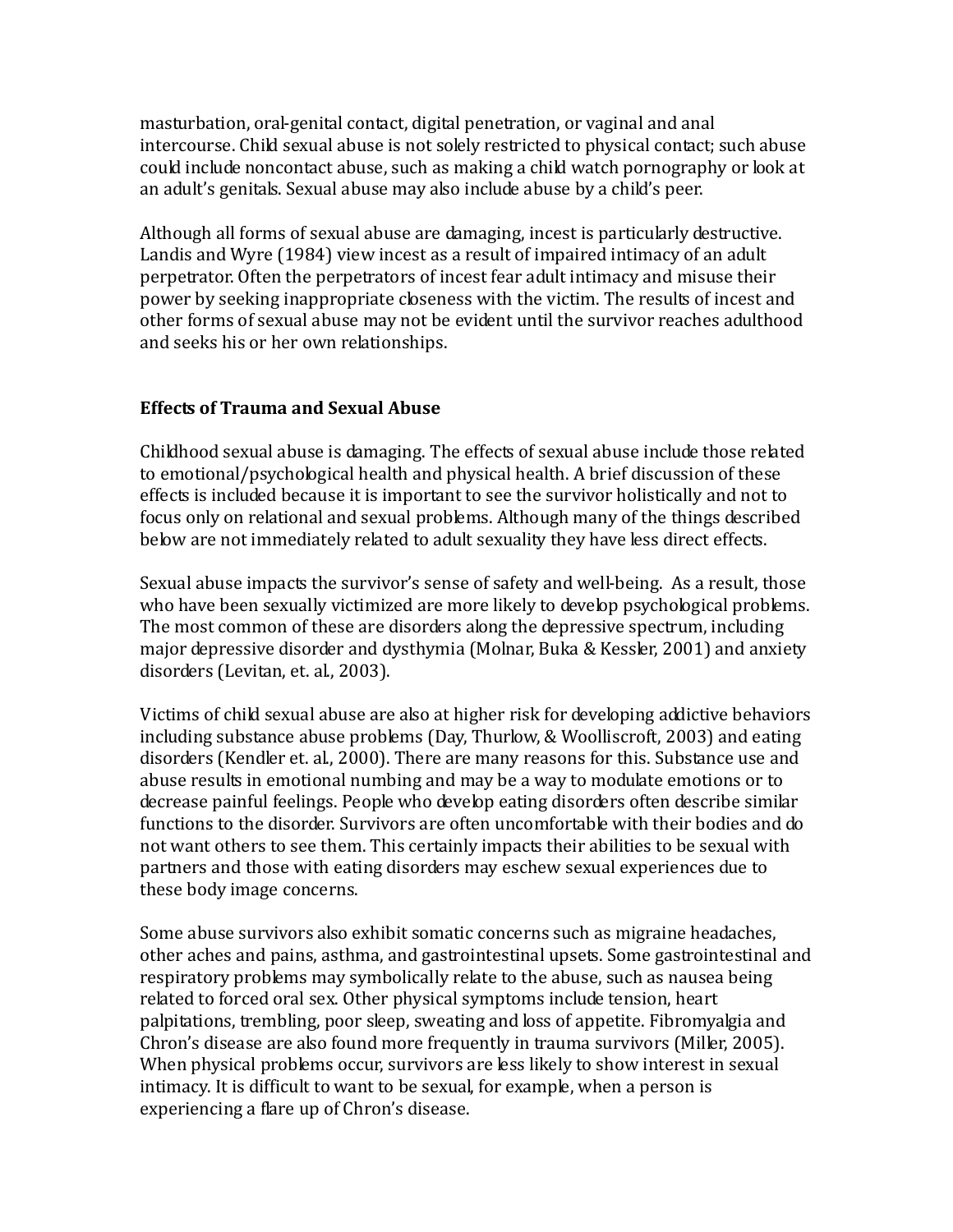masturbation, oral-genital contact, digital penetration, or vaginal and anal intercourse. Child sexual abuse is not solely restricted to physical contact; such abuse could include noncontact abuse, such as making a child watch pornography or look at an adult's genitals. Sexual abuse may also include abuse by a child's peer.

Although all forms of sexual abuse are damaging, incest is particularly destructive. Landis and Wyre (1984) view incest as a result of impaired intimacy of an adult perpetrator. Often the perpetrators of incest fear adult intimacy and misuse their power by seeking inappropriate closeness with the victim. The results of incest and other forms of sexual abuse may not be evident until the survivor reaches adulthood and seeks his or her own relationships.

## **Effects of Trauma and Sexual Abuse**

Childhood sexual abuse is damaging. The effects of sexual abuse include those related to emotional/psychological health and physical health. A brief discussion of these effects is included because it is important to see the survivor holistically and not to focus only on relational and sexual problems. Although many of the things described below are not immediately related to adult sexuality they have less direct effects.

Sexual abuse impacts the survivor's sense of safety and well-being. As a result, those who have been sexually victimized are more likely to develop psychological problems. The most common of these are disorders along the depressive spectrum, including major depressive disorder and dysthymia (Molnar, Buka & Kessler, 2001) and anxiety disorders (Levitan, et. al., 2003).

Victims of child sexual abuse are also at higher risk for developing addictive behaviors including substance abuse problems (Day, Thurlow, & Woolliscroft, 2003) and eating disorders (Kendler et. al., 2000). There are many reasons for this. Substance use and abuse results in emotional numbing and may be a way to modulate emotions or to decrease painful feelings. People who develop eating disorders often describe similar functions to the disorder. Survivors are often uncomfortable with their bodies and do not want others to see them. This certainly impacts their abilities to be sexual with partners and those with eating disorders may eschew sexual experiences due to these body image concerns.

Some abuse survivors also exhibit somatic concerns such as migraine headaches, other aches and pains, asthma, and gastrointestinal upsets. Some gastrointestinal and respiratory problems may symbolically relate to the abuse, such as nausea being related to forced oral sex. Other physical symptoms include tension, heart palpitations, trembling, poor sleep, sweating and loss of appetite. Fibromyalgia and Chron's disease are also found more frequently in trauma survivors (Miller, 2005). When physical problems occur, survivors are less likely to show interest in sexual intimacy. It is difficult to want to be sexual, for example, when a person is experiencing a flare up of Chron's disease.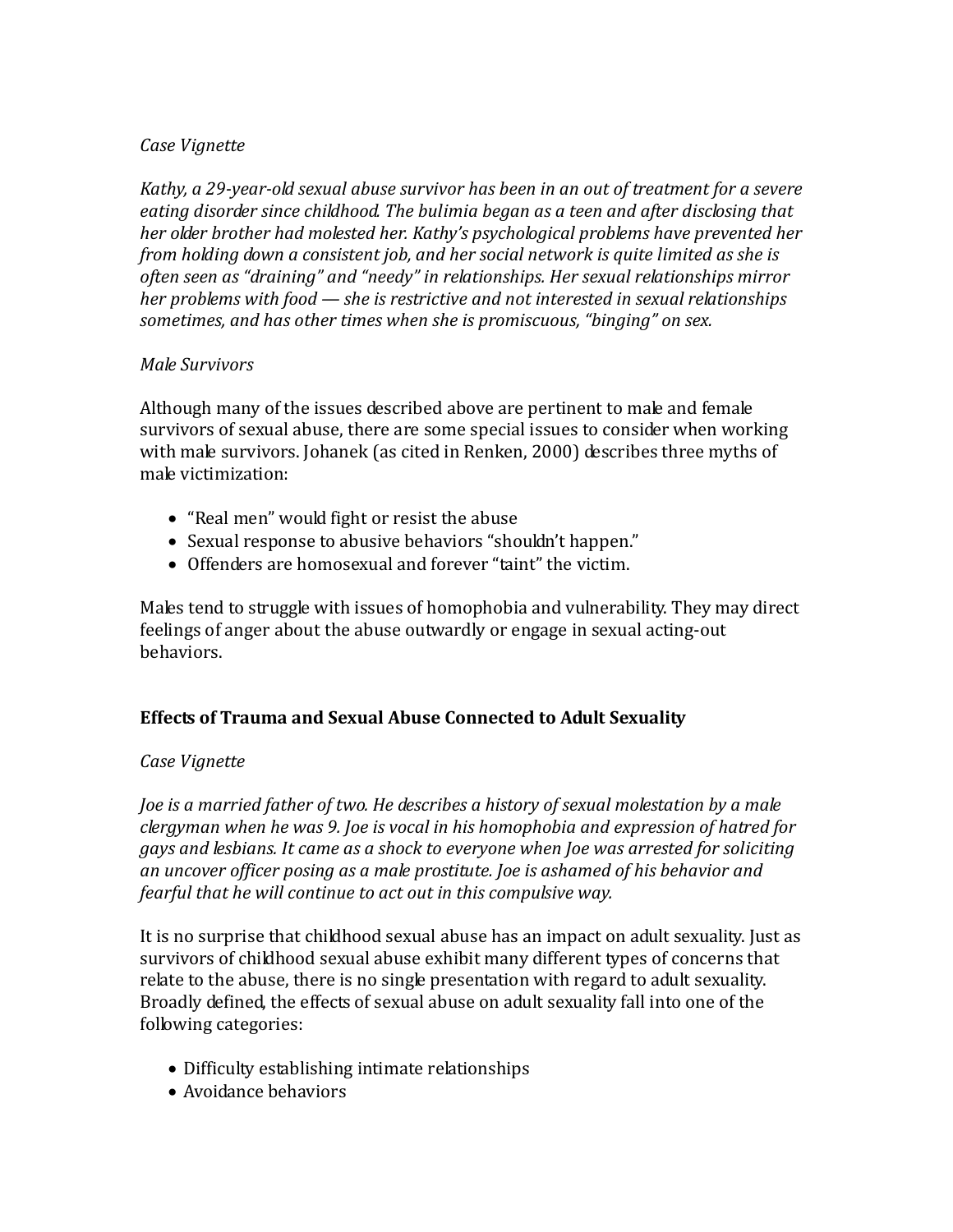## *Case Vignette*

*Kathy, a 29-year-old sexual abuse survivor has been in an out of treatment for a severe eating disorder since childhood. The bulimia began as a teen and after disclosing that her older brother had molested her. Kathy's psychological problems have prevented her from holding down a consistent job, and her social network is quite limited as she is often seen as "draining" and "needy" in relationships. Her sexual relationships mirror her problems with food — she is restrictive and not interested in sexual relationships sometimes, and has other times when she is promiscuous, "binging" on sex.*

## *Male Survivors*

Although many of the issues described above are pertinent to male and female survivors of sexual abuse, there are some special issues to consider when working with male survivors. Johanek (as cited in Renken, 2000) describes three myths of male victimization:

- "Real men" would fight or resist the abuse
- Sexual response to abusive behaviors "shouldn't happen."
- Offenders are homosexual and forever "taint" the victim.

Males tend to struggle with issues of homophobia and vulnerability. They may direct feelings of anger about the abuse outwardly or engage in sexual acting-out behaviors.

# **Effects of Trauma and Sexual Abuse Connected to Adult Sexuality**

## *Case Vignette*

*Joe is a married father of two. He describes a history of sexual molestation by a male clergyman when he was 9. Joe is vocal in his homophobia and expression of hatred for gays and lesbians. It came as a shock to everyone when Joe was arrested for soliciting an uncover officer posing as a male prostitute. Joe is ashamed of his behavior and fearful that he will continue to act out in this compulsive way.*

It is no surprise that childhood sexual abuse has an impact on adult sexuality. Just as survivors of childhood sexual abuse exhibit many different types of concerns that relate to the abuse, there is no single presentation with regard to adult sexuality. Broadly defined, the effects of sexual abuse on adult sexuality fall into one of the following categories:

- Difficulty establishing intimate relationships
- Avoidance behaviors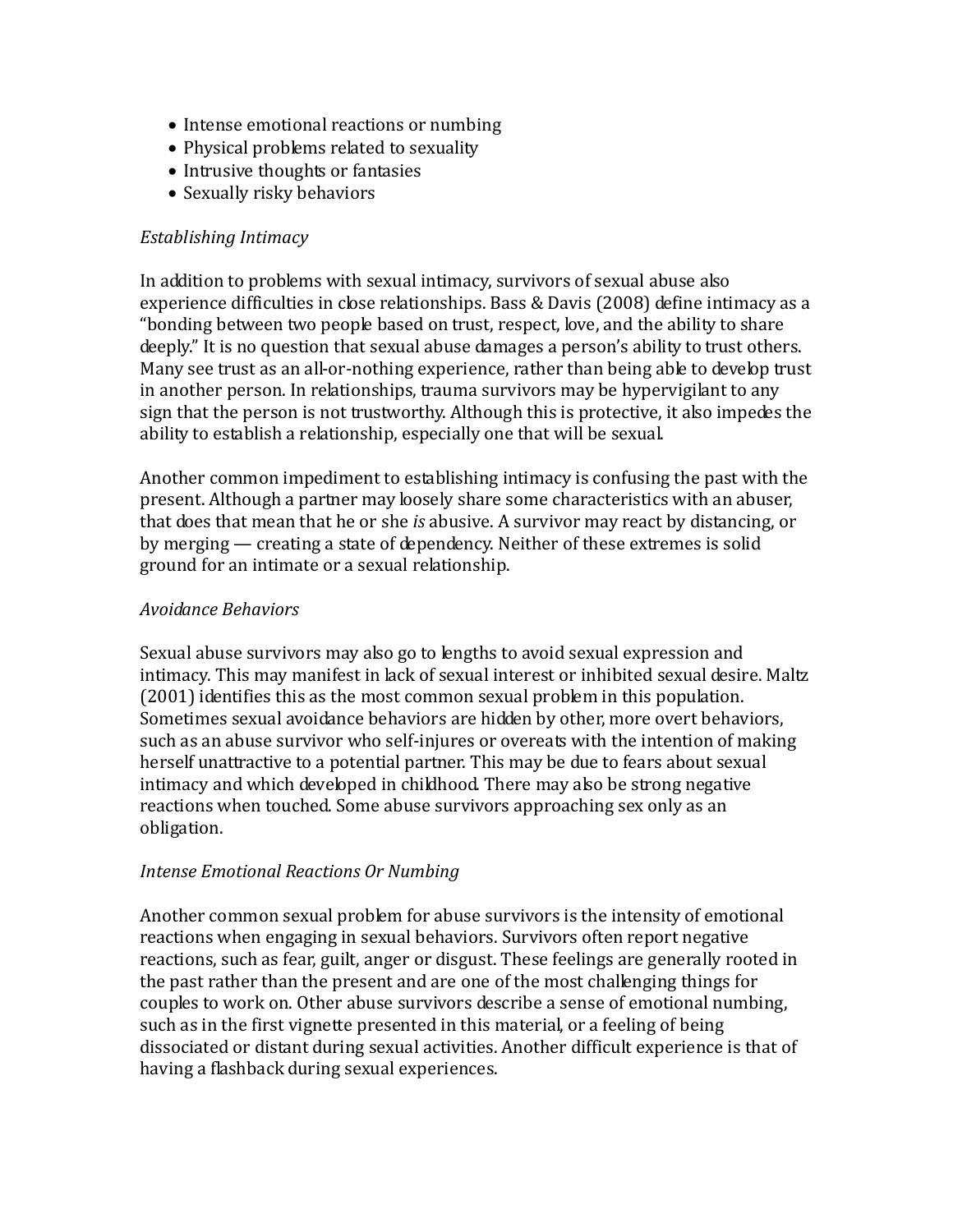- Intense emotional reactions or numbing
- Physical problems related to sexuality
- Intrusive thoughts or fantasies
- Sexually risky behaviors

## *Establishing Intimacy*

In addition to problems with sexual intimacy, survivors of sexual abuse also experience difficulties in close relationships. Bass & Davis (2008) define intimacy as a "bonding between two people based on trust, respect, love, and the ability to share deeply." It is no question that sexual abuse damages a person's ability to trust others. Many see trust as an all-or-nothing experience, rather than being able to develop trust in another person. In relationships, trauma survivors may be hypervigilant to any sign that the person is not trustworthy. Although this is protective, it also impedes the ability to establish a relationship, especially one that will be sexual.

Another common impediment to establishing intimacy is confusing the past with the present. Although a partner may loosely share some characteristics with an abuser, that does that mean that he or she *is* abusive. A survivor may react by distancing, or by merging — creating a state of dependency. Neither of these extremes is solid ground for an intimate or a sexual relationship.

## *Avoidance Behaviors*

Sexual abuse survivors may also go to lengths to avoid sexual expression and intimacy. This may manifest in lack of sexual interest or inhibited sexual desire. Maltz (2001) identifies this as the most common sexual problem in this population. Sometimes sexual avoidance behaviors are hidden by other, more overt behaviors, such as an abuse survivor who self-injures or overeats with the intention of making herself unattractive to a potential partner. This may be due to fears about sexual intimacy and which developed in childhood. There may also be strong negative reactions when touched. Some abuse survivors approaching sex only as an obligation.

## *Intense Emotional Reactions Or Numbing*

Another common sexual problem for abuse survivors is the intensity of emotional reactions when engaging in sexual behaviors. Survivors often report negative reactions, such as fear, guilt, anger or disgust. These feelings are generally rooted in the past rather than the present and are one of the most challenging things for couples to work on. Other abuse survivors describe a sense of emotional numbing, such as in the first vignette presented in this material, or a feeling of being dissociated or distant during sexual activities. Another difficult experience is that of having a flashback during sexual experiences.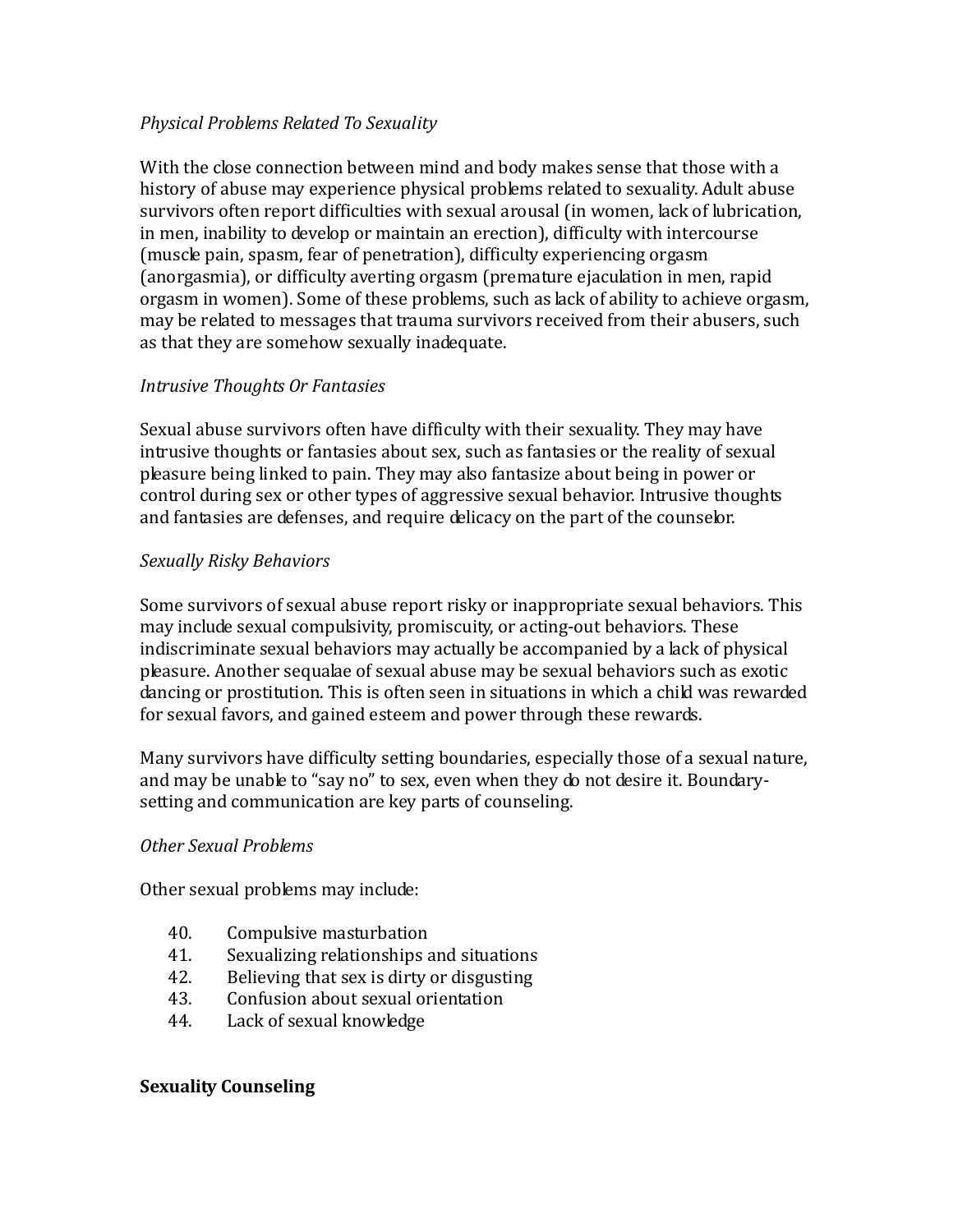## *Physical Problems Related To Sexuality*

With the close connection between mind and body makes sense that those with a history of abuse may experience physical problems related to sexuality. Adult abuse survivors often report difficulties with sexual arousal (in women, lack of lubrication, in men, inability to develop or maintain an erection), difficulty with intercourse (muscle pain, spasm, fear of penetration), difficulty experiencing orgasm (anorgasmia), or difficulty averting orgasm (premature ejaculation in men, rapid orgasm in women). Some of these problems, such as lack of ability to achieve orgasm, may be related to messages that trauma survivors received from their abusers, such as that they are somehow sexually inadequate.

#### *Intrusive Thoughts Or Fantasies*

Sexual abuse survivors often have difficulty with their sexuality. They may have intrusive thoughts or fantasies about sex, such as fantasies or the reality of sexual pleasure being linked to pain. They may also fantasize about being in power or control during sex or other types of aggressive sexual behavior. Intrusive thoughts and fantasies are defenses, and require delicacy on the part of the counselor.

#### *Sexually Risky Behaviors*

Some survivors of sexual abuse report risky or inappropriate sexual behaviors. This may include sexual compulsivity, promiscuity, or acting-out behaviors. These indiscriminate sexual behaviors may actually be accompanied by a lack of physical pleasure. Another sequalae of sexual abuse may be sexual behaviors such as exotic dancing or prostitution. This is often seen in situations in which a child was rewarded for sexual favors, and gained esteem and power through these rewards.

Many survivors have difficulty setting boundaries, especially those of a sexual nature, and may be unable to "say no" to sex, even when they do not desire it. Boundarysetting and communication are key parts of counseling.

#### *Other Sexual Problems*

Other sexual problems may include:

- 40. Compulsive masturbation<br>41. Sexualizing relationships a
- 41. Sexualizing relationships and situations<br>42. Believing that sex is dirty or disgusting
- 42. Believing that sex is dirty or disgusting<br>43. Confusion about sexual orientation
- 43. Confusion about sexual orientation<br>44. Lack of sexual knowledge
- Lack of sexual knowledge

#### **Sexuality Counseling**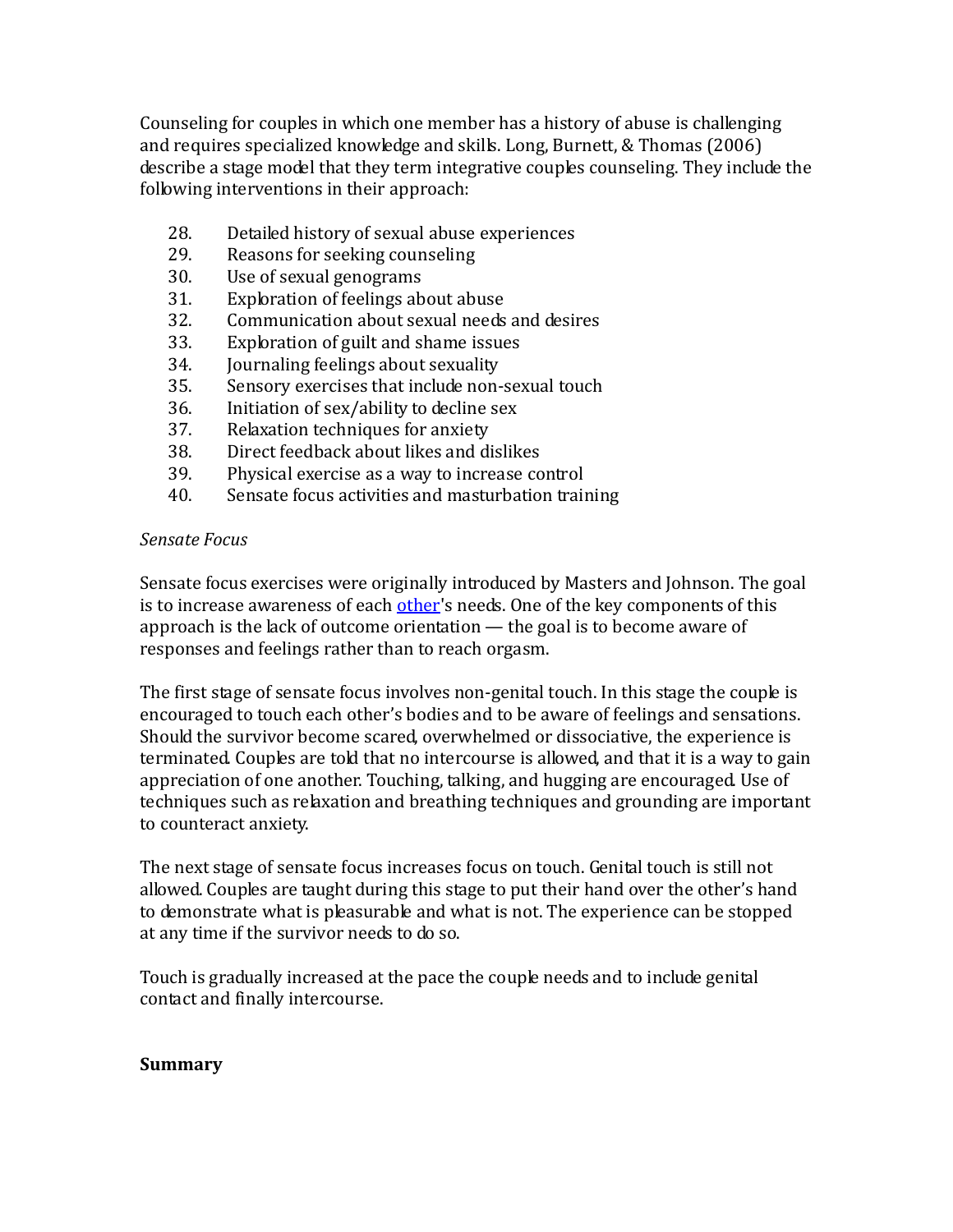Counseling for couples in which one member has a history of abuse is challenging and requires specialized knowledge and skills. Long, Burnett, & Thomas (2006) describe a stage model that they term integrative couples counseling. They include the following interventions in their approach:

- 28. Detailed history of sexual abuse experiences<br>29. Reasons for seeking counseling
- 29. Reasons for seeking counseling<br>30. Use of sexual genograms
- 30. Use of sexual genograms<br>31. Exploration of feelings ab
- 31. Exploration of feelings about abuse<br>32. Communication about sexual needs
- 32. Communication about sexual needs and desires<br>33. Exploration of guilt and shame issues
- 33. Exploration of guilt and shame issues<br>34. Iournaling feelings about sexuality
- 34. Journaling feelings about sexuality<br>35. Sensory exercises that include non-
- 35. Sensory exercises that include non-sexual touch<br>36. Initiation of sex/ability to decline sex
- 36. Initiation of sex/ability to decline sex<br>37. Relaxation techniques for anxiety
- 37. Relaxation techniques for anxiety<br>38. Direct feedback about likes and di
- 38. Direct feedback about likes and dislikes<br>39. Physical exercise as a way to increase co
- 39. Physical exercise as a way to increase control<br>40. Sensate focus activities and masturbation train
- Sensate focus activities and masturbation training

## *Sensate Focus*

Sensate focus exercises were originally introduced by Masters and Johnson. The goal is to increase awareness of each [other](http://en.wikipedia.org/wiki/Other)'s needs. One of the key components of this approach is the lack of outcome orientation — the goal is to become aware of responses and feelings rather than to reach orgasm.

The first stage of sensate focus involves non-genital touch. In this stage the couple is encouraged to touch each other's bodies and to be aware of feelings and sensations. Should the survivor become scared, overwhelmed or dissociative, the experience is terminated. Couples are told that no intercourse is allowed, and that it is a way to gain appreciation of one another. Touching, talking, and hugging are encouraged. Use of techniques such as relaxation and breathing techniques and grounding are important to counteract anxiety.

The next stage of sensate focus increases focus on touch. Genital touch is still not allowed. Couples are taught during this stage to put their hand over the other's hand to demonstrate what is pleasurable and what is not. The experience can be stopped at any time if the survivor needs to do so.

Touch is gradually increased at the pace the couple needs and to include genital contact and finally intercourse.

## **Summary**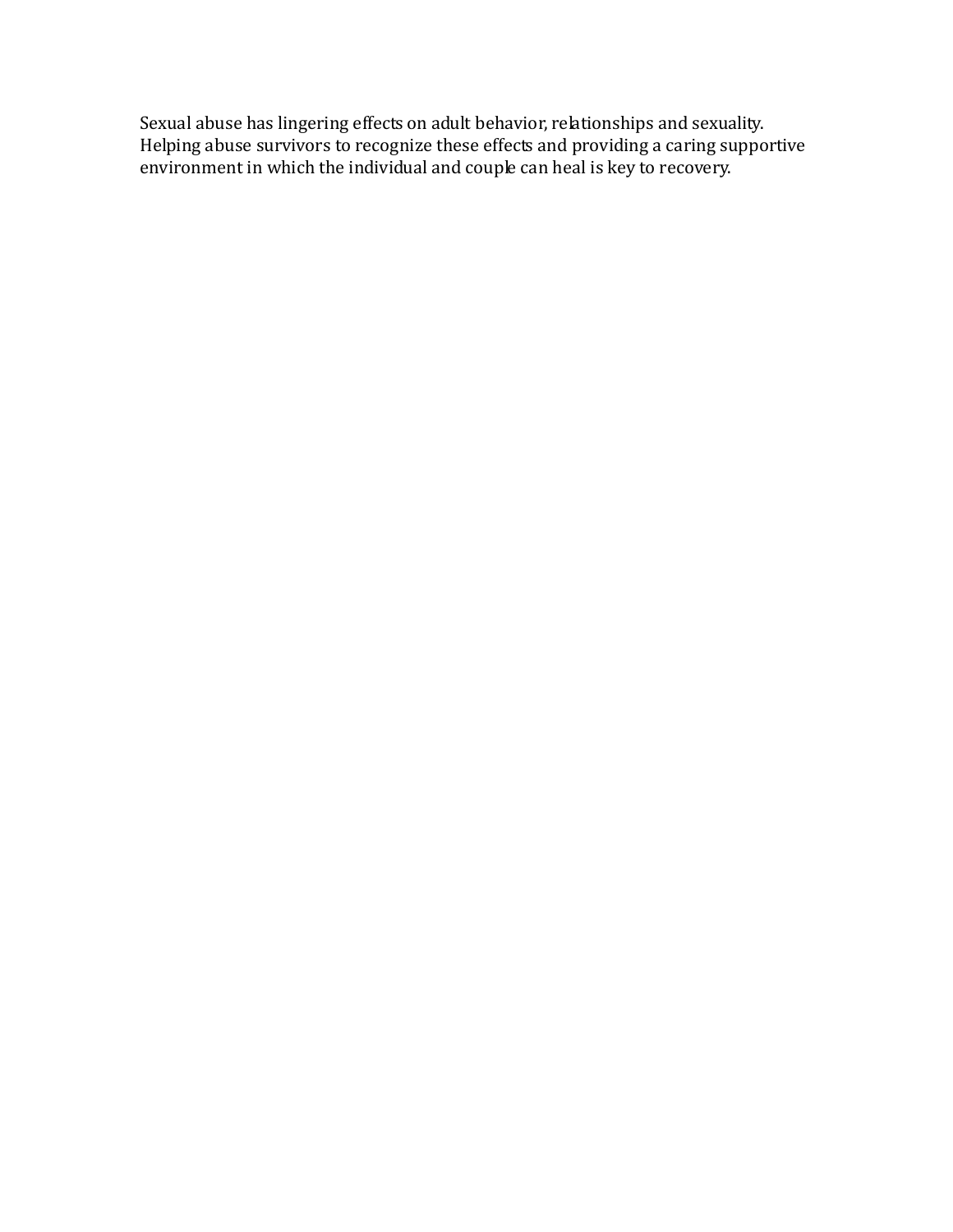Sexual abuse has lingering effects on adult behavior, relationships and sexuality. Helping abuse survivors to recognize these effects and providing a caring supportive environment in which the individual and couple can heal is key to recovery.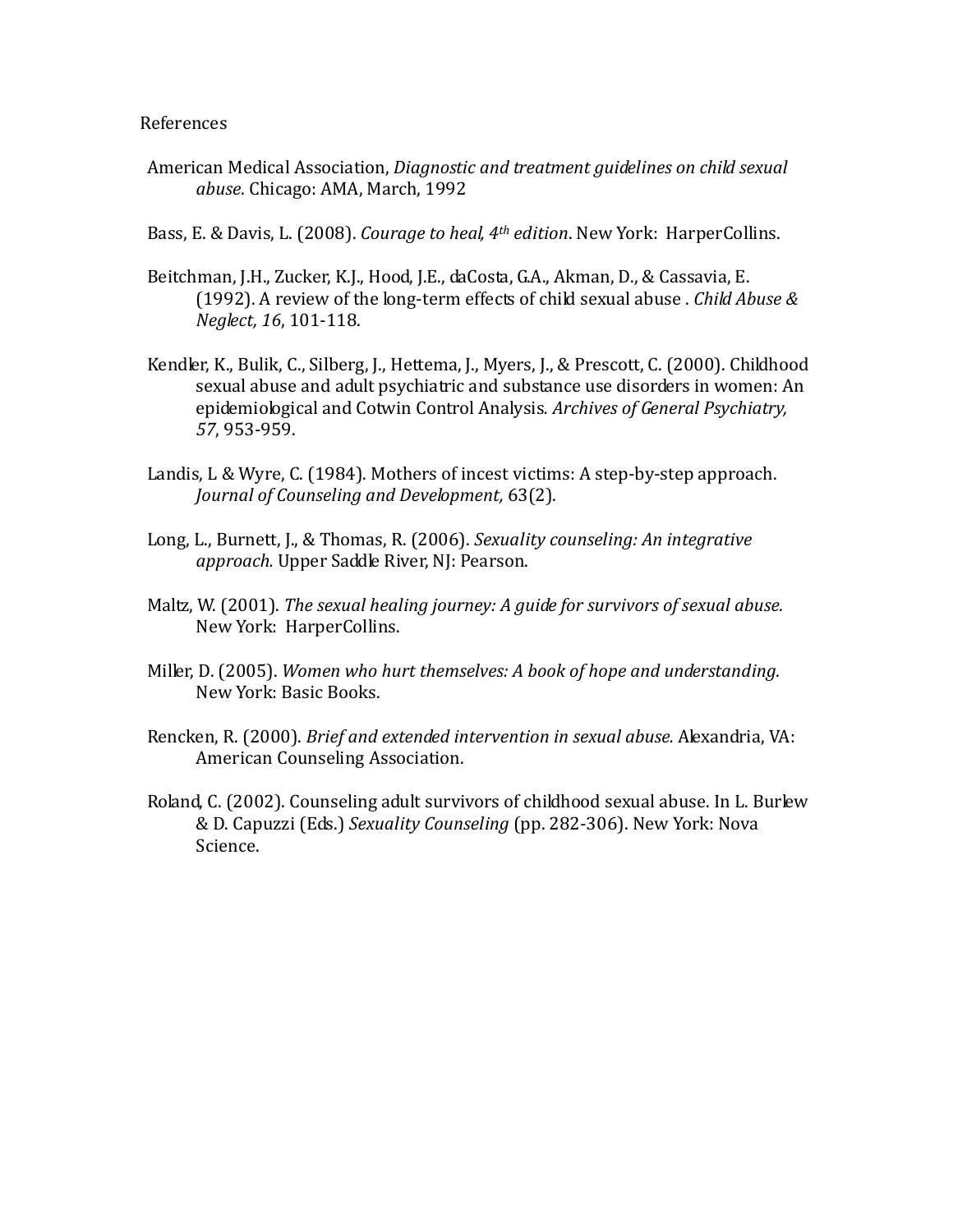#### References

- American Medical Association, *Diagnostic and treatment guidelines on child sexual abuse*. Chicago: AMA, March, 1992
- Bass, E. & Davis, L. (2008). *Courage to heal, 4th edition*. New York: HarperCollins.
- Beitchman, J.H., Zucker, K.J., Hood, J.E., daCosta, G.A., Akman, D., & Cassavia, E. (1992). A review of the long-term effects of child sexual abuse . *Child Abuse & Neglect, 16*, 101-118.
- Kendler, K., Bulik, C., Silberg, J., Hettema, J., Myers, J., & Prescott, C. (2000). Childhood sexual abuse and adult psychiatric and substance use disorders in women: An epidemiological and Cotwin Control Analysis*. Archives of General Psychiatry, 57*, 953-959.
- Landis, L & Wyre, C. (1984). Mothers of incest victims: A step-by-step approach. *Journal of Counseling and Development,* 63(2).
- Long, L., Burnett, J., & Thomas, R. (2006). *Sexuality counseling: An integrative approach.* Upper Saddle River, NJ: Pearson.
- Maltz, W. (2001). *The sexual healing journey: A guide for survivors of sexual abuse.* New York: HarperCollins.
- Miller, D. (2005). *Women who hurt themselves: A book of hope and understanding.* New York: Basic Books.
- Rencken, R. (2000). *Brief and extended intervention in sexual abuse.* Alexandria, VA: American Counseling Association.
- Roland, C. (2002). Counseling adult survivors of childhood sexual abuse. In L. Burlew & D. Capuzzi (Eds.) *Sexuality Counseling* (pp. 282-306). New York: Nova Science.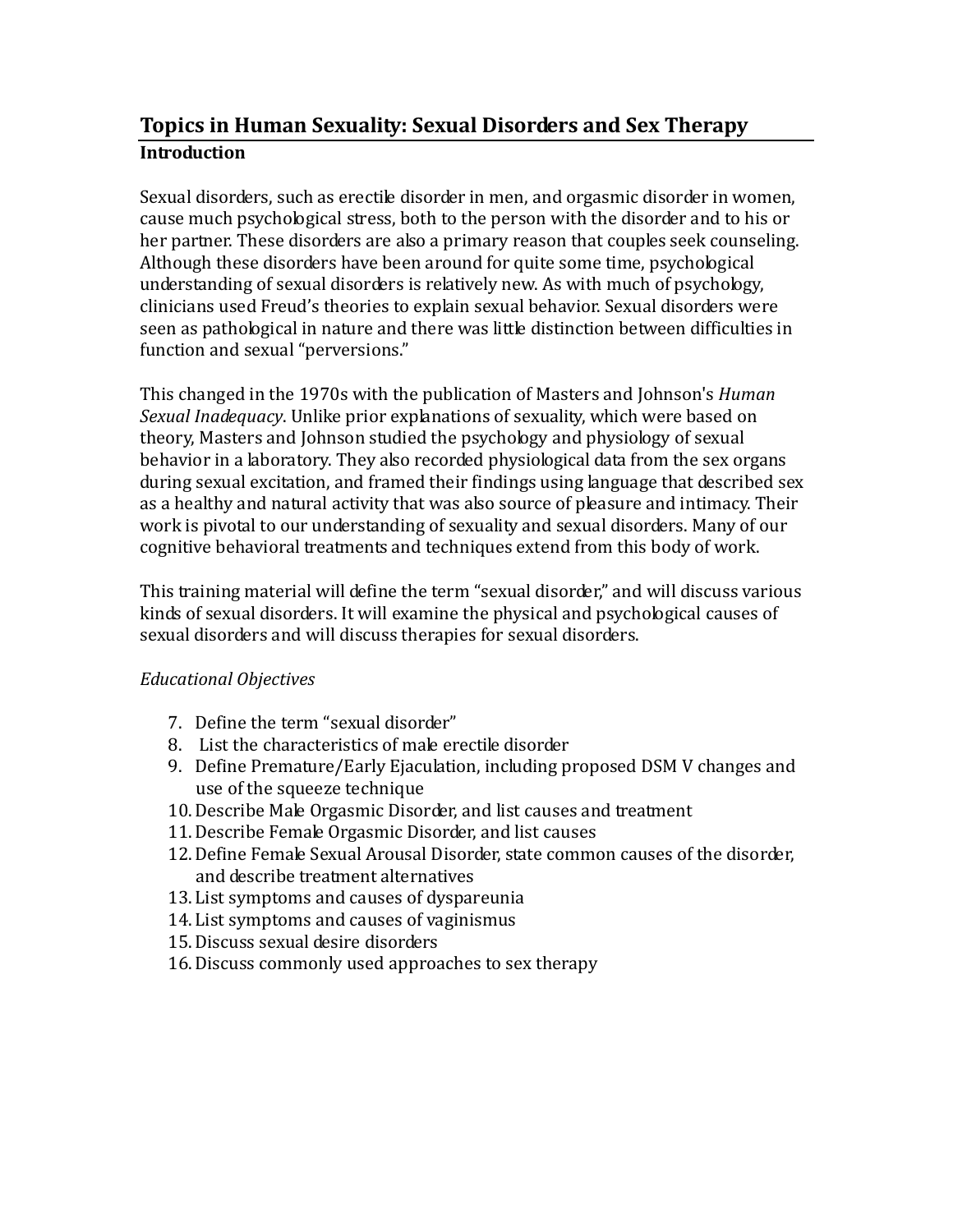# **Topics in Human Sexuality: Sexual Disorders and Sex Therapy Introduction**

Sexual disorders, such as erectile disorder in men, and orgasmic disorder in women, cause much psychological stress, both to the person with the disorder and to his or her partner. These disorders are also a primary reason that couples seek counseling. Although these disorders have been around for quite some time, psychological understanding of sexual disorders is relatively new. As with much of psychology, clinicians used Freud's theories to explain sexual behavior. Sexual disorders were seen as pathological in nature and there was little distinction between difficulties in function and sexual "perversions."

This changed in the 1970s with the publication of Masters and Johnson's *Human Sexual Inadequacy*. Unlike prior explanations of sexuality, which were based on theory, Masters and Johnson studied the psychology and physiology of sexual behavior in a laboratory. They also recorded physiological data from the sex organs during sexual excitation, and framed their findings using language that described sex as a healthy and natural activity that was also source of pleasure and intimacy. Their work is pivotal to our understanding of sexuality and sexual disorders. Many of our cognitive behavioral treatments and techniques extend from this body of work.

This training material will define the term "sexual disorder," and will discuss various kinds of sexual disorders. It will examine the physical and psychological causes of sexual disorders and will discuss therapies for sexual disorders.

# *Educational Objectives*

- 7. Define the term "sexual disorder"
- 8. List the characteristics of male erectile disorder
- 9. Define Premature/Early Ejaculation, including proposed DSM V changes and use of the squeeze technique
- 10.Describe Male Orgasmic Disorder, and list causes and treatment
- 11.Describe Female Orgasmic Disorder, and list causes
- 12.Define Female Sexual Arousal Disorder, state common causes of the disorder, and describe treatment alternatives
- 13. List symptoms and causes of dyspareunia
- 14. List symptoms and causes of vaginismus
- 15.Discuss sexual desire disorders
- 16.Discuss commonly used approaches to sex therapy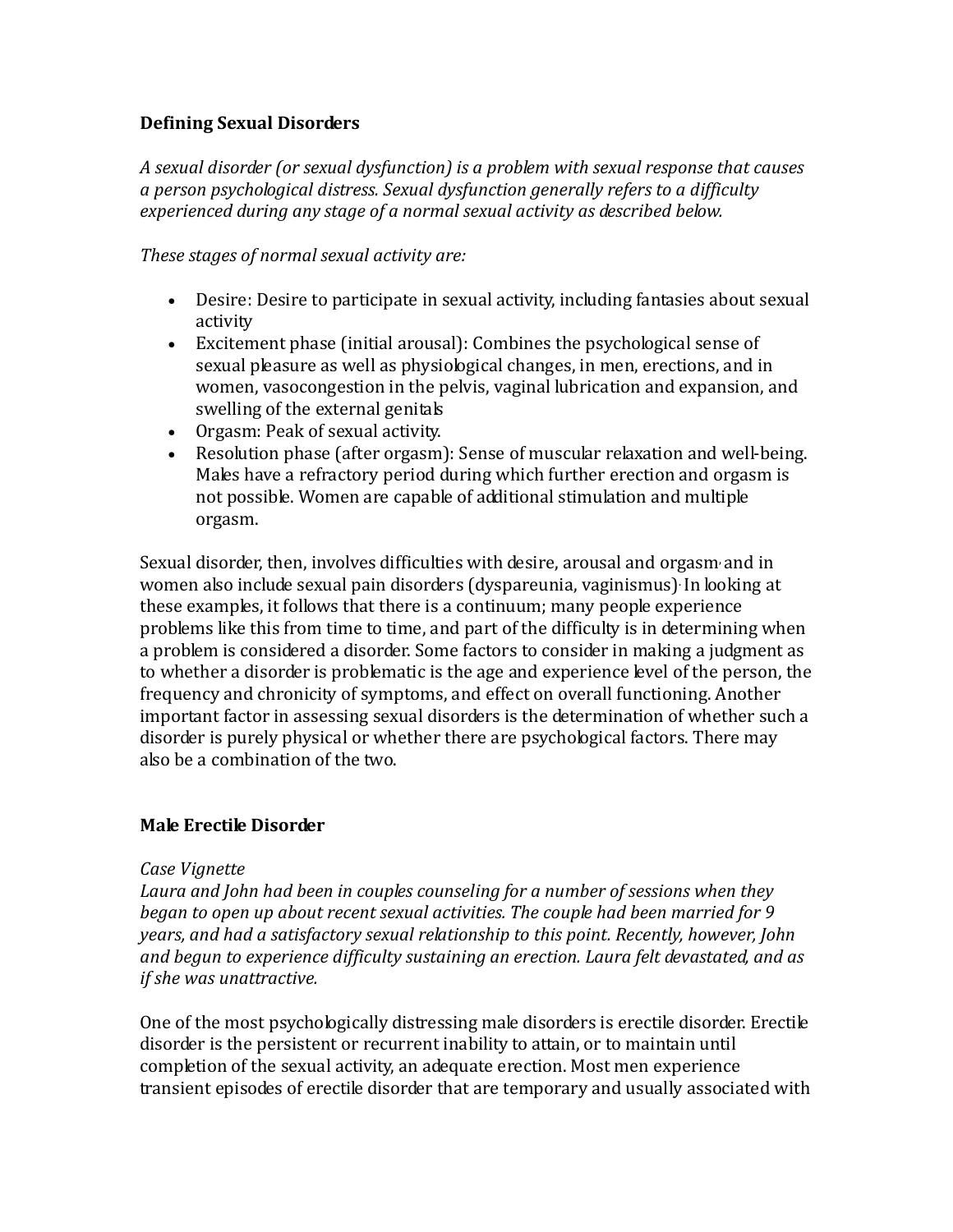## **Defining Sexual Disorders**

*A sexual disorder (or sexual dysfunction) is a problem with sexual response that causes a person psychological distress. Sexual dysfunction generally refers to a difficulty experienced during any stage of a normal sexual activity as described below.* 

*These stages of normal sexual activity are:*

- Desire: Desire to participate in sexual activity, including fantasies about sexual activity
- Excitement phase (initial arousal): Combines the psychological sense of sexual pleasure as well as physiological changes, in men, erections, and in women, vasocongestion in the pelvis, vaginal lubrication and expansion, and swelling of the external genitals
- Orgasm: Peak of sexual activity.
- Resolution phase (after orgasm): Sense of muscular relaxation and well-being. Males have a refractory period during which further erection and orgasm is not possible. Women are capable of additional stimulation and multiple orgasm.

Sexual disorder, then, involves difficulties with desire, arousal and orgasm, and in women also include sexual pain disorders (dyspareunia, vaginismus). In looking at these examples, it follows that there is a continuum; many people experience problems like this from time to time, and part of the difficulty is in determining when a problem is considered a disorder. Some factors to consider in making a judgment as to whether a disorder is problematic is the age and experience level of the person, the frequency and chronicity of symptoms, and effect on overall functioning. Another important factor in assessing sexual disorders is the determination of whether such a disorder is purely physical or whether there are psychological factors. There may also be a combination of the two.

## **Male Erectile Disorder**

#### *Case Vignette*

*Laura and John had been in couples counseling for a number of sessions when they began to open up about recent sexual activities. The couple had been married for 9 years, and had a satisfactory sexual relationship to this point. Recently, however, John and begun to experience difficulty sustaining an erection. Laura felt devastated, and as if she was unattractive.*

One of the most psychologically distressing male disorders is erectile disorder. Erectile disorder is the persistent or recurrent inability to attain, or to maintain until completion of the sexual activity, an adequate erection. Most men experience transient episodes of erectile disorder that are temporary and usually associated with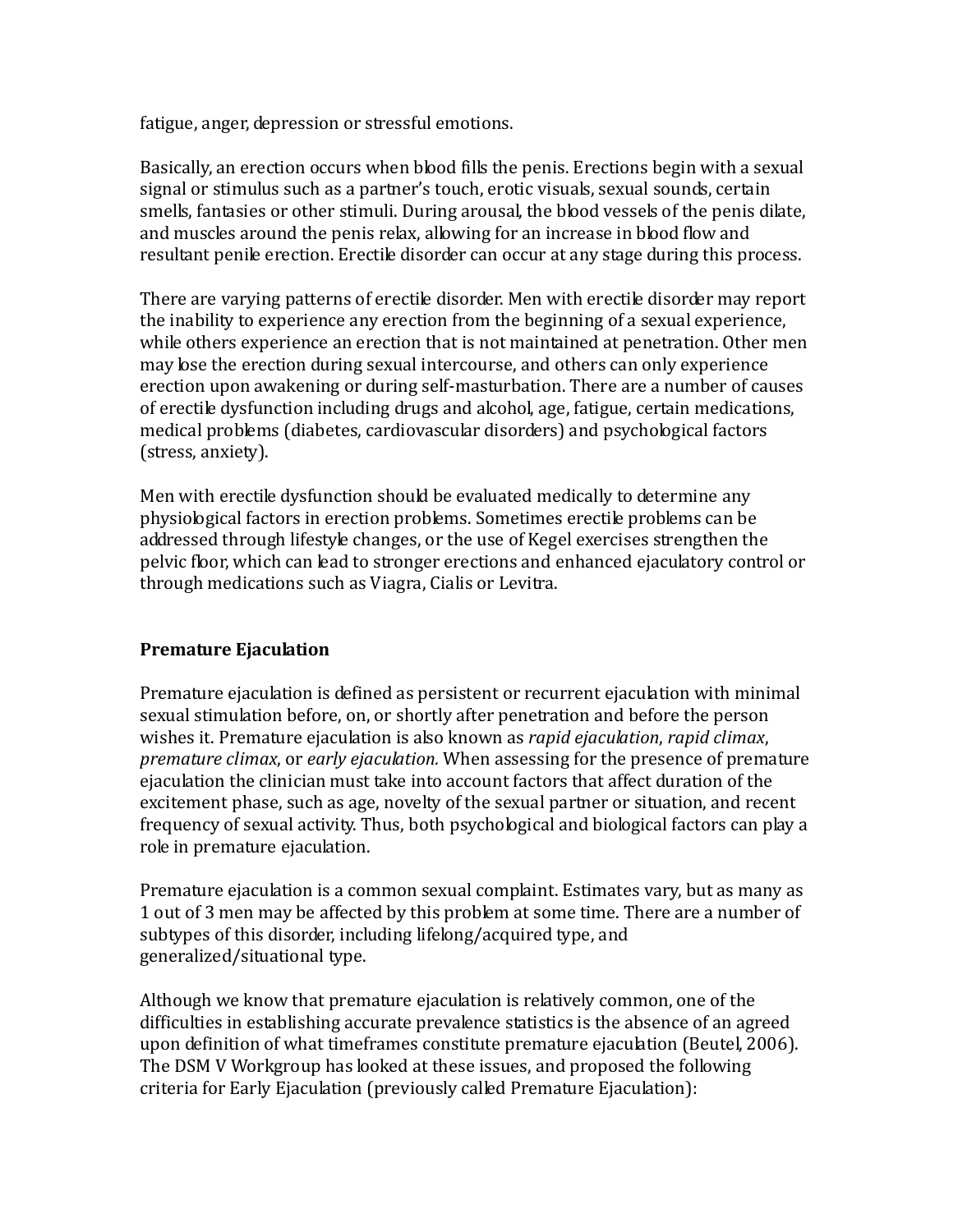fatigue, anger, depression or stressful emotions.

Basically, an erection occurs when blood fills the penis. Erections begin with a sexual signal or stimulus such as a partner's touch, erotic visuals, sexual sounds, certain smells, fantasies or other stimuli. During arousal, the blood vessels of the penis dilate, and muscles around the penis relax, allowing for an increase in blood flow and resultant penile erection. Erectile disorder can occur at any stage during this process.

There are varying patterns of erectile disorder. Men with erectile disorder may report the inability to experience any erection from the beginning of a sexual experience, while others experience an erection that is not maintained at penetration. Other men may lose the erection during sexual intercourse, and others can only experience erection upon awakening or during self-masturbation. There are a number of causes of erectile dysfunction including drugs and alcohol, age, fatigue, certain medications, medical problems (diabetes, cardiovascular disorders) and psychological factors (stress, anxiety).

Men with erectile dysfunction should be evaluated medically to determine any physiological factors in erection problems. Sometimes erectile problems can be addressed through lifestyle changes, or the use of Kegel exercises strengthen the pelvic floor, which can lead to stronger erections and enhanced ejaculatory control or through medications such as Viagra, Cialis or Levitra.

## **Premature Ejaculation**

Premature ejaculation is defined as persistent or recurrent ejaculation with minimal sexual stimulation before, on, or shortly after penetration and before the person wishes it. Premature ejaculation is also known as *rapid ejaculation*, *rapid climax*, *premature climax*, or *early ejaculation.* When assessing for the presence of premature ejaculation the clinician must take into account factors that affect duration of the excitement phase, such as age, novelty of the sexual partner or situation, and recent frequency of sexual activity. Thus, both psychological and biological factors can play a role in premature ejaculation.

Premature ejaculation is a common sexual complaint. Estimates vary, but as many as 1 out of 3 men may be affected by this problem at some time. There are a number of subtypes of this disorder, including lifelong/acquired type, and generalized/situational type.

Although we know that premature ejaculation is relatively common, one of the difficulties in establishing accurate prevalence statistics is the absence of an agreed upon definition of what timeframes constitute premature ejaculation (Beutel, 2006). The DSM V Workgroup has looked at these issues, and proposed the following criteria for Early Ejaculation (previously called Premature Ejaculation):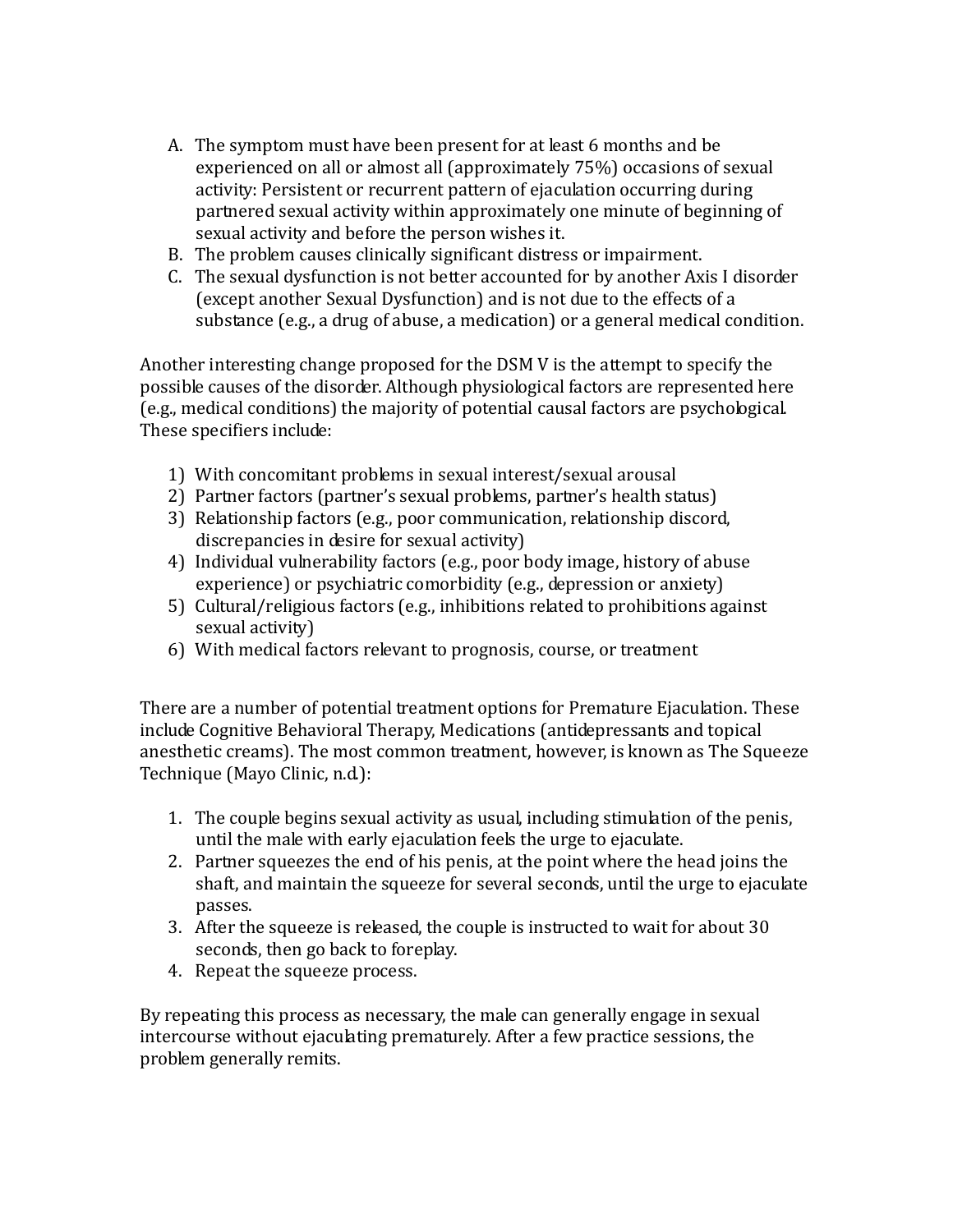- A. The symptom must have been present for at least 6 months and be experienced on all or almost all (approximately 75%) occasions of sexual activity: Persistent or recurrent pattern of ejaculation occurring during partnered sexual activity within approximately one minute of beginning of sexual activity and before the person wishes it.
- B. The problem causes clinically significant distress or impairment.
- C. The sexual dysfunction is not better accounted for by another Axis I disorder (except another Sexual Dysfunction) and is not due to the effects of a substance (e.g., a drug of abuse, a medication) or a general medical condition.

Another interesting change proposed for the DSM V is the attempt to specify the possible causes of the disorder. Although physiological factors are represented here (e.g., medical conditions) the majority of potential causal factors are psychological. These specifiers include:

- 1) With concomitant problems in sexual interest/sexual arousal
- 2) Partner factors (partner's sexual problems, partner's health status)
- 3) Relationship factors (e.g., poor communication, relationship discord, discrepancies in desire for sexual activity)
- 4) Individual vulnerability factors (e.g., poor body image, history of abuse experience) or psychiatric comorbidity (e.g., depression or anxiety)
- 5) Cultural/religious factors (e.g., inhibitions related to prohibitions against sexual activity)
- 6) With medical factors relevant to prognosis, course, or treatment

There are a number of potential treatment options for Premature Ejaculation. These include Cognitive Behavioral Therapy, Medications (antidepressants and topical anesthetic creams). The most common treatment, however, is known as The Squeeze Technique (Mayo Clinic, n.d.):

- 1. The couple begins sexual activity as usual, including stimulation of the penis, until the male with early ejaculation feels the urge to ejaculate.
- 2. Partner squeezes the end of his penis, at the point where the head joins the shaft, and maintain the squeeze for several seconds, until the urge to ejaculate passes.
- 3. After the squeeze is released, the couple is instructed to wait for about 30 seconds, then go back to foreplay.
- 4. Repeat the squeeze process.

By repeating this process as necessary, the male can generally engage in sexual intercourse without ejaculating prematurely. After a few practice sessions, the problem generally remits.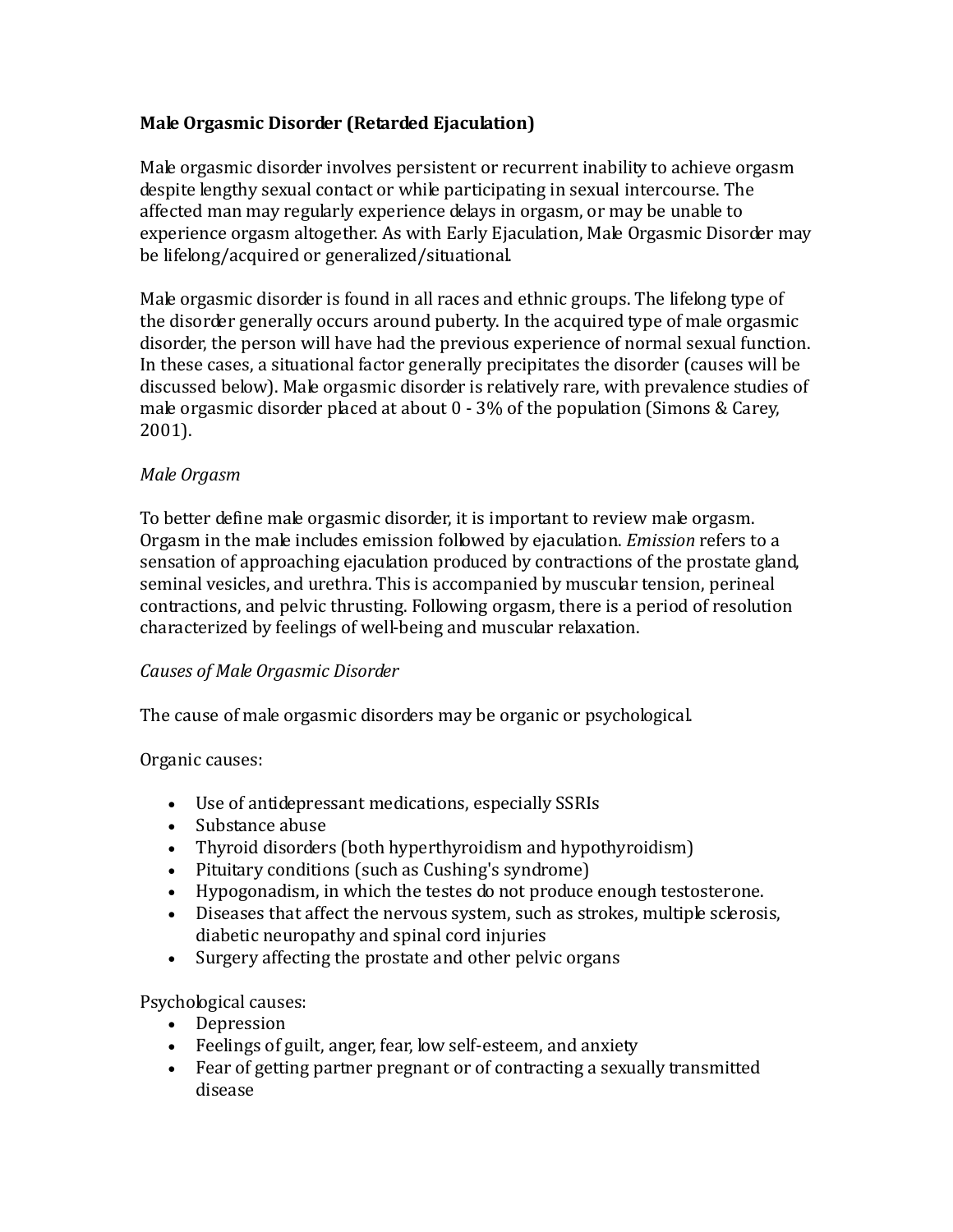# **Male Orgasmic Disorder (Retarded Ejaculation)**

Male orgasmic disorder involves persistent or recurrent inability to achieve orgasm despite lengthy sexual contact or while participating in sexual intercourse. The affected man may regularly experience delays in orgasm, or may be unable to experience orgasm altogether. As with Early Ejaculation, Male Orgasmic Disorder may be lifelong/acquired or generalized/situational.

Male orgasmic disorder is found in all races and ethnic groups. The lifelong type of the disorder generally occurs around puberty. In the acquired type of male orgasmic disorder, the person will have had the previous experience of normal sexual function. In these cases, a situational factor generally precipitates the disorder (causes will be discussed below). Male orgasmic disorder is relatively rare, with prevalence studies of male orgasmic disorder placed at about 0 - 3% of the population (Simons & Carey, 2001).

# *Male Orgasm*

To better define male orgasmic disorder, it is important to review male orgasm. Orgasm in the male includes emission followed by ejaculation. *Emission* refers to a sensation of approaching ejaculation produced by contractions of the prostate gland, seminal vesicles, and urethra. This is accompanied by muscular tension, perineal contractions, and pelvic thrusting. Following orgasm, there is a period of resolution characterized by feelings of well-being and muscular relaxation.

# *Causes of Male Orgasmic Disorder*

The cause of male orgasmic disorders may be organic or psychological.

## Organic causes:

- Use of antidepressant medications, especially SSRIs
- Substance abuse
- Thyroid disorders (both hyperthyroidism and hypothyroidism)
- Pituitary conditions (such as Cushing's syndrome)
- Hypogonadism, in which the testes do not produce enough testosterone.
- Diseases that affect the nervous system, such as strokes, multiple sclerosis, diabetic neuropathy and spinal cord injuries
- Surgery affecting the prostate and other pelvic organs

# Psychological causes:

- Depression
- Feelings of guilt, anger, fear, low self-esteem, and anxiety
- Fear of getting partner pregnant or of contracting a sexually transmitted disease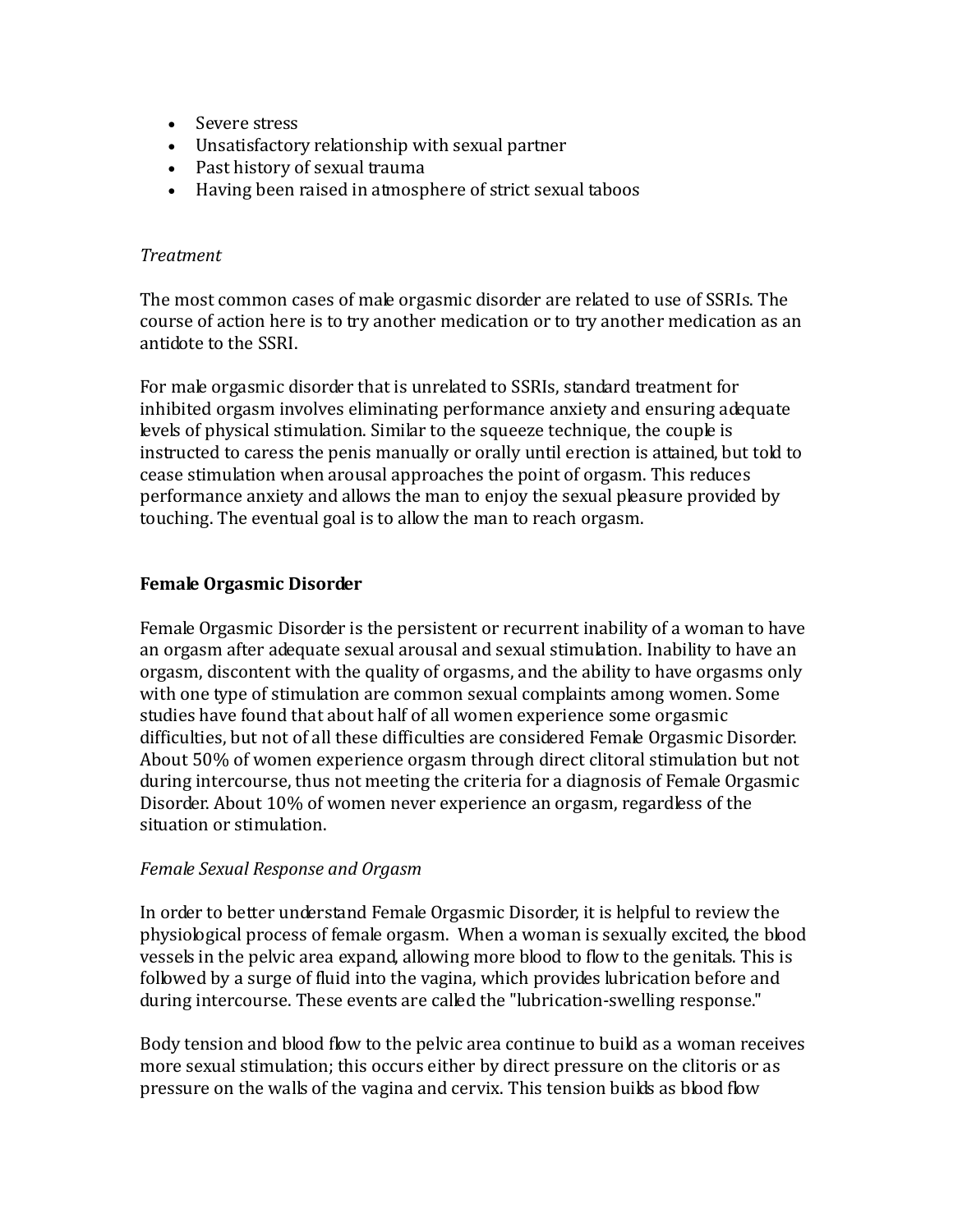- Severe stress
- Unsatisfactory relationship with sexual partner
- Past history of sexual trauma
- Having been raised in atmosphere of strict sexual taboos

#### *Treatment*

The most common cases of male orgasmic disorder are related to use of SSRIs. The course of action here is to try another medication or to try another medication as an antidote to the SSRI.

For male orgasmic disorder that is unrelated to SSRIs, standard treatment for inhibited orgasm involves eliminating performance anxiety and ensuring adequate levels of physical stimulation. Similar to the squeeze technique, the couple is instructed to caress the penis manually or orally until erection is attained, but told to cease stimulation when arousal approaches the point of orgasm. This reduces performance anxiety and allows the man to enjoy the sexual pleasure provided by touching. The eventual goal is to allow the man to reach orgasm.

## **Female Orgasmic Disorder**

Female Orgasmic Disorder is the persistent or recurrent inability of a woman to have an orgasm after adequate sexual arousal and sexual stimulation. Inability to have an orgasm, discontent with the quality of orgasms, and the ability to have orgasms only with one type of stimulation are common sexual complaints among women. Some studies have found that about half of all women experience some orgasmic difficulties, but not of all these difficulties are considered Female Orgasmic Disorder. About 50% of women experience orgasm through direct clitoral stimulation but not during intercourse, thus not meeting the criteria for a diagnosis of Female Orgasmic Disorder. About 10% of women never experience an orgasm, regardless of the situation or stimulation.

#### *Female Sexual Response and Orgasm*

In order to better understand Female Orgasmic Disorder, it is helpful to review the physiological process of female orgasm. When a woman is sexually excited, the blood vessels in the pelvic area expand, allowing more blood to flow to the genitals. This is followed by a surge of fluid into the vagina, which provides lubrication before and during intercourse. These events are called the "lubrication-swelling response."

Body tension and blood flow to the pelvic area continue to build as a woman receives more sexual stimulation; this occurs either by direct pressure on the clitoris or as pressure on the walls of the vagina and cervix. This tension builds as blood flow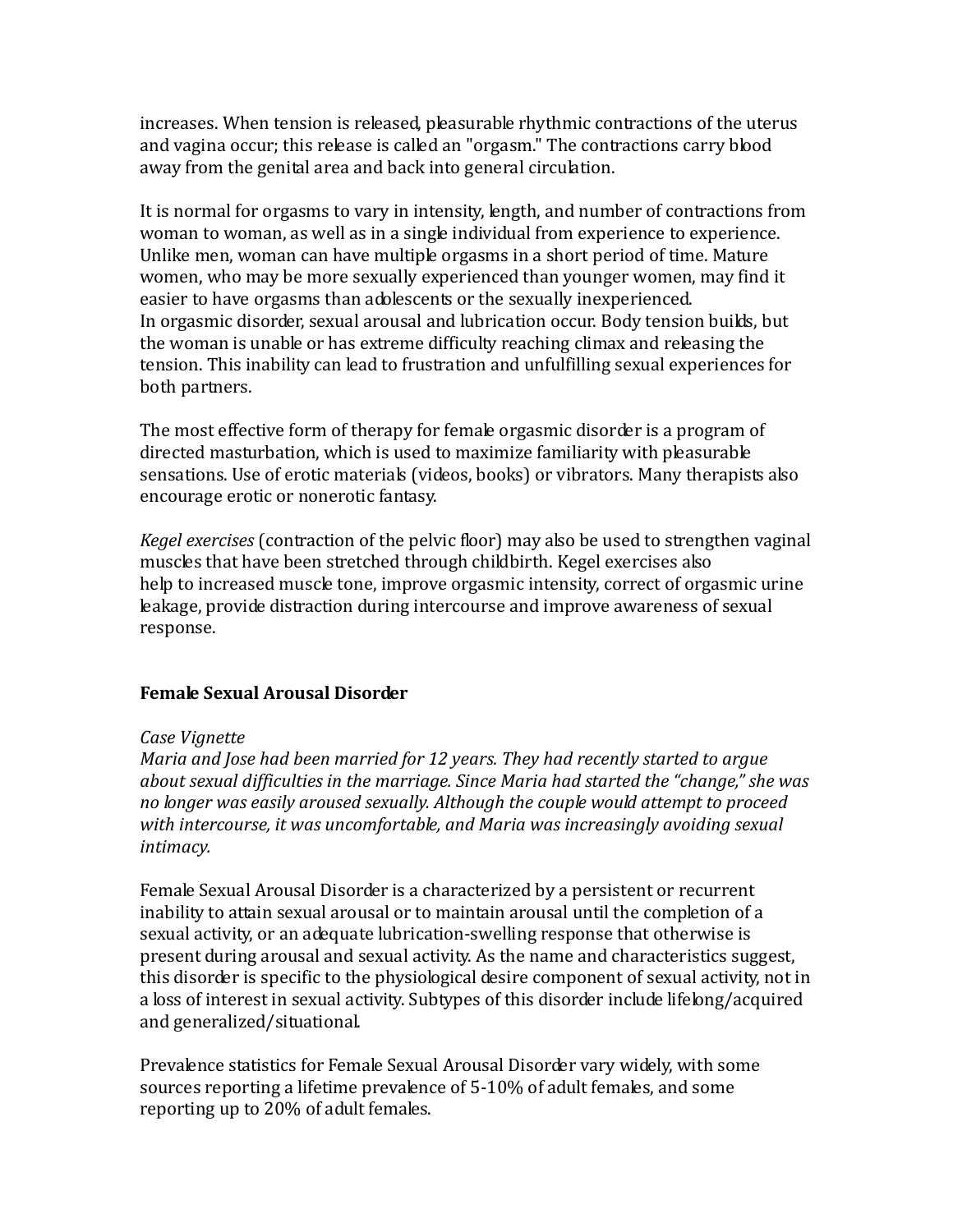increases. When tension is released, pleasurable rhythmic contractions of the uterus and vagina occur; this release is called an "orgasm." The contractions carry blood away from the genital area and back into general circulation.

It is normal for orgasms to vary in intensity, length, and number of contractions from woman to woman, as well as in a single individual from experience to experience. Unlike men, woman can have multiple orgasms in a short period of time. Mature women, who may be more sexually experienced than younger women, may find it easier to have orgasms than adolescents or the sexually inexperienced. In orgasmic disorder, sexual arousal and lubrication occur. Body tension builds, but the woman is unable or has extreme difficulty reaching climax and releasing the tension. This inability can lead to frustration and unfulfilling sexual experiences for both partners.

The most effective form of therapy for female orgasmic disorder is a program of directed masturbation, which is used to maximize familiarity with pleasurable sensations. Use of erotic materials (videos, books) or vibrators. Many therapists also encourage erotic or nonerotic fantasy.

*Kegel exercises* (contraction of the pelvic floor) may also be used to strengthen vaginal muscles that have been stretched through childbirth. Kegel exercises also help to increased muscle tone, improve orgasmic intensity, correct of orgasmic urine leakage, provide distraction during intercourse and improve awareness of sexual response.

## **Female Sexual Arousal Disorder**

## *Case Vignette*

*Maria and Jose had been married for 12 years. They had recently started to argue about sexual difficulties in the marriage. Since Maria had started the "change," she was no longer was easily aroused sexually. Although the couple would attempt to proceed with intercourse, it was uncomfortable, and Maria was increasingly avoiding sexual intimacy.*

Female Sexual Arousal Disorder is a characterized by a persistent or recurrent inability to attain sexual arousal or to maintain arousal until the completion of a sexual activity, or an adequate lubrication-swelling response that otherwise is present during arousal and sexual activity. As the name and characteristics suggest, this disorder is specific to the physiological desire component of sexual activity, not in a loss of interest in sexual activity. Subtypes of this disorder include lifelong/acquired and generalized/situational.

Prevalence statistics for Female Sexual Arousal Disorder vary widely, with some sources reporting a lifetime prevalence of 5-10% of adult females, and some reporting up to 20% of adult females.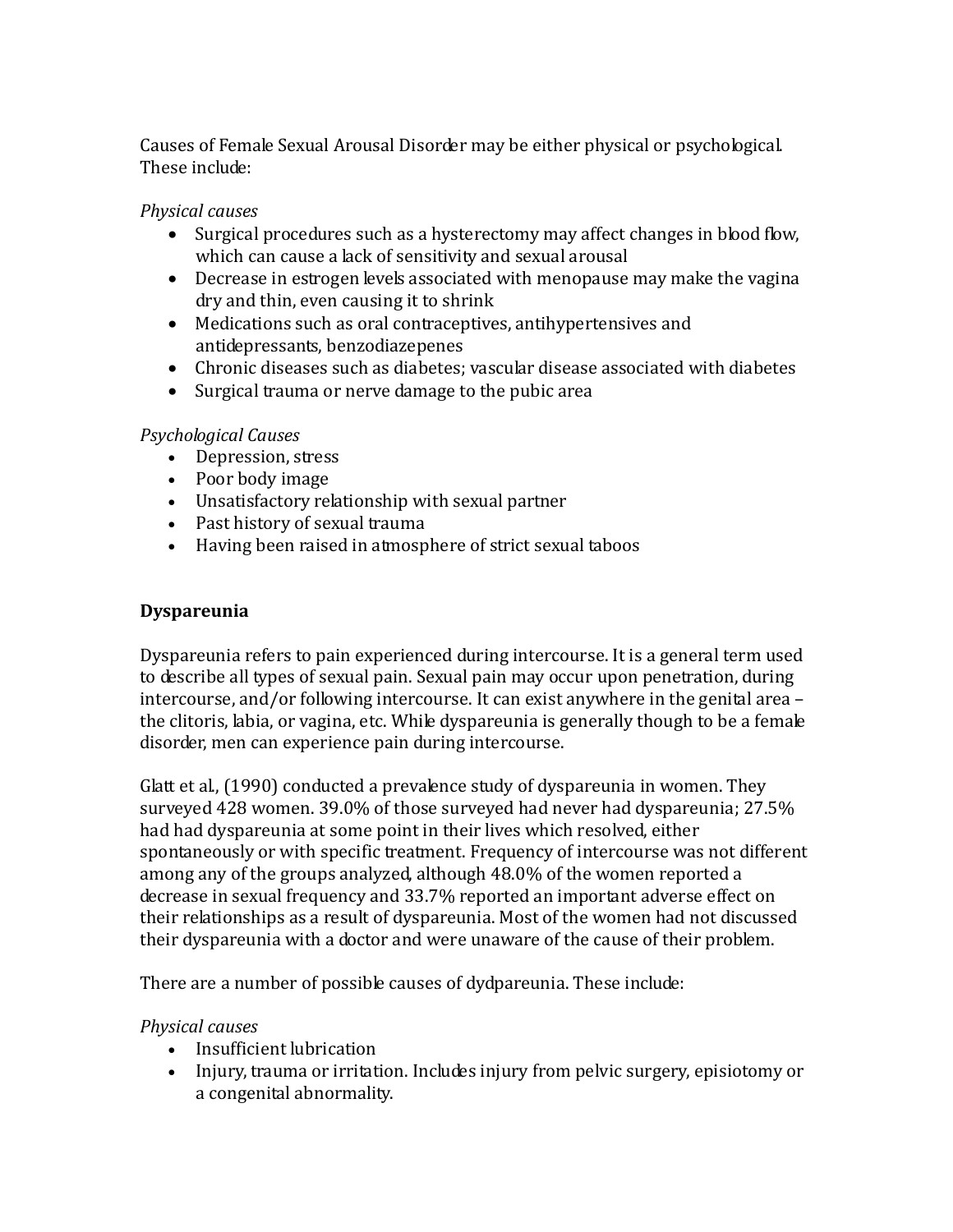Causes of Female Sexual Arousal Disorder may be either physical or psychological. These include:

# *Physical causes*

- Surgical procedures such as a hysterectomy may affect changes in blood flow, which can cause a lack of sensitivity and sexual arousal
- Decrease in estrogen levels associated with menopause may make the vagina dry and thin, even causing it to shrink
- Medications such as oral contraceptives, antihypertensives and antidepressants, benzodiazepenes
- Chronic diseases such as diabetes; vascular disease associated with diabetes
- Surgical trauma or nerve damage to the pubic area

# *Psychological Causes*

- Depression, stress
- Poor body image
- Unsatisfactory relationship with sexual partner
- Past history of sexual trauma
- Having been raised in atmosphere of strict sexual taboos

# **Dyspareunia**

Dyspareunia refers to pain experienced during intercourse. It is a general term used to describe all types of sexual pain. Sexual pain may occur upon penetration, during intercourse, and/or following intercourse. It can exist anywhere in the genital area – the clitoris, labia, or vagina, etc. While dyspareunia is generally though to be a female disorder, men can experience pain during intercourse.

Glatt et al., (1990) conducted a prevalence study of dyspareunia in women. They surveyed 428 women. 39.0% of those surveyed had never had dyspareunia; 27.5% had had dyspareunia at some point in their lives which resolved, either spontaneously or with specific treatment. Frequency of intercourse was not different among any of the groups analyzed, although 48.0% of the women reported a decrease in sexual frequency and 33.7% reported an important adverse effect on their relationships as a result of dyspareunia. Most of the women had not discussed their dyspareunia with a doctor and were unaware of the cause of their problem.

There are a number of possible causes of dydpareunia. These include:

# *Physical causes*

- Insufficient lubrication
- Injury, trauma or irritation. Includes injury from pelvic surgery, episiotomy or a congenital abnormality.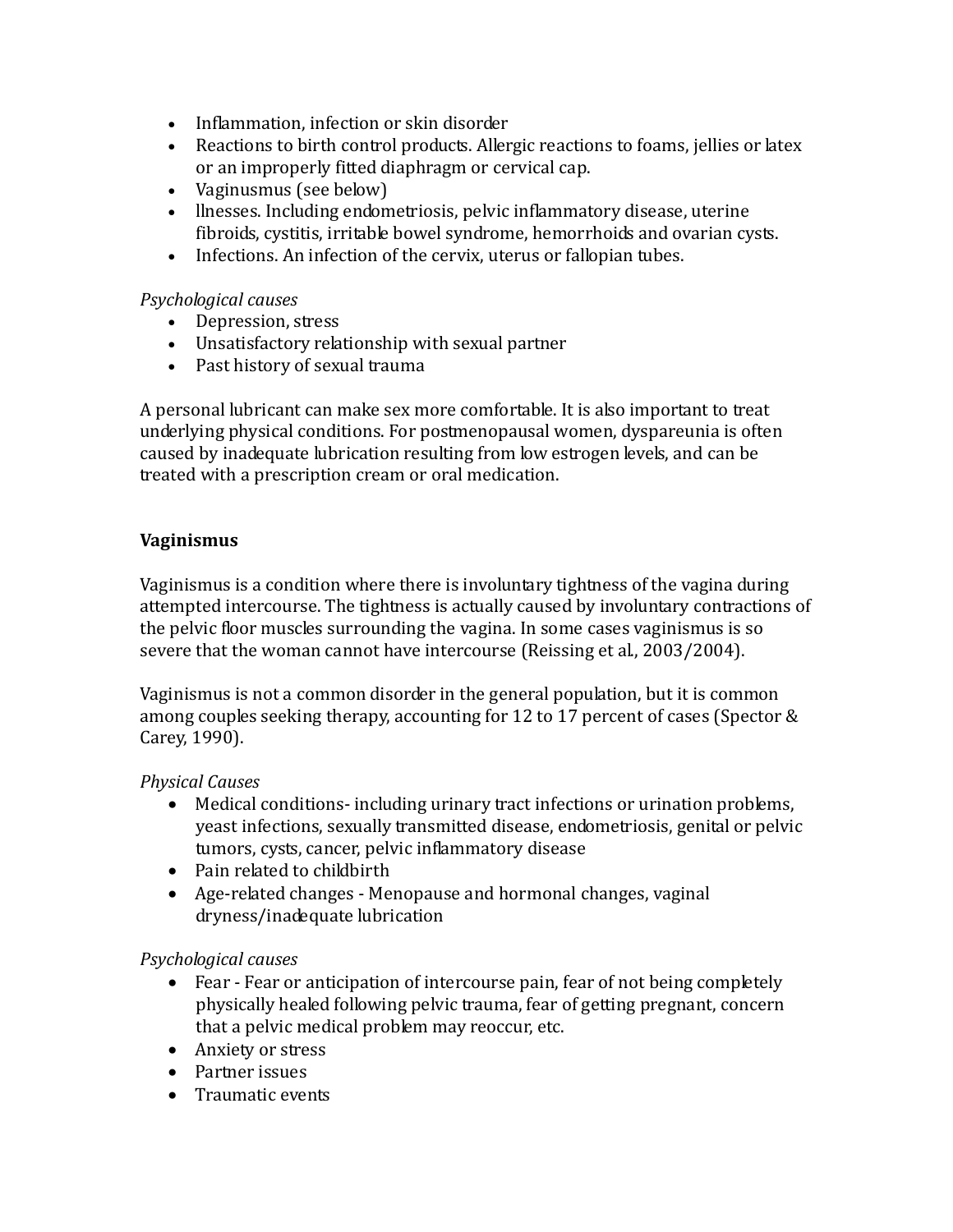- Inflammation, infection or skin disorder
- Reactions to birth control products. Allergic reactions to foams, jellies or latex or an improperly fitted diaphragm or cervical cap.
- Vaginusmus (see below)
- llnesses. Including endometriosis, pelvic inflammatory disease, uterine fibroids, cystitis, irritable bowel syndrome, hemorrhoids and ovarian cysts.
- Infections. An infection of the cervix, uterus or fallopian tubes.

## *Psychological causes*

- Depression, stress
- Unsatisfactory relationship with sexual partner
- Past history of sexual trauma

A personal lubricant can make sex more comfortable. It is also important to treat underlying physical conditions. For postmenopausal women, dyspareunia is often caused by inadequate lubrication resulting from low estrogen levels, and can be treated with a prescription cream or oral medication.

# **Vaginismus**

Vaginismus is a condition where there is involuntary tightness of the vagina during attempted intercourse. The tightness is actually caused by involuntary contractions of the pelvic floor muscles surrounding the vagina. In some cases vaginismus is so severe that the woman cannot have intercourse (Reissing et al., 2003/2004).

Vaginismus is not a common disorder in the general population, but it is common among couples seeking therapy, accounting for 12 to 17 percent of cases (Spector & Carey, 1990).

### *Physical Causes*

- Medical conditions- including urinary tract infections or urination problems, yeast infections, sexually transmitted disease, endometriosis, genital or pelvic tumors, cysts, cancer, pelvic inflammatory disease
- Pain related to childbirth
- Age-related changes Menopause and hormonal changes, vaginal dryness/inadequate lubrication

### *Psychological causes*

- Fear Fear or anticipation of intercourse pain, fear of not being completely physically healed following pelvic trauma, fear of getting pregnant, concern that a pelvic medical problem may reoccur, etc.
- Anxiety or stress
- Partner issues
- Traumatic events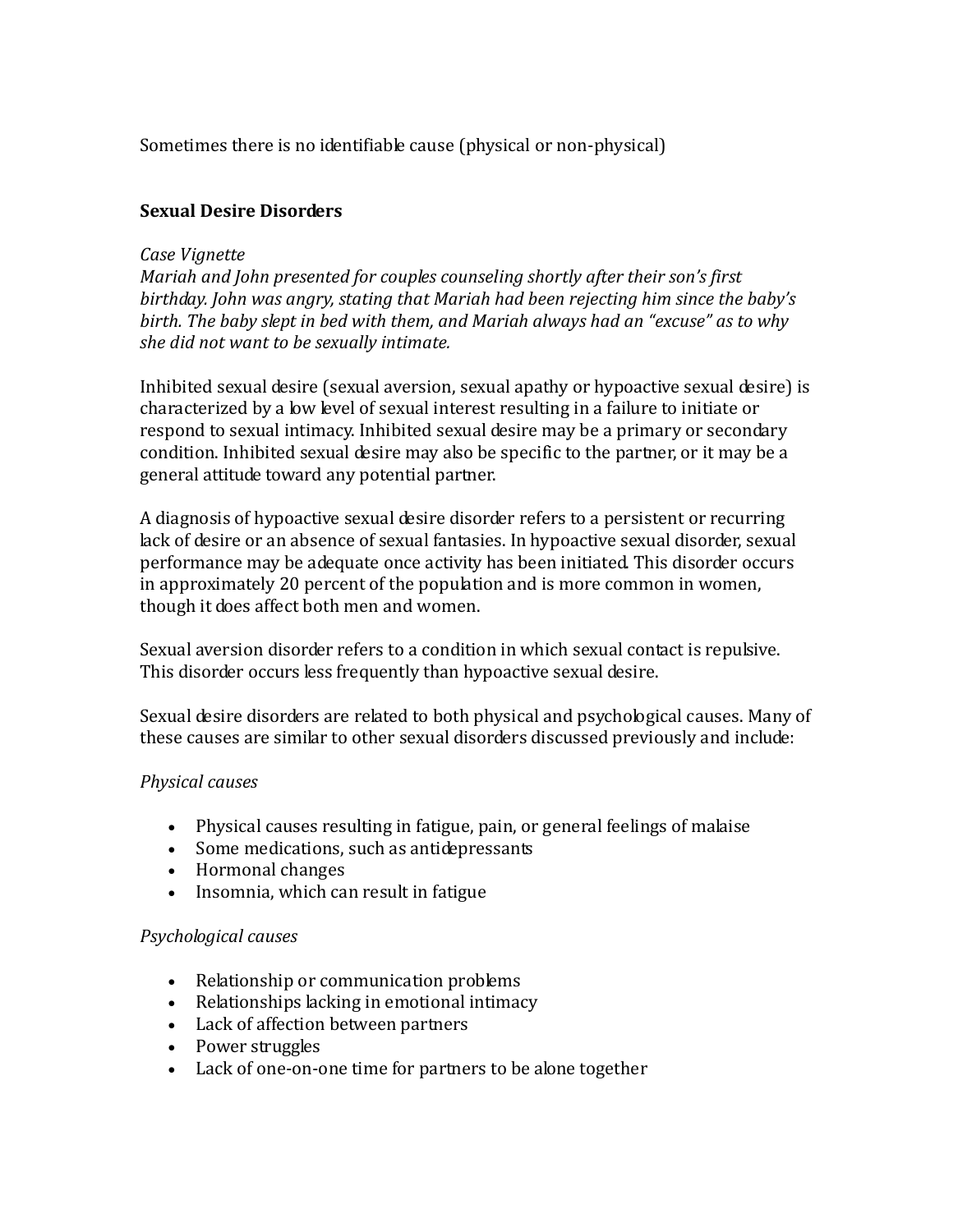Sometimes there is no identifiable cause (physical or non-physical)

# **Sexual Desire Disorders**

## *Case Vignette*

*Mariah and John presented for couples counseling shortly after their son's first birthday. John was angry, stating that Mariah had been rejecting him since the baby's birth. The baby slept in bed with them, and Mariah always had an "excuse" as to why she did not want to be sexually intimate.*

Inhibited sexual desire (sexual aversion, sexual apathy or hypoactive sexual desire) is characterized by a low level of sexual interest resulting in a failure to initiate or respond to sexual intimacy. Inhibited sexual desire may be a primary or secondary condition. Inhibited sexual desire may also be specific to the partner, or it may be a general attitude toward any potential partner.

A diagnosis of hypoactive sexual desire disorder refers to a persistent or recurring lack of desire or an absence of sexual fantasies. In hypoactive sexual disorder, sexual performance may be adequate once activity has been initiated. This disorder occurs in approximately 20 percent of the population and is more common in women, though it does affect both men and women.

Sexual aversion disorder refers to a condition in which sexual contact is repulsive. This disorder occurs less frequently than hypoactive sexual desire.

Sexual desire disorders are related to both physical and psychological causes. Many of these causes are similar to other sexual disorders discussed previously and include:

### *Physical causes*

- Physical causes resulting in fatigue, pain, or general feelings of malaise
- Some medications, such as antidepressants
- Hormonal changes
- Insomnia, which can result in fatigue

### *Psychological causes*

- Relationship or communication problems
- Relationships lacking in emotional intimacy
- Lack of affection between partners
- Power struggles
- Lack of one-on-one time for partners to be alone together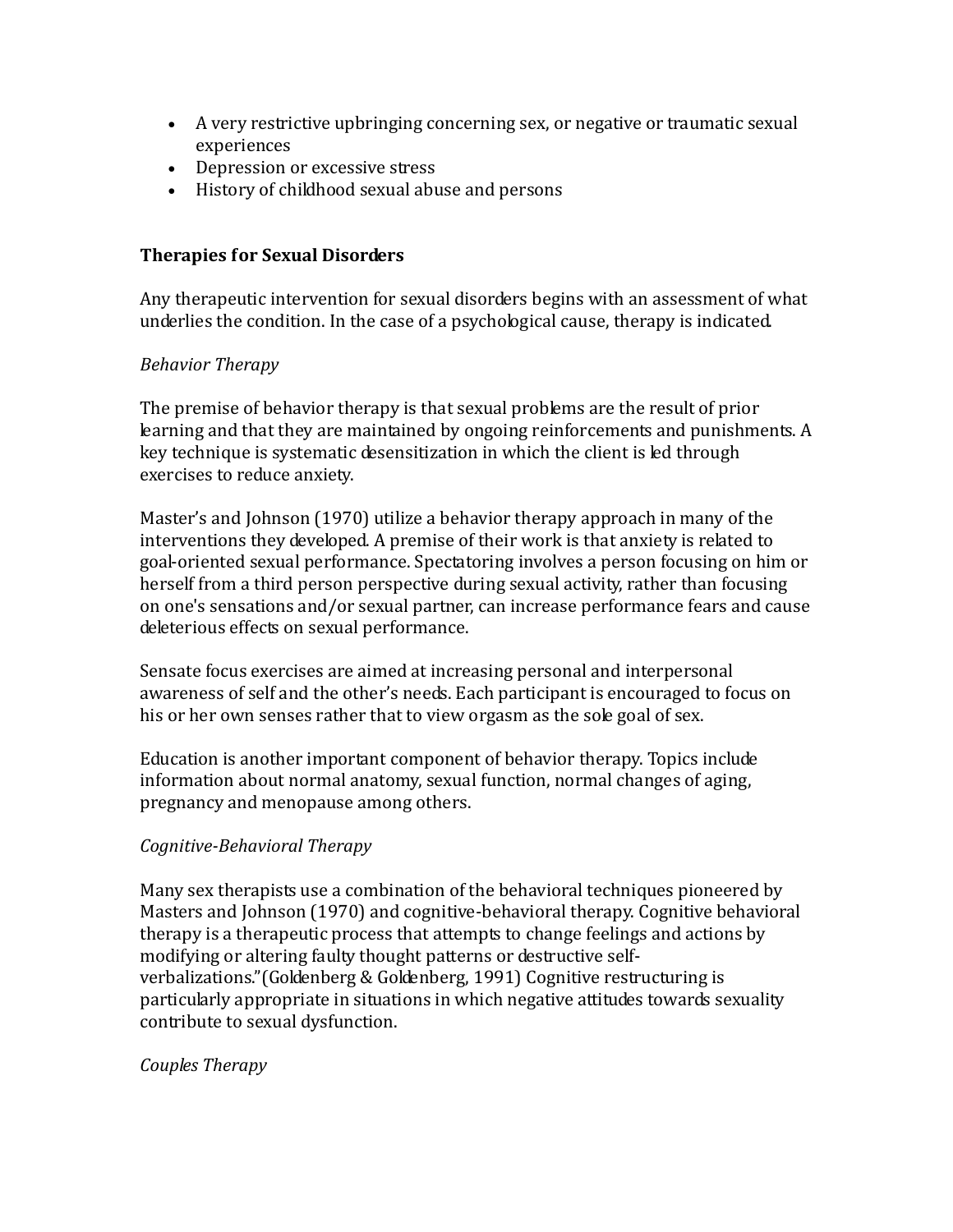- A very restrictive upbringing concerning sex, or negative or traumatic sexual experiences
- Depression or excessive stress
- History of childhood sexual abuse and persons

## **Therapies for Sexual Disorders**

Any therapeutic intervention for sexual disorders begins with an assessment of what underlies the condition. In the case of a psychological cause, therapy is indicated.

### *Behavior Therapy*

The premise of behavior therapy is that sexual problems are the result of prior learning and that they are maintained by ongoing reinforcements and punishments. A key technique is systematic desensitization in which the client is led through exercises to reduce anxiety.

Master's and Johnson (1970) utilize a behavior therapy approach in many of the interventions they developed. A premise of their work is that anxiety is related to goal-oriented sexual performance. Spectatoring involves a person focusing on him or herself from a third person perspective during sexual activity, rather than focusing on one's sensations and/or sexual partner, can increase performance fears and cause deleterious effects on sexual performance.

Sensate focus exercises are aimed at increasing personal and interpersonal awareness of self and the other's needs. Each participant is encouraged to focus on his or her own senses rather that to view orgasm as the sole goal of sex.

Education is another important component of behavior therapy. Topics include information about normal anatomy, sexual function, normal changes of aging, pregnancy and menopause among others.

# *Cognitive-Behavioral Therapy*

Many sex therapists use a combination of the behavioral techniques pioneered by Masters and Johnson (1970) and cognitive-behavioral therapy. Cognitive behavioral therapy is a therapeutic process that attempts to change feelings and actions by modifying or altering faulty thought patterns or destructive selfverbalizations."(Goldenberg & Goldenberg, 1991) Cognitive restructuring is particularly appropriate in situations in which negative attitudes towards sexuality contribute to sexual dysfunction.

### *Couples Therapy*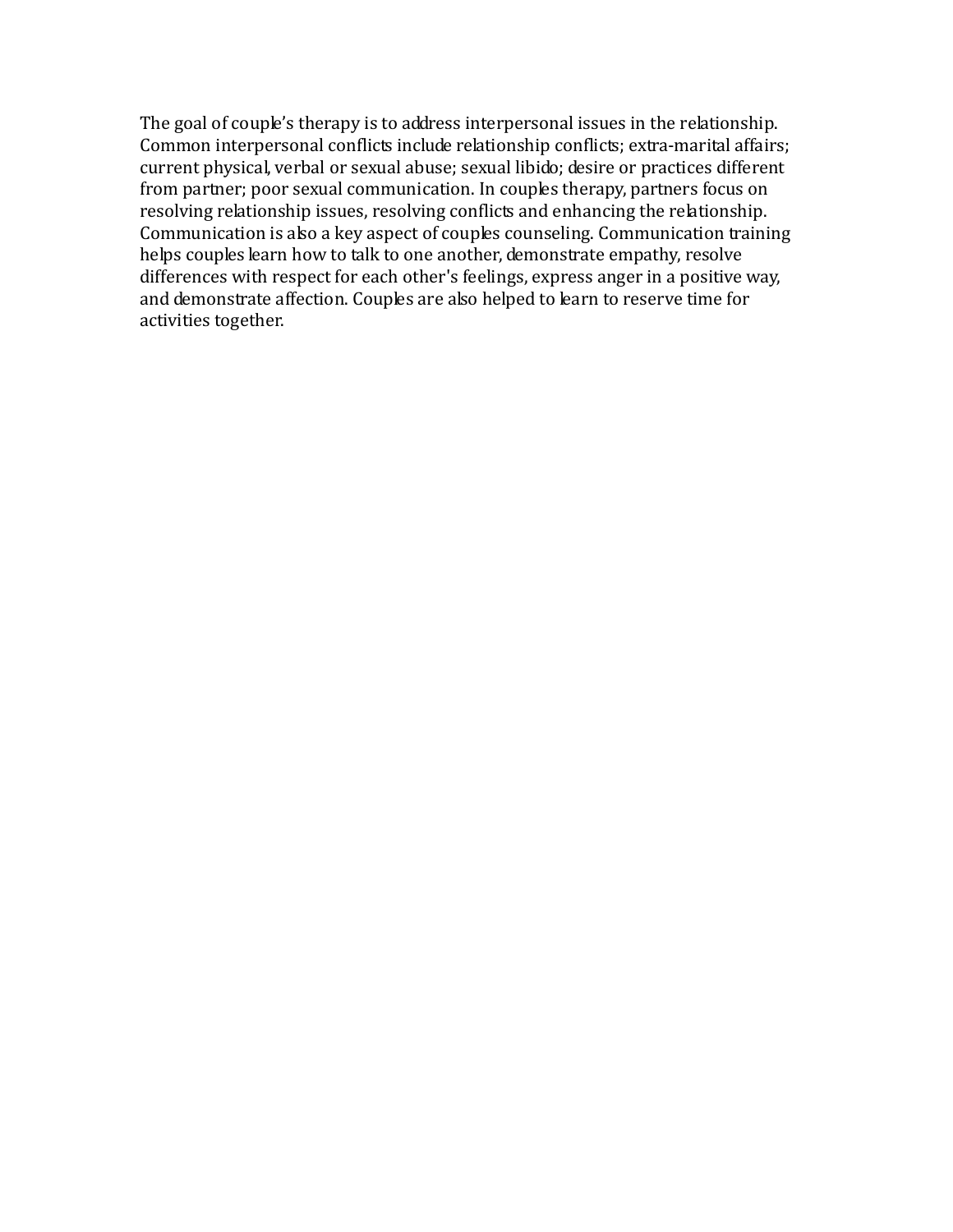The goal of couple's therapy is to address interpersonal issues in the relationship. Common interpersonal conflicts include relationship conflicts; extra-marital affairs; current physical, verbal or sexual abuse; sexual libido; desire or practices different from partner; poor sexual communication. In couples therapy, partners focus on resolving relationship issues, resolving conflicts and enhancing the relationship. Communication is also a key aspect of couples counseling. Communication training helps couples learn how to talk to one another, demonstrate empathy, resolve differences with respect for each other's feelings, express anger in a positive way, and demonstrate affection. Couples are also helped to learn to reserve time for activities together.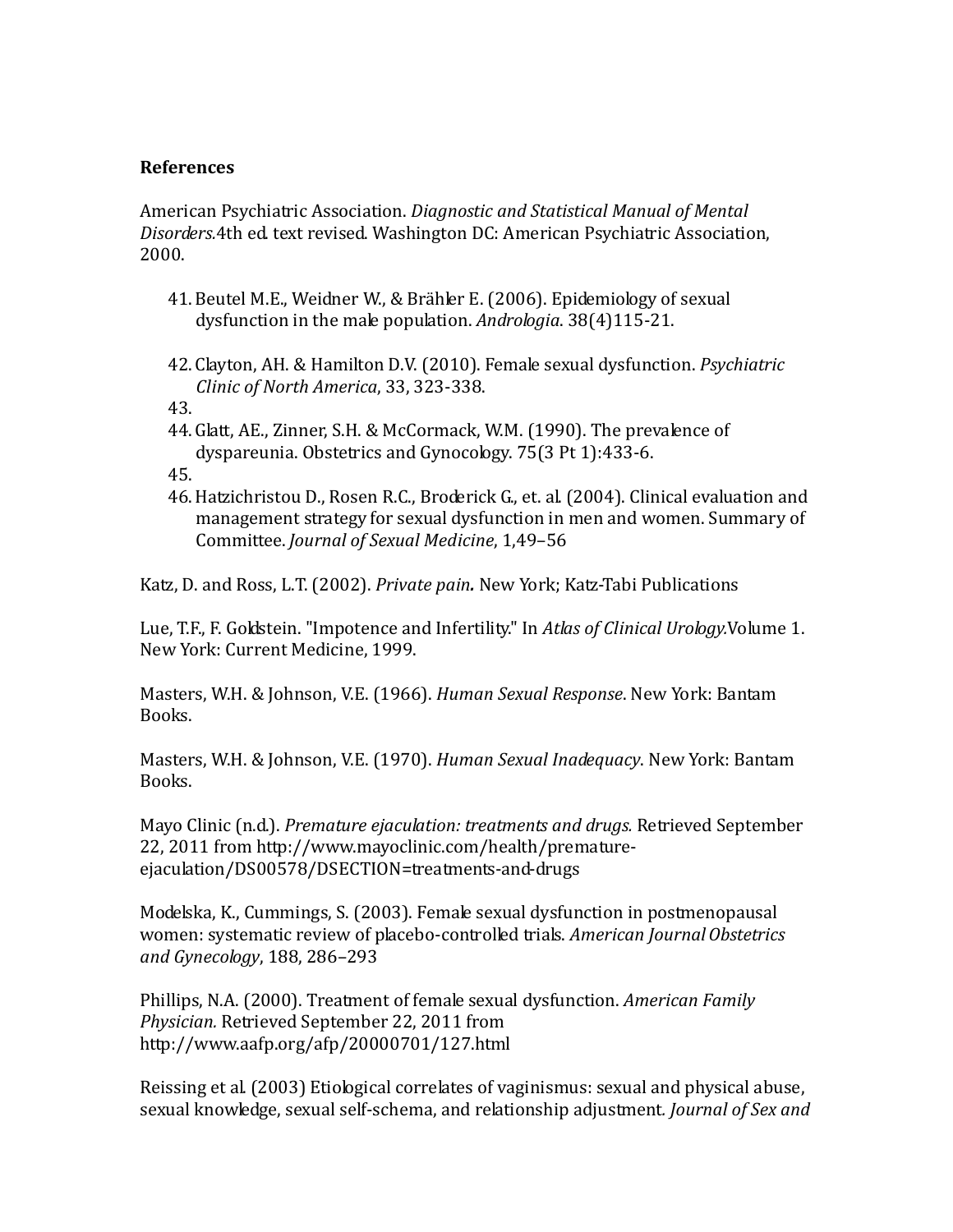#### **References**

American Psychiatric Association. *Diagnostic and Statistical Manual of Mental Disorders.*4th ed. text revised. Washington DC: American Psychiatric Association, 2000.

- 41.Beutel M.E., Weidner W., & Brähler E. (2006). Epidemiology of sexual dysfunction in the male population. *Andrologia*. 38(4)115-21.
- 42. Clayton, AH. & Hamilton D.V. (2010). Female sexual dysfunction. *Psychiatric Clinic of North America*, 33, 323-338.
- 43.
- 44.Glatt, AE., Zinner, S.H. & McCormack, W.M. (1990). The prevalence of dyspareunia. Obstetrics and Gynocology. 75(3 Pt 1):433-6.
- 45.
- 46.Hatzichristou D., Rosen R.C., Broderick G., et. al. (2004). Clinical evaluation and management strategy for sexual dysfunction in men and women. Summary of Committee. *Journal of Sexual Medicine*, 1,49–56

Katz, D. and Ross, L.T. (2002). *Private pain.* New York; Katz-Tabi Publications

Lue, T.F., F. Goldstein. "Impotence and Infertility." In *Atlas of Clinical Urology.*Volume 1. New York: Current Medicine, 1999.

Masters, W.H. & Johnson, V.E. (1966). *Human Sexual Response*. New York: Bantam Books.

Masters, W.H. & Johnson, V.E. (1970). *Human Sexual Inadequacy*. New York: Bantam Books.

Mayo Clinic (n.d.). *Premature ejaculation: treatments and drugs.* Retrieved September 22, 2011 from http://www.mayoclinic.com/health/prematureejaculation/DS00578/DSECTION=treatments-and-drugs

Modelska, K., Cummings, S. (2003). Female sexual dysfunction in postmenopausal women: systematic review of placebo-controlled trials. *American JournalObstetrics and Gynecology*, 188, 286–293

Phillips, N.A. (2000). Treatment of female sexual dysfunction. *American Family Physician.* Retrieved September 22, 2011 from http://www.aafp.org/afp/20000701/127.html

Reissing et al. (2003) Etiological correlates of vaginismus: sexual and physical abuse, sexual knowledge, sexual self-schema, and relationship adjustment*. Journal of Sex and*